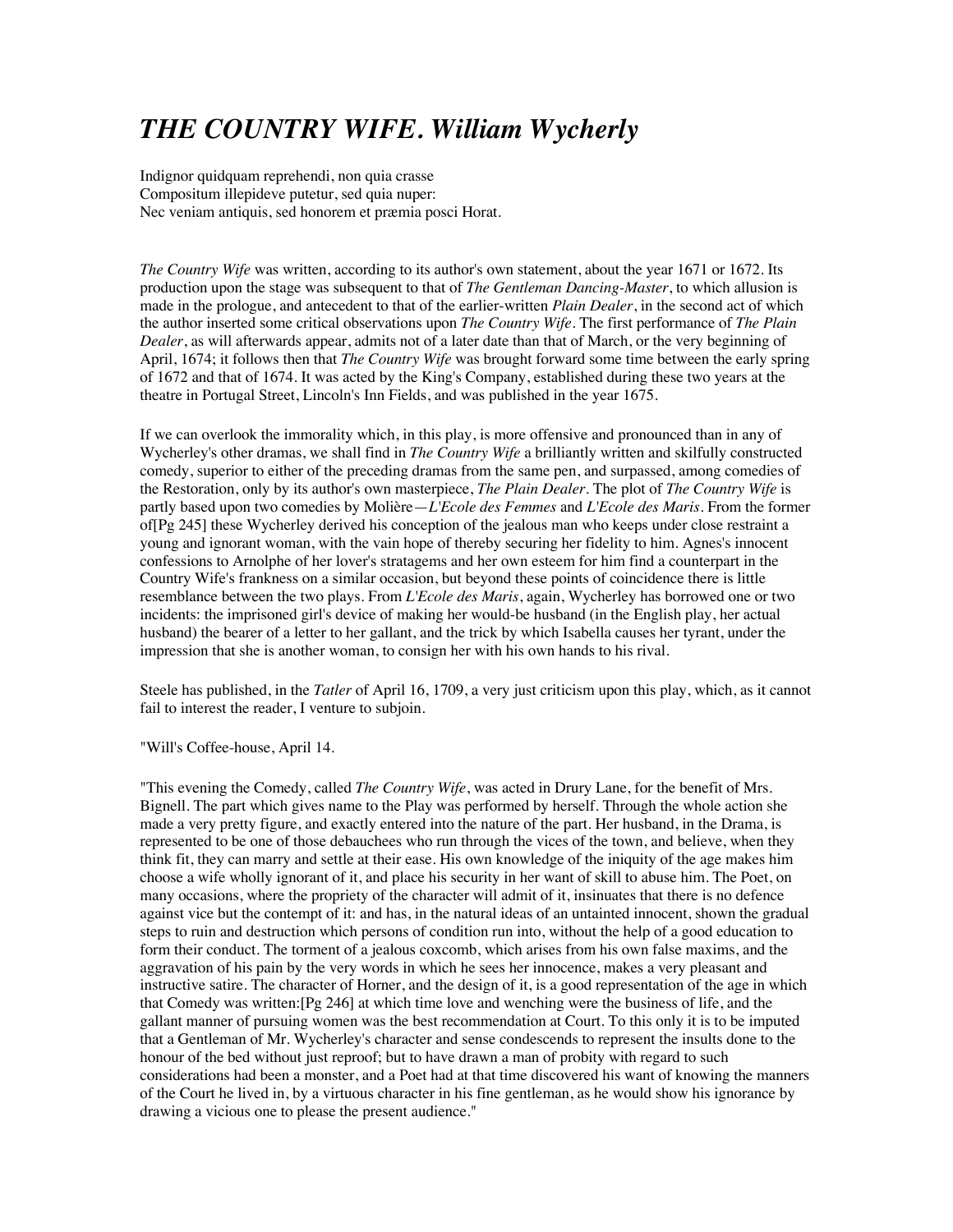# *THE COUNTRY WIFE. William Wycherly*

Indignor quidquam reprehendi, non quia crasse Compositum illepideve putetur, sed quia nuper: Nec veniam antiquis, sed honorem et præmia posci Horat.

*The Country Wife* was written, according to its author's own statement, about the year 1671 or 1672. Its production upon the stage was subsequent to that of *The Gentleman Dancing-Master*, to which allusion is made in the prologue, and antecedent to that of the earlier-written *Plain Dealer*, in the second act of which the author inserted some critical observations upon *The Country Wife*. The first performance of *The Plain Dealer*, as will afterwards appear, admits not of a later date than that of March, or the very beginning of April, 1674; it follows then that *The Country Wife* was brought forward some time between the early spring of 1672 and that of 1674. It was acted by the King's Company, established during these two years at the theatre in Portugal Street, Lincoln's Inn Fields, and was published in the year 1675.

If we can overlook the immorality which, in this play, is more offensive and pronounced than in any of Wycherley's other dramas, we shall find in *The Country Wife* a brilliantly written and skilfully constructed comedy, superior to either of the preceding dramas from the same pen, and surpassed, among comedies of the Restoration, only by its author's own masterpiece, *The Plain Dealer*. The plot of *The Country Wife* is partly based upon two comedies by Molière—*L'Ecole des Femmes* and *L'Ecole des Maris*. From the former of[Pg 245] these Wycherley derived his conception of the jealous man who keeps under close restraint a young and ignorant woman, with the vain hope of thereby securing her fidelity to him. Agnes's innocent confessions to Arnolphe of her lover's stratagems and her own esteem for him find a counterpart in the Country Wife's frankness on a similar occasion, but beyond these points of coincidence there is little resemblance between the two plays. From *L'Ecole des Maris*, again, Wycherley has borrowed one or two incidents: the imprisoned girl's device of making her would-be husband (in the English play, her actual husband) the bearer of a letter to her gallant, and the trick by which Isabella causes her tyrant, under the impression that she is another woman, to consign her with his own hands to his rival.

Steele has published, in the *Tatler* of April 16, 1709, a very just criticism upon this play, which, as it cannot fail to interest the reader, I venture to subjoin.

"Will's Coffee-house, April 14.

"This evening the Comedy, called *The Country Wife*, was acted in Drury Lane, for the benefit of Mrs. Bignell. The part which gives name to the Play was performed by herself. Through the whole action she made a very pretty figure, and exactly entered into the nature of the part. Her husband, in the Drama, is represented to be one of those debauchees who run through the vices of the town, and believe, when they think fit, they can marry and settle at their ease. His own knowledge of the iniquity of the age makes him choose a wife wholly ignorant of it, and place his security in her want of skill to abuse him. The Poet, on many occasions, where the propriety of the character will admit of it, insinuates that there is no defence against vice but the contempt of it: and has, in the natural ideas of an untainted innocent, shown the gradual steps to ruin and destruction which persons of condition run into, without the help of a good education to form their conduct. The torment of a jealous coxcomb, which arises from his own false maxims, and the aggravation of his pain by the very words in which he sees her innocence, makes a very pleasant and instructive satire. The character of Horner, and the design of it, is a good representation of the age in which that Comedy was written:[Pg 246] at which time love and wenching were the business of life, and the gallant manner of pursuing women was the best recommendation at Court. To this only it is to be imputed that a Gentleman of Mr. Wycherley's character and sense condescends to represent the insults done to the honour of the bed without just reproof; but to have drawn a man of probity with regard to such considerations had been a monster, and a Poet had at that time discovered his want of knowing the manners of the Court he lived in, by a virtuous character in his fine gentleman, as he would show his ignorance by drawing a vicious one to please the present audience."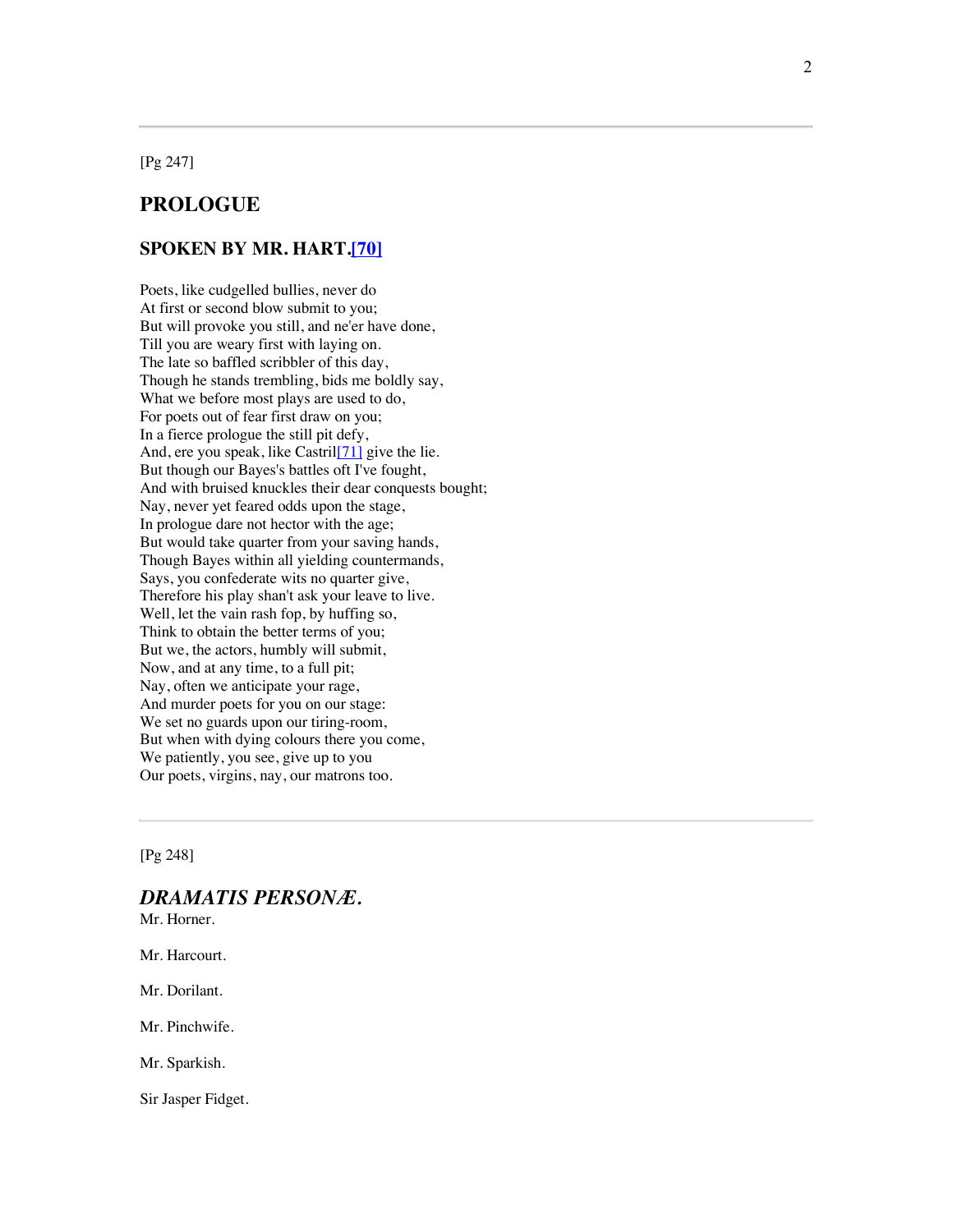[Pg 247]

# **PROLOGUE**

## **SPOKEN BY MR. HART.[70]**

Poets, like cudgelled bullies, never do At first or second blow submit to you; But will provoke you still, and ne'er have done, Till you are weary first with laying on. The late so baffled scribbler of this day, Though he stands trembling, bids me boldly say, What we before most plays are used to do, For poets out of fear first draw on you; In a fierce prologue the still pit defy, And, ere you speak, like Castril<sup>[71]</sup> give the lie. But though our Bayes's battles oft I've fought, And with bruised knuckles their dear conquests bought; Nay, never yet feared odds upon the stage, In prologue dare not hector with the age; But would take quarter from your saving hands, Though Bayes within all yielding countermands, Says, you confederate wits no quarter give, Therefore his play shan't ask your leave to live. Well, let the vain rash fop, by huffing so, Think to obtain the better terms of you; But we, the actors, humbly will submit, Now, and at any time, to a full pit; Nay, often we anticipate your rage, And murder poets for you on our stage: We set no guards upon our tiring-room, But when with dying colours there you come, We patiently, you see, give up to you Our poets, virgins, nay, our matrons too.

[Pg 248]

*DRAMATIS PERSONÆ.* Mr. Horner.

Mr. Harcourt.

Mr. Dorilant.

Mr. Pinchwife.

Mr. Sparkish.

Sir Jasper Fidget.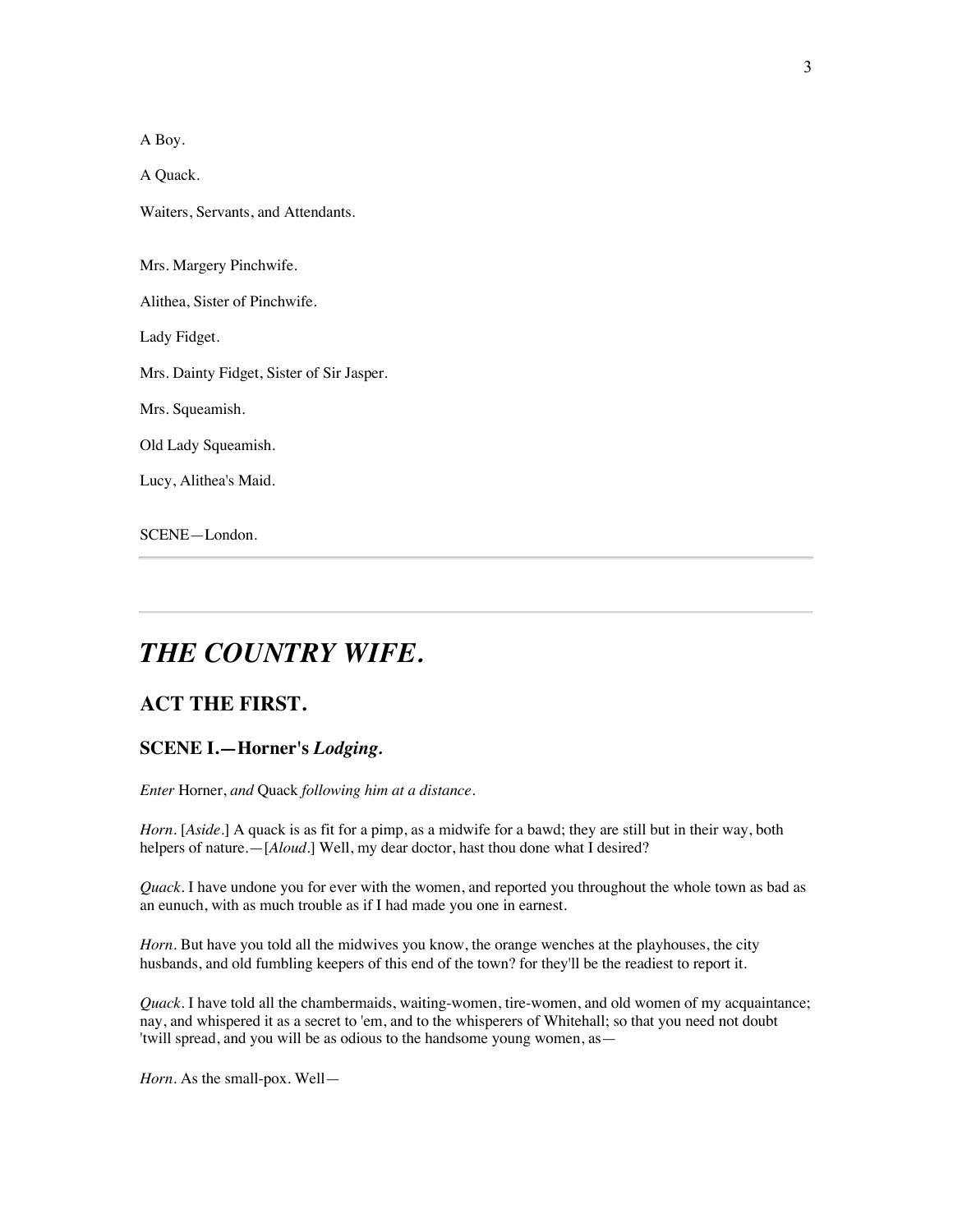A Boy.

A Quack.

Waiters, Servants, and Attendants.

Mrs. Margery Pinchwife.

Alithea, Sister of Pinchwife.

Lady Fidget.

Mrs. Dainty Fidget, Sister of Sir Jasper.

Mrs. Squeamish.

Old Lady Squeamish.

Lucy, Alithea's Maid.

SCENE—London.

# *THE COUNTRY WIFE.*

## **ACT THE FIRST.**

#### **SCENE I.—Horner's** *Lodging.*

*Enter* Horner, *and* Quack *following him at a distance.*

*Horn.* [*Aside.*] A quack is as fit for a pimp, as a midwife for a bawd; they are still but in their way, both helpers of nature.—[*Aloud.*] Well, my dear doctor, hast thou done what I desired?

*Quack.* I have undone you for ever with the women, and reported you throughout the whole town as bad as an eunuch, with as much trouble as if I had made you one in earnest.

*Horn.* But have you told all the midwives you know, the orange wenches at the playhouses, the city husbands, and old fumbling keepers of this end of the town? for they'll be the readiest to report it.

*Quack.* I have told all the chambermaids, waiting-women, tire-women, and old women of my acquaintance; nay, and whispered it as a secret to 'em, and to the whisperers of Whitehall; so that you need not doubt 'twill spread, and you will be as odious to the handsome young women, as—

*Horn.* As the small-pox. Well—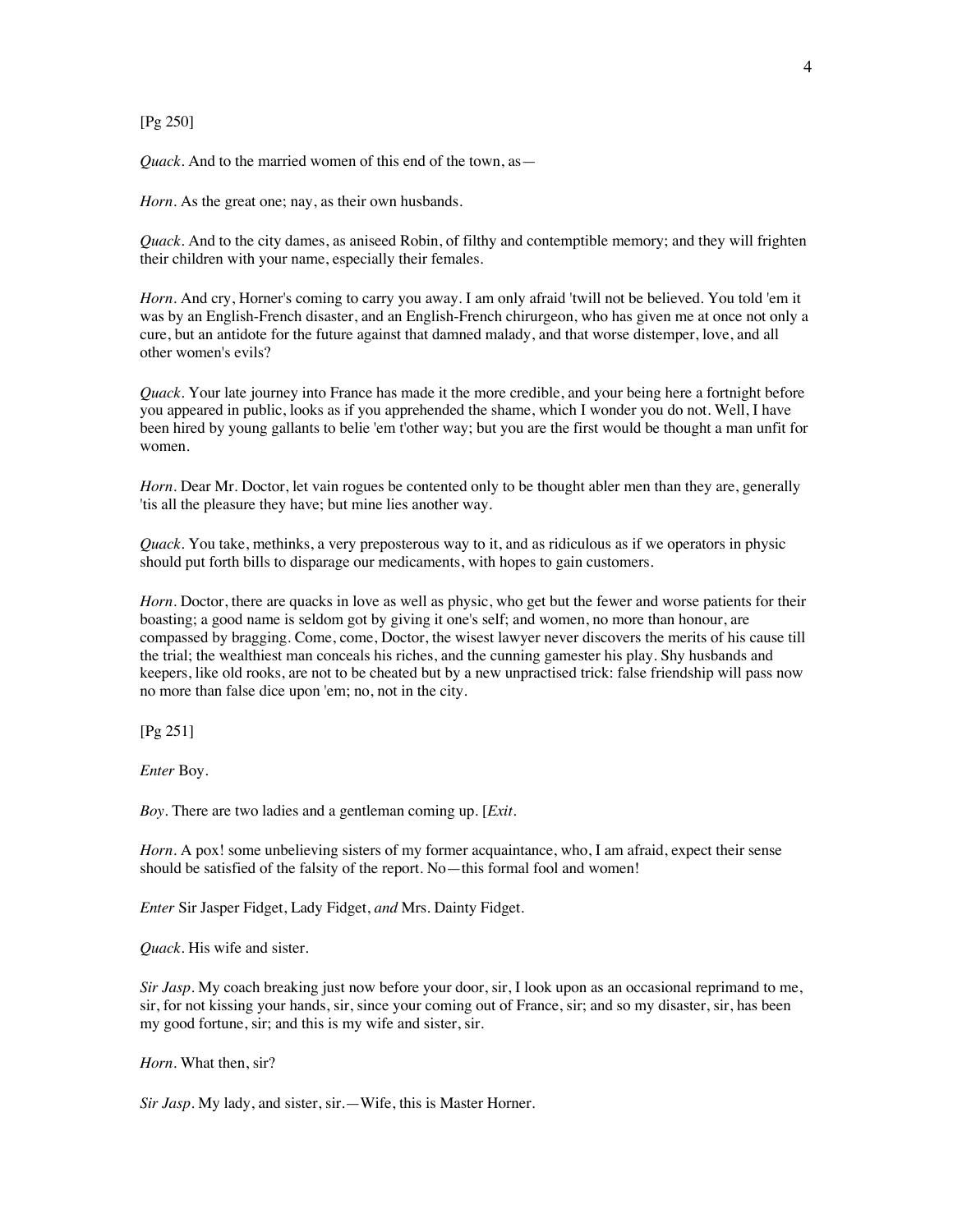[Pg 250]

*Quack.* And to the married women of this end of the town, as—

*Horn.* As the great one; nay, as their own husbands.

*Quack.* And to the city dames, as aniseed Robin, of filthy and contemptible memory; and they will frighten their children with your name, especially their females.

*Horn.* And cry, Horner's coming to carry you away. I am only afraid 'twill not be believed. You told 'em it was by an English-French disaster, and an English-French chirurgeon, who has given me at once not only a cure, but an antidote for the future against that damned malady, and that worse distemper, love, and all other women's evils?

*Quack.* Your late journey into France has made it the more credible, and your being here a fortnight before you appeared in public, looks as if you apprehended the shame, which I wonder you do not. Well, I have been hired by young gallants to belie 'em t'other way; but you are the first would be thought a man unfit for women.

*Horn.* Dear Mr. Doctor, let vain rogues be contented only to be thought abler men than they are, generally 'tis all the pleasure they have; but mine lies another way.

*Quack.* You take, methinks, a very preposterous way to it, and as ridiculous as if we operators in physic should put forth bills to disparage our medicaments, with hopes to gain customers.

*Horn*. Doctor, there are quacks in love as well as physic, who get but the fewer and worse patients for their boasting; a good name is seldom got by giving it one's self; and women, no more than honour, are compassed by bragging. Come, come, Doctor, the wisest lawyer never discovers the merits of his cause till the trial; the wealthiest man conceals his riches, and the cunning gamester his play. Shy husbands and keepers, like old rooks, are not to be cheated but by a new unpractised trick: false friendship will pass now no more than false dice upon 'em; no, not in the city.

[Pg 251]

*Enter* Boy.

*Boy.* There are two ladies and a gentleman coming up. [*Exit.*

*Horn.* A pox! some unbelieving sisters of my former acquaintance, who, I am afraid, expect their sense should be satisfied of the falsity of the report. No—this formal fool and women!

*Enter* Sir Jasper Fidget, Lady Fidget, *and* Mrs. Dainty Fidget.

*Quack.* His wife and sister.

*Sir Jasp.* My coach breaking just now before your door, sir, I look upon as an occasional reprimand to me, sir, for not kissing your hands, sir, since your coming out of France, sir; and so my disaster, sir, has been my good fortune, sir; and this is my wife and sister, sir.

*Horn.* What then, sir?

*Sir Jasp.* My lady, and sister, sir.—Wife, this is Master Horner.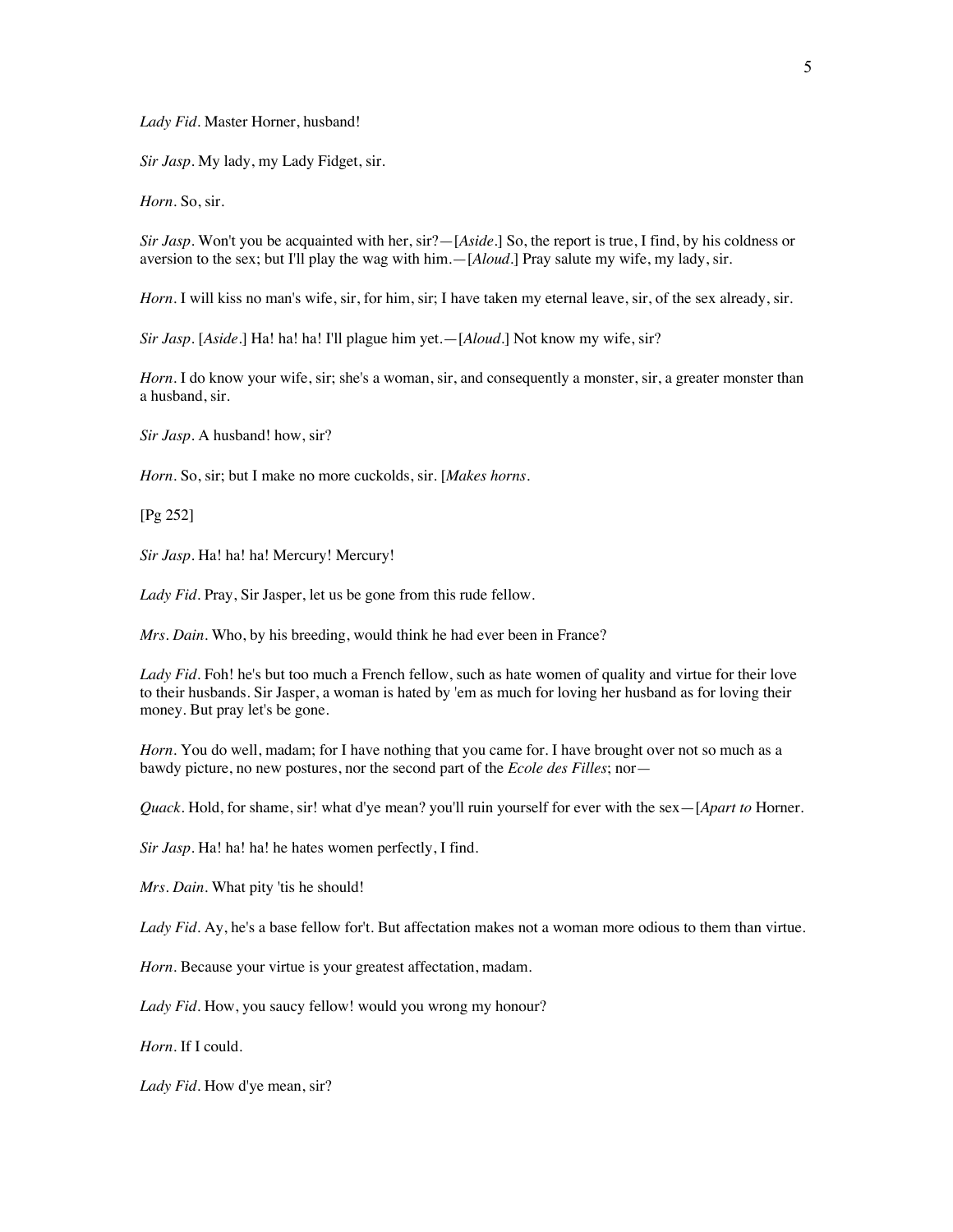*Lady Fid.* Master Horner, husband!

*Sir Jasp.* My lady, my Lady Fidget, sir.

*Horn.* So, sir.

*Sir Jasp.* Won't you be acquainted with her, sir?—[*Aside.*] So, the report is true, I find, by his coldness or aversion to the sex; but I'll play the wag with him.—[*Aloud.*] Pray salute my wife, my lady, sir.

*Horn.* I will kiss no man's wife, sir, for him, sir; I have taken my eternal leave, sir, of the sex already, sir.

*Sir Jasp.* [*Aside.*] Ha! ha! ha! I'll plague him yet.—[*Aloud.*] Not know my wife, sir?

*Horn*. I do know your wife, sir; she's a woman, sir, and consequently a monster, sir, a greater monster than a husband, sir.

*Sir Jasp.* A husband! how, sir?

*Horn.* So, sir; but I make no more cuckolds, sir. [*Makes horns.*

[Pg 252]

*Sir Jasp.* Ha! ha! ha! Mercury! Mercury!

*Lady Fid.* Pray, Sir Jasper, let us be gone from this rude fellow.

*Mrs. Dain.* Who, by his breeding, would think he had ever been in France?

Lady Fid. Foh! he's but too much a French fellow, such as hate women of quality and virtue for their love to their husbands. Sir Jasper, a woman is hated by 'em as much for loving her husband as for loving their money. But pray let's be gone.

*Horn*. You do well, madam; for I have nothing that you came for. I have brought over not so much as a bawdy picture, no new postures, nor the second part of the *Ecole des Filles*; nor—

*Quack.* Hold, for shame, sir! what d'ye mean? you'll ruin yourself for ever with the sex—[*Apart to* Horner.

*Sir Jasp.* Ha! ha! ha! he hates women perfectly, I find.

*Mrs. Dain.* What pity 'tis he should!

*Lady Fid.* Ay, he's a base fellow for't. But affectation makes not a woman more odious to them than virtue.

*Horn.* Because your virtue is your greatest affectation, madam.

*Lady Fid.* How, you saucy fellow! would you wrong my honour?

*Horn.* If I could.

*Lady Fid.* How d'ye mean, sir?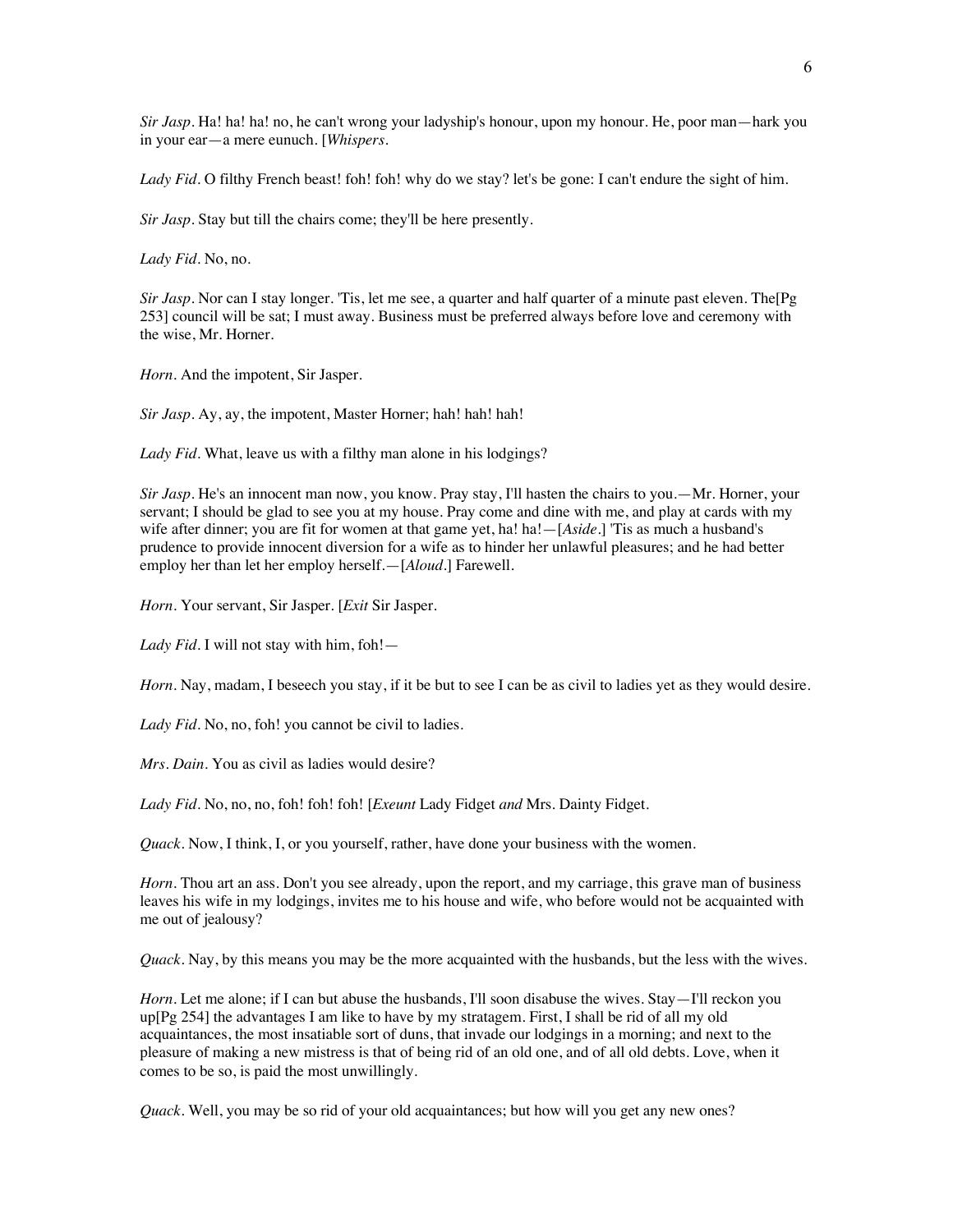*Sir Jasp.* Ha! ha! ha! no, he can't wrong your ladyship's honour, upon my honour. He, poor man—hark you in your ear—a mere eunuch. [*Whispers.*

Lady Fid. O filthy French beast! foh! foh! why do we stay? let's be gone: I can't endure the sight of him.

*Sir Jasp.* Stay but till the chairs come; they'll be here presently.

*Lady Fid.* No, no.

*Sir Jasp.* Nor can I stay longer. 'Tis, let me see, a quarter and half quarter of a minute past eleven. The[Pg 253] council will be sat; I must away. Business must be preferred always before love and ceremony with the wise, Mr. Horner.

*Horn.* And the impotent, Sir Jasper.

*Sir Jasp.* Ay, ay, the impotent, Master Horner; hah! hah! hah!

*Lady Fid.* What, leave us with a filthy man alone in his lodgings?

*Sir Jasp.* He's an innocent man now, you know. Pray stay, I'll hasten the chairs to you.—Mr. Horner, your servant; I should be glad to see you at my house. Pray come and dine with me, and play at cards with my wife after dinner; you are fit for women at that game yet, ha! ha!—[*Aside*.] Tis as much a husband's prudence to provide innocent diversion for a wife as to hinder her unlawful pleasures; and he had better employ her than let her employ herself.—[*Aloud.*] Farewell.

*Horn.* Your servant, Sir Jasper. [*Exit* Sir Jasper.

*Lady Fid.* I will not stay with him, foh!—

*Horn*. Nay, madam, I beseech you stay, if it be but to see I can be as civil to ladies yet as they would desire.

Lady Fid. No, no, foh! you cannot be civil to ladies.

*Mrs. Dain.* You as civil as ladies would desire?

*Lady Fid.* No, no, no, foh! foh! foh! [*Exeunt* Lady Fidget *and* Mrs. Dainty Fidget.

*Quack.* Now, I think, I, or you yourself, rather, have done your business with the women.

*Horn*. Thou art an ass. Don't you see already, upon the report, and my carriage, this grave man of business leaves his wife in my lodgings, invites me to his house and wife, who before would not be acquainted with me out of jealousy?

*Quack*. Nay, by this means you may be the more acquainted with the husbands, but the less with the wives.

*Horn*. Let me alone; if I can but abuse the husbands, I'll soon disabuse the wives. Stay—I'll reckon you up  $[Pg 254]$  the advantages I am like to have by my stratagem. First, I shall be rid of all my old acquaintances, the most insatiable sort of duns, that invade our lodgings in a morning; and next to the pleasure of making a new mistress is that of being rid of an old one, and of all old debts. Love, when it comes to be so, is paid the most unwillingly.

*Quack.* Well, you may be so rid of your old acquaintances; but how will you get any new ones?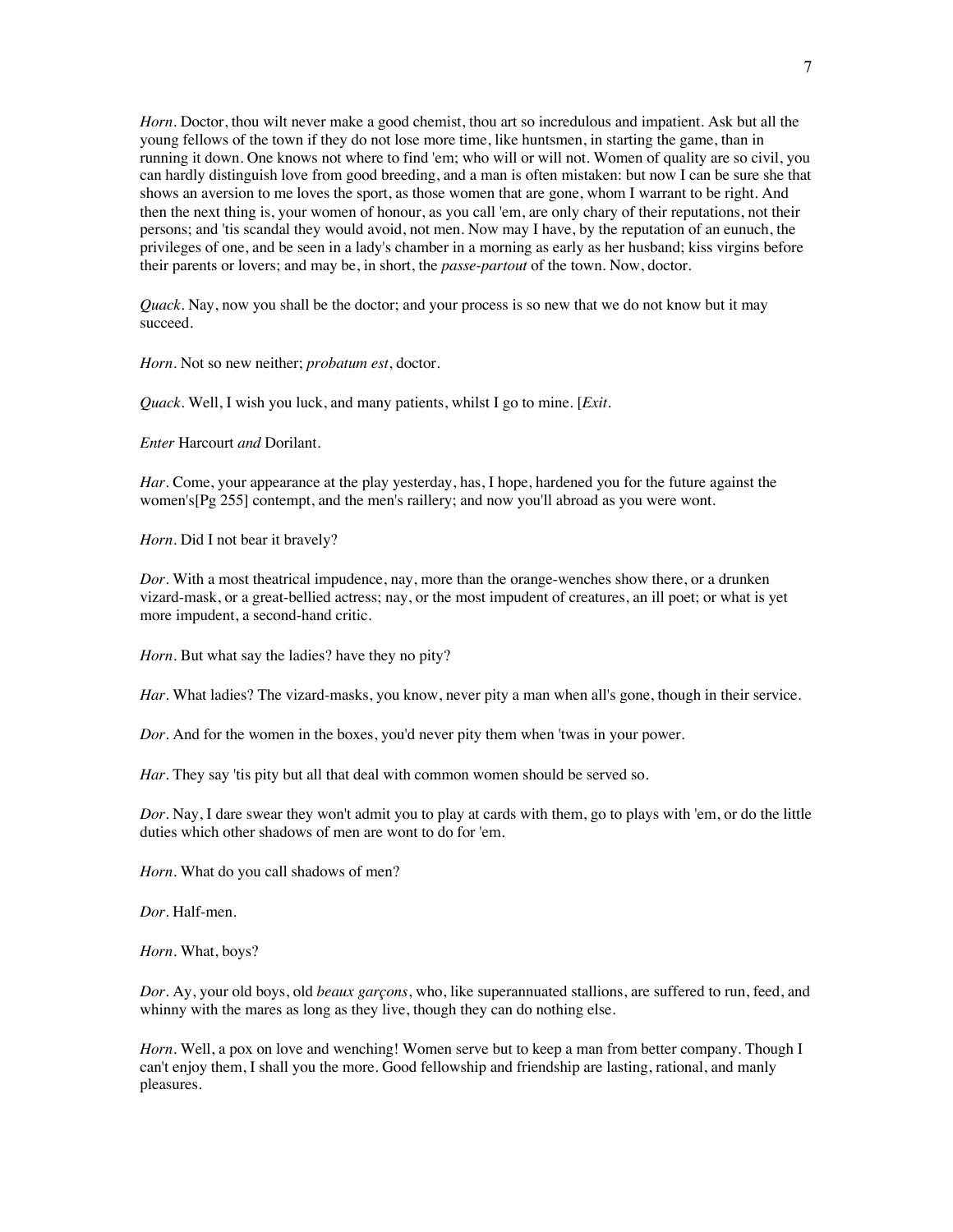*Horn*. Doctor, thou wilt never make a good chemist, thou art so incredulous and impatient. Ask but all the young fellows of the town if they do not lose more time, like huntsmen, in starting the game, than in running it down. One knows not where to find 'em; who will or will not. Women of quality are so civil, you can hardly distinguish love from good breeding, and a man is often mistaken: but now I can be sure she that shows an aversion to me loves the sport, as those women that are gone, whom I warrant to be right. And then the next thing is, your women of honour, as you call 'em, are only chary of their reputations, not their persons; and 'tis scandal they would avoid, not men. Now may I have, by the reputation of an eunuch, the privileges of one, and be seen in a lady's chamber in a morning as early as her husband; kiss virgins before their parents or lovers; and may be, in short, the *passe-partout* of the town. Now, doctor.

*Quack.* Nay, now you shall be the doctor; and your process is so new that we do not know but it may succeed.

*Horn.* Not so new neither; *probatum est*, doctor.

*Quack.* Well, I wish you luck, and many patients, whilst I go to mine. [*Exit.*

*Enter* Harcourt *and* Dorilant.

*Har.* Come, your appearance at the play yesterday, has, I hope, hardened you for the future against the women's[Pg 255] contempt, and the men's raillery; and now you'll abroad as you were wont.

*Horn.* Did I not bear it bravely?

*Dor.* With a most theatrical impudence, nay, more than the orange-wenches show there, or a drunken vizard-mask, or a great-bellied actress; nay, or the most impudent of creatures, an ill poet; or what is yet more impudent, a second-hand critic.

*Horn.* But what say the ladies? have they no pity?

*Har.* What ladies? The vizard-masks, you know, never pity a man when all's gone, though in their service.

*Dor.* And for the women in the boxes, you'd never pity them when 'twas in your power.

*Har.* They say 'tis pity but all that deal with common women should be served so.

*Dor.* Nay, I dare swear they won't admit you to play at cards with them, go to plays with 'em, or do the little duties which other shadows of men are wont to do for 'em.

*Horn.* What do you call shadows of men?

*Dor.* Half-men.

*Horn.* What, boys?

*Dor.* Ay, your old boys, old *beaux garçons*, who, like superannuated stallions, are suffered to run, feed, and whinny with the mares as long as they live, though they can do nothing else.

*Horn*. Well, a pox on love and wenching! Women serve but to keep a man from better company. Though I can't enjoy them, I shall you the more. Good fellowship and friendship are lasting, rational, and manly pleasures.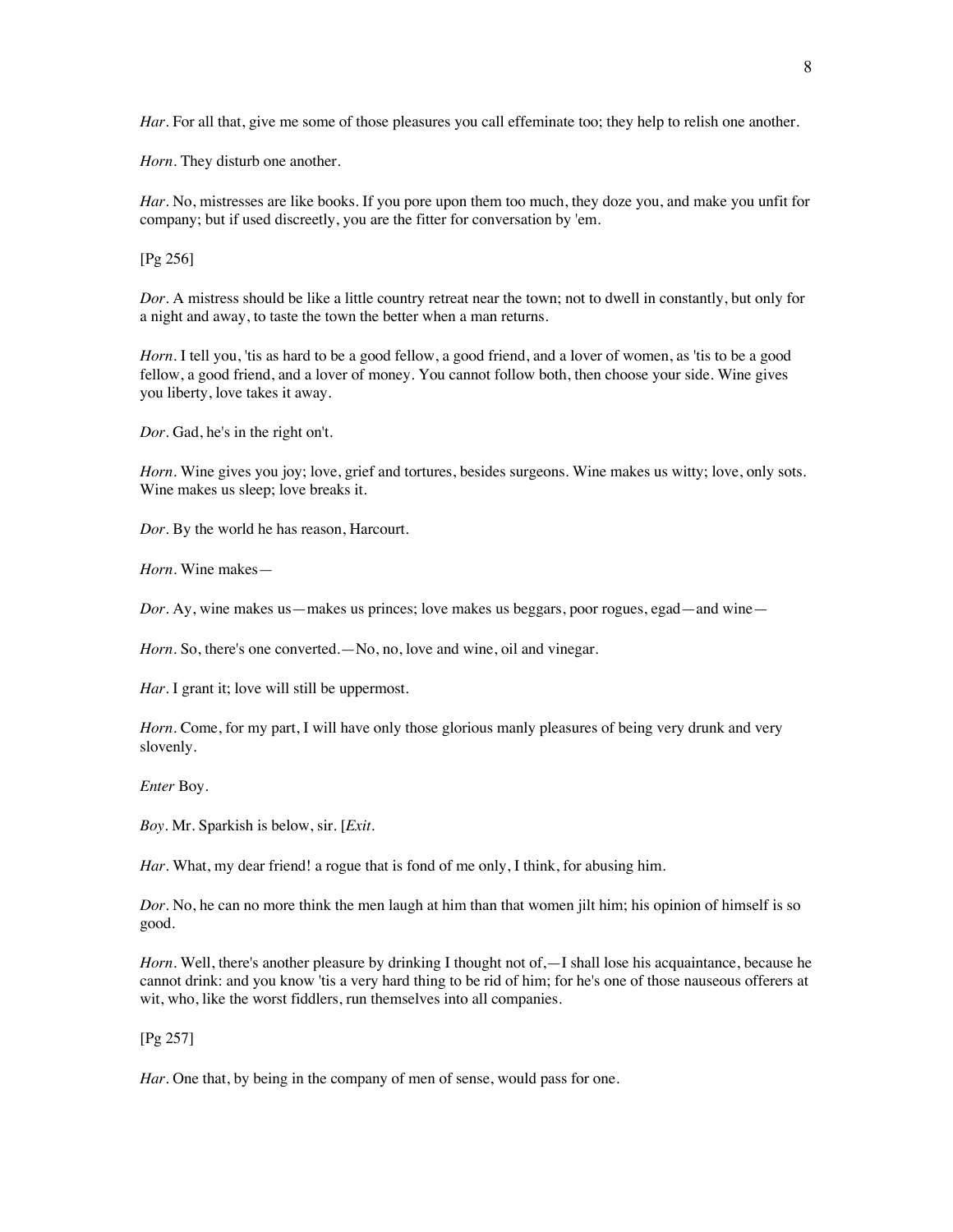*Har*. For all that, give me some of those pleasures you call effeminate too; they help to relish one another.

*Horn.* They disturb one another.

*Har.* No, mistresses are like books. If you pore upon them too much, they doze you, and make you unfit for company; but if used discreetly, you are the fitter for conversation by 'em.

[Pg 256]

*Dor.* A mistress should be like a little country retreat near the town; not to dwell in constantly, but only for a night and away, to taste the town the better when a man returns.

*Horn*. I tell you, 'tis as hard to be a good fellow, a good friend, and a lover of women, as 'tis to be a good fellow, a good friend, and a lover of money. You cannot follow both, then choose your side. Wine gives you liberty, love takes it away.

*Dor.* Gad, he's in the right on't.

*Horn*. Wine gives you joy; love, grief and tortures, besides surgeons. Wine makes us witty; love, only sots. Wine makes us sleep; love breaks it.

*Dor.* By the world he has reason, Harcourt.

*Horn.* Wine makes—

*Dor.* Ay, wine makes us—makes us princes; love makes us beggars, poor rogues, egad—and wine—

*Horn.* So, there's one converted.—No, no, love and wine, oil and vinegar.

*Har.* I grant it; love will still be uppermost.

*Horn*. Come, for my part, I will have only those glorious manly pleasures of being very drunk and very slovenly.

*Enter* Boy.

*Boy.* Mr. Sparkish is below, sir. [*Exit.*

*Har.* What, my dear friend! a rogue that is fond of me only, I think, for abusing him.

*Dor.* No, he can no more think the men laugh at him than that women jilt him; his opinion of himself is so good.

*Horn*. Well, there's another pleasure by drinking I thought not of, —I shall lose his acquaintance, because he cannot drink: and you know 'tis a very hard thing to be rid of him; for he's one of those nauseous offerers at wit, who, like the worst fiddlers, run themselves into all companies.

[Pg 257]

*Har.* One that, by being in the company of men of sense, would pass for one.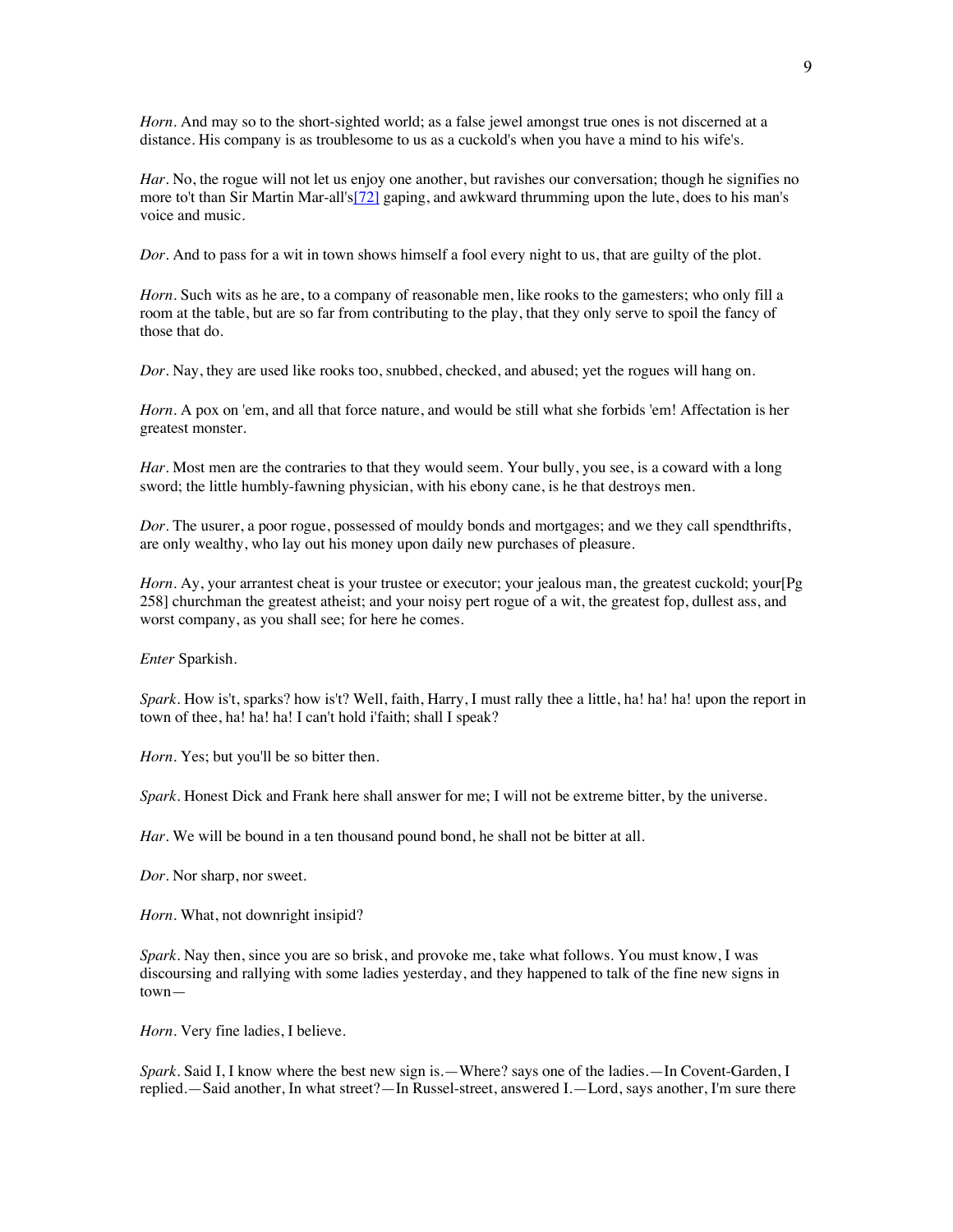*Horn*. And may so to the short-sighted world; as a false jewel amongst true ones is not discerned at a distance. His company is as troublesome to us as a cuckold's when you have a mind to his wife's.

*Har.* No, the rogue will not let us enjoy one another, but ravishes our conversation; though he signifies no more to't than Sir Martin Mar-all's<sup>[72]</sup> gaping, and awkward thrumming upon the lute, does to his man's voice and music.

*Dor.* And to pass for a wit in town shows himself a fool every night to us, that are guilty of the plot.

*Horn*. Such wits as he are, to a company of reasonable men, like rooks to the gamesters; who only fill a room at the table, but are so far from contributing to the play, that they only serve to spoil the fancy of those that do.

*Dor.* Nay, they are used like rooks too, snubbed, checked, and abused; yet the rogues will hang on.

*Horn*. A pox on 'em, and all that force nature, and would be still what she forbids 'em! Affectation is her greatest monster.

*Har.* Most men are the contraries to that they would seem. Your bully, you see, is a coward with a long sword; the little humbly-fawning physician, with his ebony cane, is he that destroys men.

*Dor.* The usurer, a poor rogue, possessed of mouldy bonds and mortgages; and we they call spendthrifts, are only wealthy, who lay out his money upon daily new purchases of pleasure.

*Horn.* Ay, your arrantest cheat is your trustee or executor; your jealous man, the greatest cuckold; your[Pg] 258] churchman the greatest atheist; and your noisy pert rogue of a wit, the greatest fop, dullest ass, and worst company, as you shall see; for here he comes.

*Enter* Sparkish.

*Spark.* How is't, sparks? how is't? Well, faith, Harry, I must rally thee a little, ha! ha! ha! upon the report in town of thee, ha! ha! ha! I can't hold i'faith; shall I speak?

*Horn.* Yes; but you'll be so bitter then.

*Spark.* Honest Dick and Frank here shall answer for me; I will not be extreme bitter, by the universe.

*Har.* We will be bound in a ten thousand pound bond, he shall not be bitter at all.

*Dor.* Nor sharp, nor sweet.

*Horn.* What, not downright insipid?

*Spark.* Nay then, since you are so brisk, and provoke me, take what follows. You must know, I was discoursing and rallying with some ladies yesterday, and they happened to talk of the fine new signs in town—

*Horn.* Very fine ladies, I believe.

*Spark.* Said I, I know where the best new sign is.—Where? says one of the ladies.—In Covent-Garden, I replied.—Said another, In what street?—In Russel-street, answered I.—Lord, says another, I'm sure there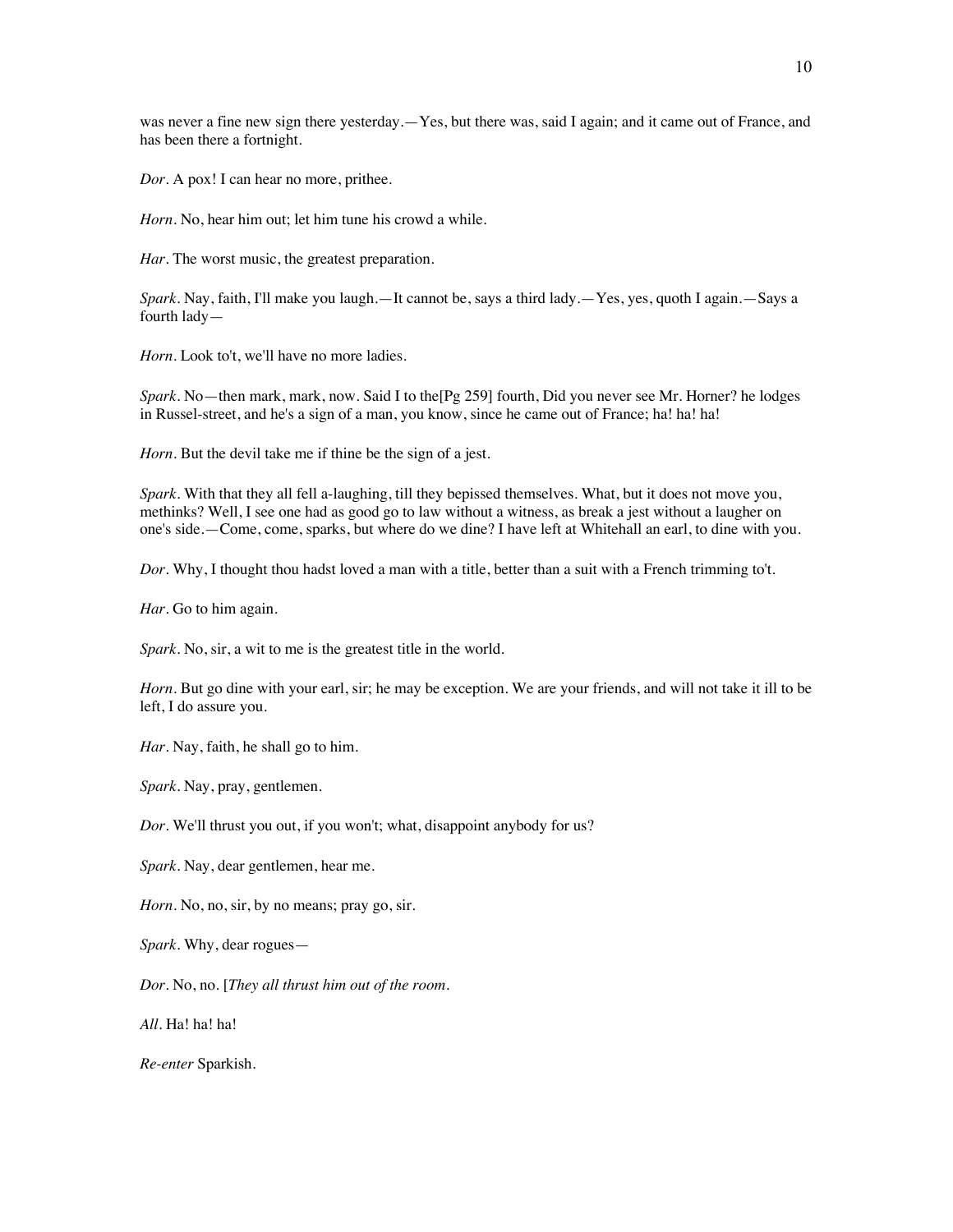was never a fine new sign there yesterday.—Yes, but there was, said I again; and it came out of France, and has been there a fortnight.

*Dor.* A pox! I can hear no more, prithee.

*Horn.* No, hear him out; let him tune his crowd a while.

*Har.* The worst music, the greatest preparation.

*Spark.* Nay, faith, I'll make you laugh.—It cannot be, says a third lady.—Yes, yes, quoth I again.—Says a fourth lady—

*Horn.* Look to't, we'll have no more ladies.

*Spark.* No—then mark, mark, now. Said I to the[Pg 259] fourth, Did you never see Mr. Horner? he lodges in Russel-street, and he's a sign of a man, you know, since he came out of France; ha! ha! ha!

*Horn.* But the devil take me if thine be the sign of a jest.

*Spark.* With that they all fell a-laughing, till they bepissed themselves. What, but it does not move you, methinks? Well, I see one had as good go to law without a witness, as break a jest without a laugher on one's side.—Come, come, sparks, but where do we dine? I have left at Whitehall an earl, to dine with you.

*Dor.* Why, I thought thou hadst loved a man with a title, better than a suit with a French trimming to't.

*Har.* Go to him again.

*Spark.* No, sir, a wit to me is the greatest title in the world.

*Horn*. But go dine with your earl, sir; he may be exception. We are your friends, and will not take it ill to be left, I do assure you.

*Har.* Nay, faith, he shall go to him.

*Spark.* Nay, pray, gentlemen.

*Dor.* We'll thrust you out, if you won't; what, disappoint anybody for us?

*Spark.* Nay, dear gentlemen, hear me.

*Horn.* No, no, sir, by no means; pray go, sir.

*Spark.* Why, dear rogues—

*Dor.* No, no. [*They all thrust him out of the room.*

*All.* Ha! ha! ha!

*Re-enter* Sparkish.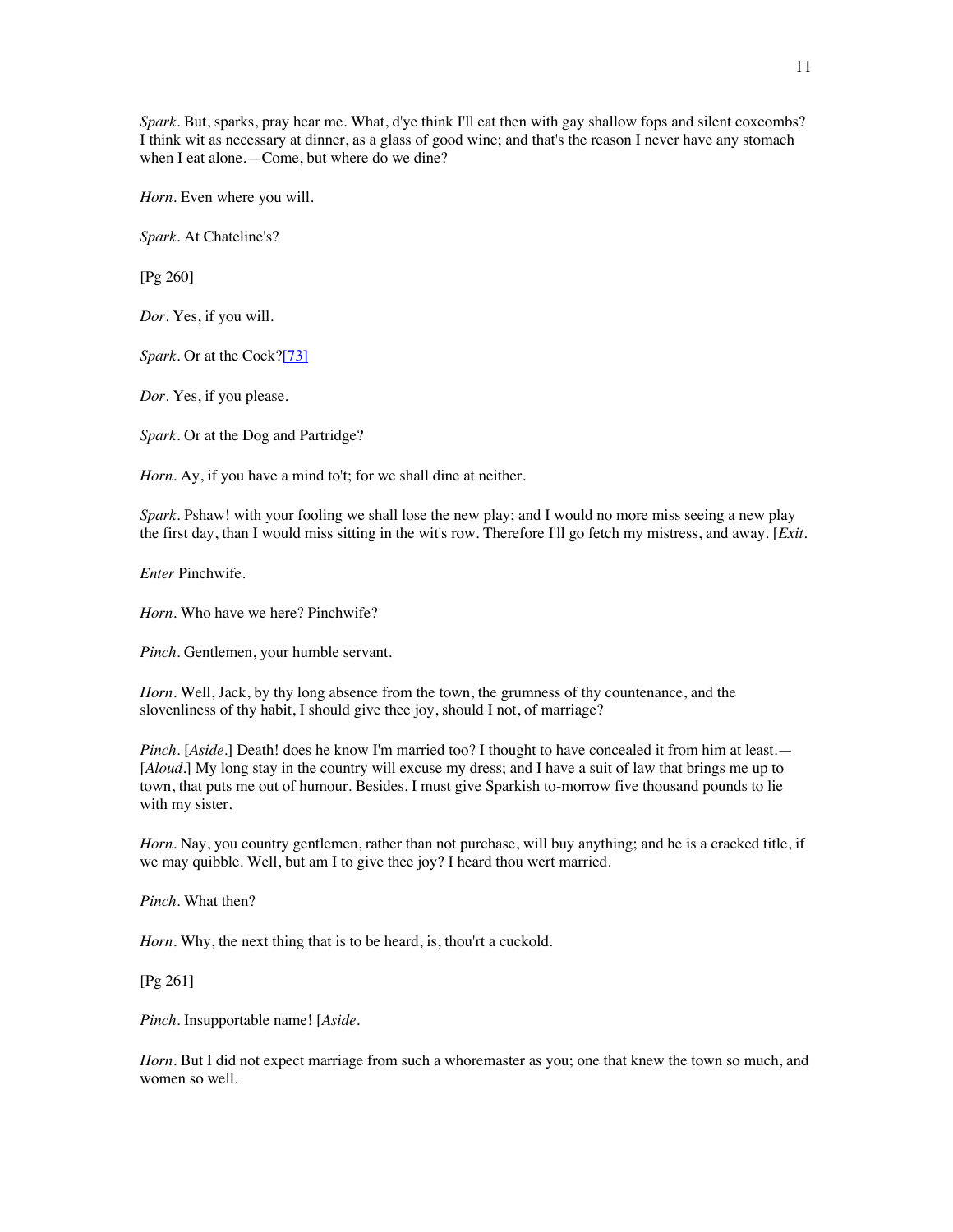*Spark.* But, sparks, pray hear me. What, d'ye think I'll eat then with gay shallow fops and silent coxcombs? I think wit as necessary at dinner, as a glass of good wine; and that's the reason I never have any stomach when I eat alone.—Come, but where do we dine?

*Horn.* Even where you will.

*Spark.* At Chateline's?

[Pg 260]

*Dor.* Yes, if you will.

*Spark.* Or at the Cock?[73]

*Dor.* Yes, if you please.

*Spark.* Or at the Dog and Partridge?

*Horn.* Ay, if you have a mind to't; for we shall dine at neither.

*Spark.* Pshaw! with your fooling we shall lose the new play; and I would no more miss seeing a new play the first day, than I would miss sitting in the wit's row. Therefore I'll go fetch my mistress, and away. [*Exit.*

*Enter* Pinchwife.

*Horn.* Who have we here? Pinchwife?

*Pinch.* Gentlemen, your humble servant.

*Horn.* Well, Jack, by thy long absence from the town, the grumness of thy countenance, and the slovenliness of thy habit, I should give thee joy, should I not, of marriage?

*Pinch.* [*Aside.*] Death! does he know I'm married too? I thought to have concealed it from him at least.— [*Aloud.*] My long stay in the country will excuse my dress; and I have a suit of law that brings me up to town, that puts me out of humour. Besides, I must give Sparkish to-morrow five thousand pounds to lie with my sister.

*Horn*. Nay, you country gentlemen, rather than not purchase, will buy anything; and he is a cracked title, if we may quibble. Well, but am I to give thee joy? I heard thou wert married.

*Pinch.* What then?

Horn. Why, the next thing that is to be heard, is, thou'rt a cuckold.

[Pg 261]

*Pinch.* Insupportable name! [*Aside.*

*Horn*. But I did not expect marriage from such a whoremaster as you; one that knew the town so much, and women so well.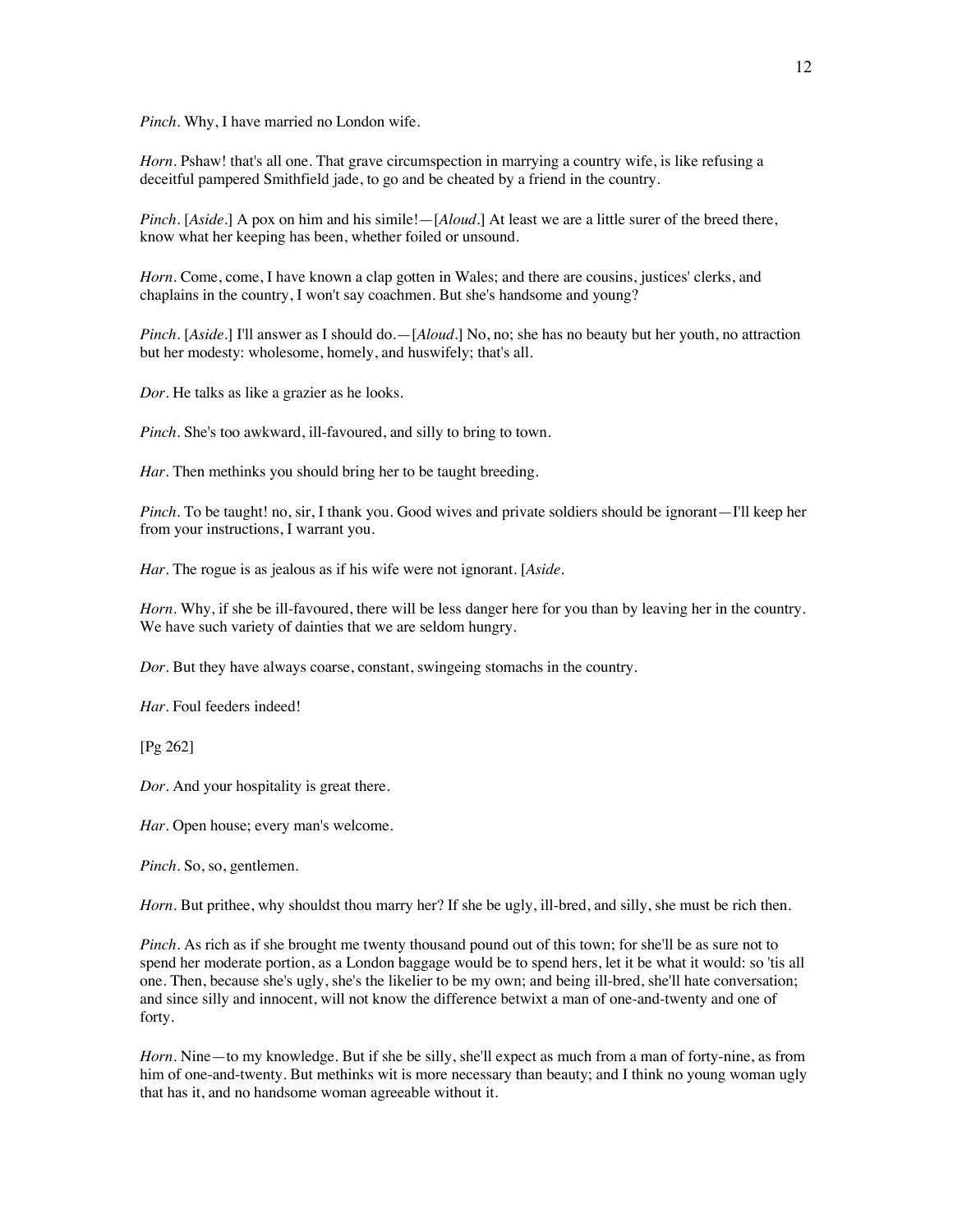*Pinch.* Why, I have married no London wife.

*Horn*. Pshaw! that's all one. That grave circumspection in marrying a country wife, is like refusing a deceitful pampered Smithfield jade, to go and be cheated by a friend in the country.

*Pinch.* [*Aside.*] A pox on him and his simile!—[*Aloud.*] At least we are a little surer of the breed there, know what her keeping has been, whether foiled or unsound.

*Horn*. Come, come, I have known a clap gotten in Wales; and there are cousins, justices' clerks, and chaplains in the country, I won't say coachmen. But she's handsome and young?

*Pinch.* [*Aside.*] I'll answer as I should do.—[*Aloud.*] No, no; she has no beauty but her youth, no attraction but her modesty: wholesome, homely, and huswifely; that's all.

*Dor.* He talks as like a grazier as he looks.

*Pinch.* She's too awkward, ill-favoured, and silly to bring to town.

*Har.* Then methinks you should bring her to be taught breeding.

*Pinch*. To be taught! no, sir, I thank you. Good wives and private soldiers should be ignorant—I'll keep her from your instructions, I warrant you.

*Har.* The rogue is as jealous as if his wife were not ignorant. [*Aside.*

*Horn*. Why, if she be ill-favoured, there will be less danger here for you than by leaving her in the country. We have such variety of dainties that we are seldom hungry.

*Dor.* But they have always coarse, constant, swingeing stomachs in the country.

*Har.* Foul feeders indeed!

[Pg 262]

*Dor.* And your hospitality is great there.

*Har.* Open house; every man's welcome.

*Pinch.* So, so, gentlemen.

*Horn*. But prithee, why shouldst thou marry her? If she be ugly, ill-bred, and silly, she must be rich then.

*Pinch*. As rich as if she brought me twenty thousand pound out of this town; for she'll be as sure not to spend her moderate portion, as a London baggage would be to spend hers, let it be what it would: so 'tis all one. Then, because she's ugly, she's the likelier to be my own; and being ill-bred, she'll hate conversation; and since silly and innocent, will not know the difference betwixt a man of one-and-twenty and one of forty.

*Horn.* Nine—to my knowledge. But if she be silly, she'll expect as much from a man of forty-nine, as from him of one-and-twenty. But methinks wit is more necessary than beauty; and I think no young woman ugly that has it, and no handsome woman agreeable without it.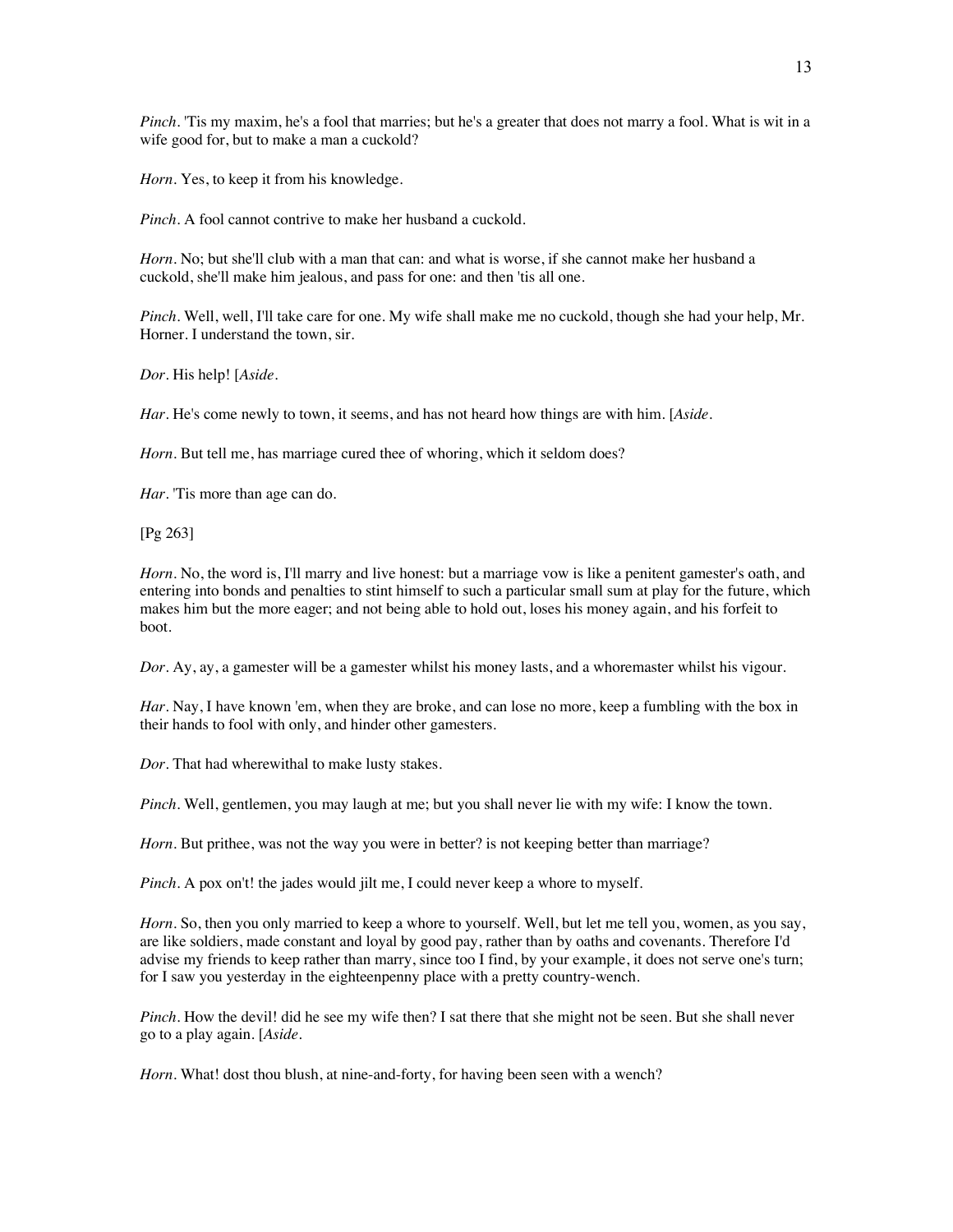*Pinch*. Tis my maxim, he's a fool that marries; but he's a greater that does not marry a fool. What is wit in a wife good for, but to make a man a cuckold?

*Horn.* Yes, to keep it from his knowledge.

*Pinch.* A fool cannot contrive to make her husband a cuckold.

*Horn*. No; but she'll club with a man that can: and what is worse, if she cannot make her husband a cuckold, she'll make him jealous, and pass for one: and then 'tis all one.

*Pinch.* Well, well, I'll take care for one. My wife shall make me no cuckold, though she had your help, Mr. Horner. I understand the town, sir.

*Dor.* His help! [*Aside.*

*Har.* He's come newly to town, it seems, and has not heard how things are with him. [*Aside.*

*Horn.* But tell me, has marriage cured thee of whoring, which it seldom does?

*Har.* 'Tis more than age can do.

[Pg 263]

*Horn.* No, the word is, I'll marry and live honest: but a marriage vow is like a penitent gamester's oath, and entering into bonds and penalties to stint himself to such a particular small sum at play for the future, which makes him but the more eager; and not being able to hold out, loses his money again, and his forfeit to boot.

*Dor.* Ay, ay, a gamester will be a gamester whilst his money lasts, and a whoremaster whilst his vigour.

*Har.* Nay, I have known 'em, when they are broke, and can lose no more, keep a fumbling with the box in their hands to fool with only, and hinder other gamesters.

*Dor.* That had wherewithal to make lusty stakes.

*Pinch*. Well, gentlemen, you may laugh at me; but you shall never lie with my wife: I know the town.

*Horn*. But prithee, was not the way you were in better? is not keeping better than marriage?

*Pinch.* A pox on't! the jades would jilt me, I could never keep a whore to myself.

*Horn*. So, then you only married to keep a whore to yourself. Well, but let me tell you, women, as you say, are like soldiers, made constant and loyal by good pay, rather than by oaths and covenants. Therefore I'd advise my friends to keep rather than marry, since too I find, by your example, it does not serve one's turn; for I saw you yesterday in the eighteenpenny place with a pretty country-wench.

*Pinch*. How the devil! did he see my wife then? I sat there that she might not be seen. But she shall never go to a play again. [*Aside.*

*Horn.* What! dost thou blush, at nine-and-forty, for having been seen with a wench?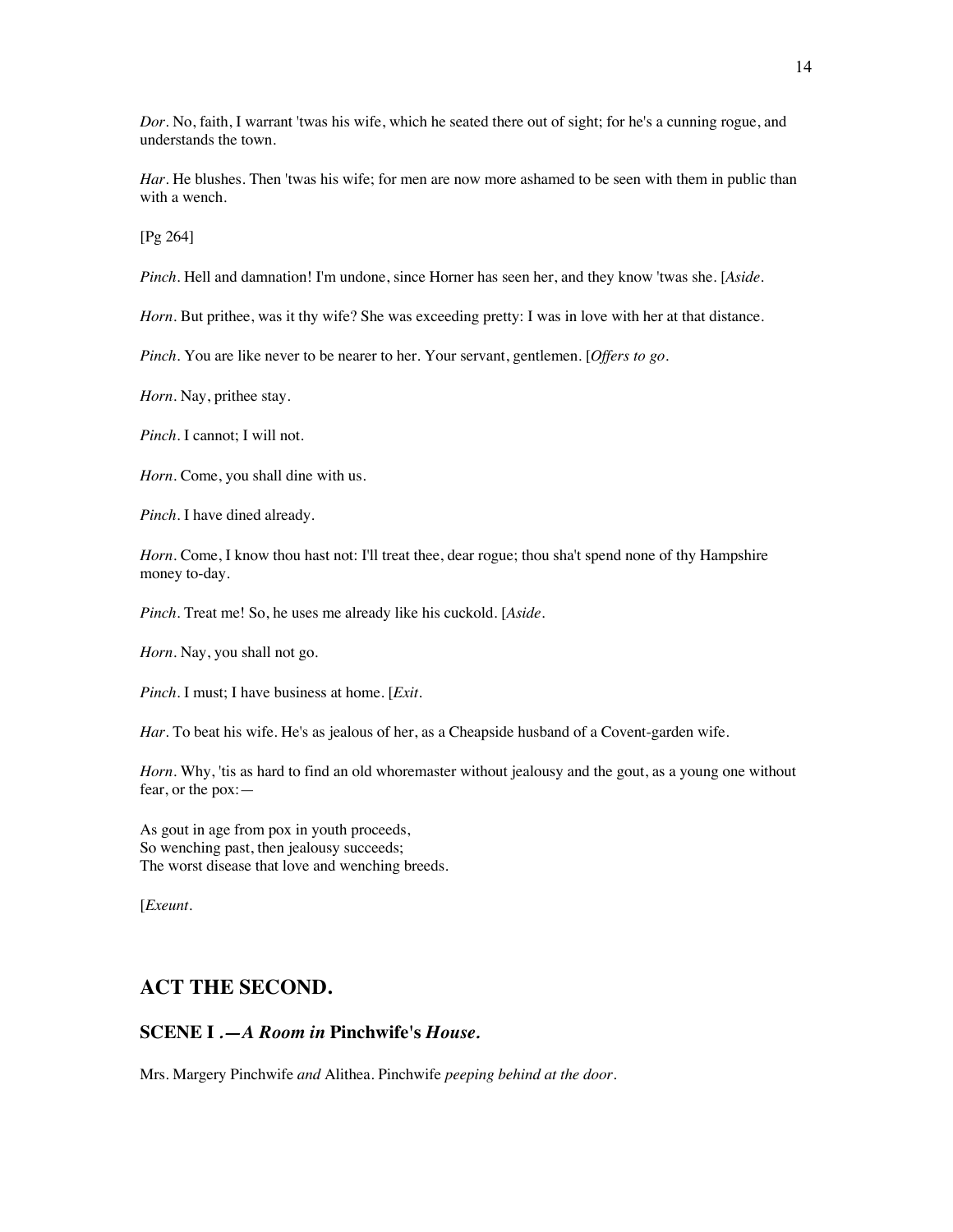*Dor.* No, faith, I warrant 'twas his wife, which he seated there out of sight; for he's a cunning rogue, and understands the town.

*Har.* He blushes. Then 'twas his wife; for men are now more ashamed to be seen with them in public than with a wench.

[Pg 264]

*Pinch.* Hell and damnation! I'm undone, since Horner has seen her, and they know 'twas she. [*Aside.*

*Horn*. But prithee, was it thy wife? She was exceeding pretty: I was in love with her at that distance.

*Pinch.* You are like never to be nearer to her. Your servant, gentlemen. [*Offers to go.*

*Horn.* Nay, prithee stay.

*Pinch*. I cannot: I will not.

*Horn.* Come, you shall dine with us.

*Pinch.* I have dined already.

*Horn*. Come, I know thou hast not: I'll treat thee, dear rogue; thou sha't spend none of thy Hampshire money to-day.

*Pinch.* Treat me! So, he uses me already like his cuckold. [*Aside.*

*Horn.* Nay, you shall not go.

*Pinch.* I must; I have business at home. [*Exit.*

*Har.* To beat his wife. He's as jealous of her, as a Cheapside husband of a Covent-garden wife.

*Horn.* Why, 'tis as hard to find an old whoremaster without jealousy and the gout, as a young one without fear, or the pox:—

As gout in age from pox in youth proceeds, So wenching past, then jealousy succeeds; The worst disease that love and wenching breeds.

[*Exeunt.*

## **ACT THE SECOND.**

#### **SCENE I** *.—A Room in* **Pinchwife's** *House.*

Mrs. Margery Pinchwife *and* Alithea. Pinchwife *peeping behind at the door.*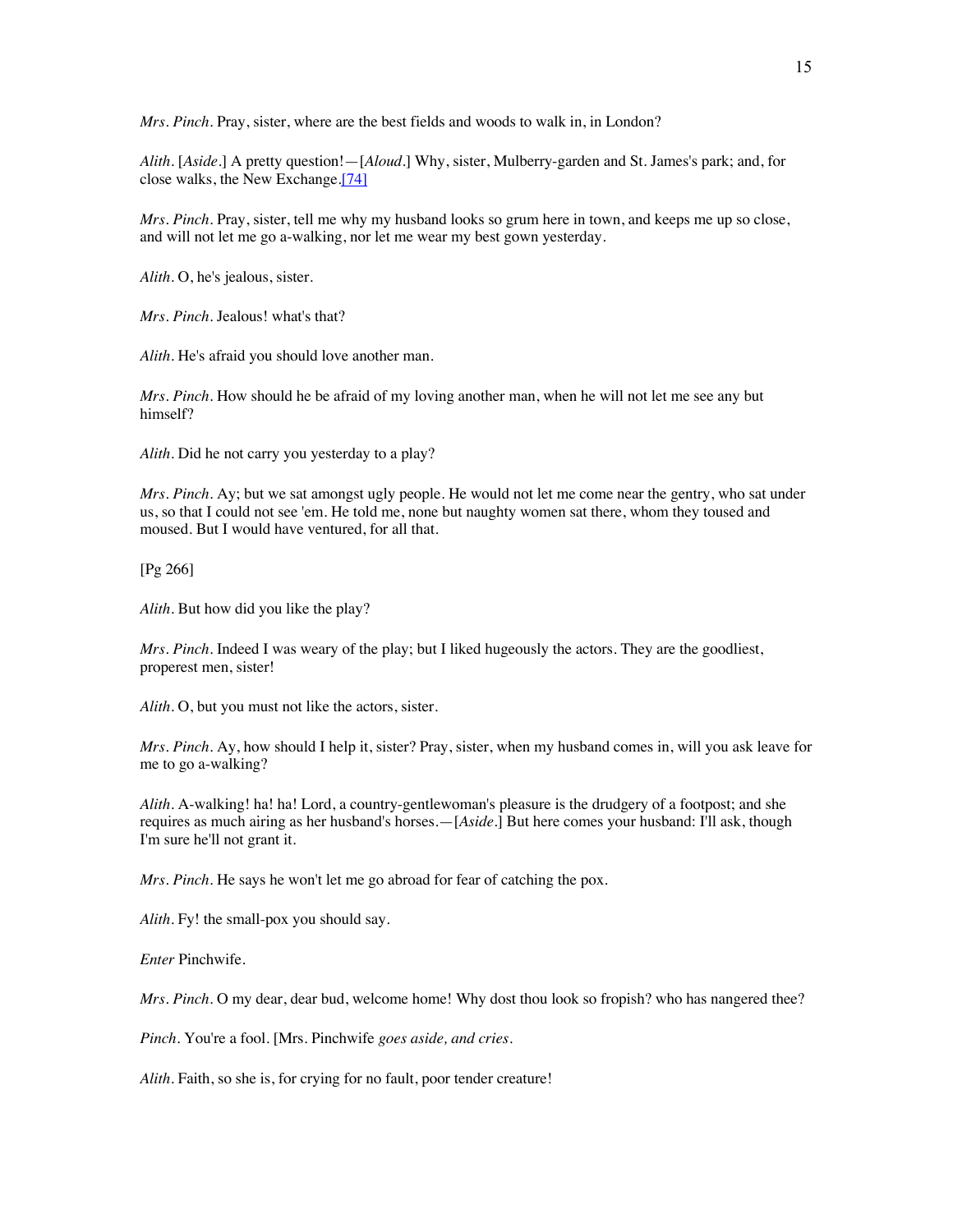*Mrs. Pinch.* Pray, sister, where are the best fields and woods to walk in, in London?

*Alith.* [*Aside.*] A pretty question!—[*Aloud.*] Why, sister, Mulberry-garden and St. James's park; and, for close walks, the New Exchange.[74]

*Mrs. Pinch.* Pray, sister, tell me why my husband looks so grum here in town, and keeps me up so close, and will not let me go a-walking, nor let me wear my best gown yesterday.

*Alith.* O, he's jealous, sister.

*Mrs. Pinch.* Jealous! what's that?

*Alith.* He's afraid you should love another man.

*Mrs. Pinch.* How should he be afraid of my loving another man, when he will not let me see any but himself?

*Alith.* Did he not carry you yesterday to a play?

*Mrs. Pinch.* Ay; but we sat amongst ugly people. He would not let me come near the gentry, who sat under us, so that I could not see 'em. He told me, none but naughty women sat there, whom they toused and moused. But I would have ventured, for all that.

[Pg 266]

*Alith.* But how did you like the play?

*Mrs. Pinch.* Indeed I was weary of the play; but I liked hugeously the actors. They are the goodliest, properest men, sister!

*Alith.* O, but you must not like the actors, sister.

*Mrs. Pinch.* Ay, how should I help it, sister? Pray, sister, when my husband comes in, will you ask leave for me to go a-walking?

*Alith.* A-walking! ha! ha! Lord, a country-gentlewoman's pleasure is the drudgery of a footpost; and she requires as much airing as her husband's horses.—[*Aside.*] But here comes your husband: I'll ask, though I'm sure he'll not grant it.

*Mrs. Pinch.* He says he won't let me go abroad for fear of catching the pox.

*Alith.* Fy! the small-pox you should say.

*Enter* Pinchwife.

*Mrs. Pinch.* O my dear, dear bud, welcome home! Why dost thou look so fropish? who has nangered thee?

*Pinch.* You're a fool. [Mrs. Pinchwife *goes aside, and cries.*

*Alith.* Faith, so she is, for crying for no fault, poor tender creature!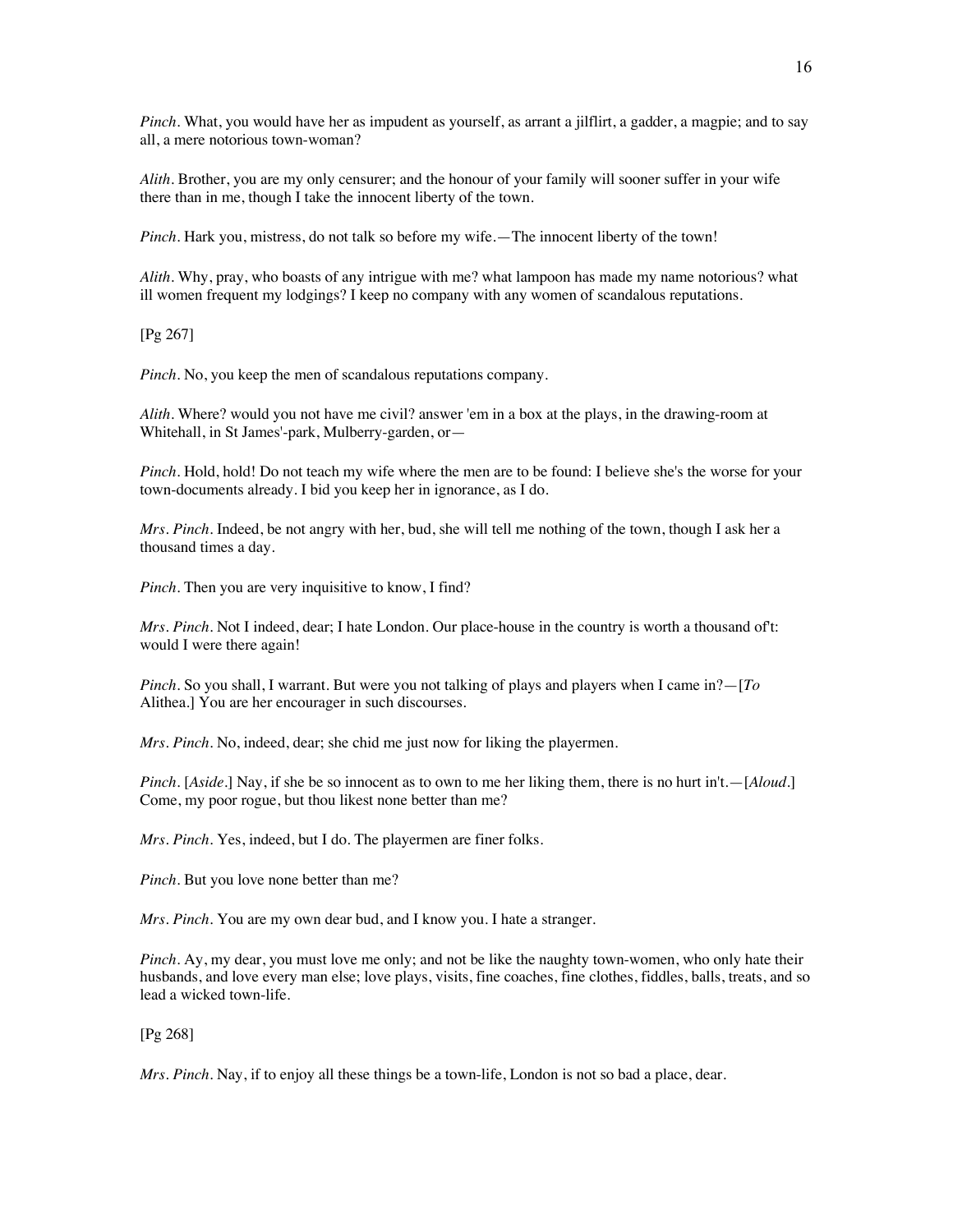*Pinch.* What, you would have her as impudent as yourself, as arrant a jilflirt, a gadder, a magpie; and to say all, a mere notorious town-woman?

*Alith.* Brother, you are my only censurer; and the honour of your family will sooner suffer in your wife there than in me, though I take the innocent liberty of the town.

*Pinch.* Hark you, mistress, do not talk so before my wife.—The innocent liberty of the town!

*Alith.* Why, pray, who boasts of any intrigue with me? what lampoon has made my name notorious? what ill women frequent my lodgings? I keep no company with any women of scandalous reputations.

[Pg 267]

*Pinch.* No, you keep the men of scandalous reputations company.

*Alith.* Where? would you not have me civil? answer 'em in a box at the plays, in the drawing-room at Whitehall, in St James'-park, Mulberry-garden, or—

*Pinch.* Hold, hold! Do not teach my wife where the men are to be found: I believe she's the worse for your town-documents already. I bid you keep her in ignorance, as I do.

*Mrs. Pinch.* Indeed, be not angry with her, bud, she will tell me nothing of the town, though I ask her a thousand times a day.

*Pinch*. Then you are very inquisitive to know, I find?

*Mrs. Pinch.* Not I indeed, dear; I hate London. Our place-house in the country is worth a thousand of't: would I were there again!

*Pinch.* So you shall, I warrant. But were you not talking of plays and players when I came in?—[*To* Alithea.] You are her encourager in such discourses.

*Mrs. Pinch.* No, indeed, dear; she chid me just now for liking the playermen.

*Pinch.* [*Aside.*] Nay, if she be so innocent as to own to me her liking them, there is no hurt in't.—[*Aloud.*] Come, my poor rogue, but thou likest none better than me?

*Mrs. Pinch.* Yes, indeed, but I do. The playermen are finer folks.

*Pinch.* But you love none better than me?

*Mrs. Pinch.* You are my own dear bud, and I know you. I hate a stranger.

*Pinch*. Ay, my dear, you must love me only; and not be like the naughty town-women, who only hate their husbands, and love every man else; love plays, visits, fine coaches, fine clothes, fiddles, balls, treats, and so lead a wicked town-life.

[Pg 268]

*Mrs. Pinch.* Nay, if to enjoy all these things be a town-life, London is not so bad a place, dear.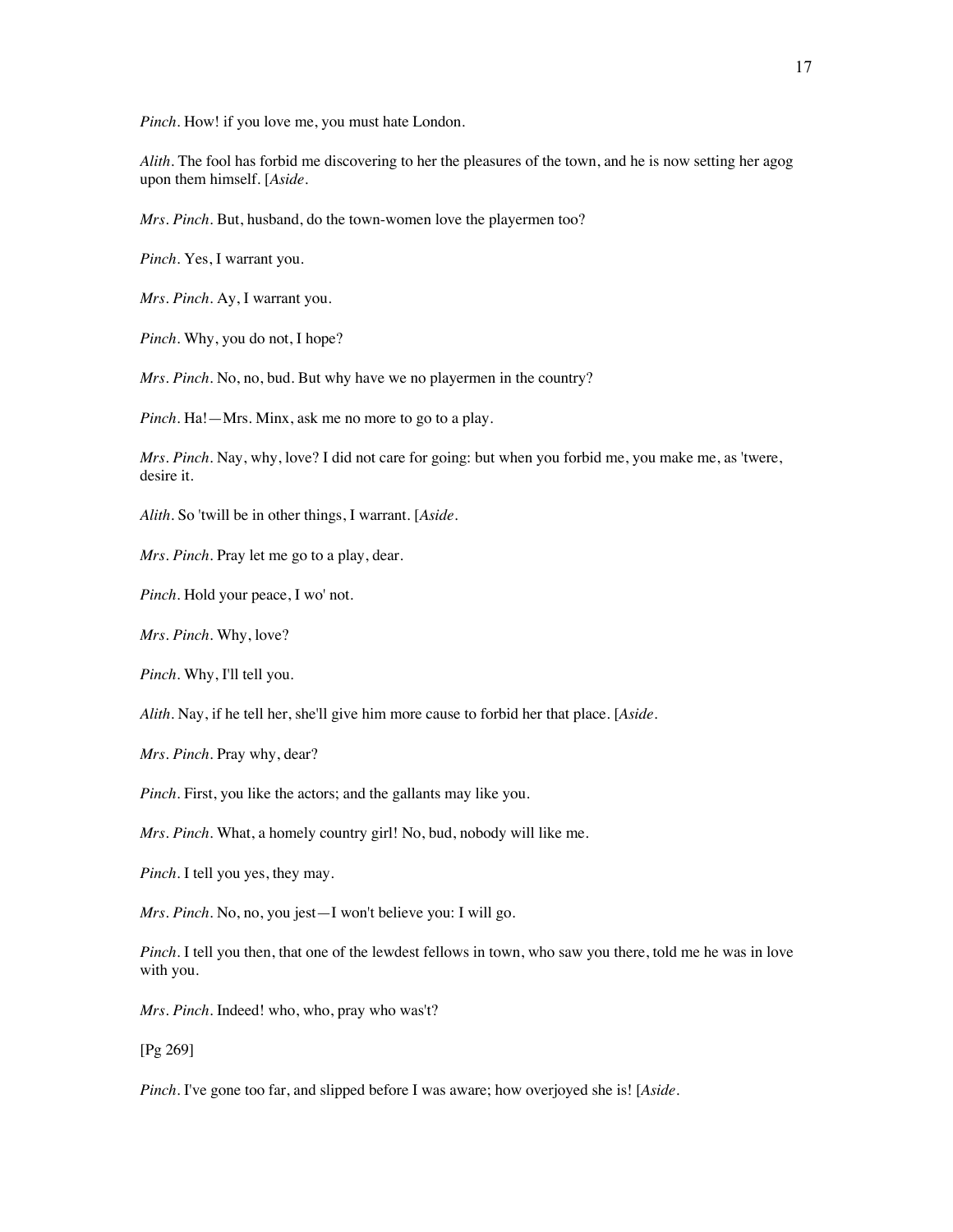*Pinch.* How! if you love me, you must hate London.

*Alith*. The fool has forbid me discovering to her the pleasures of the town, and he is now setting her agog upon them himself. [*Aside.*

*Mrs. Pinch.* But, husband, do the town-women love the playermen too?

*Pinch.* Yes, I warrant you.

*Mrs. Pinch.* Ay, I warrant you.

*Pinch.* Why, you do not, I hope?

*Mrs. Pinch.* No, no, bud. But why have we no playermen in the country?

*Pinch.* Ha!—Mrs. Minx, ask me no more to go to a play.

*Mrs. Pinch.* Nay, why, love? I did not care for going: but when you forbid me, you make me, as 'twere, desire it.

*Alith.* So 'twill be in other things, I warrant. [*Aside.*

*Mrs. Pinch.* Pray let me go to a play, dear.

*Pinch.* Hold your peace, I wo' not.

*Mrs. Pinch.* Why, love?

*Pinch.* Why, I'll tell you.

*Alith.* Nay, if he tell her, she'll give him more cause to forbid her that place. [*Aside.*

*Mrs. Pinch.* Pray why, dear?

*Pinch.* First, you like the actors; and the gallants may like you.

*Mrs. Pinch.* What, a homely country girl! No, bud, nobody will like me.

*Pinch.* I tell you yes, they may.

*Mrs. Pinch.* No, no, you jest—I won't believe you: I will go.

*Pinch*. I tell you then, that one of the lewdest fellows in town, who saw you there, told me he was in love with you.

*Mrs. Pinch.* Indeed! who, who, pray who was't?

[Pg 269]

*Pinch.* I've gone too far, and slipped before I was aware; how overjoyed she is! [*Aside.*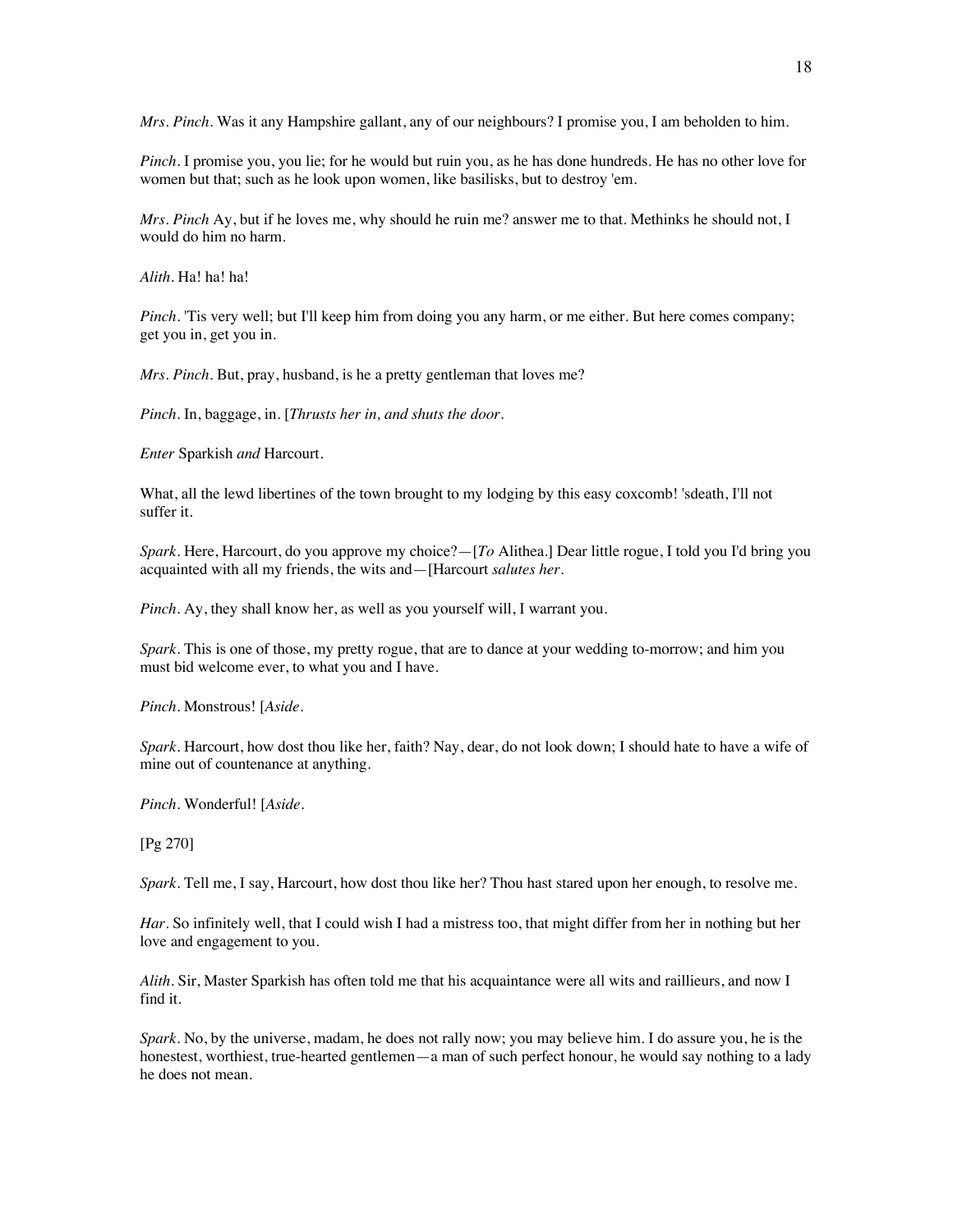*Mrs. Pinch.* Was it any Hampshire gallant, any of our neighbours? I promise you, I am beholden to him.

*Pinch.* I promise you, you lie; for he would but ruin you, as he has done hundreds. He has no other love for women but that; such as he look upon women, like basilisks, but to destroy 'em.

*Mrs. Pinch* Ay, but if he loves me, why should he ruin me? answer me to that. Methinks he should not, I would do him no harm.

*Alith.* Ha! ha! ha!

*Pinch*. 'Tis very well; but I'll keep him from doing you any harm, or me either. But here comes company; get you in, get you in.

*Mrs. Pinch.* But, pray, husband, is he a pretty gentleman that loves me?

*Pinch.* In, baggage, in. [*Thrusts her in, and shuts the door.*

*Enter* Sparkish *and* Harcourt.

What, all the lewd libertines of the town brought to my lodging by this easy coxcomb! 'sdeath, I'll not suffer it.

*Spark.* Here, Harcourt, do you approve my choice?—[*To* Alithea.] Dear little rogue, I told you I'd bring you acquainted with all my friends, the wits and—[Harcourt *salutes her.*

*Pinch*. Ay, they shall know her, as well as you yourself will, I warrant you.

*Spark.* This is one of those, my pretty rogue, that are to dance at your wedding to-morrow; and him you must bid welcome ever, to what you and I have.

*Pinch.* Monstrous! [*Aside.*

*Spark.* Harcourt, how dost thou like her, faith? Nay, dear, do not look down; I should hate to have a wife of mine out of countenance at anything.

*Pinch.* Wonderful! [*Aside.*

[Pg 270]

*Spark.* Tell me, I say, Harcourt, how dost thou like her? Thou hast stared upon her enough, to resolve me.

*Har.* So infinitely well, that I could wish I had a mistress too, that might differ from her in nothing but her love and engagement to you.

*Alith.* Sir, Master Sparkish has often told me that his acquaintance were all wits and raillieurs, and now I find it.

*Spark.* No, by the universe, madam, he does not rally now; you may believe him. I do assure you, he is the honestest, worthiest, true-hearted gentlemen—a man of such perfect honour, he would say nothing to a lady he does not mean.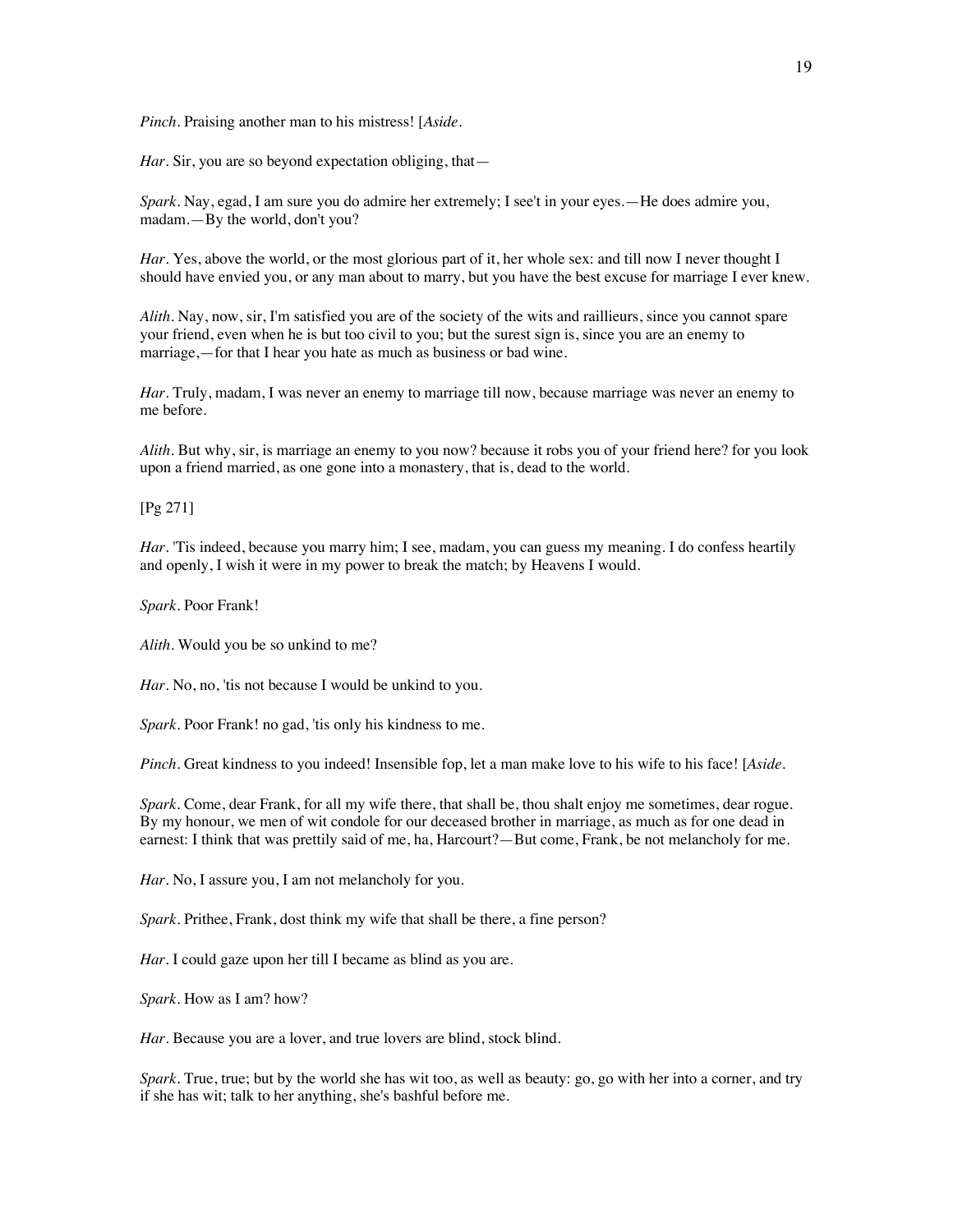*Pinch.* Praising another man to his mistress! [*Aside.*

*Har.* Sir, you are so beyond expectation obliging, that—

*Spark.* Nay, egad, I am sure you do admire her extremely; I see't in your eyes.—He does admire you, madam.—By the world, don't you?

*Har.* Yes, above the world, or the most glorious part of it, her whole sex: and till now I never thought I should have envied you, or any man about to marry, but you have the best excuse for marriage I ever knew.

*Alith.* Nay, now, sir, I'm satisfied you are of the society of the wits and raillieurs, since you cannot spare your friend, even when he is but too civil to you; but the surest sign is, since you are an enemy to marriage,—for that I hear you hate as much as business or bad wine.

*Har.* Truly, madam, I was never an enemy to marriage till now, because marriage was never an enemy to me before.

*Alith.* But why, sir, is marriage an enemy to you now? because it robs you of your friend here? for you look upon a friend married, as one gone into a monastery, that is, dead to the world.

[Pg 271]

*Har*. 'Tis indeed, because you marry him; I see, madam, you can guess my meaning. I do confess heartily and openly, I wish it were in my power to break the match; by Heavens I would.

*Spark.* Poor Frank!

*Alith.* Would you be so unkind to me?

*Har.* No, no, 'tis not because I would be unkind to you.

*Spark.* Poor Frank! no gad, 'tis only his kindness to me.

*Pinch.* Great kindness to you indeed! Insensible fop, let a man make love to his wife to his face! [*Aside.*

*Spark.* Come, dear Frank, for all my wife there, that shall be, thou shalt enjoy me sometimes, dear rogue. By my honour, we men of wit condole for our deceased brother in marriage, as much as for one dead in earnest: I think that was prettily said of me, ha, Harcourt?—But come, Frank, be not melancholy for me.

*Har.* No, I assure you, I am not melancholy for you.

*Spark.* Prithee, Frank, dost think my wife that shall be there, a fine person?

*Har.* I could gaze upon her till I became as blind as you are.

*Spark.* How as I am? how?

*Har.* Because you are a lover, and true lovers are blind, stock blind.

*Spark.* True, true; but by the world she has wit too, as well as beauty: go, go with her into a corner, and try if she has wit; talk to her anything, she's bashful before me.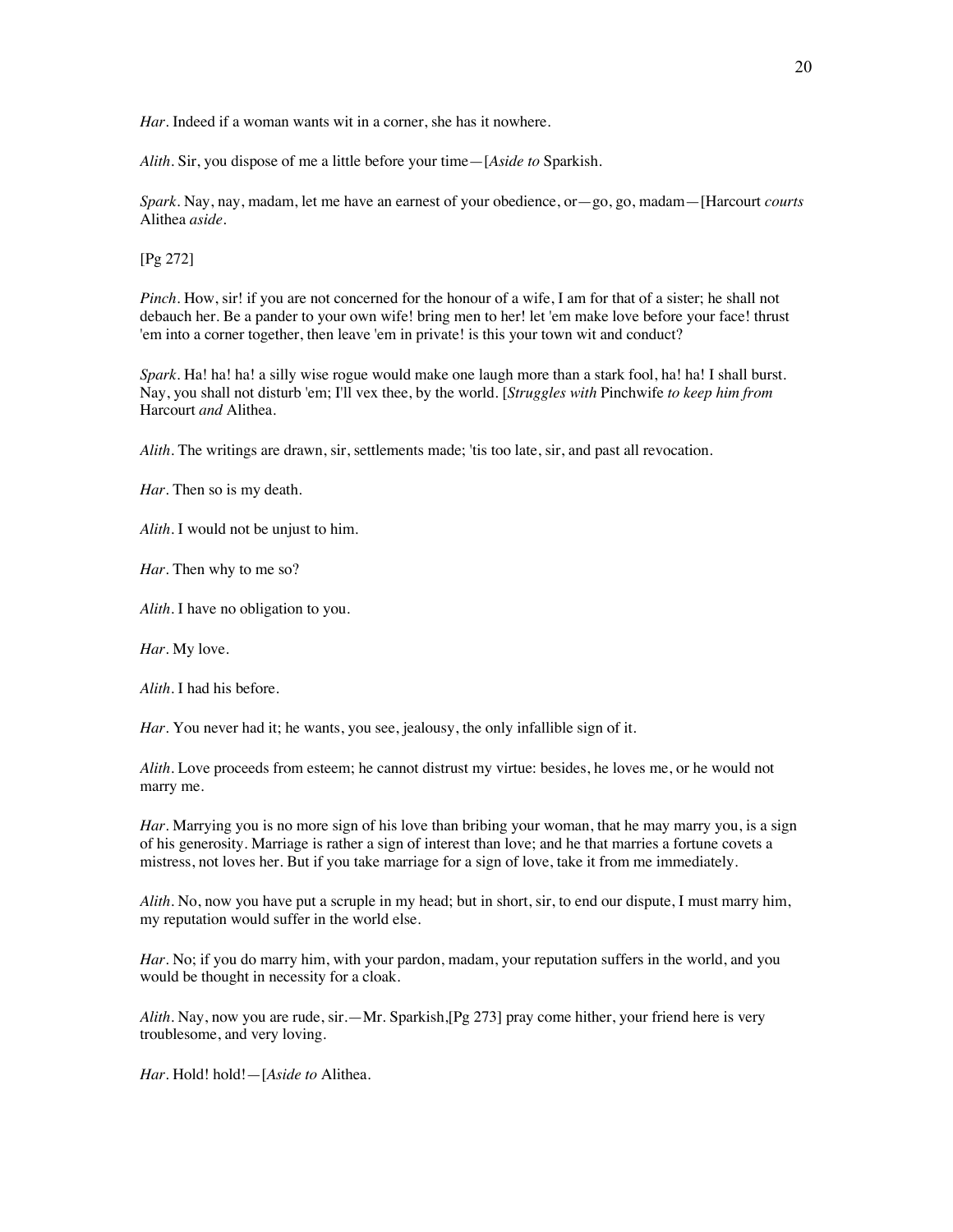*Har.* Indeed if a woman wants wit in a corner, she has it nowhere.

*Alith.* Sir, you dispose of me a little before your time—[*Aside to* Sparkish.

*Spark.* Nay, nay, madam, let me have an earnest of your obedience, or—go, go, madam—[Harcourt *courts* Alithea *aside.*

[Pg 272]

*Pinch*. How, sir! if you are not concerned for the honour of a wife, I am for that of a sister; he shall not debauch her. Be a pander to your own wife! bring men to her! let 'em make love before your face! thrust 'em into a corner together, then leave 'em in private! is this your town wit and conduct?

*Spark.* Ha! ha! ha! a silly wise rogue would make one laugh more than a stark fool, ha! ha! I shall burst. Nay, you shall not disturb 'em; I'll vex thee, by the world. [*Struggles with* Pinchwife *to keep him from* Harcourt *and* Alithea.

*Alith.* The writings are drawn, sir, settlements made; 'tis too late, sir, and past all revocation.

*Har.* Then so is my death.

*Alith.* I would not be unjust to him.

*Har.* Then why to me so?

*Alith.* I have no obligation to you.

*Har.* My love.

*Alith.* I had his before.

*Har.* You never had it; he wants, you see, jealousy, the only infallible sign of it.

*Alith*. Love proceeds from esteem; he cannot distrust my virtue: besides, he loves me, or he would not marry me.

*Har.* Marrying you is no more sign of his love than bribing your woman, that he may marry you, is a sign of his generosity. Marriage is rather a sign of interest than love; and he that marries a fortune covets a mistress, not loves her. But if you take marriage for a sign of love, take it from me immediately.

*Alith.* No, now you have put a scruple in my head; but in short, sir, to end our dispute, I must marry him, my reputation would suffer in the world else.

*Har.* No; if you do marry him, with your pardon, madam, your reputation suffers in the world, and you would be thought in necessity for a cloak.

*Alith.* Nay, now you are rude, sir.—Mr. Sparkish,[Pg 273] pray come hither, your friend here is very troublesome, and very loving.

*Har.* Hold! hold!—[*Aside to* Alithea.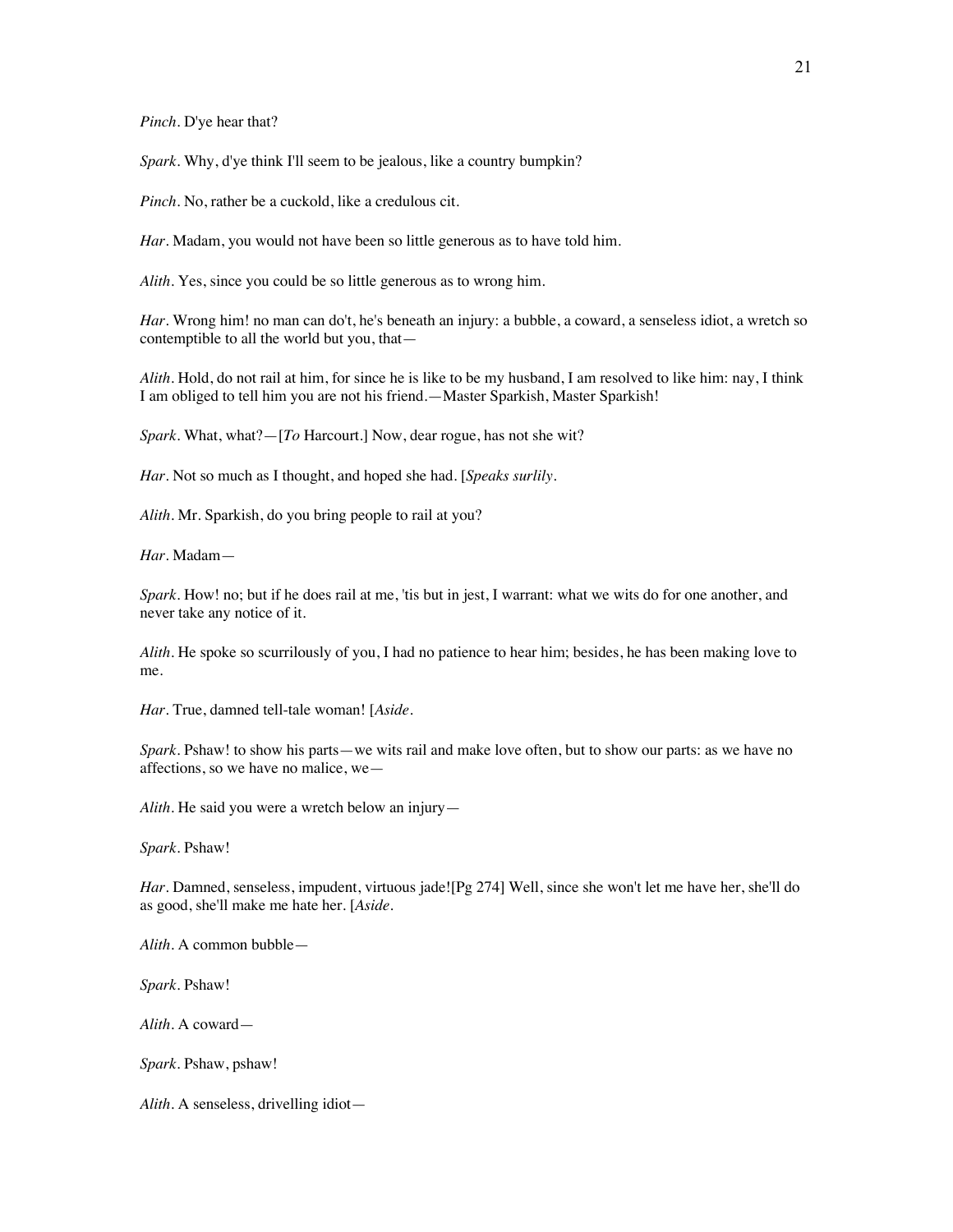*Pinch.* D'ye hear that?

*Spark.* Why, d'ye think I'll seem to be jealous, like a country bumpkin?

*Pinch.* No, rather be a cuckold, like a credulous cit.

*Har.* Madam, you would not have been so little generous as to have told him.

*Alith.* Yes, since you could be so little generous as to wrong him.

*Har*. Wrong him! no man can do't, he's beneath an injury: a bubble, a coward, a senseless idiot, a wretch so contemptible to all the world but you, that—

*Alith.* Hold, do not rail at him, for since he is like to be my husband, I am resolved to like him: nay, I think I am obliged to tell him you are not his friend.—Master Sparkish, Master Sparkish!

*Spark.* What, what?—[*To* Harcourt.] Now, dear rogue, has not she wit?

*Har.* Not so much as I thought, and hoped she had. [*Speaks surlily.*

*Alith.* Mr. Sparkish, do you bring people to rail at you?

*Har.* Madam—

*Spark.* How! no; but if he does rail at me, 'tis but in jest, I warrant: what we wits do for one another, and never take any notice of it.

*Alith.* He spoke so scurrilously of you, I had no patience to hear him; besides, he has been making love to me.

*Har.* True, damned tell-tale woman! [*Aside.*

*Spark.* Pshaw! to show his parts—we wits rail and make love often, but to show our parts: as we have no affections, so we have no malice, we—

*Alith.* He said you were a wretch below an injury—

*Spark.* Pshaw!

*Har.* Damned, senseless, impudent, virtuous jade![Pg 274] Well, since she won't let me have her, she'll do as good, she'll make me hate her. [*Aside.*

*Alith.* A common bubble—

*Spark.* Pshaw!

*Alith.* A coward—

*Spark.* Pshaw, pshaw!

*Alith.* A senseless, drivelling idiot—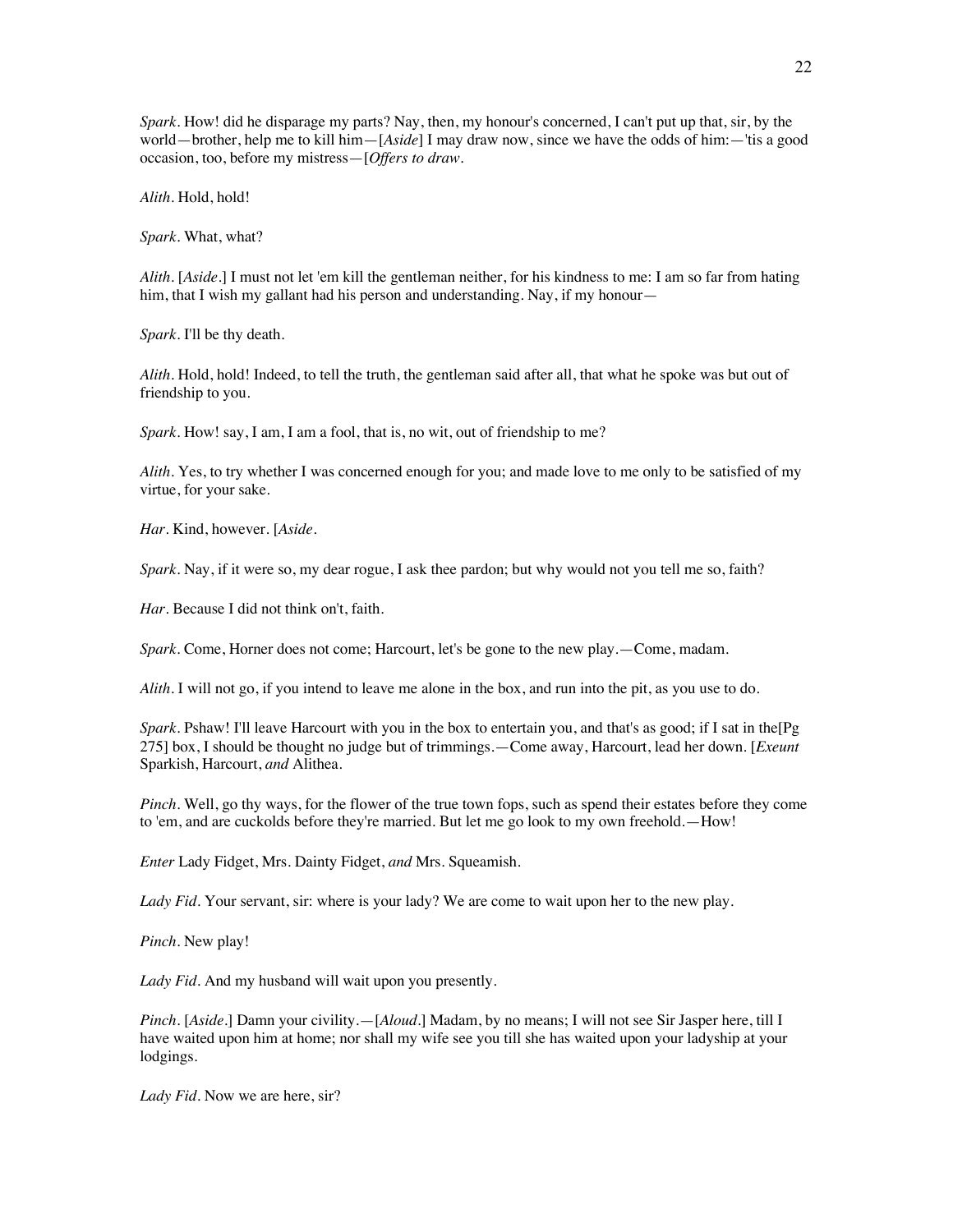*Spark.* How! did he disparage my parts? Nay, then, my honour's concerned, I can't put up that, sir, by the world—brother, help me to kill him—[*Aside*] I may draw now, since we have the odds of him:—'tis a good occasion, too, before my mistress—[*Offers to draw.*

*Alith.* Hold, hold!

*Spark.* What, what?

*Alith.* [*Aside.*] I must not let 'em kill the gentleman neither, for his kindness to me: I am so far from hating him, that I wish my gallant had his person and understanding. Nay, if my honour—

*Spark.* I'll be thy death.

*Alith.* Hold, hold! Indeed, to tell the truth, the gentleman said after all, that what he spoke was but out of friendship to you.

*Spark.* How! say, I am, I am a fool, that is, no wit, out of friendship to me?

*Alith.* Yes, to try whether I was concerned enough for you; and made love to me only to be satisfied of my virtue, for your sake.

*Har.* Kind, however. [*Aside.*

*Spark*. Nay, if it were so, my dear rogue, I ask thee pardon; but why would not you tell me so, faith?

*Har.* Because I did not think on't, faith.

*Spark.* Come, Horner does not come; Harcourt, let's be gone to the new play.—Come, madam.

*Alith.* I will not go, if you intend to leave me alone in the box, and run into the pit, as you use to do.

*Spark*. Pshaw! I'll leave Harcourt with you in the box to entertain you, and that's as good; if I sat in the [Pg] 275] box, I should be thought no judge but of trimmings.—Come away, Harcourt, lead her down. [*Exeunt* Sparkish, Harcourt, *and* Alithea.

*Pinch.* Well, go thy ways, for the flower of the true town fops, such as spend their estates before they come to 'em, and are cuckolds before they're married. But let me go look to my own freehold.—How!

*Enter* Lady Fidget, Mrs. Dainty Fidget, *and* Mrs. Squeamish.

*Lady Fid.* Your servant, sir: where is your lady? We are come to wait upon her to the new play.

*Pinch.* New play!

*Lady Fid.* And my husband will wait upon you presently.

*Pinch.* [*Aside.*] Damn your civility.—[*Aloud.*] Madam, by no means; I will not see Sir Jasper here, till I have waited upon him at home; nor shall my wife see you till she has waited upon your ladyship at your lodgings.

*Lady Fid.* Now we are here, sir?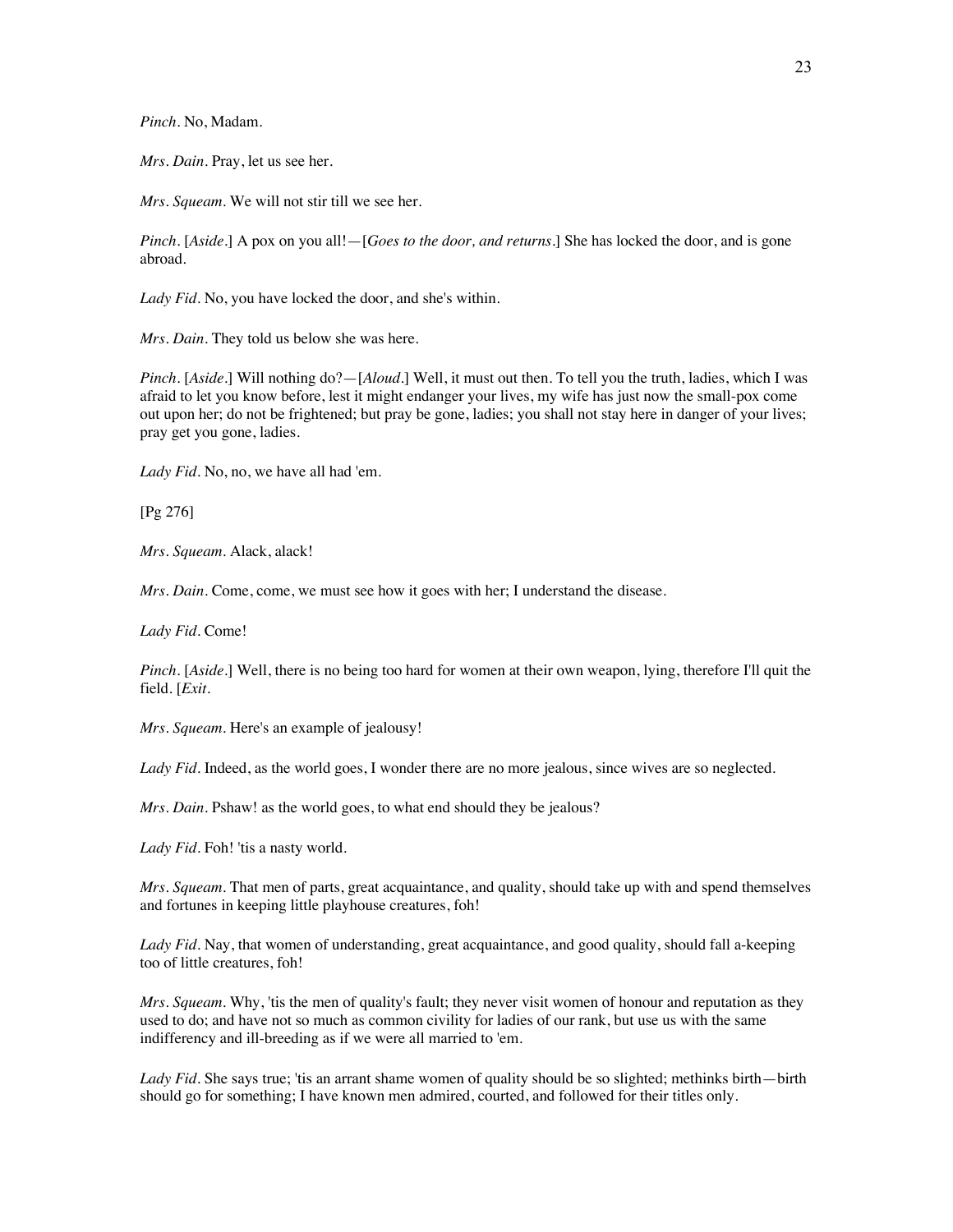*Pinch.* No, Madam.

*Mrs. Dain.* Pray, let us see her.

*Mrs. Squeam.* We will not stir till we see her.

*Pinch.* [*Aside.*] A pox on you all!—[*Goes to the door, and returns.*] She has locked the door, and is gone abroad.

*Lady Fid.* No, you have locked the door, and she's within.

*Mrs. Dain.* They told us below she was here.

*Pinch.* [*Aside.*] Will nothing do?—[*Aloud.*] Well, it must out then. To tell you the truth, ladies, which I was afraid to let you know before, lest it might endanger your lives, my wife has just now the small-pox come out upon her; do not be frightened; but pray be gone, ladies; you shall not stay here in danger of your lives; pray get you gone, ladies.

*Lady Fid.* No, no, we have all had 'em.

[Pg 276]

*Mrs. Squeam.* Alack, alack!

*Mrs. Dain.* Come, come, we must see how it goes with her; I understand the disease.

*Lady Fid.* Come!

*Pinch.* [*Aside.*] Well, there is no being too hard for women at their own weapon, lying, therefore I'll quit the field. [*Exit.*

*Mrs. Squeam.* Here's an example of jealousy!

Lady Fid. Indeed, as the world goes, I wonder there are no more jealous, since wives are so neglected.

*Mrs. Dain.* Pshaw! as the world goes, to what end should they be jealous?

Lady Fid. Foh! 'tis a nasty world.

*Mrs. Squeam.* That men of parts, great acquaintance, and quality, should take up with and spend themselves and fortunes in keeping little playhouse creatures, foh!

Lady Fid. Nay, that women of understanding, great acquaintance, and good quality, should fall a-keeping too of little creatures, foh!

*Mrs. Squeam.* Why, 'tis the men of quality's fault; they never visit women of honour and reputation as they used to do; and have not so much as common civility for ladies of our rank, but use us with the same indifferency and ill-breeding as if we were all married to 'em.

*Lady Fid.* She says true; 'tis an arrant shame women of quality should be so slighted; methinks birth—birth should go for something; I have known men admired, courted, and followed for their titles only.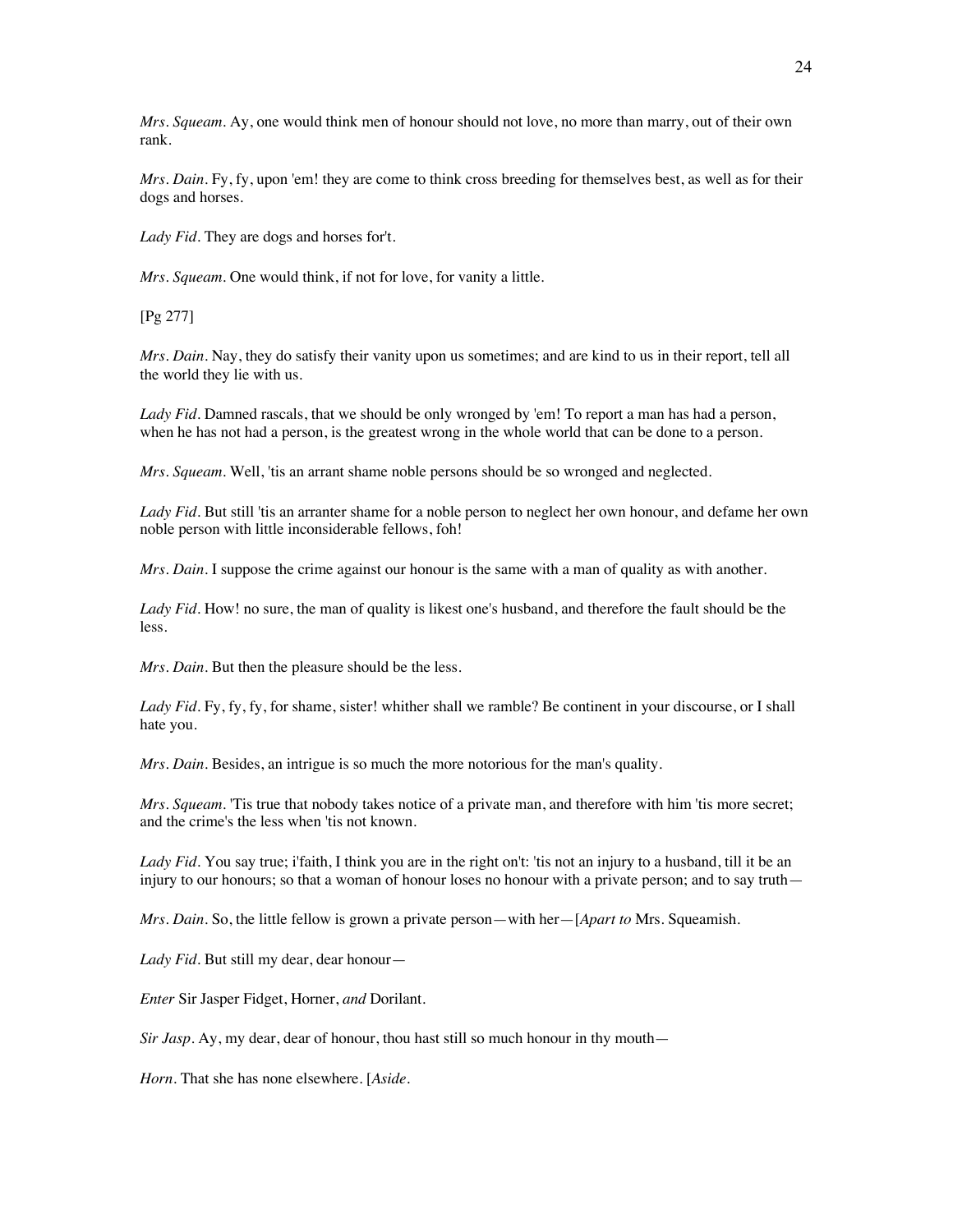*Mrs. Squeam.* Ay, one would think men of honour should not love, no more than marry, out of their own rank.

*Mrs. Dain.* Fy, fy, upon 'em! they are come to think cross breeding for themselves best, as well as for their dogs and horses.

*Lady Fid.* They are dogs and horses for't.

*Mrs. Squeam.* One would think, if not for love, for vanity a little.

[Pg 277]

*Mrs. Dain.* Nay, they do satisfy their vanity upon us sometimes; and are kind to us in their report, tell all the world they lie with us.

Lady Fid. Damned rascals, that we should be only wronged by 'em! To report a man has had a person, when he has not had a person, is the greatest wrong in the whole world that can be done to a person.

*Mrs. Squeam.* Well, 'tis an arrant shame noble persons should be so wronged and neglected.

*Lady Fid.* But still 'tis an arranter shame for a noble person to neglect her own honour, and defame her own noble person with little inconsiderable fellows, foh!

*Mrs. Dain.* I suppose the crime against our honour is the same with a man of quality as with another.

*Lady Fid.* How! no sure, the man of quality is likest one's husband, and therefore the fault should be the less.

*Mrs. Dain.* But then the pleasure should be the less.

Lady Fid. Fy, fy, fy, for shame, sister! whither shall we ramble? Be continent in your discourse, or I shall hate you.

*Mrs. Dain.* Besides, an intrigue is so much the more notorious for the man's quality.

*Mrs. Squeam.* 'Tis true that nobody takes notice of a private man, and therefore with him 'tis more secret; and the crime's the less when 'tis not known.

Lady Fid. You say true; i'faith, I think you are in the right on't: 'tis not an injury to a husband, till it be an injury to our honours; so that a woman of honour loses no honour with a private person; and to say truth—

*Mrs. Dain.* So, the little fellow is grown a private person—with her—[*Apart to* Mrs. Squeamish.

*Lady Fid.* But still my dear, dear honour—

*Enter* Sir Jasper Fidget, Horner, *and* Dorilant.

*Sir Jasp.* Ay, my dear, dear of honour, thou hast still so much honour in thy mouth—

*Horn.* That she has none elsewhere. [*Aside.*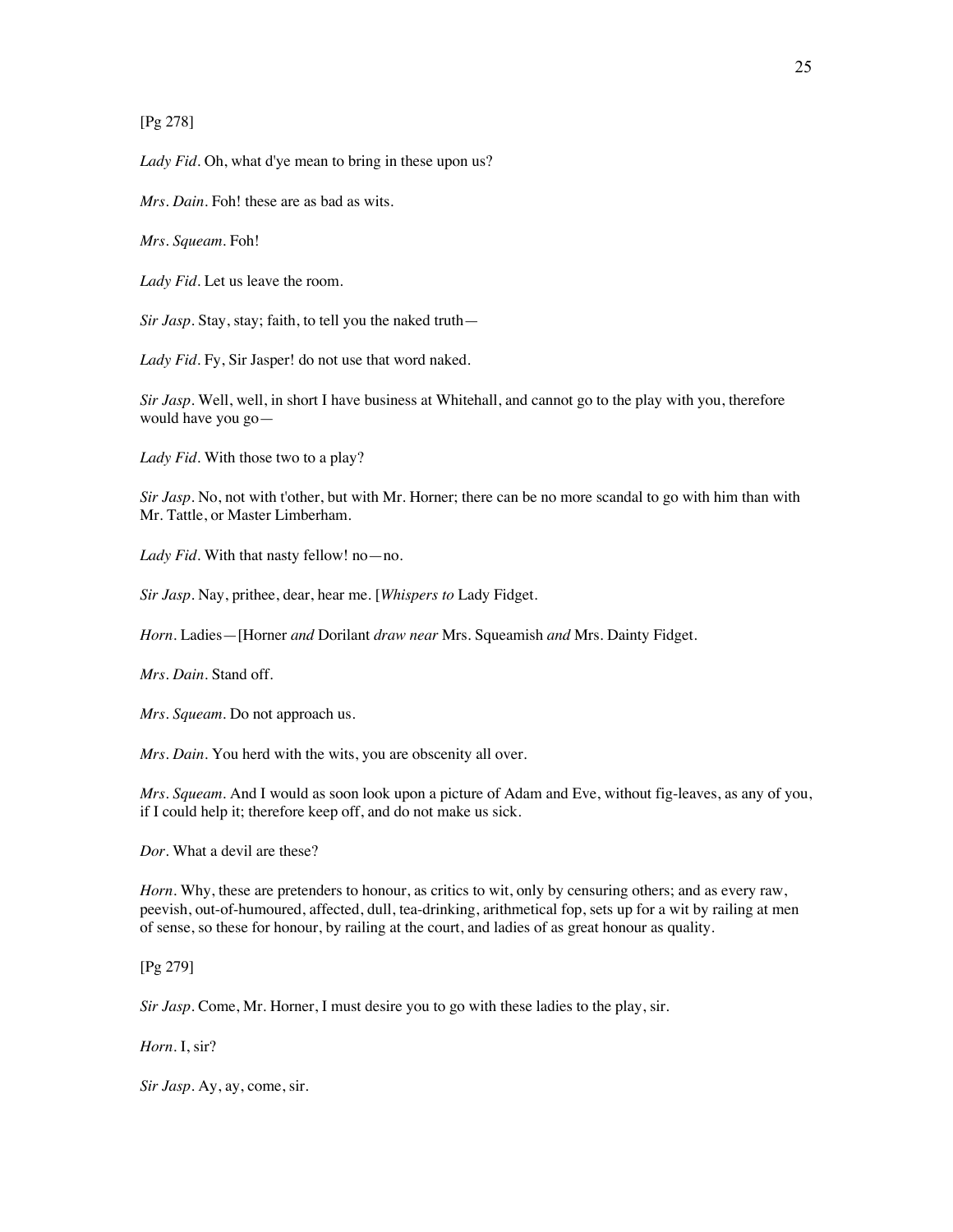[Pg 278]

*Lady Fid.* Oh, what d'ye mean to bring in these upon us?

*Mrs. Dain.* Foh! these are as bad as wits.

*Mrs. Squeam.* Foh!

*Lady Fid.* Let us leave the room.

*Sir Jasp.* Stay, stay; faith, to tell you the naked truth—

*Lady Fid.* Fy, Sir Jasper! do not use that word naked.

*Sir Jasp.* Well, well, in short I have business at Whitehall, and cannot go to the play with you, therefore would have you go—

*Lady Fid.* With those two to a play?

*Sir Jasp.* No, not with t'other, but with Mr. Horner; there can be no more scandal to go with him than with Mr. Tattle, or Master Limberham.

Lady Fid. With that nasty fellow! no-no.

*Sir Jasp.* Nay, prithee, dear, hear me. [*Whispers to* Lady Fidget.

*Horn.* Ladies—[Horner *and* Dorilant *draw near* Mrs. Squeamish *and* Mrs. Dainty Fidget.

*Mrs. Dain.* Stand off.

*Mrs. Squeam.* Do not approach us.

*Mrs. Dain.* You herd with the wits, you are obscenity all over.

*Mrs. Squeam.* And I would as soon look upon a picture of Adam and Eve, without fig-leaves, as any of you, if I could help it; therefore keep off, and do not make us sick.

*Dor.* What a devil are these?

*Horn*. Why, these are pretenders to honour, as critics to wit, only by censuring others; and as every raw, peevish, out-of-humoured, affected, dull, tea-drinking, arithmetical fop, sets up for a wit by railing at men of sense, so these for honour, by railing at the court, and ladies of as great honour as quality.

[Pg 279]

*Sir Jasp.* Come, Mr. Horner, I must desire you to go with these ladies to the play, sir.

*Horn.* I, sir?

*Sir Jasp.* Ay, ay, come, sir.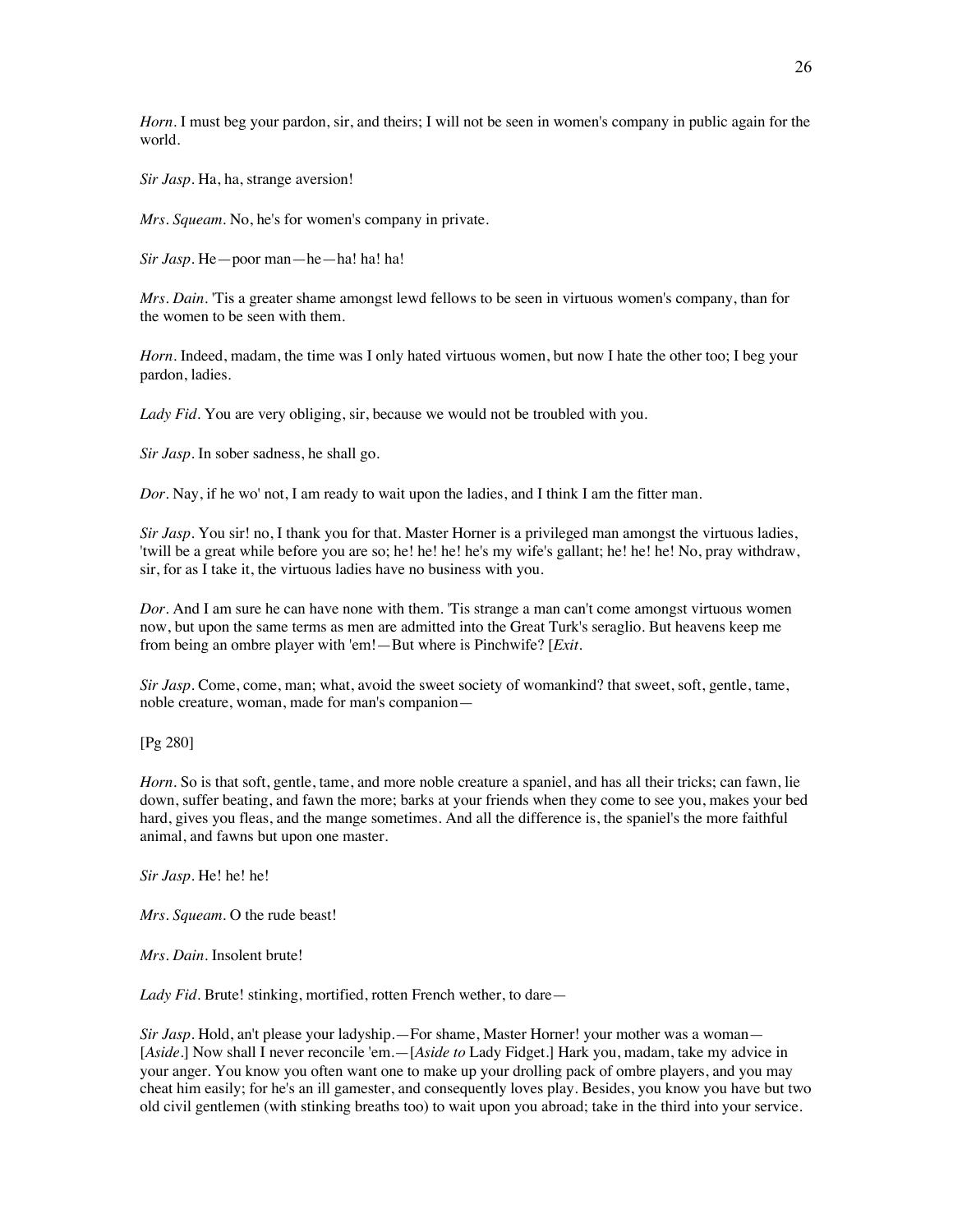*Horn.* I must beg your pardon, sir, and theirs; I will not be seen in women's company in public again for the world.

*Sir Jasp.* Ha, ha, strange aversion!

*Mrs. Squeam.* No, he's for women's company in private.

*Sir Jasp.* He—poor man—he—ha! ha! ha!

*Mrs. Dain.* 'Tis a greater shame amongst lewd fellows to be seen in virtuous women's company, than for the women to be seen with them.

*Horn*. Indeed, madam, the time was I only hated virtuous women, but now I hate the other too; I beg your pardon, ladies.

*Lady Fid.* You are very obliging, sir, because we would not be troubled with you.

*Sir Jasp.* In sober sadness, he shall go.

*Dor.* Nay, if he wo' not, I am ready to wait upon the ladies, and I think I am the fitter man.

*Sir Jasp.* You sir! no, I thank you for that. Master Horner is a privileged man amongst the virtuous ladies, 'twill be a great while before you are so; he! he! he! he's my wife's gallant; he! he! he! No, pray withdraw, sir, for as I take it, the virtuous ladies have no business with you.

*Dor.* And I am sure he can have none with them. 'Tis strange a man can't come amongst virtuous women now, but upon the same terms as men are admitted into the Great Turk's seraglio. But heavens keep me from being an ombre player with 'em!—But where is Pinchwife? [*Exit.*

*Sir Jasp.* Come, come, man; what, avoid the sweet society of womankind? that sweet, soft, gentle, tame, noble creature, woman, made for man's companion—

[Pg 280]

*Horn*. So is that soft, gentle, tame, and more noble creature a spaniel, and has all their tricks; can fawn, lie down, suffer beating, and fawn the more; barks at your friends when they come to see you, makes your bed hard, gives you fleas, and the mange sometimes. And all the difference is, the spaniel's the more faithful animal, and fawns but upon one master.

*Sir Jasp.* He! he! he!

*Mrs. Squeam.* O the rude beast!

*Mrs. Dain.* Insolent brute!

*Lady Fid.* Brute! stinking, mortified, rotten French wether, to dare—

*Sir Jasp.* Hold, an't please your ladyship.—For shame, Master Horner! your mother was a woman— [*Aside.*] Now shall I never reconcile 'em.—[*Aside to* Lady Fidget.] Hark you, madam, take my advice in your anger. You know you often want one to make up your drolling pack of ombre players, and you may cheat him easily; for he's an ill gamester, and consequently loves play. Besides, you know you have but two old civil gentlemen (with stinking breaths too) to wait upon you abroad; take in the third into your service.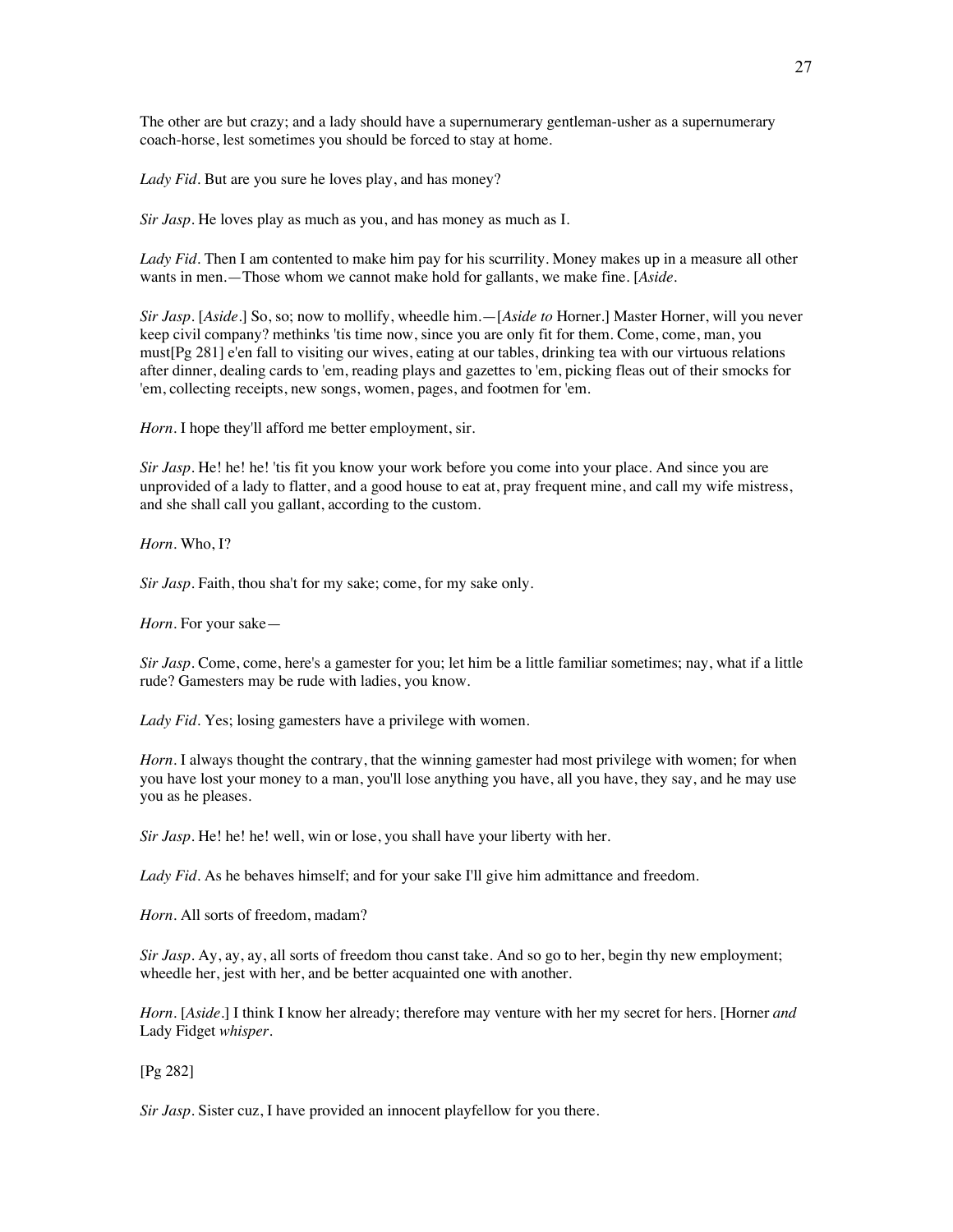The other are but crazy; and a lady should have a supernumerary gentleman-usher as a supernumerary coach-horse, lest sometimes you should be forced to stay at home.

*Lady Fid.* But are you sure he loves play, and has money?

*Sir Jasp.* He loves play as much as you, and has money as much as I.

*Lady Fid.* Then I am contented to make him pay for his scurrility. Money makes up in a measure all other wants in men.—Those whom we cannot make hold for gallants, we make fine. [*Aside.*

*Sir Jasp.* [*Aside.*] So, so; now to mollify, wheedle him.—[*Aside to* Horner.] Master Horner, will you never keep civil company? methinks 'tis time now, since you are only fit for them. Come, come, man, you must[Pg 281] e'en fall to visiting our wives, eating at our tables, drinking tea with our virtuous relations after dinner, dealing cards to 'em, reading plays and gazettes to 'em, picking fleas out of their smocks for 'em, collecting receipts, new songs, women, pages, and footmen for 'em.

*Horn.* I hope they'll afford me better employment, sir.

*Sir Jasp.* He! he! he! 'tis fit you know your work before you come into your place. And since you are unprovided of a lady to flatter, and a good house to eat at, pray frequent mine, and call my wife mistress, and she shall call you gallant, according to the custom.

*Horn.* Who, I?

*Sir Jasp.* Faith, thou sha't for my sake; come, for my sake only.

*Horn.* For your sake—

*Sir Jasp.* Come, come, here's a gamester for you; let him be a little familiar sometimes; nay, what if a little rude? Gamesters may be rude with ladies, you know.

*Lady Fid.* Yes; losing gamesters have a privilege with women.

*Horn*. I always thought the contrary, that the winning gamester had most privilege with women; for when you have lost your money to a man, you'll lose anything you have, all you have, they say, and he may use you as he pleases.

*Sir Jasp.* He! he! he! well, win or lose, you shall have your liberty with her.

Lady Fid. As he behaves himself; and for your sake I'll give him admittance and freedom.

*Horn.* All sorts of freedom, madam?

*Sir Jasp.* Ay, ay, ay, all sorts of freedom thou canst take. And so go to her, begin thy new employment; wheedle her, jest with her, and be better acquainted one with another.

*Horn.* [*Aside.*] I think I know her already; therefore may venture with her my secret for hers. [Horner *and* Lady Fidget *whisper.*

[Pg 282]

*Sir Jasp.* Sister cuz, I have provided an innocent playfellow for you there.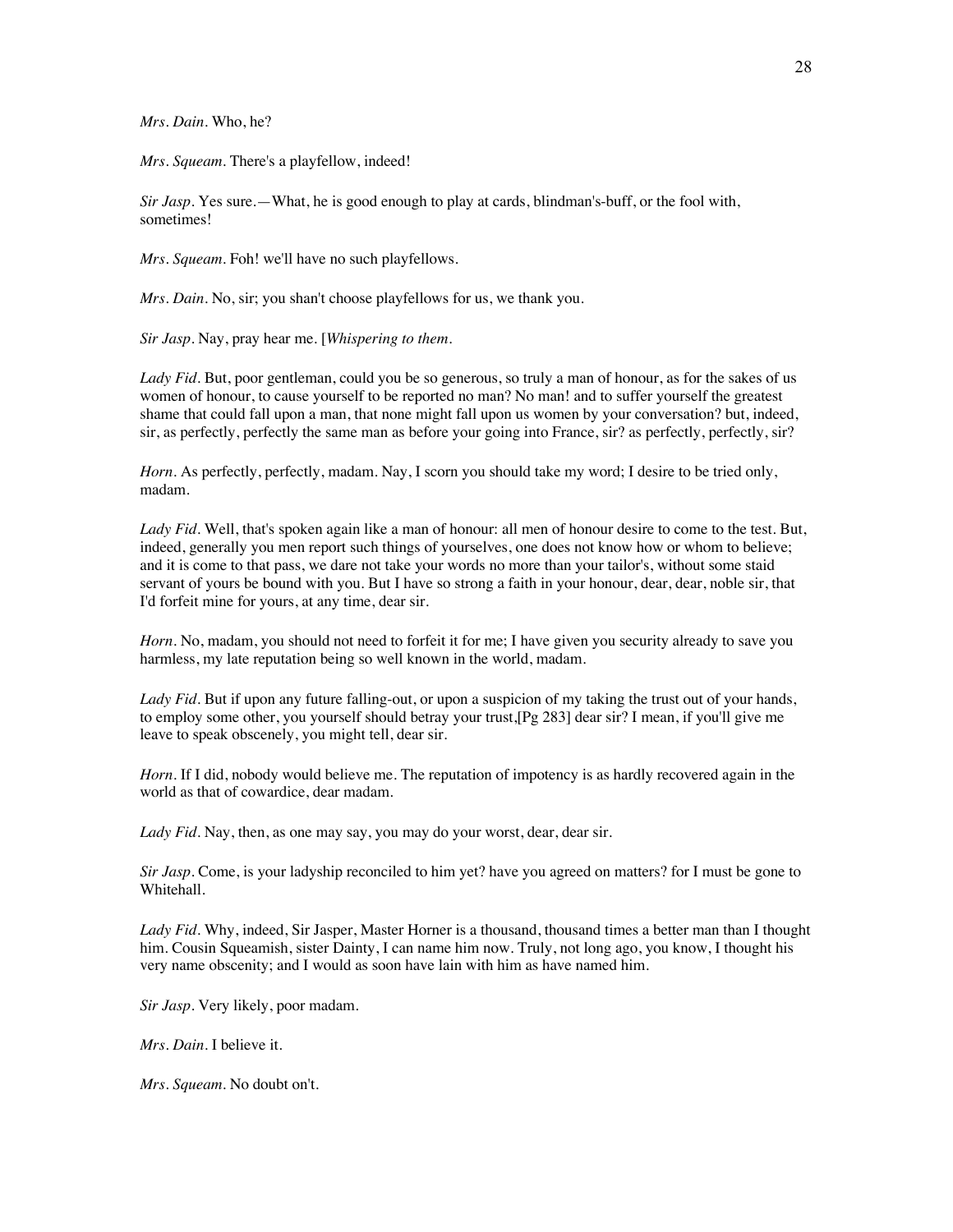*Mrs. Dain.* Who, he?

*Mrs. Squeam.* There's a playfellow, indeed!

*Sir Jasp.* Yes sure.—What, he is good enough to play at cards, blindman's-buff, or the fool with, sometimes!

*Mrs. Squeam.* Foh! we'll have no such playfellows.

*Mrs. Dain.* No, sir; you shan't choose playfellows for us, we thank you.

*Sir Jasp.* Nay, pray hear me. [*Whispering to them.*

Lady Fid. But, poor gentleman, could you be so generous, so truly a man of honour, as for the sakes of us women of honour, to cause yourself to be reported no man? No man! and to suffer yourself the greatest shame that could fall upon a man, that none might fall upon us women by your conversation? but, indeed, sir, as perfectly, perfectly the same man as before your going into France, sir? as perfectly, perfectly, sir?

*Horn.* As perfectly, perfectly, madam. Nay, I scorn you should take my word; I desire to be tried only, madam.

Lady Fid. Well, that's spoken again like a man of honour: all men of honour desire to come to the test. But, indeed, generally you men report such things of yourselves, one does not know how or whom to believe; and it is come to that pass, we dare not take your words no more than your tailor's, without some staid servant of yours be bound with you. But I have so strong a faith in your honour, dear, dear, noble sir, that I'd forfeit mine for yours, at any time, dear sir.

Horn. No, madam, you should not need to forfeit it for me; I have given you security already to save you harmless, my late reputation being so well known in the world, madam.

*Lady Fid.* But if upon any future falling-out, or upon a suspicion of my taking the trust out of your hands, to employ some other, you yourself should betray your trust,[Pg 283] dear sir? I mean, if you'll give me leave to speak obscenely, you might tell, dear sir.

*Horn*. If I did, nobody would believe me. The reputation of impotency is as hardly recovered again in the world as that of cowardice, dear madam.

*Lady Fid.* Nay, then, as one may say, you may do your worst, dear, dear sir.

*Sir Jasp.* Come, is your ladyship reconciled to him yet? have you agreed on matters? for I must be gone to Whitehall.

*Lady Fid.* Why, indeed, Sir Jasper, Master Horner is a thousand, thousand times a better man than I thought him. Cousin Squeamish, sister Dainty, I can name him now. Truly, not long ago, you know, I thought his very name obscenity; and I would as soon have lain with him as have named him.

*Sir Jasp.* Very likely, poor madam.

*Mrs. Dain.* I believe it.

*Mrs. Squeam.* No doubt on't.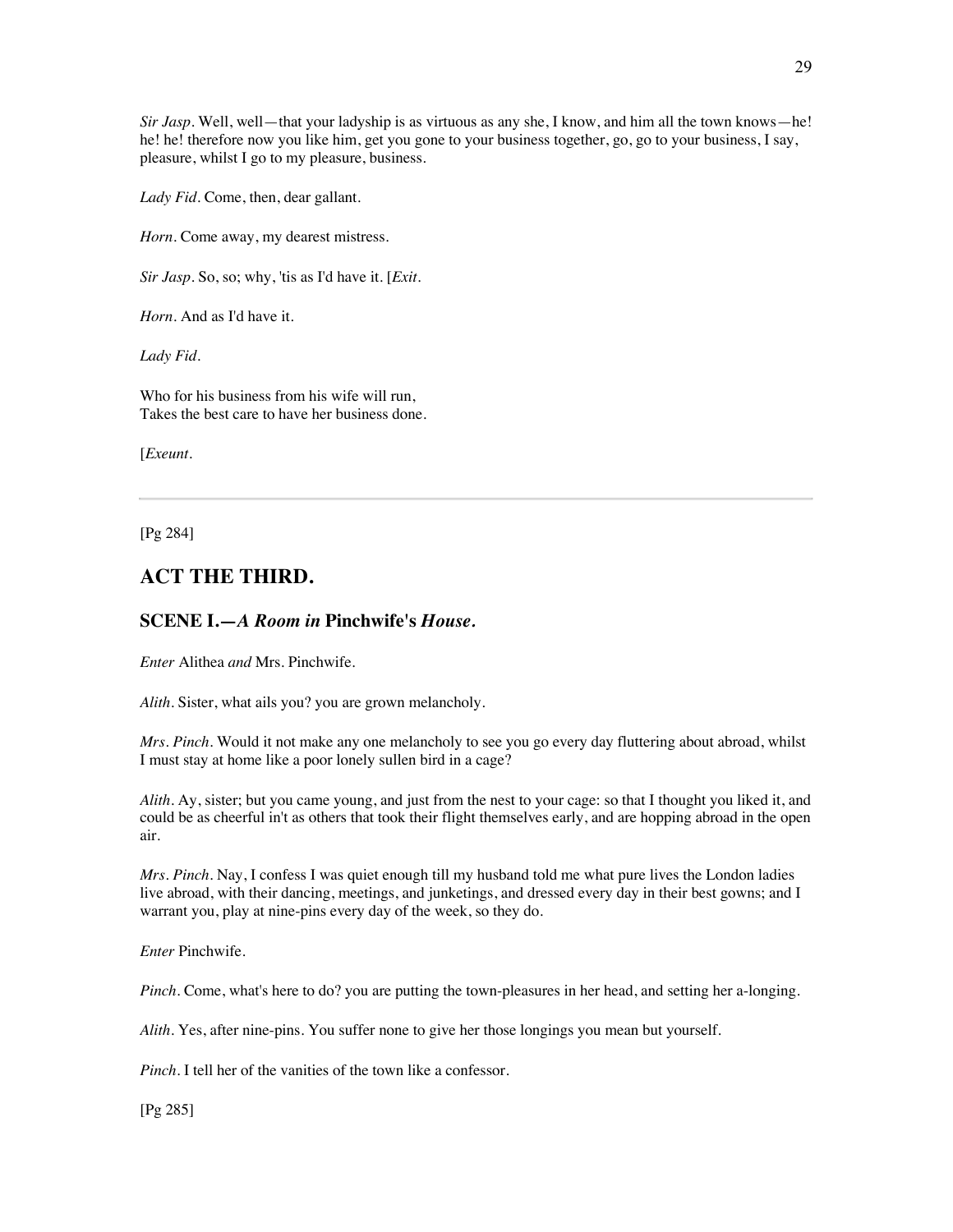*Sir Jasp.* Well, well—that your ladyship is as virtuous as any she, I know, and him all the town knows—he! he! he! therefore now you like him, get you gone to your business together, go, go to your business, I say, pleasure, whilst I go to my pleasure, business.

*Lady Fid.* Come, then, dear gallant.

*Horn.* Come away, my dearest mistress.

*Sir Jasp.* So, so; why, 'tis as I'd have it. [*Exit.*

*Horn.* And as I'd have it.

*Lady Fid.*

Who for his business from his wife will run, Takes the best care to have her business done.

[*Exeunt.*

[Pg 284]

# **ACT THE THIRD.**

#### **SCENE I.—***A Room in* **Pinchwife's** *House.*

*Enter* Alithea *and* Mrs. Pinchwife.

*Alith.* Sister, what ails you? you are grown melancholy.

*Mrs. Pinch.* Would it not make any one melancholy to see you go every day fluttering about abroad, whilst I must stay at home like a poor lonely sullen bird in a cage?

*Alith.* Ay, sister; but you came young, and just from the nest to your cage: so that I thought you liked it, and could be as cheerful in't as others that took their flight themselves early, and are hopping abroad in the open air.

*Mrs. Pinch.* Nay, I confess I was quiet enough till my husband told me what pure lives the London ladies live abroad, with their dancing, meetings, and junketings, and dressed every day in their best gowns; and I warrant you, play at nine-pins every day of the week, so they do.

*Enter* Pinchwife.

*Pinch*. Come, what's here to do? you are putting the town-pleasures in her head, and setting her a-longing.

*Alith.* Yes, after nine-pins. You suffer none to give her those longings you mean but yourself.

*Pinch.* I tell her of the vanities of the town like a confessor.

[Pg 285]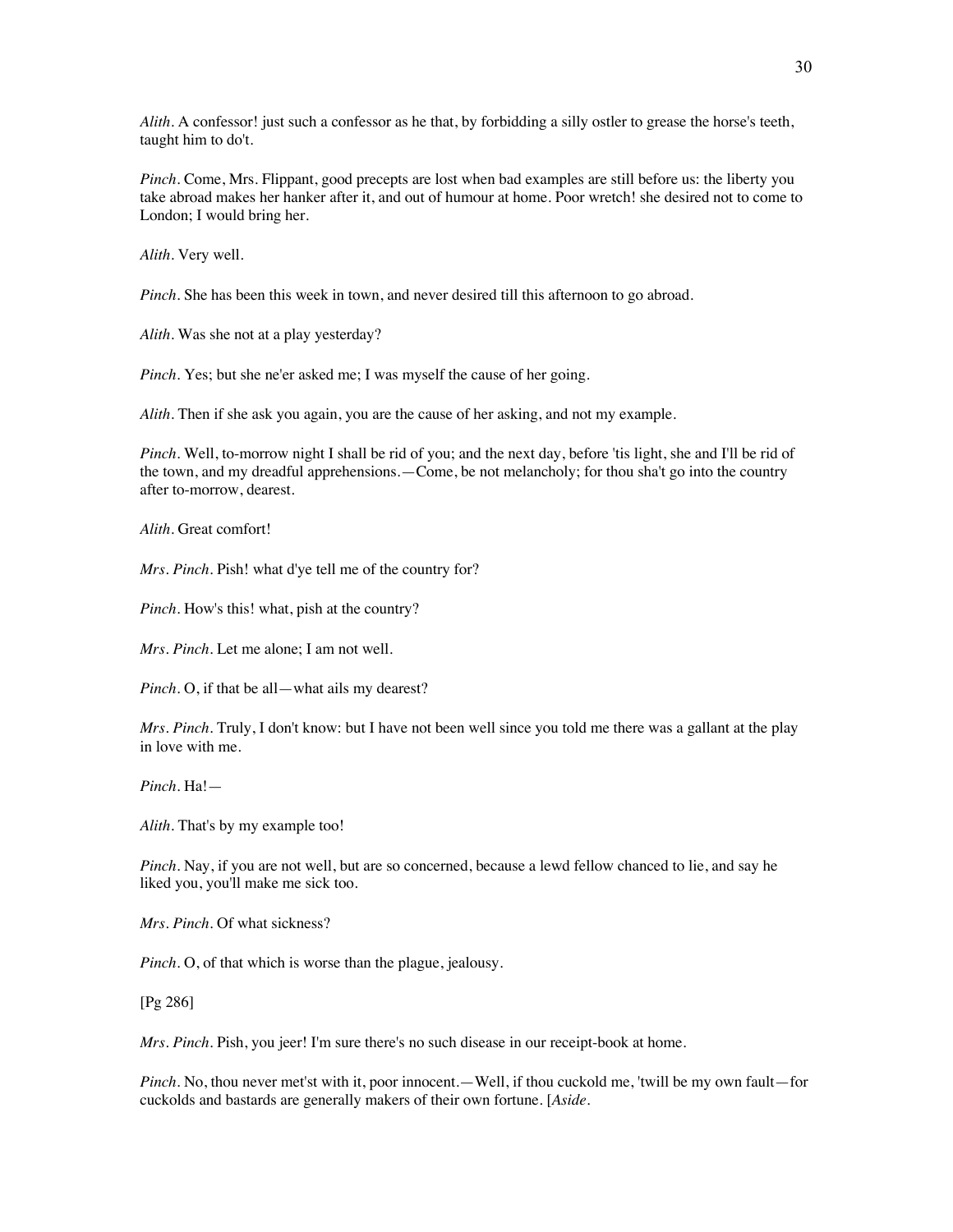*Alith.* A confessor! just such a confessor as he that, by forbidding a silly ostler to grease the horse's teeth, taught him to do't.

*Pinch.* Come, Mrs. Flippant, good precepts are lost when bad examples are still before us: the liberty you take abroad makes her hanker after it, and out of humour at home. Poor wretch! she desired not to come to London; I would bring her.

*Alith.* Very well.

*Pinch*. She has been this week in town, and never desired till this afternoon to go abroad.

*Alith.* Was she not at a play yesterday?

*Pinch*. Yes; but she ne'er asked me; I was myself the cause of her going.

*Alith.* Then if she ask you again, you are the cause of her asking, and not my example.

*Pinch.* Well, to-morrow night I shall be rid of you; and the next day, before 'tis light, she and I'll be rid of the town, and my dreadful apprehensions.—Come, be not melancholy; for thou sha't go into the country after to-morrow, dearest.

*Alith.* Great comfort!

*Mrs. Pinch.* Pish! what d'ye tell me of the country for?

*Pinch.* How's this! what, pish at the country?

*Mrs. Pinch.* Let me alone; I am not well.

*Pinch.* O, if that be all—what ails my dearest?

*Mrs. Pinch.* Truly, I don't know: but I have not been well since you told me there was a gallant at the play in love with me.

*Pinch.* Ha!—

*Alith.* That's by my example too!

*Pinch*. Nay, if you are not well, but are so concerned, because a lewd fellow chanced to lie, and say he liked you, you'll make me sick too.

*Mrs. Pinch.* Of what sickness?

*Pinch.* O, of that which is worse than the plague, jealousy.

[Pg 286]

*Mrs. Pinch.* Pish, you jeer! I'm sure there's no such disease in our receipt-book at home.

*Pinch*. No, thou never met'st with it, poor innocent.—Well, if thou cuckold me, 'twill be my own fault—for cuckolds and bastards are generally makers of their own fortune. [*Aside.*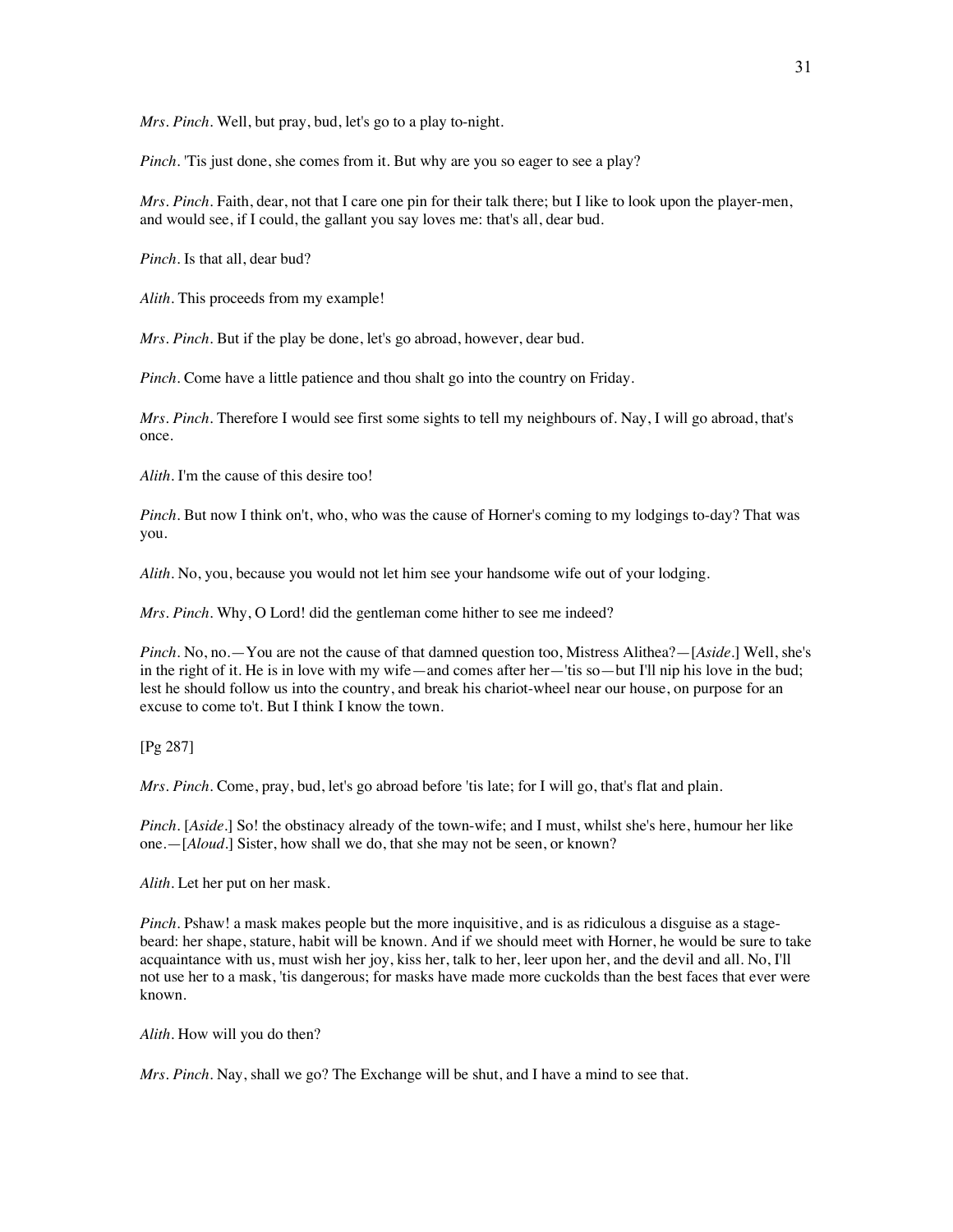*Mrs. Pinch.* Well, but pray, bud, let's go to a play to-night.

*Pinch.* 'Tis just done, she comes from it. But why are you so eager to see a play?

*Mrs. Pinch.* Faith, dear, not that I care one pin for their talk there; but I like to look upon the player-men, and would see, if I could, the gallant you say loves me: that's all, dear bud.

*Pinch.* Is that all, dear bud?

*Alith.* This proceeds from my example!

*Mrs. Pinch.* But if the play be done, let's go abroad, however, dear bud.

*Pinch.* Come have a little patience and thou shalt go into the country on Friday.

*Mrs. Pinch.* Therefore I would see first some sights to tell my neighbours of. Nay, I will go abroad, that's once.

*Alith.* I'm the cause of this desire too!

*Pinch*. But now I think on't, who, who was the cause of Horner's coming to my lodgings to-day? That was you.

*Alith.* No, you, because you would not let him see your handsome wife out of your lodging.

*Mrs. Pinch.* Why, O Lord! did the gentleman come hither to see me indeed?

*Pinch.* No, no.—You are not the cause of that damned question too, Mistress Alithea?—[*Aside.*] Well, she's in the right of it. He is in love with my wife—and comes after her—'tis so—but I'll nip his love in the bud; lest he should follow us into the country, and break his chariot-wheel near our house, on purpose for an excuse to come to't. But I think I know the town.

[Pg 287]

*Mrs. Pinch.* Come, pray, bud, let's go abroad before 'tis late; for I will go, that's flat and plain.

*Pinch.* [*Aside.*] So! the obstinacy already of the town-wife; and I must, whilst she's here, humour her like one.—[*Aloud.*] Sister, how shall we do, that she may not be seen, or known?

*Alith.* Let her put on her mask.

*Pinch*. Pshaw! a mask makes people but the more inquisitive, and is as ridiculous a disguise as a stagebeard: her shape, stature, habit will be known. And if we should meet with Horner, he would be sure to take acquaintance with us, must wish her joy, kiss her, talk to her, leer upon her, and the devil and all. No, I'll not use her to a mask, 'tis dangerous; for masks have made more cuckolds than the best faces that ever were known.

*Alith.* How will you do then?

*Mrs. Pinch.* Nay, shall we go? The Exchange will be shut, and I have a mind to see that.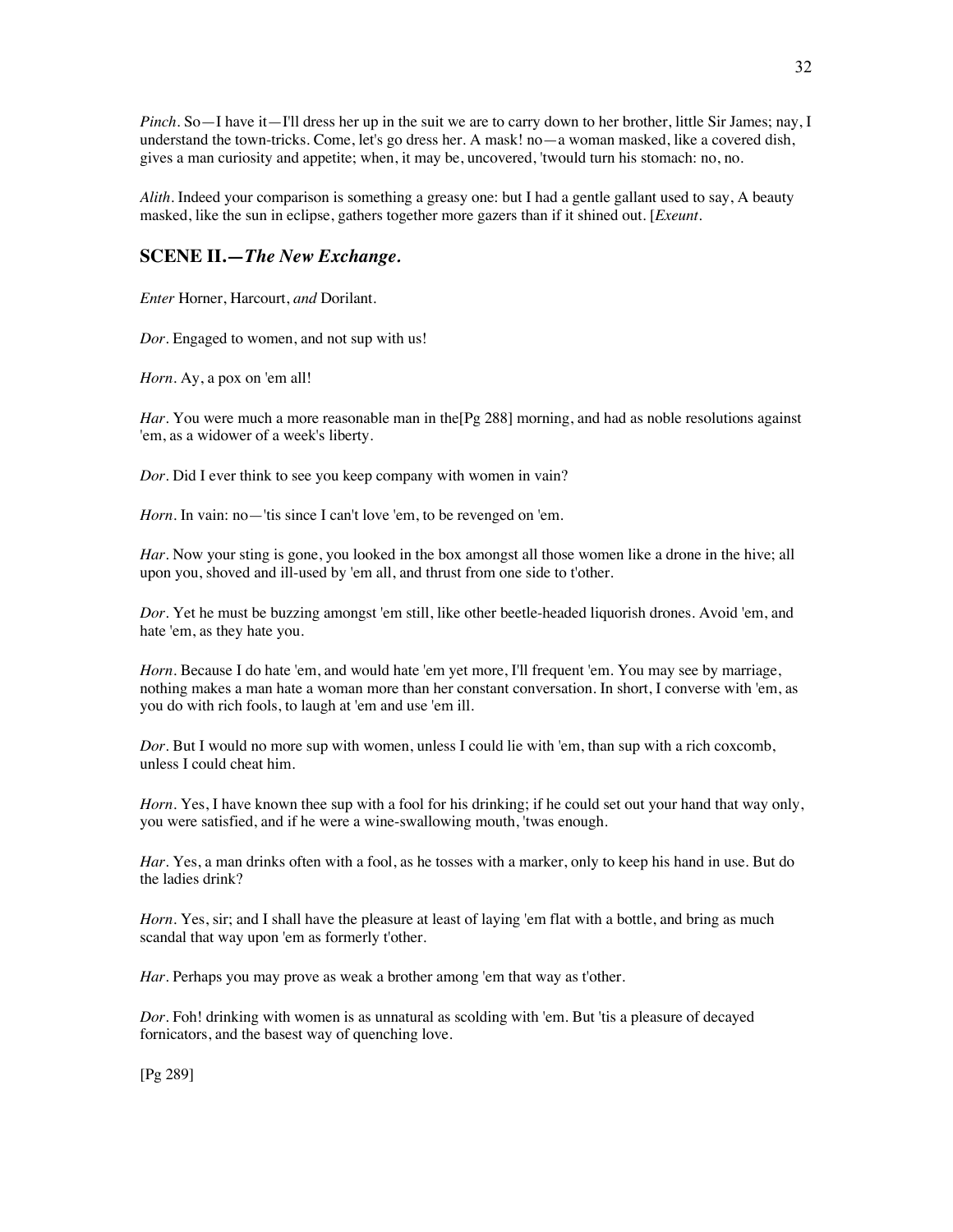*Pinch.* So—I have it—I'll dress her up in the suit we are to carry down to her brother, little Sir James; nay, I understand the town-tricks. Come, let's go dress her. A mask! no—a woman masked, like a covered dish, gives a man curiosity and appetite; when, it may be, uncovered, 'twould turn his stomach: no, no.

*Alith.* Indeed your comparison is something a greasy one: but I had a gentle gallant used to say, A beauty masked, like the sun in eclipse, gathers together more gazers than if it shined out. [*Exeunt.*

#### **SCENE II.—***The New Exchange.*

*Enter* Horner, Harcourt, *and* Dorilant.

*Dor.* Engaged to women, and not sup with us!

*Horn.* Ay, a pox on 'em all!

*Har.* You were much a more reasonable man in the[Pg 288] morning, and had as noble resolutions against 'em, as a widower of a week's liberty.

*Dor.* Did I ever think to see you keep company with women in vain?

*Horn*. In vain: no—'tis since I can't love 'em, to be revenged on 'em.

*Har.* Now your sting is gone, you looked in the box amongst all those women like a drone in the hive; all upon you, shoved and ill-used by 'em all, and thrust from one side to t'other.

*Dor.* Yet he must be buzzing amongst 'em still, like other beetle-headed liquorish drones. Avoid 'em, and hate 'em, as they hate you.

*Horn*. Because I do hate 'em, and would hate 'em yet more, I'll frequent 'em. You may see by marriage, nothing makes a man hate a woman more than her constant conversation. In short, I converse with 'em, as you do with rich fools, to laugh at 'em and use 'em ill.

*Dor.* But I would no more sup with women, unless I could lie with 'em, than sup with a rich coxcomb, unless I could cheat him.

*Horn*. Yes, I have known thee sup with a fool for his drinking; if he could set out your hand that way only, you were satisfied, and if he were a wine-swallowing mouth, 'twas enough.

*Har.* Yes, a man drinks often with a fool, as he tosses with a marker, only to keep his hand in use. But do the ladies drink?

*Horn*. Yes, sir; and I shall have the pleasure at least of laying 'em flat with a bottle, and bring as much scandal that way upon 'em as formerly t'other.

*Har.* Perhaps you may prove as weak a brother among 'em that way as t'other.

*Dor.* Foh! drinking with women is as unnatural as scolding with 'em. But 'tis a pleasure of decayed fornicators, and the basest way of quenching love.

[Pg 289]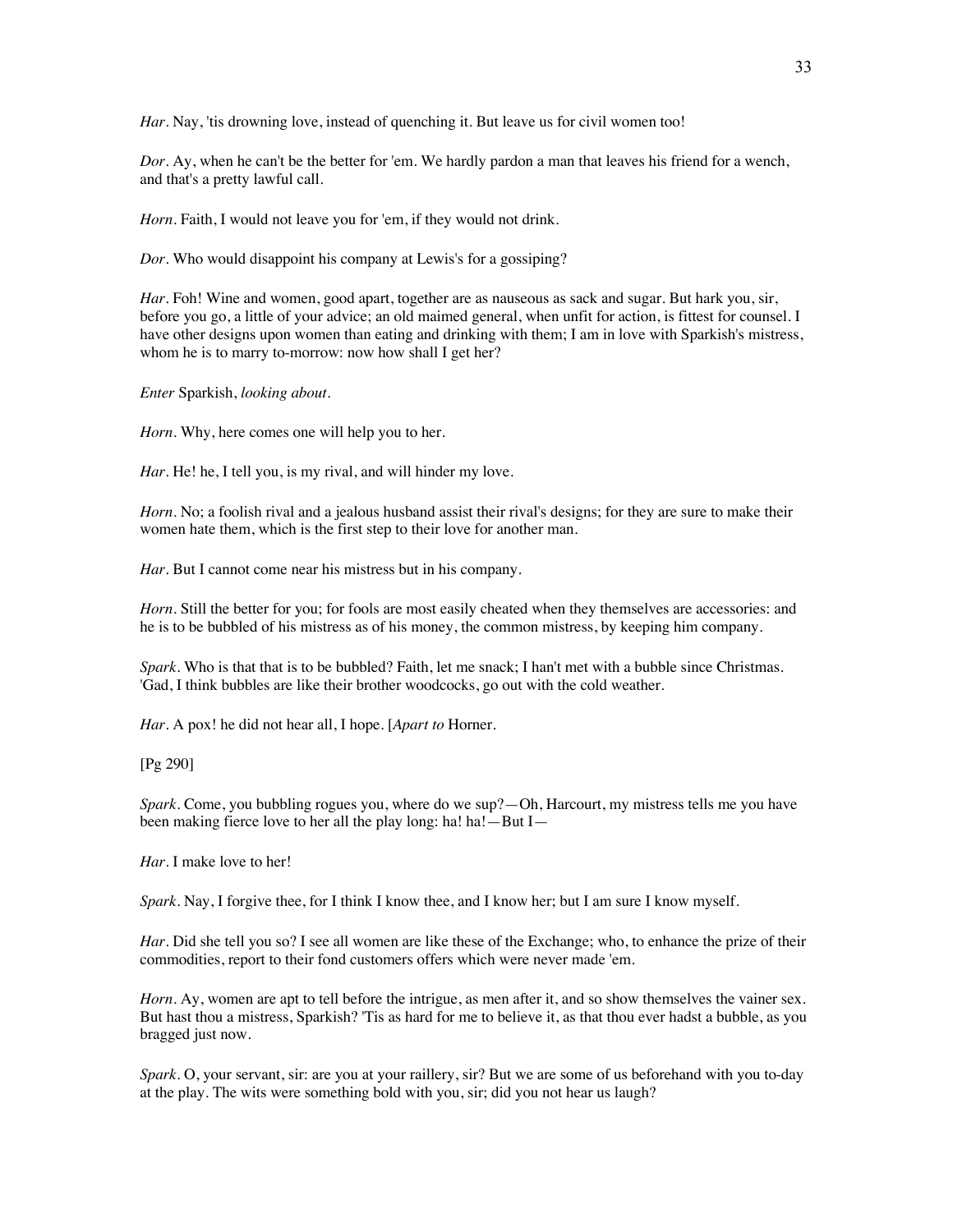*Har.* Nay, 'tis drowning love, instead of quenching it. But leave us for civil women too!

*Dor.* Ay, when he can't be the better for 'em. We hardly pardon a man that leaves his friend for a wench, and that's a pretty lawful call.

*Horn.* Faith, I would not leave you for 'em, if they would not drink.

*Dor.* Who would disappoint his company at Lewis's for a gossiping?

*Har.* Foh! Wine and women, good apart, together are as nauseous as sack and sugar. But hark you, sir, before you go, a little of your advice; an old maimed general, when unfit for action, is fittest for counsel. I have other designs upon women than eating and drinking with them; I am in love with Sparkish's mistress, whom he is to marry to-morrow: now how shall I get her?

*Enter* Sparkish, *looking about.*

*Horn.* Why, here comes one will help you to her.

*Har.* He! he, I tell you, is my rival, and will hinder my love.

*Horn.* No; a foolish rival and a jealous husband assist their rival's designs; for they are sure to make their women hate them, which is the first step to their love for another man.

*Har.* But I cannot come near his mistress but in his company.

*Horn*. Still the better for you; for fools are most easily cheated when they themselves are accessories: and he is to be bubbled of his mistress as of his money, the common mistress, by keeping him company.

*Spark.* Who is that that is to be bubbled? Faith, let me snack; I han't met with a bubble since Christmas. 'Gad, I think bubbles are like their brother woodcocks, go out with the cold weather.

*Har.* A pox! he did not hear all, I hope. [*Apart to* Horner.

[Pg 290]

*Spark.* Come, you bubbling rogues you, where do we sup?—Oh, Harcourt, my mistress tells me you have been making fierce love to her all the play long: ha! ha!—But I—

*Har.* I make love to her!

*Spark.* Nay, I forgive thee, for I think I know thee, and I know her; but I am sure I know myself.

*Har.* Did she tell you so? I see all women are like these of the Exchange; who, to enhance the prize of their commodities, report to their fond customers offers which were never made 'em.

*Horn*. Ay, women are apt to tell before the intrigue, as men after it, and so show themselves the vainer sex. But hast thou a mistress, Sparkish? 'Tis as hard for me to believe it, as that thou ever hadst a bubble, as you bragged just now.

*Spark.* O, your servant, sir: are you at your raillery, sir? But we are some of us beforehand with you to-day at the play. The wits were something bold with you, sir; did you not hear us laugh?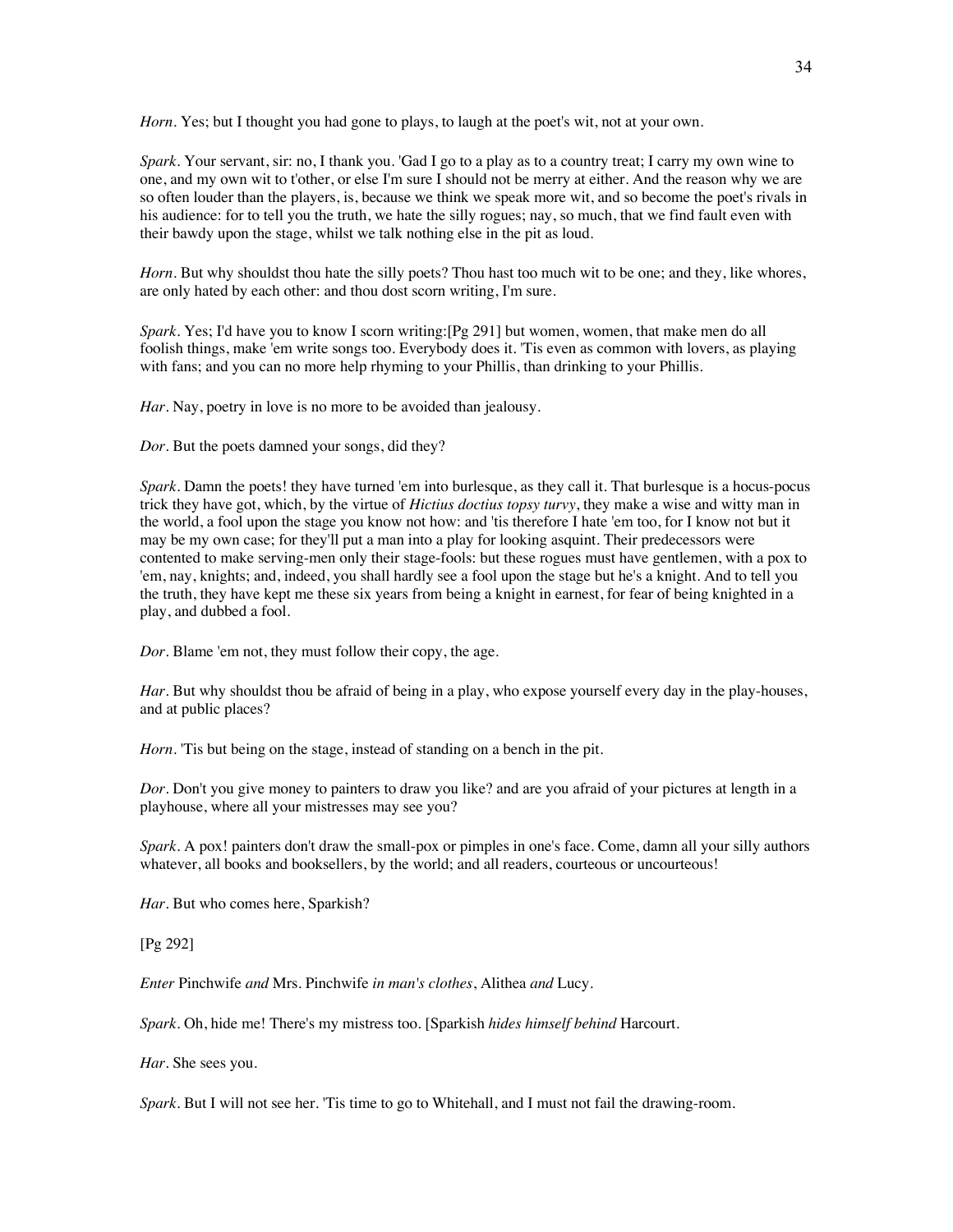*Horn*. Yes; but I thought you had gone to plays, to laugh at the poet's wit, not at your own.

*Spark.* Your servant, sir: no, I thank you. 'Gad I go to a play as to a country treat; I carry my own wine to one, and my own wit to t'other, or else I'm sure I should not be merry at either. And the reason why we are so often louder than the players, is, because we think we speak more wit, and so become the poet's rivals in his audience: for to tell you the truth, we hate the silly rogues; nay, so much, that we find fault even with their bawdy upon the stage, whilst we talk nothing else in the pit as loud.

*Horn*. But why shouldst thou hate the silly poets? Thou hast too much wit to be one; and they, like whores, are only hated by each other: and thou dost scorn writing, I'm sure.

*Spark.* Yes; I'd have you to know I scorn writing:[Pg 291] but women, women, that make men do all foolish things, make 'em write songs too. Everybody does it. 'Tis even as common with lovers, as playing with fans; and you can no more help rhyming to your Phillis, than drinking to your Phillis.

*Har.* Nay, poetry in love is no more to be avoided than jealousy.

*Dor.* But the poets damned your songs, did they?

*Spark.* Damn the poets! they have turned 'em into burlesque, as they call it. That burlesque is a hocus-pocus trick they have got, which, by the virtue of *Hictius doctius topsy turvy*, they make a wise and witty man in the world, a fool upon the stage you know not how: and 'tis therefore I hate 'em too, for I know not but it may be my own case; for they'll put a man into a play for looking asquint. Their predecessors were contented to make serving-men only their stage-fools: but these rogues must have gentlemen, with a pox to 'em, nay, knights; and, indeed, you shall hardly see a fool upon the stage but he's a knight. And to tell you the truth, they have kept me these six years from being a knight in earnest, for fear of being knighted in a play, and dubbed a fool.

*Dor.* Blame 'em not, they must follow their copy, the age.

*Har.* But why shouldst thou be afraid of being in a play, who expose yourself every day in the play-houses, and at public places?

*Horn.* 'Tis but being on the stage, instead of standing on a bench in the pit.

*Dor.* Don't you give money to painters to draw you like? and are you afraid of your pictures at length in a playhouse, where all your mistresses may see you?

*Spark.* A pox! painters don't draw the small-pox or pimples in one's face. Come, damn all your silly authors whatever, all books and booksellers, by the world; and all readers, courteous or uncourteous!

*Har.* But who comes here, Sparkish?

[Pg 292]

*Enter* Pinchwife *and* Mrs. Pinchwife *in man's clothes*, Alithea *and* Lucy.

*Spark.* Oh, hide me! There's my mistress too. [Sparkish *hides himself behind* Harcourt.

*Har.* She sees you.

*Spark.* But I will not see her. 'Tis time to go to Whitehall, and I must not fail the drawing-room.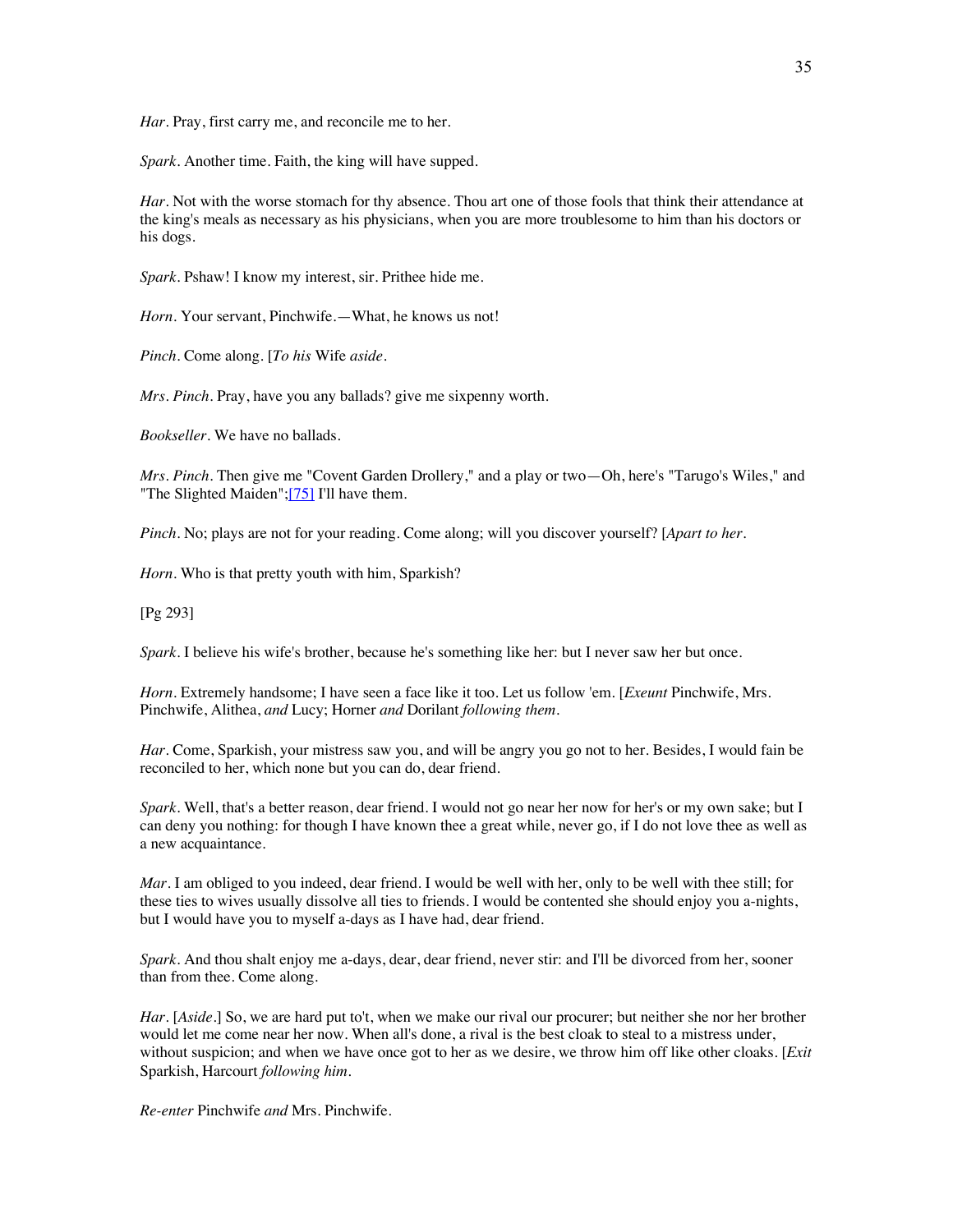*Har.* Pray, first carry me, and reconcile me to her.

*Spark.* Another time. Faith, the king will have supped.

*Har.* Not with the worse stomach for thy absence. Thou art one of those fools that think their attendance at the king's meals as necessary as his physicians, when you are more troublesome to him than his doctors or his dogs.

*Spark.* Pshaw! I know my interest, sir. Prithee hide me.

*Horn.* Your servant, Pinchwife.—What, he knows us not!

*Pinch.* Come along. [*To his* Wife *aside*.

*Mrs. Pinch.* Pray, have you any ballads? give me sixpenny worth.

*Bookseller.* We have no ballads.

*Mrs. Pinch.* Then give me "Covent Garden Drollery," and a play or two—Oh, here's "Tarugo's Wiles," and "The Slighted Maiden";[75] I'll have them.

*Pinch.* No; plays are not for your reading. Come along; will you discover yourself? [*Apart to her.* 

*Horn.* Who is that pretty youth with him, Sparkish?

[Pg 293]

*Spark.* I believe his wife's brother, because he's something like her: but I never saw her but once.

*Horn.* Extremely handsome; I have seen a face like it too. Let us follow 'em. [*Exeunt* Pinchwife, Mrs. Pinchwife, Alithea, *and* Lucy; Horner *and* Dorilant *following them.*

*Har.* Come, Sparkish, your mistress saw you, and will be angry you go not to her. Besides, I would fain be reconciled to her, which none but you can do, dear friend.

*Spark.* Well, that's a better reason, dear friend. I would not go near her now for her's or my own sake; but I can deny you nothing: for though I have known thee a great while, never go, if I do not love thee as well as a new acquaintance.

*Mar.* I am obliged to you indeed, dear friend. I would be well with her, only to be well with thee still; for these ties to wives usually dissolve all ties to friends. I would be contented she should enjoy you a-nights, but I would have you to myself a-days as I have had, dear friend.

*Spark.* And thou shalt enjoy me a-days, dear, dear friend, never stir: and I'll be divorced from her, sooner than from thee. Come along.

*Har.* [*Aside.*] So, we are hard put to't, when we make our rival our procurer; but neither she nor her brother would let me come near her now. When all's done, a rival is the best cloak to steal to a mistress under, without suspicion; and when we have once got to her as we desire, we throw him off like other cloaks. [*Exit* Sparkish, Harcourt *following him.*

*Re-enter* Pinchwife *and* Mrs. Pinchwife.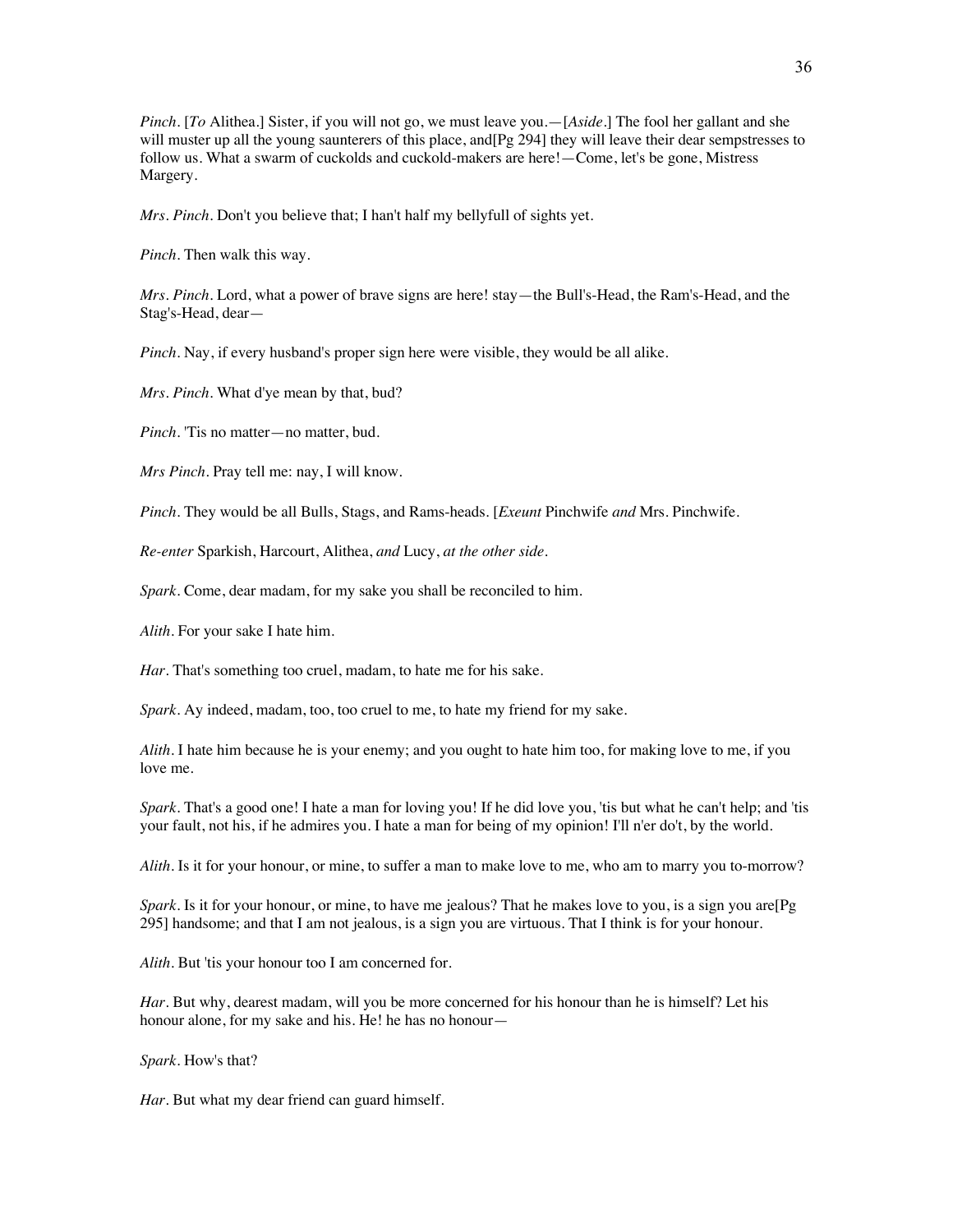*Pinch.* [*To* Alithea.] Sister, if you will not go, we must leave you.—[*Aside.*] The fool her gallant and she will muster up all the young saunterers of this place, and [Pg 294] they will leave their dear sempstresses to follow us. What a swarm of cuckolds and cuckold-makers are here!—Come, let's be gone, Mistress Margery.

*Mrs. Pinch.* Don't you believe that; I han't half my bellyfull of sights yet.

*Pinch.* Then walk this way.

*Mrs. Pinch.* Lord, what a power of brave signs are here! stay—the Bull's-Head, the Ram's-Head, and the Stag's-Head, dear—

*Pinch.* Nay, if every husband's proper sign here were visible, they would be all alike.

*Mrs. Pinch.* What d'ye mean by that, bud?

*Pinch*. Tis no matter—no matter, bud.

*Mrs Pinch.* Pray tell me: nay, I will know.

*Pinch.* They would be all Bulls, Stags, and Rams-heads. [*Exeunt* Pinchwife *and* Mrs. Pinchwife.

*Re-enter* Sparkish, Harcourt, Alithea, *and* Lucy, *at the other side.*

*Spark.* Come, dear madam, for my sake you shall be reconciled to him.

*Alith.* For your sake I hate him.

*Har.* That's something too cruel, madam, to hate me for his sake.

*Spark.* Ay indeed, madam, too, too cruel to me, to hate my friend for my sake.

*Alith.* I hate him because he is your enemy; and you ought to hate him too, for making love to me, if you love me.

*Spark.* That's a good one! I hate a man for loving you! If he did love you, 'tis but what he can't help; and 'tis your fault, not his, if he admires you. I hate a man for being of my opinion! I'll n'er do't, by the world.

*Alith.* Is it for your honour, or mine, to suffer a man to make love to me, who am to marry you to-morrow?

*Spark*. Is it for your honour, or mine, to have me jealous? That he makes love to you, is a sign you are [Pg] 295] handsome; and that I am not jealous, is a sign you are virtuous. That I think is for your honour.

Alith. But 'tis your honour too I am concerned for.

*Har.* But why, dearest madam, will you be more concerned for his honour than he is himself? Let his honour alone, for my sake and his. He! he has no honour—

*Spark.* How's that?

*Har.* But what my dear friend can guard himself.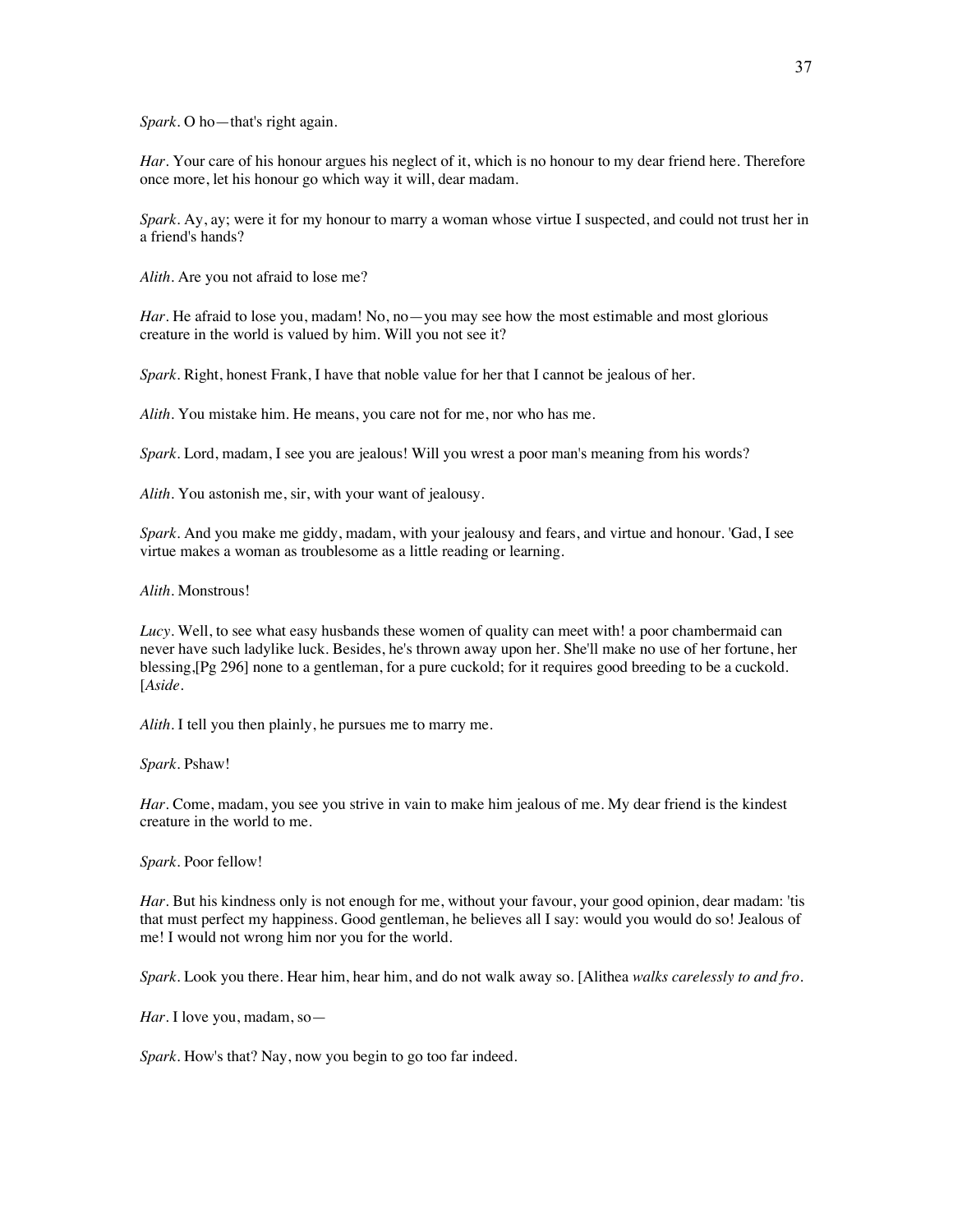*Spark.* O ho—that's right again.

*Har.* Your care of his honour argues his neglect of it, which is no honour to my dear friend here. Therefore once more, let his honour go which way it will, dear madam.

*Spark.* Ay, ay; were it for my honour to marry a woman whose virtue I suspected, and could not trust her in a friend's hands?

*Alith.* Are you not afraid to lose me?

*Har.* He afraid to lose you, madam! No, no—you may see how the most estimable and most glorious creature in the world is valued by him. Will you not see it?

*Spark.* Right, honest Frank, I have that noble value for her that I cannot be jealous of her.

*Alith.* You mistake him. He means, you care not for me, nor who has me.

*Spark.* Lord, madam, I see you are jealous! Will you wrest a poor man's meaning from his words?

*Alith.* You astonish me, sir, with your want of jealousy.

*Spark.* And you make me giddy, madam, with your jealousy and fears, and virtue and honour. 'Gad, I see virtue makes a woman as troublesome as a little reading or learning.

*Alith.* Monstrous!

*Lucy*. Well, to see what easy husbands these women of quality can meet with! a poor chambermaid can never have such ladylike luck. Besides, he's thrown away upon her. She'll make no use of her fortune, her blessing,[Pg 296] none to a gentleman, for a pure cuckold; for it requires good breeding to be a cuckold. [*Aside.*

*Alith.* I tell you then plainly, he pursues me to marry me.

*Spark.* Pshaw!

*Har.* Come, madam, you see you strive in vain to make him jealous of me. My dear friend is the kindest creature in the world to me.

*Spark.* Poor fellow!

*Har.* But his kindness only is not enough for me, without your favour, your good opinion, dear madam: 'tis that must perfect my happiness. Good gentleman, he believes all I say: would you would do so! Jealous of me! I would not wrong him nor you for the world.

*Spark.* Look you there. Hear him, hear him, and do not walk away so. [Alithea *walks carelessly to and fro.*

*Har.* I love you, madam, so—

*Spark.* How's that? Nay, now you begin to go too far indeed.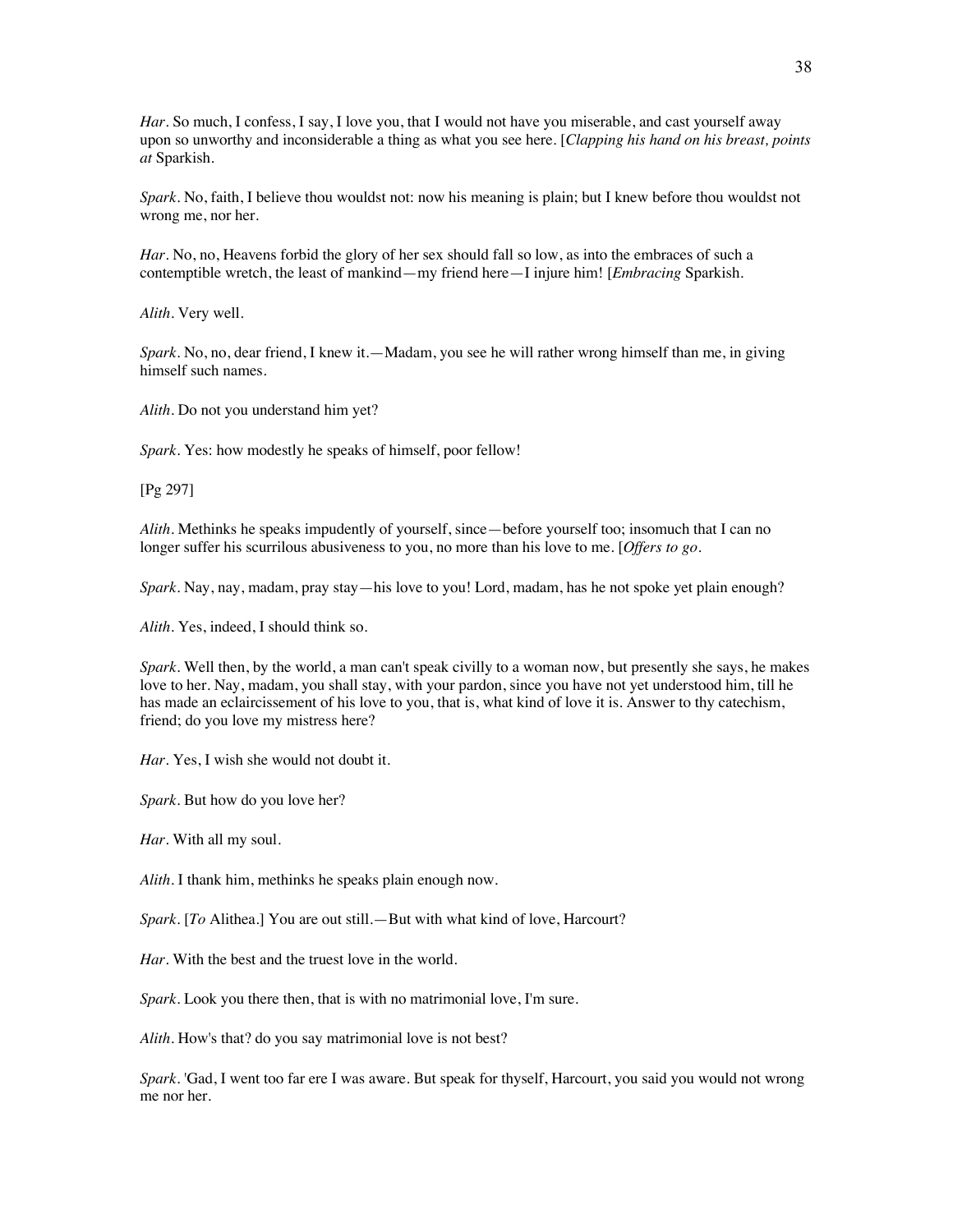*Har.* So much, I confess, I say, I love you, that I would not have you miserable, and cast yourself away upon so unworthy and inconsiderable a thing as what you see here. [*Clapping his hand on his breast, points at* Sparkish.

*Spark.* No, faith, I believe thou wouldst not: now his meaning is plain; but I knew before thou wouldst not wrong me, nor her.

*Har.* No, no, Heavens forbid the glory of her sex should fall so low, as into the embraces of such a contemptible wretch, the least of mankind—my friend here—I injure him! [*Embracing* Sparkish.

*Alith.* Very well.

*Spark.* No, no, dear friend, I knew it.—Madam, you see he will rather wrong himself than me, in giving himself such names.

*Alith.* Do not you understand him yet?

*Spark.* Yes: how modestly he speaks of himself, poor fellow!

[Pg 297]

*Alith.* Methinks he speaks impudently of yourself, since—before yourself too; insomuch that I can no longer suffer his scurrilous abusiveness to you, no more than his love to me. [*Offers to go.*

*Spark.* Nay, nay, madam, pray stay—his love to you! Lord, madam, has he not spoke yet plain enough?

*Alith.* Yes, indeed, I should think so.

*Spark.* Well then, by the world, a man can't speak civilly to a woman now, but presently she says, he makes love to her. Nay, madam, you shall stay, with your pardon, since you have not yet understood him, till he has made an eclaircissement of his love to you, that is, what kind of love it is. Answer to thy catechism, friend; do you love my mistress here?

*Har.* Yes, I wish she would not doubt it.

*Spark.* But how do you love her?

*Har.* With all my soul.

*Alith.* I thank him, methinks he speaks plain enough now.

*Spark.* [*To* Alithea.] You are out still.—But with what kind of love, Harcourt?

*Har.* With the best and the truest love in the world.

*Spark.* Look you there then, that is with no matrimonial love, I'm sure.

*Alith.* How's that? do you say matrimonial love is not best?

*Spark.* 'Gad, I went too far ere I was aware. But speak for thyself, Harcourt, you said you would not wrong me nor her.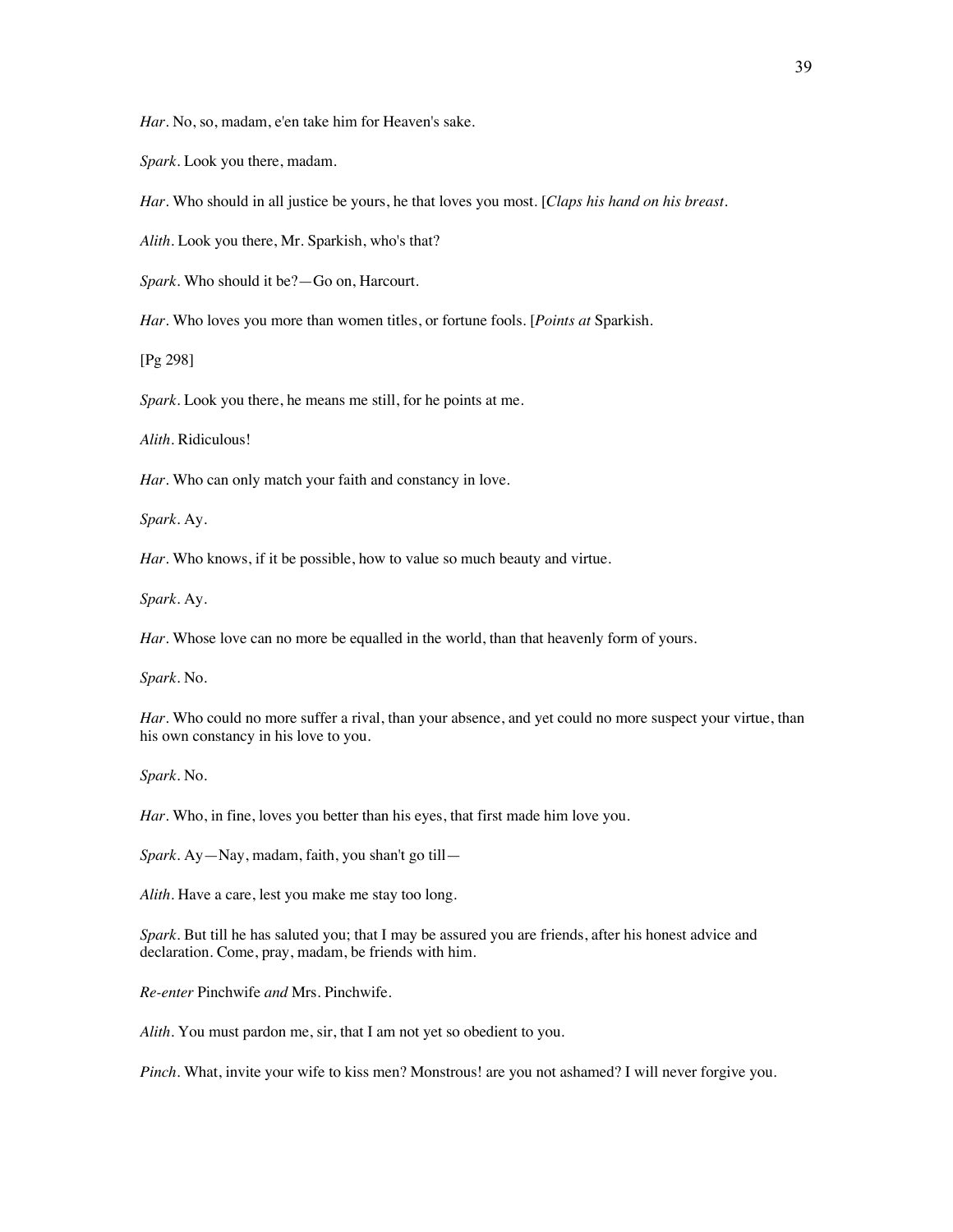*Har.* No, so, madam, e'en take him for Heaven's sake.

*Spark.* Look you there, madam.

*Har.* Who should in all justice be yours, he that loves you most. [*Claps his hand on his breast.*

*Alith.* Look you there, Mr. Sparkish, who's that?

*Spark.* Who should it be?—Go on, Harcourt.

*Har.* Who loves you more than women titles, or fortune fools. [*Points at* Sparkish.

[Pg 298]

*Spark.* Look you there, he means me still, for he points at me.

*Alith.* Ridiculous!

*Har.* Who can only match your faith and constancy in love.

*Spark.* Ay.

*Har.* Who knows, if it be possible, how to value so much beauty and virtue.

*Spark.* Ay.

*Har.* Whose love can no more be equalled in the world, than that heavenly form of yours.

*Spark.* No.

Har. Who could no more suffer a rival, than your absence, and yet could no more suspect your virtue, than his own constancy in his love to you.

*Spark.* No.

*Har.* Who, in fine, loves you better than his eyes, that first made him love you.

*Spark.* Ay—Nay, madam, faith, you shan't go till—

*Alith.* Have a care, lest you make me stay too long.

*Spark.* But till he has saluted you; that I may be assured you are friends, after his honest advice and declaration. Come, pray, madam, be friends with him.

*Re-enter* Pinchwife *and* Mrs. Pinchwife.

*Alith.* You must pardon me, sir, that I am not yet so obedient to you.

*Pinch*. What, invite your wife to kiss men? Monstrous! are you not ashamed? I will never forgive you.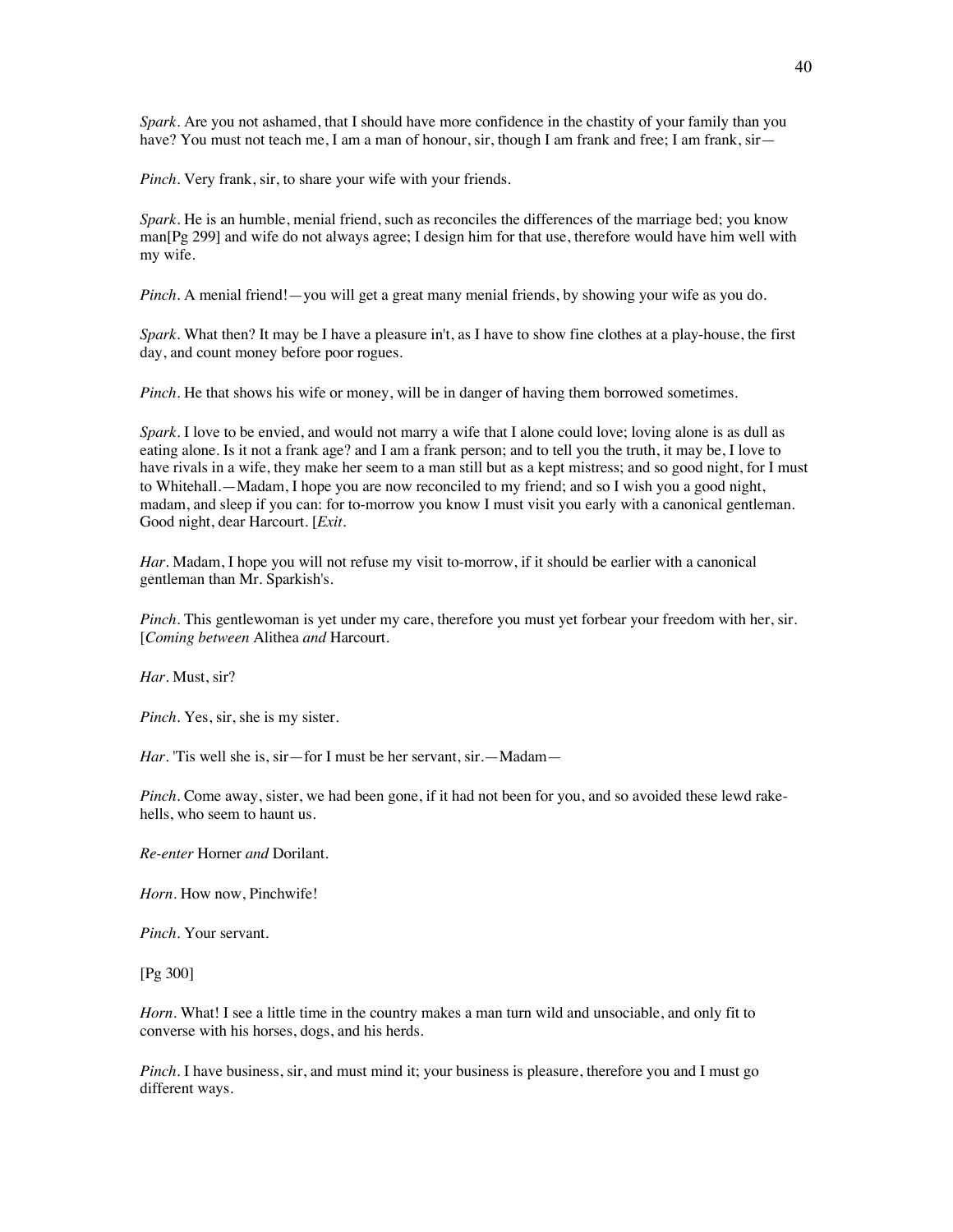*Spark.* Are you not ashamed, that I should have more confidence in the chastity of your family than you have? You must not teach me, I am a man of honour, sir, though I am frank and free; I am frank, sir—

*Pinch.* Very frank, sir, to share your wife with your friends.

*Spark.* He is an humble, menial friend, such as reconciles the differences of the marriage bed; you know man[Pg 299] and wife do not always agree; I design him for that use, therefore would have him well with my wife.

*Pinch.* A menial friend!—you will get a great many menial friends, by showing your wife as you do.

*Spark.* What then? It may be I have a pleasure in't, as I have to show fine clothes at a play-house, the first day, and count money before poor rogues.

*Pinch.* He that shows his wife or money, will be in danger of having them borrowed sometimes.

*Spark.* I love to be envied, and would not marry a wife that I alone could love; loving alone is as dull as eating alone. Is it not a frank age? and I am a frank person; and to tell you the truth, it may be, I love to have rivals in a wife, they make her seem to a man still but as a kept mistress; and so good night, for I must to Whitehall.—Madam, I hope you are now reconciled to my friend; and so I wish you a good night, madam, and sleep if you can: for to-morrow you know I must visit you early with a canonical gentleman. Good night, dear Harcourt. [*Exit.*

*Har.* Madam, I hope you will not refuse my visit to-morrow, if it should be earlier with a canonical gentleman than Mr. Sparkish's.

*Pinch*. This gentlewoman is yet under my care, therefore you must yet forbear your freedom with her, sir. [*Coming between* Alithea *and* Harcourt.

*Har.* Must, sir?

*Pinch.* Yes, sir, she is my sister.

*Har.* 'Tis well she is, sir—for I must be her servant, sir.—Madam—

*Pinch*. Come away, sister, we had been gone, if it had not been for you, and so avoided these lewd rakehells, who seem to haunt us.

*Re-enter* Horner *and* Dorilant.

*Horn.* How now, Pinchwife!

*Pinch.* Your servant.

[Pg 300]

*Horn*. What! I see a little time in the country makes a man turn wild and unsociable, and only fit to converse with his horses, dogs, and his herds.

*Pinch*. I have business, sir, and must mind it; your business is pleasure, therefore you and I must go different ways.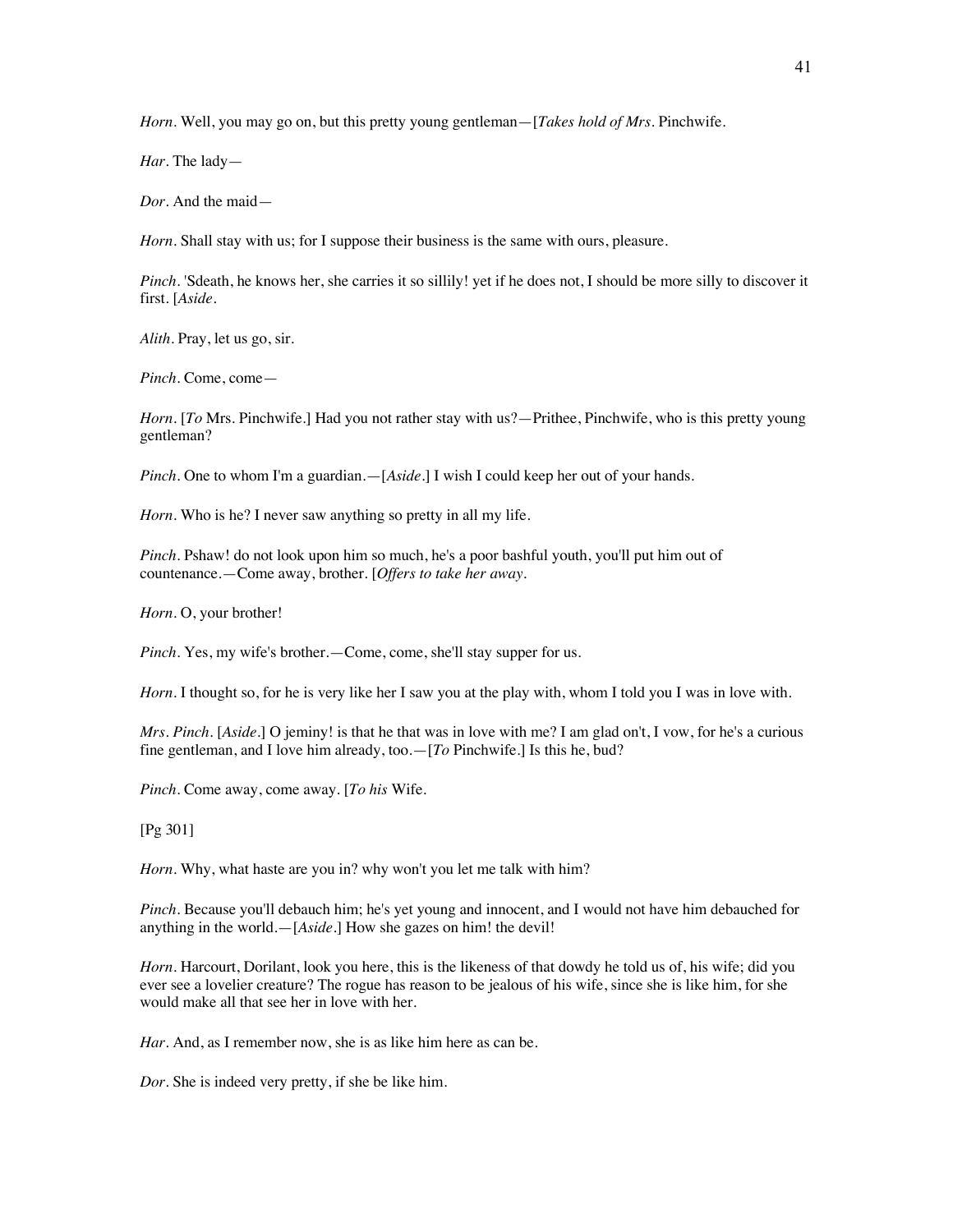*Horn.* Well, you may go on, but this pretty young gentleman—[*Takes hold of Mrs.* Pinchwife.

*Har.* The lady—

*Dor.* And the maid—

*Horn*. Shall stay with us; for I suppose their business is the same with ours, pleasure.

*Pinch.* 'Sdeath, he knows her, she carries it so sillily! yet if he does not, I should be more silly to discover it first. [*Aside.*

*Alith.* Pray, let us go, sir.

*Pinch.* Come, come—

*Horn.* [*To* Mrs. Pinchwife.] Had you not rather stay with us?—Prithee, Pinchwife, who is this pretty young gentleman?

*Pinch.* One to whom I'm a guardian.—[*Aside.*] I wish I could keep her out of your hands.

*Horn.* Who is he? I never saw anything so pretty in all my life.

*Pinch.* Pshaw! do not look upon him so much, he's a poor bashful youth, you'll put him out of countenance.—Come away, brother. [*Offers to take her away.*

*Horn.* O, your brother!

*Pinch*. Yes, my wife's brother.—Come, come, she'll stay supper for us.

*Horn*. I thought so, for he is very like her I saw you at the play with, whom I told you I was in love with.

*Mrs. Pinch.* [*Aside.*] O jeminy! is that he that was in love with me? I am glad on't, I vow, for he's a curious fine gentleman, and I love him already, too.—[*To* Pinchwife.] Is this he, bud?

*Pinch.* Come away, come away. [*To his* Wife.

[Pg 301]

*Horn.* Why, what haste are you in? why won't you let me talk with him?

*Pinch.* Because you'll debauch him; he's yet young and innocent, and I would not have him debauched for anything in the world.—[*Aside.*] How she gazes on him! the devil!

*Horn.* Harcourt, Dorilant, look you here, this is the likeness of that dowdy he told us of, his wife; did you ever see a lovelier creature? The rogue has reason to be jealous of his wife, since she is like him, for she would make all that see her in love with her.

*Har.* And, as I remember now, she is as like him here as can be.

*Dor.* She is indeed very pretty, if she be like him.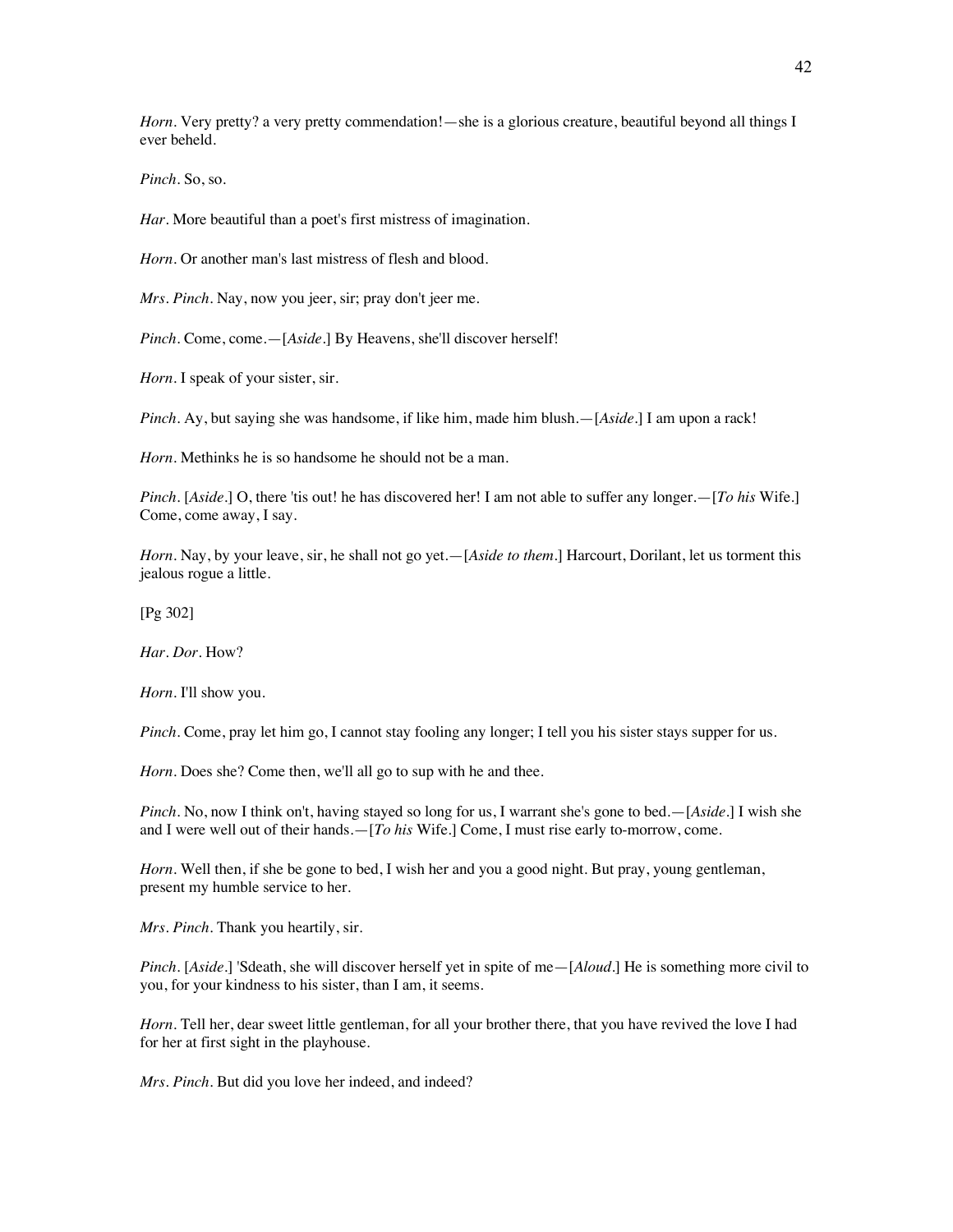*Horn*. Very pretty? a very pretty commendation!—she is a glorious creature, beautiful beyond all things I ever beheld.

*Pinch.* So, so.

*Har.* More beautiful than a poet's first mistress of imagination.

*Horn.* Or another man's last mistress of flesh and blood.

*Mrs. Pinch.* Nay, now you jeer, sir; pray don't jeer me.

*Pinch.* Come, come.—[*Aside.*] By Heavens, she'll discover herself!

*Horn.* I speak of your sister, sir.

*Pinch.* Ay, but saying she was handsome, if like him, made him blush.—[*Aside.*] I am upon a rack!

*Horn.* Methinks he is so handsome he should not be a man.

*Pinch.* [*Aside.*] O, there 'tis out! he has discovered her! I am not able to suffer any longer.—[*To his* Wife.] Come, come away, I say.

*Horn.* Nay, by your leave, sir, he shall not go yet.—[*Aside to them.*] Harcourt, Dorilant, let us torment this jealous rogue a little.

[Pg 302]

*Har. Dor.* How?

*Horn.* I'll show you.

*Pinch*. Come, pray let him go, I cannot stay fooling any longer; I tell you his sister stays supper for us.

*Horn*. Does she? Come then, we'll all go to sup with he and thee.

*Pinch.* No, now I think on't, having stayed so long for us, I warrant she's gone to bed.—[*Aside.*] I wish she and I were well out of their hands.—[*To his* Wife.] Come, I must rise early to-morrow, come.

*Horn*. Well then, if she be gone to bed, I wish her and you a good night. But pray, young gentleman, present my humble service to her.

*Mrs. Pinch.* Thank you heartily, sir.

*Pinch.* [*Aside.*] 'Sdeath, she will discover herself yet in spite of me—[*Aloud.*] He is something more civil to you, for your kindness to his sister, than I am, it seems.

*Horn.* Tell her, dear sweet little gentleman, for all your brother there, that you have revived the love I had for her at first sight in the playhouse.

*Mrs. Pinch.* But did you love her indeed, and indeed?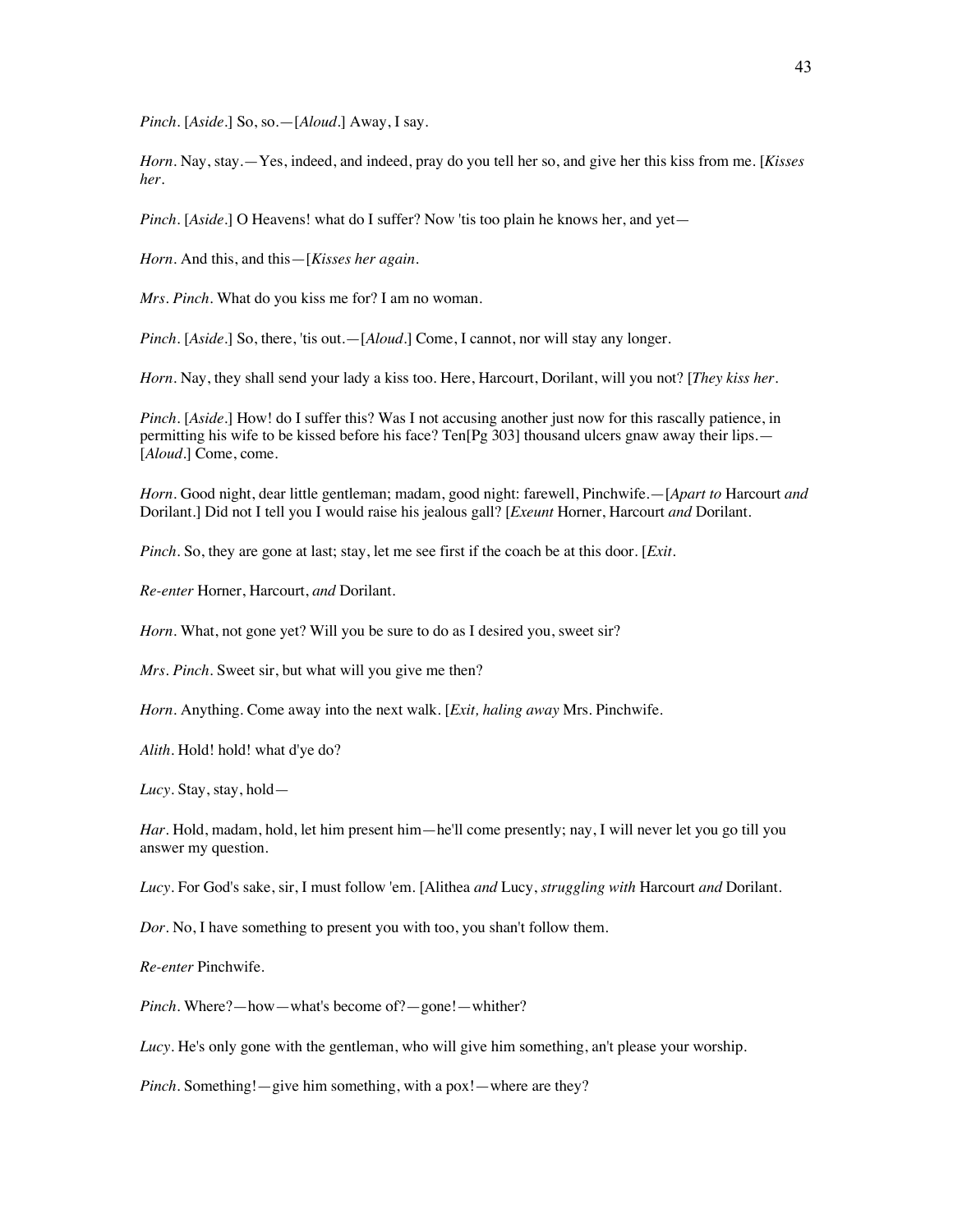*Pinch.* [*Aside.*] So, so.—[*Aloud.*] Away, I say.

*Horn.* Nay, stay.—Yes, indeed, and indeed, pray do you tell her so, and give her this kiss from me. [*Kisses her.*

*Pinch.* [*Aside.*] O Heavens! what do I suffer? Now 'tis too plain he knows her, and yet—

*Horn.* And this, and this—[*Kisses her again.*

*Mrs. Pinch.* What do you kiss me for? I am no woman.

*Pinch.* [*Aside.*] So, there, 'tis out.—[*Aloud.*] Come, I cannot, nor will stay any longer.

*Horn.* Nay, they shall send your lady a kiss too. Here, Harcourt, Dorilant, will you not? [*They kiss her.*

*Pinch.* [*Aside.*] How! do I suffer this? Was I not accusing another just now for this rascally patience, in permitting his wife to be kissed before his face? Ten[Pg 303] thousand ulcers gnaw away their lips.— [*Aloud.*] Come, come.

*Horn.* Good night, dear little gentleman; madam, good night: farewell, Pinchwife.—[*Apart to* Harcourt *and* Dorilant.] Did not I tell you I would raise his jealous gall? [*Exeunt* Horner, Harcourt *and* Dorilant.

*Pinch.* So, they are gone at last; stay, let me see first if the coach be at this door. [*Exit.*

*Re-enter* Horner, Harcourt, *and* Dorilant.

*Horn.* What, not gone yet? Will you be sure to do as I desired you, sweet sir?

*Mrs. Pinch.* Sweet sir, but what will you give me then?

*Horn.* Anything. Come away into the next walk. [*Exit, haling away* Mrs. Pinchwife.

*Alith.* Hold! hold! what d'ye do?

*Lucy.* Stay, stay, hold—

*Har.* Hold, madam, hold, let him present him—he'll come presently; nay, I will never let you go till you answer my question.

*Lucy.* For God's sake, sir, I must follow 'em. [Alithea *and* Lucy, *struggling with* Harcourt *and* Dorilant.

*Dor.* No, I have something to present you with too, you shan't follow them.

*Re-enter* Pinchwife.

*Pinch.* Where?—how—what's become of?—gone!—whither?

*Lucy.* He's only gone with the gentleman, who will give him something, an't please your worship.

*Pinch*. Something!—give him something, with a pox!—where are they?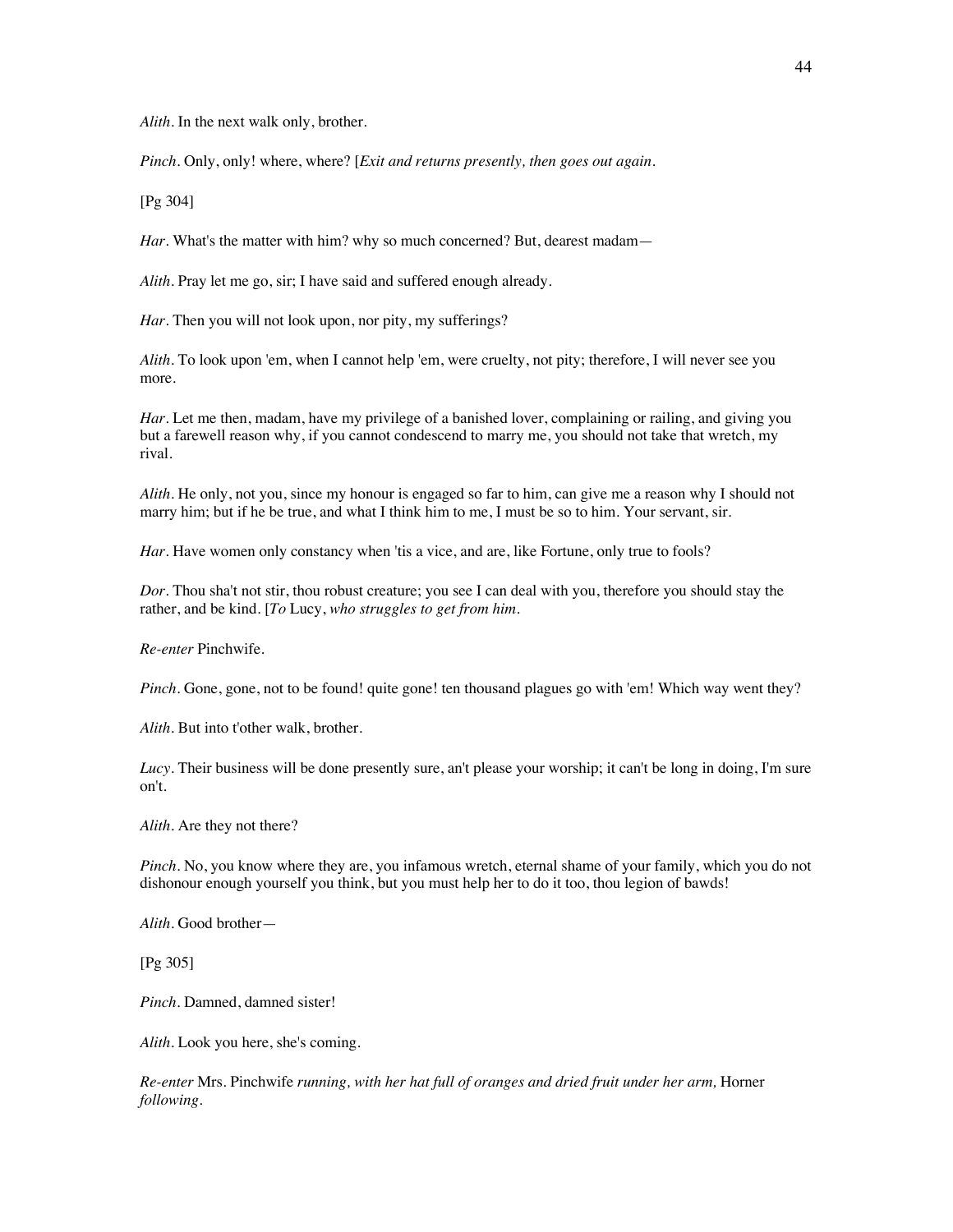*Alith.* In the next walk only, brother.

*Pinch.* Only, only! where, where? [*Exit and returns presently, then goes out again.*

[Pg 304]

*Har.* What's the matter with him? why so much concerned? But, dearest madam—

*Alith.* Pray let me go, sir; I have said and suffered enough already.

*Har.* Then you will not look upon, nor pity, my sufferings?

*Alith*. To look upon 'em, when I cannot help 'em, were cruelty, not pity; therefore, I will never see you more.

*Har.* Let me then, madam, have my privilege of a banished lover, complaining or railing, and giving you but a farewell reason why, if you cannot condescend to marry me, you should not take that wretch, my rival.

*Alith.* He only, not you, since my honour is engaged so far to him, can give me a reason why I should not marry him; but if he be true, and what I think him to me, I must be so to him. Your servant, sir.

Har. Have women only constancy when 'tis a vice, and are, like Fortune, only true to fools?

*Dor.* Thou sha't not stir, thou robust creature; you see I can deal with you, therefore you should stay the rather, and be kind. [*To* Lucy, *who struggles to get from him.*

*Re-enter* Pinchwife.

*Pinch*. Gone, gone, not to be found! quite gone! ten thousand plagues go with 'em! Which way went they?

*Alith.* But into t'other walk, brother.

*Lucy.* Their business will be done presently sure, an't please your worship; it can't be long in doing, I'm sure on't.

*Alith.* Are they not there?

*Pinch.* No, you know where they are, you infamous wretch, eternal shame of your family, which you do not dishonour enough yourself you think, but you must help her to do it too, thou legion of bawds!

*Alith.* Good brother—

[Pg 305]

*Pinch.* Damned, damned sister!

*Alith.* Look you here, she's coming.

*Re-enter* Mrs. Pinchwife *running, with her hat full of oranges and dried fruit under her arm,* Horner *following.*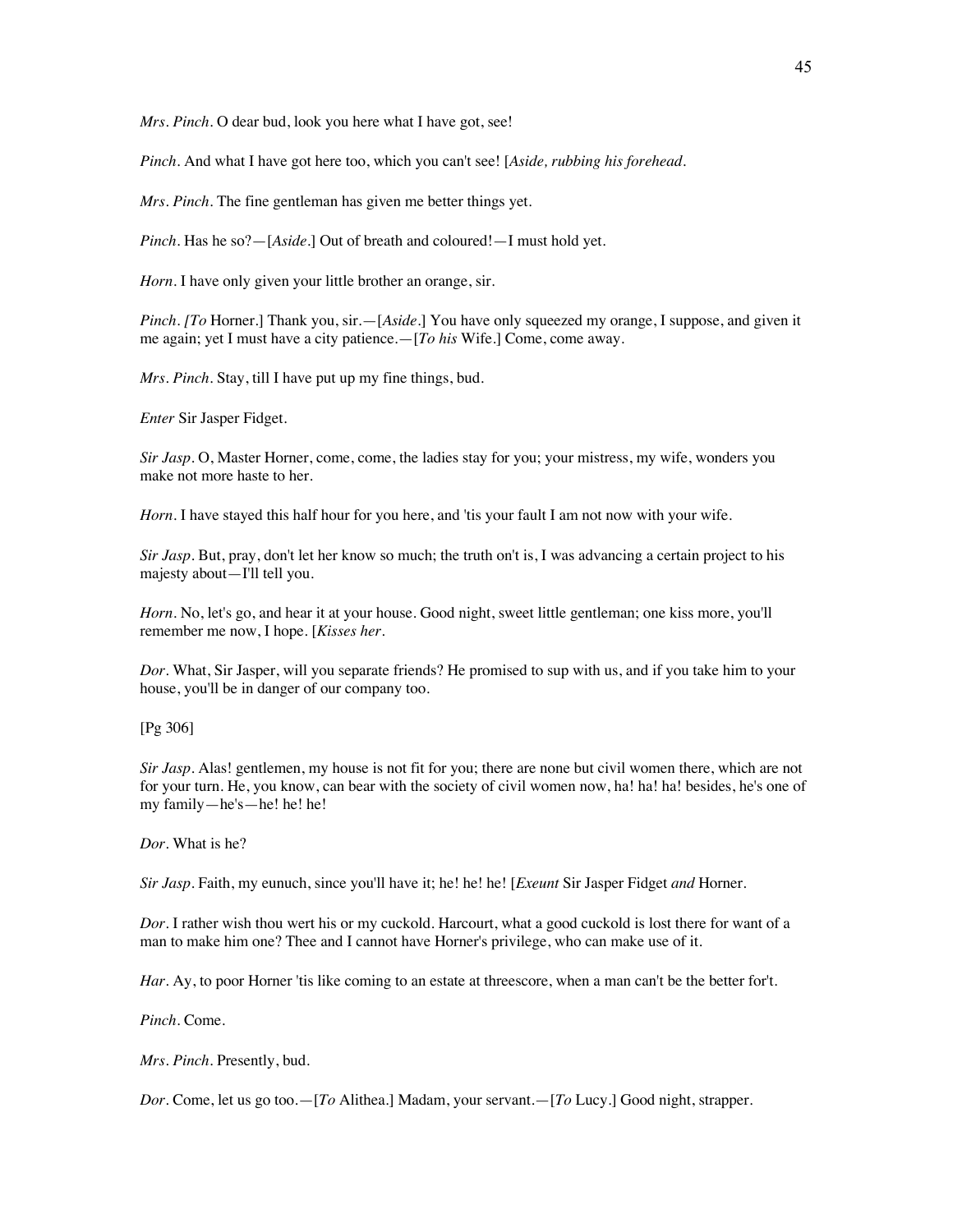*Mrs. Pinch.* O dear bud, look you here what I have got, see!

*Pinch.* And what I have got here too, which you can't see! [*Aside, rubbing his forehead.*

*Mrs. Pinch.* The fine gentleman has given me better things yet.

*Pinch.* Has he so?—[*Aside.*] Out of breath and coloured!—I must hold yet.

*Horn.* I have only given your little brother an orange, sir.

*Pinch. [To* Horner.] Thank you, sir.—[*Aside.*] You have only squeezed my orange, I suppose, and given it me again; yet I must have a city patience.—[*To his* Wife.] Come, come away.

*Mrs. Pinch.* Stay, till I have put up my fine things, bud.

*Enter* Sir Jasper Fidget.

*Sir Jasp.* O, Master Horner, come, come, the ladies stay for you; your mistress, my wife, wonders you make not more haste to her.

*Horn*. I have stayed this half hour for you here, and 'tis your fault I am not now with your wife.

*Sir Jasp.* But, pray, don't let her know so much; the truth on't is, I was advancing a certain project to his majesty about—I'll tell you.

*Horn.* No, let's go, and hear it at your house. Good night, sweet little gentleman; one kiss more, you'll remember me now, I hope. [*Kisses her.*

*Dor.* What, Sir Jasper, will you separate friends? He promised to sup with us, and if you take him to your house, you'll be in danger of our company too.

[Pg 306]

*Sir Jasp.* Alas! gentlemen, my house is not fit for you; there are none but civil women there, which are not for your turn. He, you know, can bear with the society of civil women now, ha! ha! ha! besides, he's one of my family—he's—he! he! he!

*Dor.* What is he?

*Sir Jasp.* Faith, my eunuch, since you'll have it; he! he! he! [*Exeunt* Sir Jasper Fidget *and* Horner.

*Dor.* I rather wish thou wert his or my cuckold. Harcourt, what a good cuckold is lost there for want of a man to make him one? Thee and I cannot have Horner's privilege, who can make use of it.

*Har.* Ay, to poor Horner 'tis like coming to an estate at threescore, when a man can't be the better for't.

*Pinch.* Come.

*Mrs. Pinch.* Presently, bud.

*Dor.* Come, let us go too.—[*To* Alithea.] Madam, your servant.—[*To* Lucy.] Good night, strapper.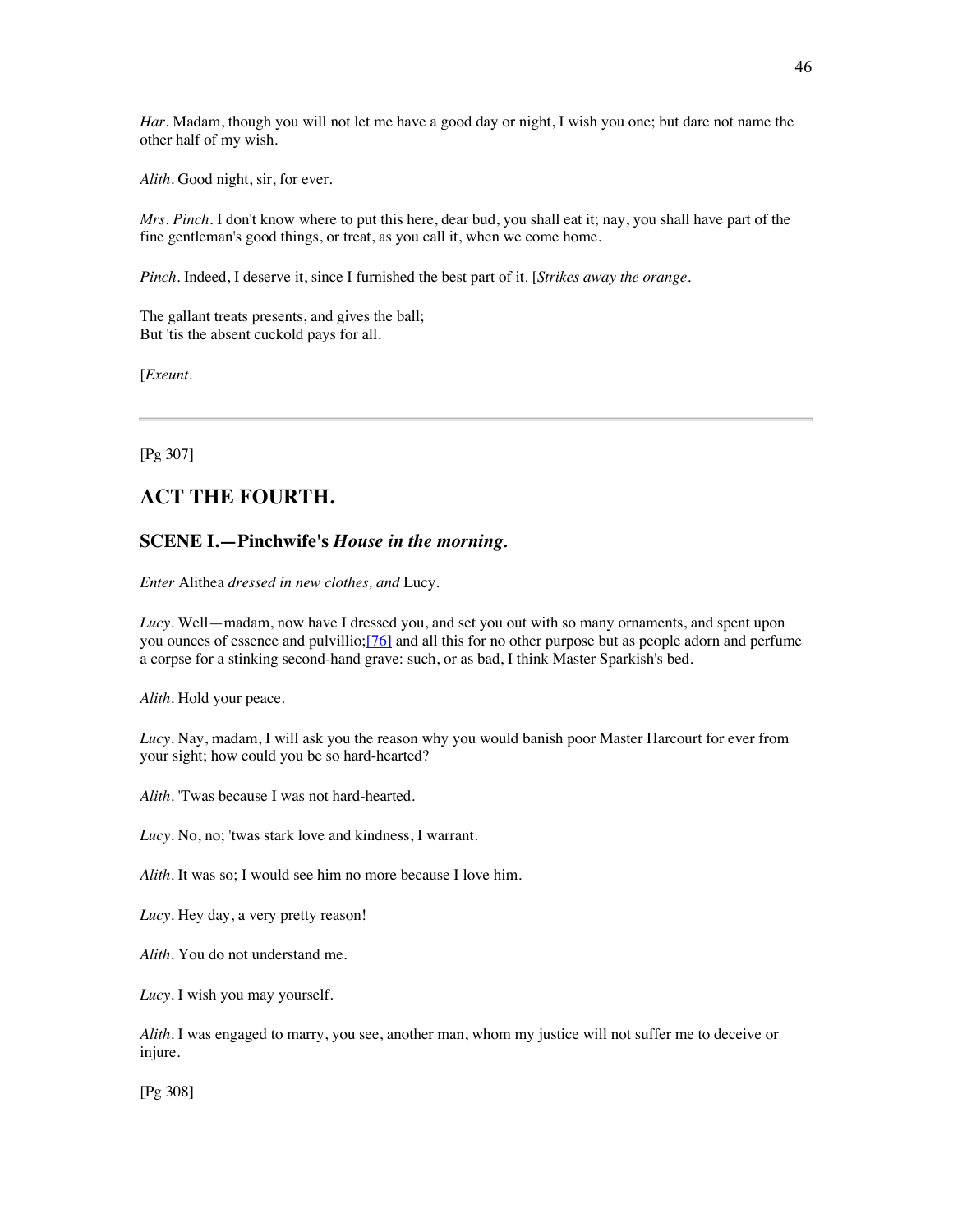*Har.* Madam, though you will not let me have a good day or night, I wish you one; but dare not name the other half of my wish.

*Alith.* Good night, sir, for ever.

*Mrs. Pinch.* I don't know where to put this here, dear bud, you shall eat it; nay, you shall have part of the fine gentleman's good things, or treat, as you call it, when we come home.

*Pinch.* Indeed, I deserve it, since I furnished the best part of it. [*Strikes away the orange.*

The gallant treats presents, and gives the ball; But 'tis the absent cuckold pays for all.

[*Exeunt.*

[Pg 307]

# **ACT THE FOURTH.**

# **SCENE I.—Pinchwife's** *House in the morning.*

*Enter* Alithea *dressed in new clothes, and* Lucy.

*Lucy.* Well—madam, now have I dressed you, and set you out with so many ornaments, and spent upon you ounces of essence and pulvillio;[76] and all this for no other purpose but as people adorn and perfume a corpse for a stinking second-hand grave: such, or as bad, I think Master Sparkish's bed.

*Alith.* Hold your peace.

*Lucy.* Nay, madam, I will ask you the reason why you would banish poor Master Harcourt for ever from your sight; how could you be so hard-hearted?

*Alith.* 'Twas because I was not hard-hearted.

*Lucy.* No, no; 'twas stark love and kindness, I warrant.

*Alith.* It was so; I would see him no more because I love him.

*Lucy.* Hey day, a very pretty reason!

*Alith.* You do not understand me.

*Lucy.* I wish you may yourself.

*Alith.* I was engaged to marry, you see, another man, whom my justice will not suffer me to deceive or injure.

[Pg 308]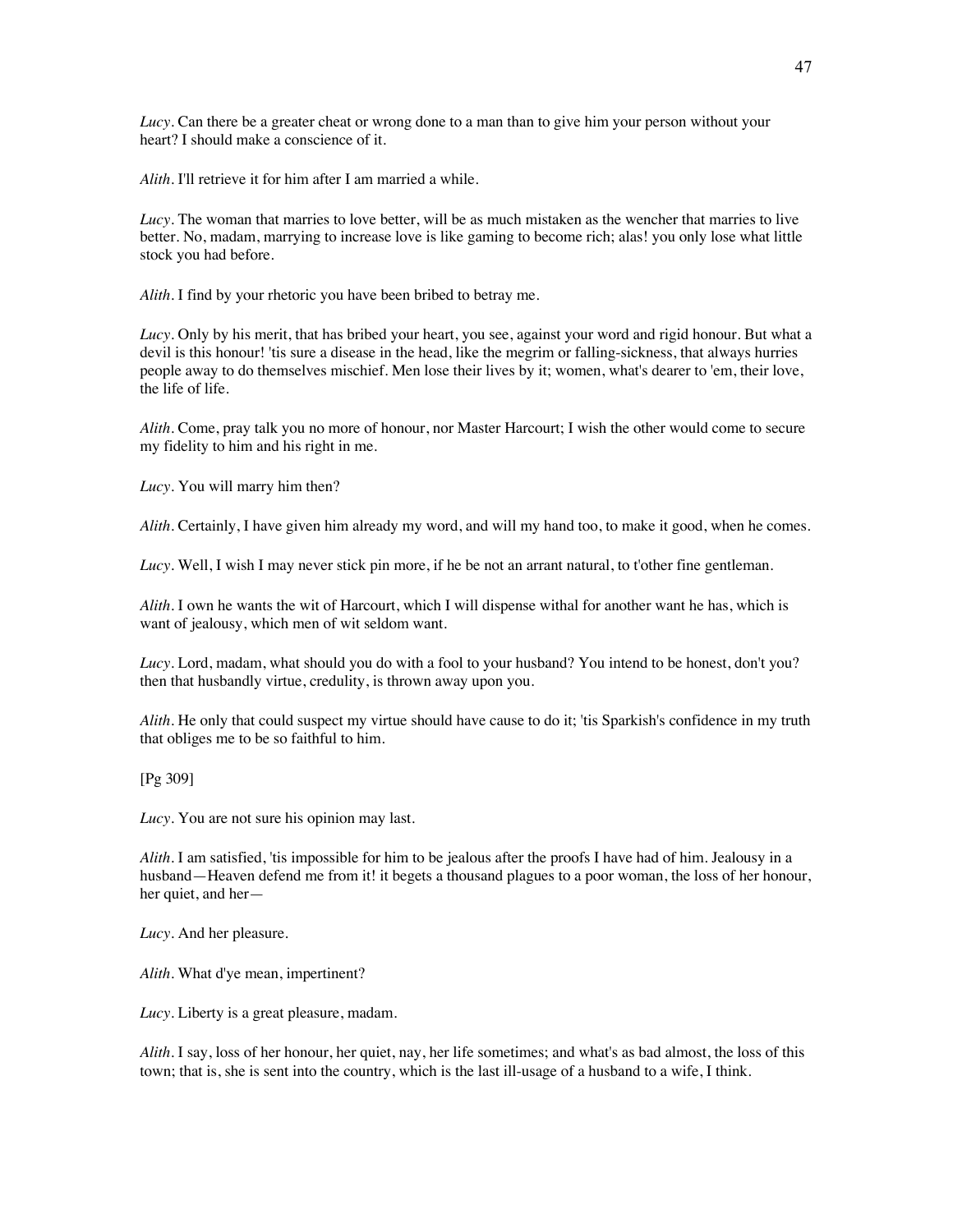*Lucy*. Can there be a greater cheat or wrong done to a man than to give him your person without your heart? I should make a conscience of it.

*Alith.* I'll retrieve it for him after I am married a while.

*Lucy.* The woman that marries to love better, will be as much mistaken as the wencher that marries to live better. No, madam, marrying to increase love is like gaming to become rich; alas! you only lose what little stock you had before.

*Alith.* I find by your rhetoric you have been bribed to betray me.

*Lucy.* Only by his merit, that has bribed your heart, you see, against your word and rigid honour. But what a devil is this honour! 'tis sure a disease in the head, like the megrim or falling-sickness, that always hurries people away to do themselves mischief. Men lose their lives by it; women, what's dearer to 'em, their love, the life of life.

*Alith.* Come, pray talk you no more of honour, nor Master Harcourt; I wish the other would come to secure my fidelity to him and his right in me.

*Lucy.* You will marry him then?

*Alith.* Certainly, I have given him already my word, and will my hand too, to make it good, when he comes.

*Lucy*. Well, I wish I may never stick pin more, if he be not an arrant natural, to t'other fine gentleman.

*Alith.* I own he wants the wit of Harcourt, which I will dispense withal for another want he has, which is want of jealousy, which men of wit seldom want.

*Lucy.* Lord, madam, what should you do with a fool to your husband? You intend to be honest, don't you? then that husbandly virtue, credulity, is thrown away upon you.

*Alith.* He only that could suspect my virtue should have cause to do it; 'tis Sparkish's confidence in my truth that obliges me to be so faithful to him.

[Pg 309]

*Lucy.* You are not sure his opinion may last.

*Alith.* I am satisfied, 'tis impossible for him to be jealous after the proofs I have had of him. Jealousy in a husband—Heaven defend me from it! it begets a thousand plagues to a poor woman, the loss of her honour, her quiet, and her—

*Lucy.* And her pleasure.

*Alith.* What d'ye mean, impertinent?

*Lucy.* Liberty is a great pleasure, madam.

*Alith.* I say, loss of her honour, her quiet, nay, her life sometimes; and what's as bad almost, the loss of this town; that is, she is sent into the country, which is the last ill-usage of a husband to a wife, I think.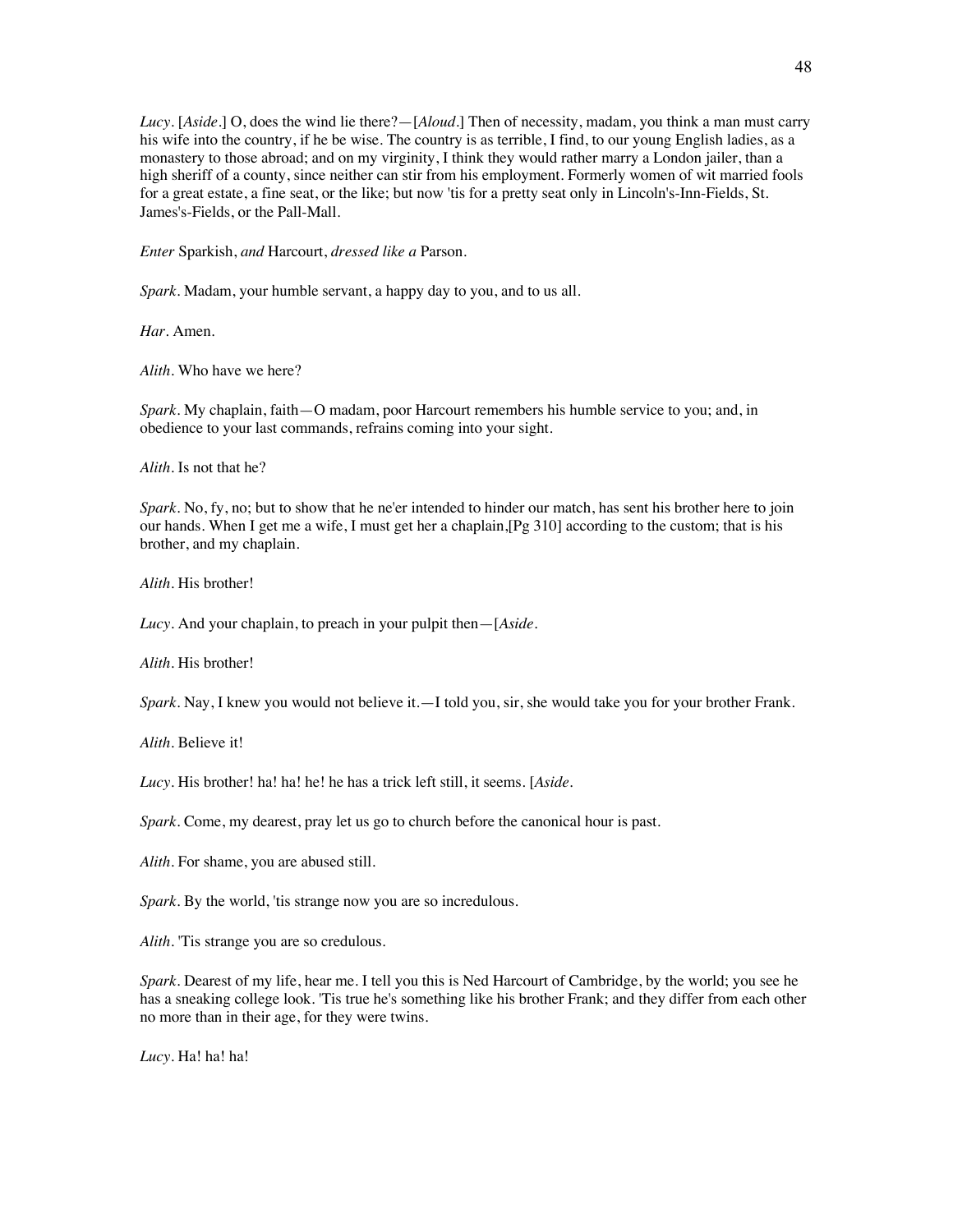*Lucy.* [*Aside.*] O, does the wind lie there?—[*Aloud.*] Then of necessity, madam, you think a man must carry his wife into the country, if he be wise. The country is as terrible, I find, to our young English ladies, as a monastery to those abroad; and on my virginity, I think they would rather marry a London jailer, than a high sheriff of a county, since neither can stir from his employment. Formerly women of wit married fools for a great estate, a fine seat, or the like; but now 'tis for a pretty seat only in Lincoln's-Inn-Fields, St. James's-Fields, or the Pall-Mall.

*Enter* Sparkish, *and* Harcourt, *dressed like a* Parson.

*Spark.* Madam, your humble servant, a happy day to you, and to us all.

*Har.* Amen.

*Alith.* Who have we here?

*Spark.* My chaplain, faith—O madam, poor Harcourt remembers his humble service to you; and, in obedience to your last commands, refrains coming into your sight.

*Alith.* Is not that he?

*Spark.* No, fy, no; but to show that he ne'er intended to hinder our match, has sent his brother here to join our hands. When I get me a wife, I must get her a chaplain,[Pg 310] according to the custom; that is his brother, and my chaplain.

*Alith.* His brother!

*Lucy.* And your chaplain, to preach in your pulpit then—[*Aside.*

*Alith.* His brother!

*Spark.* Nay, I knew you would not believe it.—I told you, sir, she would take you for your brother Frank.

*Alith.* Believe it!

*Lucy.* His brother! ha! ha! he! he has a trick left still, it seems. [*Aside.*

*Spark.* Come, my dearest, pray let us go to church before the canonical hour is past.

*Alith.* For shame, you are abused still.

*Spark.* By the world, 'tis strange now you are so incredulous.

*Alith.* 'Tis strange you are so credulous.

*Spark.* Dearest of my life, hear me. I tell you this is Ned Harcourt of Cambridge, by the world; you see he has a sneaking college look. 'Tis true he's something like his brother Frank; and they differ from each other no more than in their age, for they were twins.

*Lucy.* Ha! ha! ha!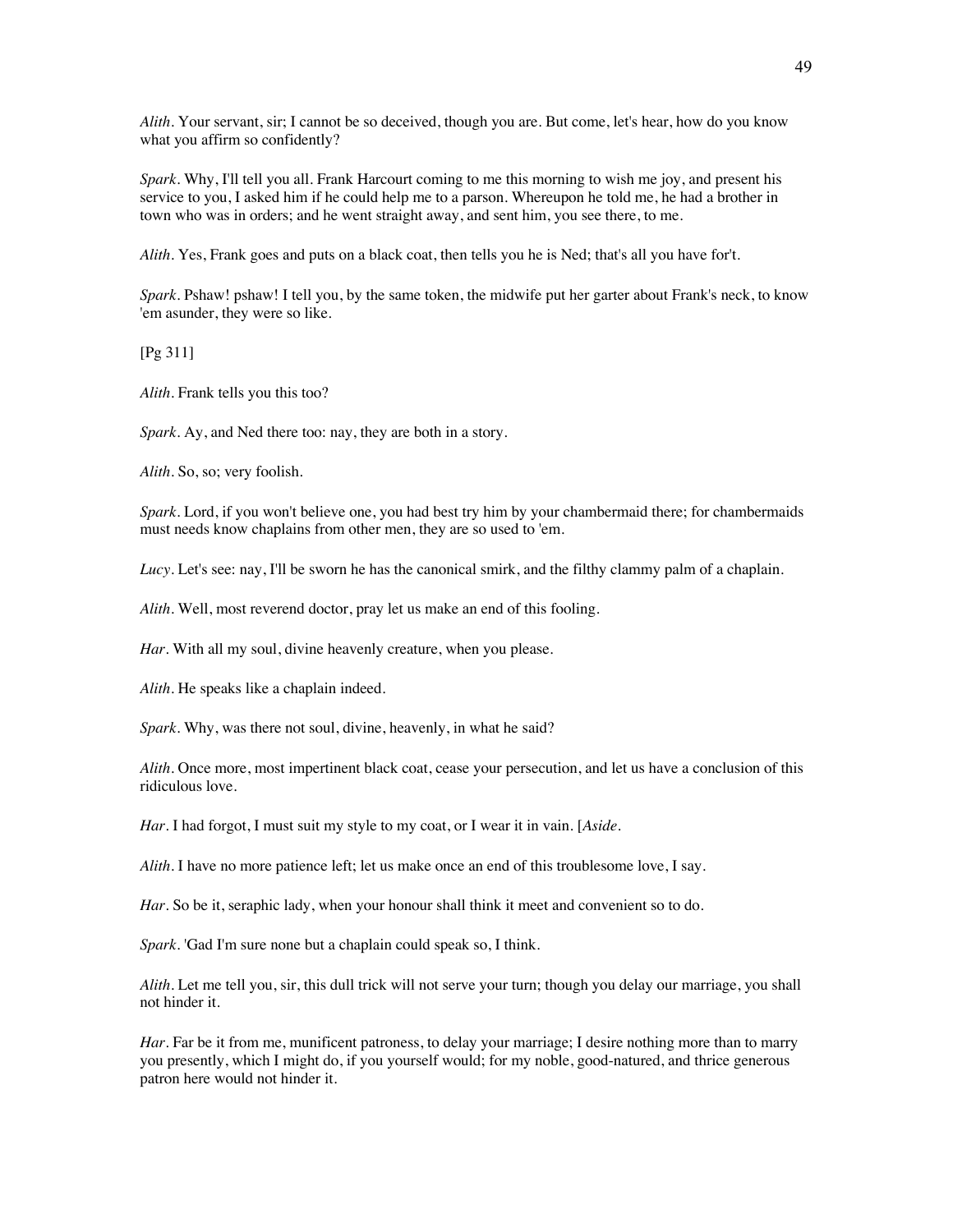*Alith.* Your servant, sir; I cannot be so deceived, though you are. But come, let's hear, how do you know what you affirm so confidently?

*Spark.* Why, I'll tell you all. Frank Harcourt coming to me this morning to wish me joy, and present his service to you, I asked him if he could help me to a parson. Whereupon he told me, he had a brother in town who was in orders; and he went straight away, and sent him, you see there, to me.

*Alith.* Yes, Frank goes and puts on a black coat, then tells you he is Ned; that's all you have for't.

*Spark.* Pshaw! pshaw! I tell you, by the same token, the midwife put her garter about Frank's neck, to know 'em asunder, they were so like.

[Pg 311]

*Alith.* Frank tells you this too?

*Spark.* Ay, and Ned there too: nay, they are both in a story.

*Alith.* So, so; very foolish.

*Spark.* Lord, if you won't believe one, you had best try him by your chambermaid there; for chambermaids must needs know chaplains from other men, they are so used to 'em.

*Lucy.* Let's see: nay, I'll be sworn he has the canonical smirk, and the filthy clammy palm of a chaplain.

*Alith.* Well, most reverend doctor, pray let us make an end of this fooling.

*Har.* With all my soul, divine heavenly creature, when you please.

*Alith.* He speaks like a chaplain indeed.

*Spark.* Why, was there not soul, divine, heavenly, in what he said?

*Alith.* Once more, most impertinent black coat, cease your persecution, and let us have a conclusion of this ridiculous love.

*Har.* I had forgot, I must suit my style to my coat, or I wear it in vain. [*Aside.*

*Alith.* I have no more patience left; let us make once an end of this troublesome love, I say.

*Har.* So be it, seraphic lady, when your honour shall think it meet and convenient so to do.

*Spark.* 'Gad I'm sure none but a chaplain could speak so, I think.

*Alith.* Let me tell you, sir, this dull trick will not serve your turn; though you delay our marriage, you shall not hinder it.

*Har.* Far be it from me, munificent patroness, to delay your marriage; I desire nothing more than to marry you presently, which I might do, if you yourself would; for my noble, good-natured, and thrice generous patron here would not hinder it.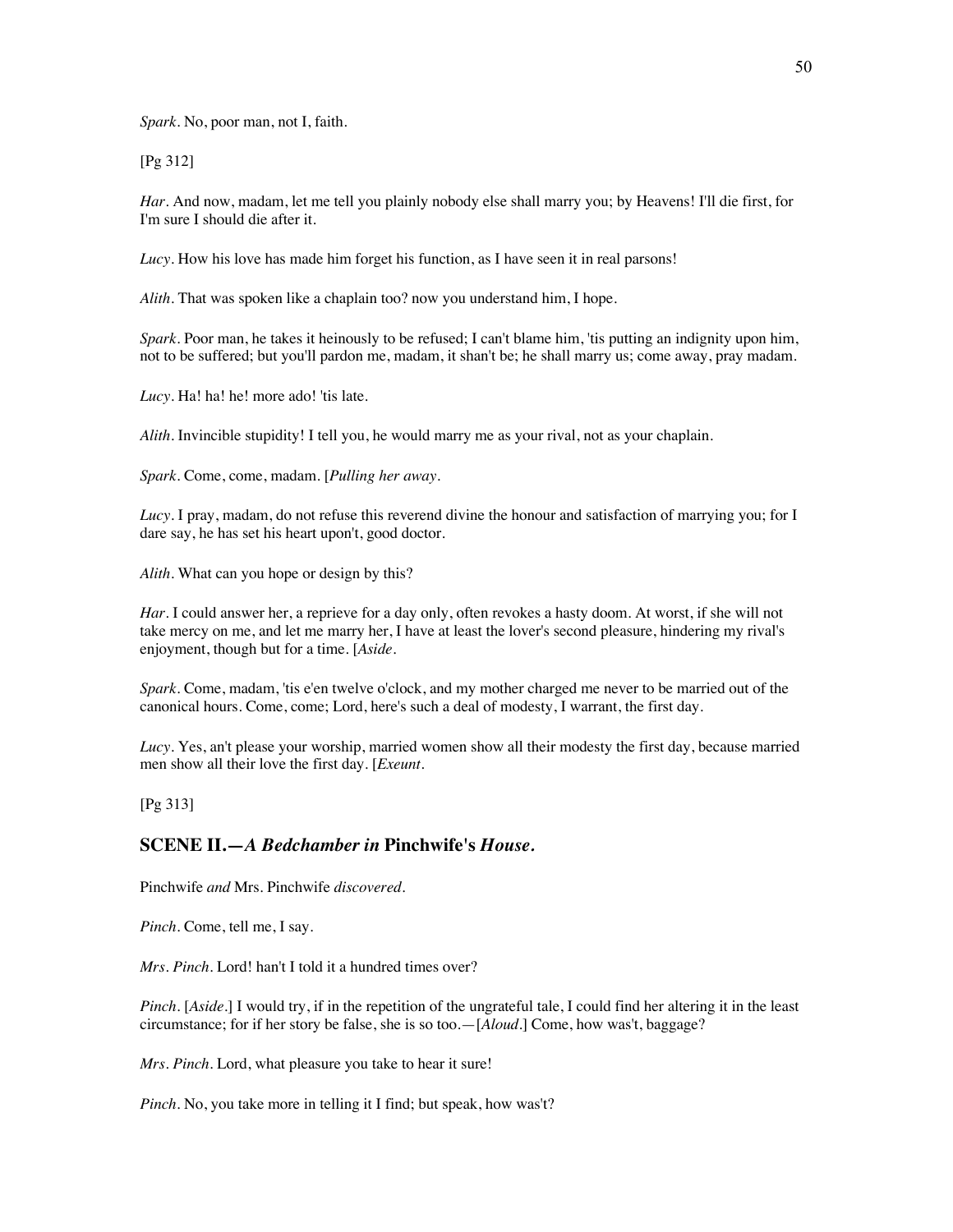*Spark.* No, poor man, not I, faith.

[Pg 312]

*Har.* And now, madam, let me tell you plainly nobody else shall marry you; by Heavens! I'll die first, for I'm sure I should die after it.

*Lucy*. How his love has made him forget his function, as I have seen it in real parsons!

*Alith.* That was spoken like a chaplain too? now you understand him, I hope.

*Spark.* Poor man, he takes it heinously to be refused; I can't blame him, 'tis putting an indignity upon him, not to be suffered; but you'll pardon me, madam, it shan't be; he shall marry us; come away, pray madam.

Lucy. Ha! ha! he! more ado! 'tis late.

*Alith.* Invincible stupidity! I tell you, he would marry me as your rival, not as your chaplain.

*Spark.* Come, come, madam. [*Pulling her away.*

*Lucy.* I pray, madam, do not refuse this reverend divine the honour and satisfaction of marrying you; for I dare say, he has set his heart upon't, good doctor.

*Alith.* What can you hope or design by this?

*Har.* I could answer her, a reprieve for a day only, often revokes a hasty doom. At worst, if she will not take mercy on me, and let me marry her, I have at least the lover's second pleasure, hindering my rival's enjoyment, though but for a time. [*Aside*.

*Spark.* Come, madam, 'tis e'en twelve o'clock, and my mother charged me never to be married out of the canonical hours. Come, come; Lord, here's such a deal of modesty, I warrant, the first day.

*Lucy.* Yes, an't please your worship, married women show all their modesty the first day, because married men show all their love the first day. [*Exeunt.*

[Pg 313]

### **SCENE II.—***A Bedchamber in* **Pinchwife's** *House.*

Pinchwife *and* Mrs. Pinchwife *discovered.*

*Pinch.* Come, tell me, I say.

*Mrs. Pinch.* Lord! han't I told it a hundred times over?

*Pinch.* [*Aside.*] I would try, if in the repetition of the ungrateful tale, I could find her altering it in the least circumstance; for if her story be false, she is so too.—[*Aloud.*] Come, how was't, baggage?

*Mrs. Pinch.* Lord, what pleasure you take to hear it sure!

*Pinch*. No, you take more in telling it I find; but speak, how was't?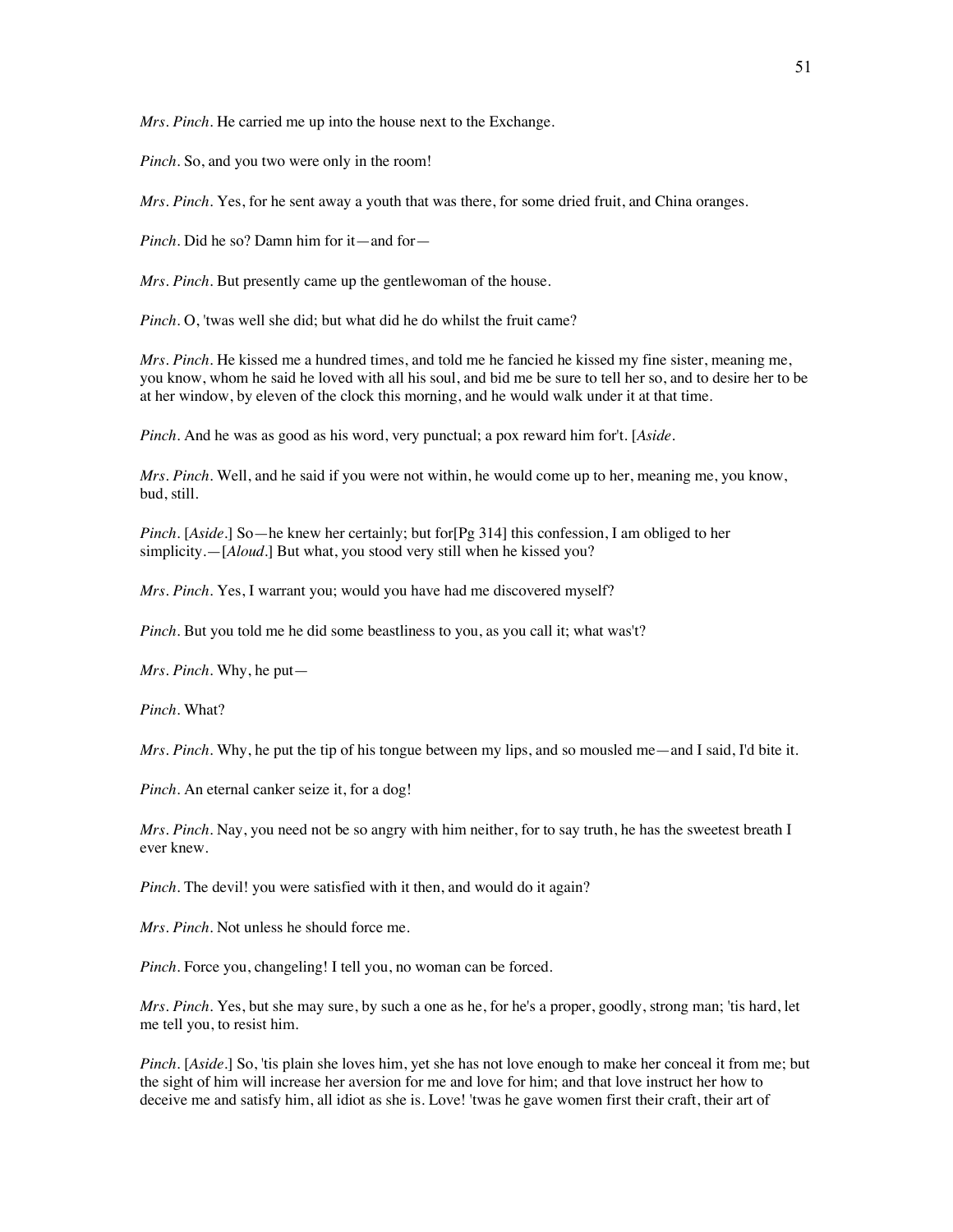*Mrs. Pinch.* He carried me up into the house next to the Exchange.

*Pinch.* So, and you two were only in the room!

*Mrs. Pinch.* Yes, for he sent away a youth that was there, for some dried fruit, and China oranges.

*Pinch.* Did he so? Damn him for it—and for—

*Mrs. Pinch.* But presently came up the gentlewoman of the house.

*Pinch*. O, 'twas well she did; but what did he do whilst the fruit came?

*Mrs. Pinch.* He kissed me a hundred times, and told me he fancied he kissed my fine sister, meaning me, you know, whom he said he loved with all his soul, and bid me be sure to tell her so, and to desire her to be at her window, by eleven of the clock this morning, and he would walk under it at that time.

*Pinch.* And he was as good as his word, very punctual; a pox reward him for't. [*Aside.*

*Mrs. Pinch.* Well, and he said if you were not within, he would come up to her, meaning me, you know, bud, still.

*Pinch.* [*Aside.*] So—he knew her certainly; but for[Pg 314] this confession, I am obliged to her simplicity.—[*Aloud.*] But what, you stood very still when he kissed you?

*Mrs. Pinch.* Yes, I warrant you; would you have had me discovered myself?

*Pinch.* But you told me he did some beastliness to you, as you call it; what was't?

*Mrs. Pinch.* Why, he put—

*Pinch.* What?

*Mrs. Pinch.* Why, he put the tip of his tongue between my lips, and so mousled me—and I said, I'd bite it.

*Pinch.* An eternal canker seize it, for a dog!

*Mrs. Pinch*. Nay, you need not be so angry with him neither, for to say truth, he has the sweetest breath I ever knew.

*Pinch*. The devil! you were satisfied with it then, and would do it again?

*Mrs. Pinch.* Not unless he should force me.

*Pinch.* Force you, changeling! I tell you, no woman can be forced.

*Mrs. Pinch.* Yes, but she may sure, by such a one as he, for he's a proper, goodly, strong man; 'tis hard, let me tell you, to resist him.

*Pinch.* [*Aside.*] So, 'tis plain she loves him, yet she has not love enough to make her conceal it from me; but the sight of him will increase her aversion for me and love for him; and that love instruct her how to deceive me and satisfy him, all idiot as she is. Love! 'twas he gave women first their craft, their art of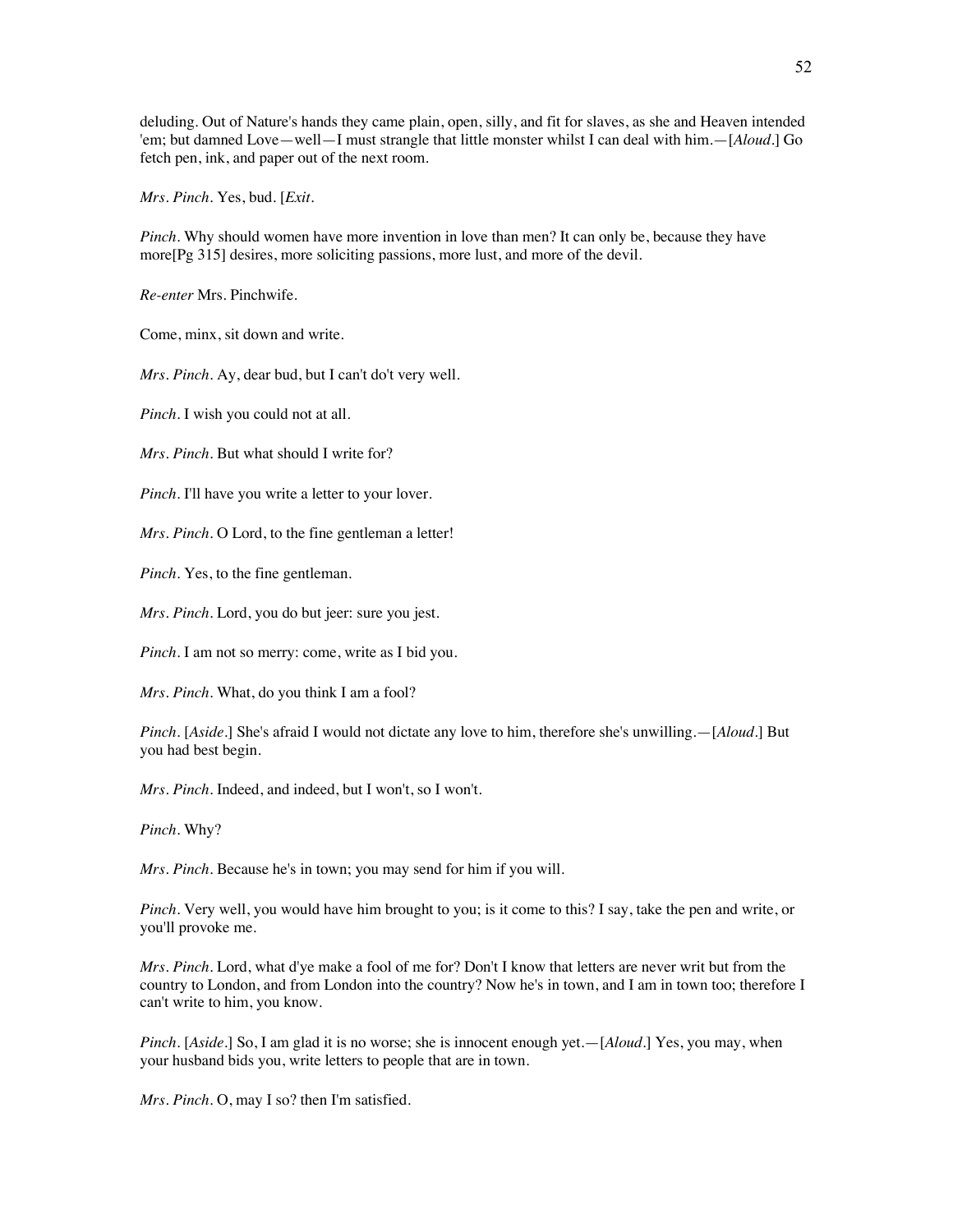deluding. Out of Nature's hands they came plain, open, silly, and fit for slaves, as she and Heaven intended 'em; but damned Love—well—I must strangle that little monster whilst I can deal with him.—[*Aloud.*] Go fetch pen, ink, and paper out of the next room.

*Mrs. Pinch.* Yes, bud. [*Exit.*

*Pinch*. Why should women have more invention in love than men? It can only be, because they have more[Pg 315] desires, more soliciting passions, more lust, and more of the devil.

*Re-enter* Mrs. Pinchwife.

Come, minx, sit down and write.

*Mrs. Pinch.* Ay, dear bud, but I can't do't very well.

*Pinch.* I wish you could not at all.

*Mrs. Pinch.* But what should I write for?

*Pinch.* I'll have you write a letter to your lover.

*Mrs. Pinch.* O Lord, to the fine gentleman a letter!

*Pinch.* Yes, to the fine gentleman.

*Mrs. Pinch.* Lord, you do but jeer: sure you jest.

*Pinch.* I am not so merry: come, write as I bid you.

*Mrs. Pinch.* What, do you think I am a fool?

*Pinch.* [*Aside.*] She's afraid I would not dictate any love to him, therefore she's unwilling.—[*Aloud.*] But you had best begin.

*Mrs. Pinch.* Indeed, and indeed, but I won't, so I won't.

*Pinch.* Why?

*Mrs. Pinch.* Because he's in town; you may send for him if you will.

*Pinch.* Very well, you would have him brought to you; is it come to this? I say, take the pen and write, or you'll provoke me.

*Mrs. Pinch.* Lord, what d'ye make a fool of me for? Don't I know that letters are never writ but from the country to London, and from London into the country? Now he's in town, and I am in town too; therefore I can't write to him, you know.

*Pinch.* [*Aside.*] So, I am glad it is no worse; she is innocent enough yet.—[*Aloud.*] Yes, you may, when your husband bids you, write letters to people that are in town.

*Mrs. Pinch.* O, may I so? then I'm satisfied.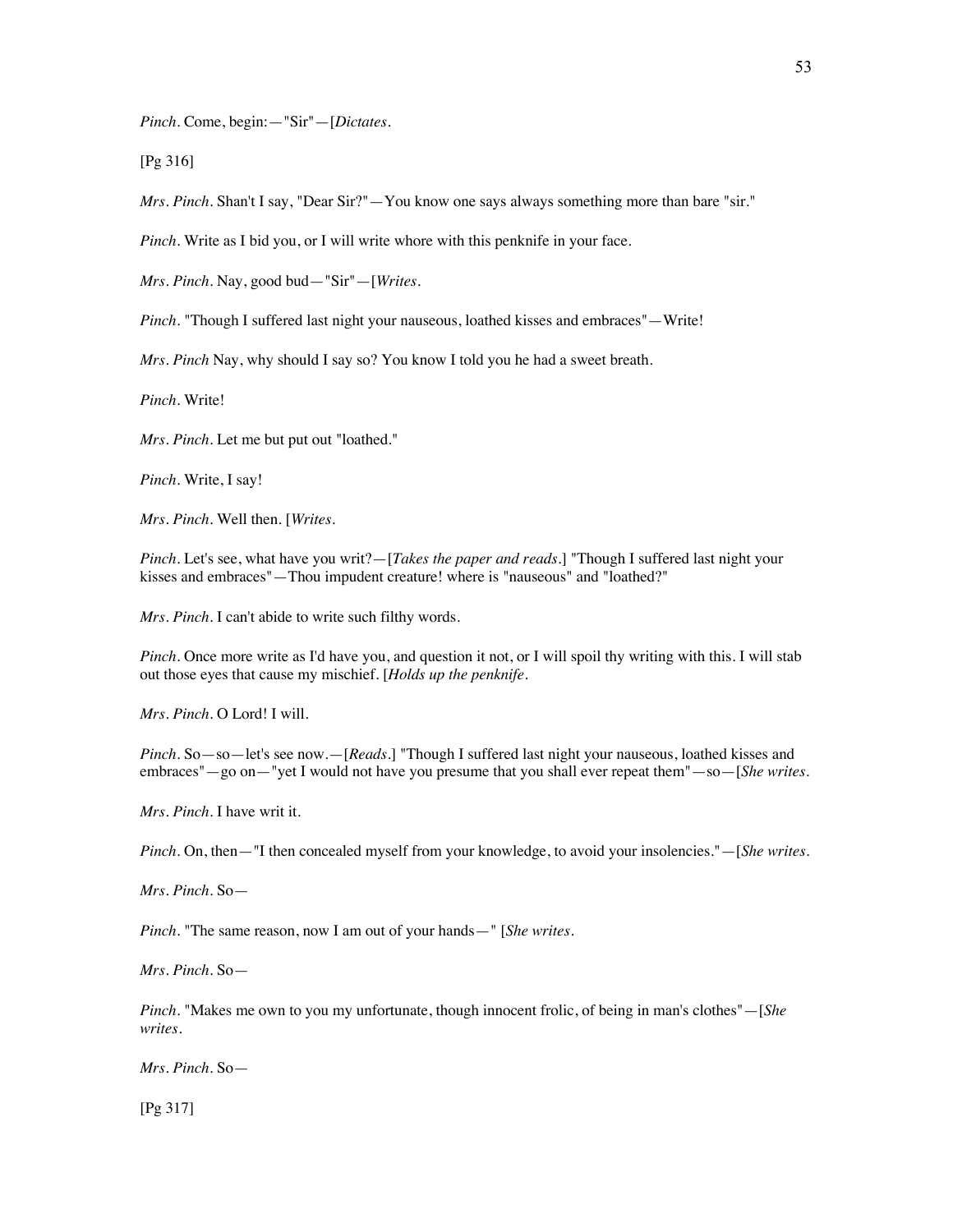*Pinch.* Come, begin:—"Sir"—[*Dictates.*

[Pg 316]

*Mrs. Pinch.* Shan't I say, "Dear Sir?"—You know one says always something more than bare "sir."

*Pinch*. Write as I bid you, or I will write whore with this penknife in your face.

*Mrs. Pinch.* Nay, good bud—"Sir"—[*Writes.*

*Pinch.* "Though I suffered last night your nauseous, loathed kisses and embraces"—Write!

*Mrs. Pinch* Nay, why should I say so? You know I told you he had a sweet breath.

*Pinch.* Write!

*Mrs. Pinch.* Let me but put out "loathed."

*Pinch.* Write, I say!

*Mrs. Pinch.* Well then. [*Writes.*

*Pinch.* Let's see, what have you writ?—[*Takes the paper and reads.*] "Though I suffered last night your kisses and embraces"—Thou impudent creature! where is "nauseous" and "loathed?"

*Mrs. Pinch.* I can't abide to write such filthy words.

*Pinch*. Once more write as I'd have you, and question it not, or I will spoil thy writing with this. I will stab out those eyes that cause my mischief. [*Holds up the penknife.*

*Mrs. Pinch.* O Lord! I will.

*Pinch.* So—so—let's see now.—[*Reads.*] "Though I suffered last night your nauseous, loathed kisses and embraces"—go on—"yet I would not have you presume that you shall ever repeat them"—so—[*She writes.*

*Mrs. Pinch.* I have writ it.

*Pinch.* On, then—"I then concealed myself from your knowledge, to avoid your insolencies."—[*She writes.*

*Mrs. Pinch.* So—

*Pinch.* "The same reason, now I am out of your hands—" [*She writes.*

*Mrs. Pinch.* So—

*Pinch.* "Makes me own to you my unfortunate, though innocent frolic, of being in man's clothes"—[*She writes.*

*Mrs. Pinch.* So—

[Pg 317]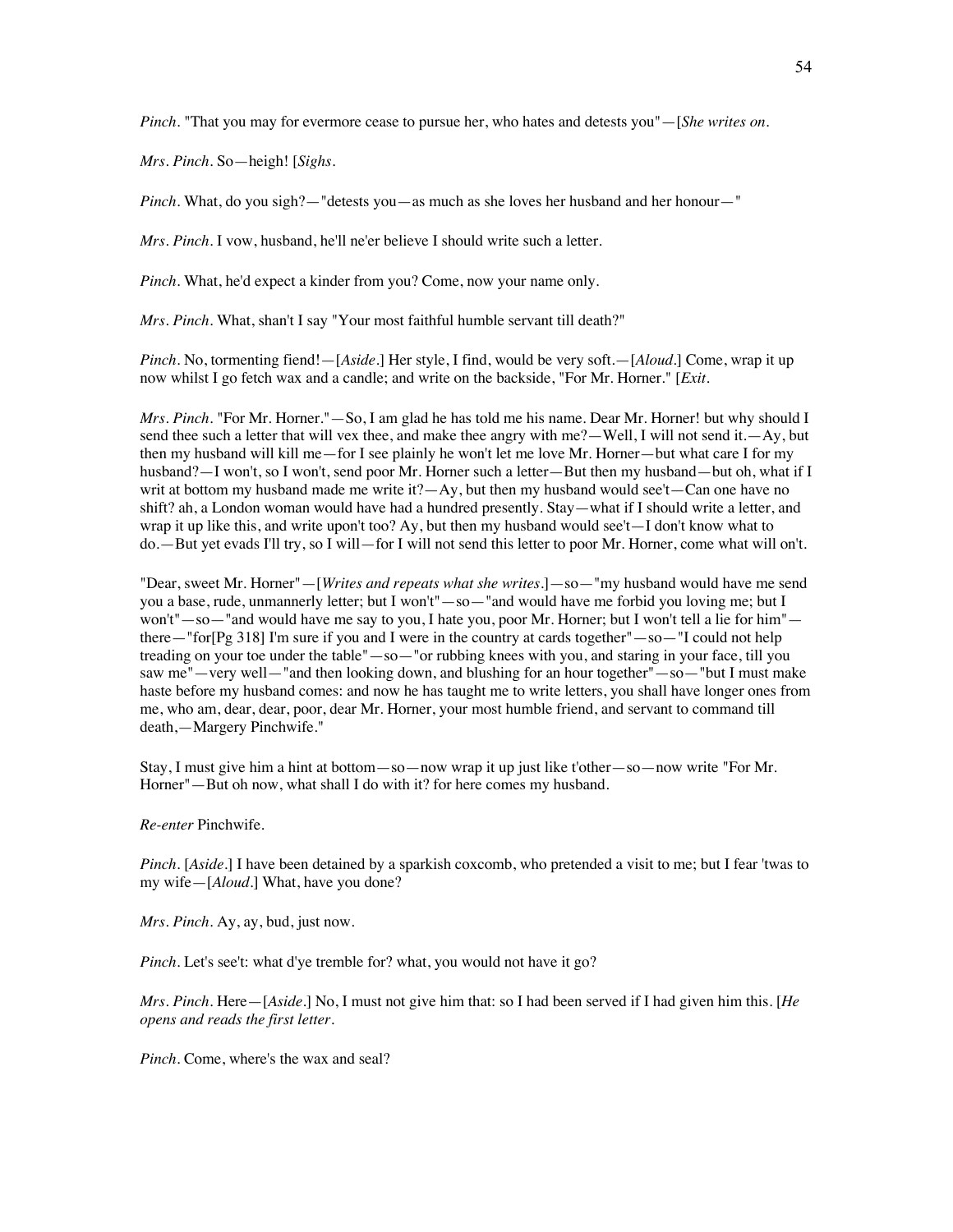*Pinch.* "That you may for evermore cease to pursue her, who hates and detests you"—[*She writes on.*

*Mrs. Pinch.* So—heigh! [*Sighs.*

*Pinch.* What, do you sigh?—"detests you—as much as she loves her husband and her honour—"

*Mrs. Pinch.* I vow, husband, he'll ne'er believe I should write such a letter.

*Pinch.* What, he'd expect a kinder from you? Come, now your name only.

*Mrs. Pinch.* What, shan't I say "Your most faithful humble servant till death?"

*Pinch.* No, tormenting fiend!—[*Aside.*] Her style, I find, would be very soft.—[*Aloud.*] Come, wrap it up now whilst I go fetch wax and a candle; and write on the backside, "For Mr. Horner." [*Exit.*

*Mrs. Pinch.* "For Mr. Horner."—So, I am glad he has told me his name. Dear Mr. Horner! but why should I send thee such a letter that will vex thee, and make thee angry with me?—Well, I will not send it.—Ay, but then my husband will kill me—for I see plainly he won't let me love Mr. Horner—but what care I for my husband?—I won't, so I won't, send poor Mr. Horner such a letter—But then my husband—but oh, what if I writ at bottom my husband made me write it?—Ay, but then my husband would see't—Can one have no shift? ah, a London woman would have had a hundred presently. Stay—what if I should write a letter, and wrap it up like this, and write upon't too? Ay, but then my husband would see't—I don't know what to do.—But yet evads I'll try, so I will—for I will not send this letter to poor Mr. Horner, come what will on't.

"Dear, sweet Mr. Horner"—[*Writes and repeats what she writes.*]—so—"my husband would have me send you a base, rude, unmannerly letter; but I won't"—so—"and would have me forbid you loving me; but I won't"—so—"and would have me say to you, I hate you, poor Mr. Horner; but I won't tell a lie for him" there—"for[Pg 318] I'm sure if you and I were in the country at cards together"—so—"I could not help treading on your toe under the table"—so—"or rubbing knees with you, and staring in your face, till you saw me"—very well—"and then looking down, and blushing for an hour together"—so—"but I must make haste before my husband comes: and now he has taught me to write letters, you shall have longer ones from me, who am, dear, dear, poor, dear Mr. Horner, your most humble friend, and servant to command till death,—Margery Pinchwife."

Stay, I must give him a hint at bottom—so—now wrap it up just like t'other—so—now write "For Mr. Horner"—But oh now, what shall I do with it? for here comes my husband.

*Re-enter* Pinchwife.

*Pinch.* [*Aside.*] I have been detained by a sparkish coxcomb, who pretended a visit to me; but I fear 'twas to my wife—[*Aloud.*] What, have you done?

*Mrs. Pinch.* Ay, ay, bud, just now.

*Pinch.* Let's see't: what d'ye tremble for? what, you would not have it go?

*Mrs. Pinch.* Here—[*Aside.*] No, I must not give him that: so I had been served if I had given him this. [*He opens and reads the first letter.*

*Pinch.* Come, where's the wax and seal?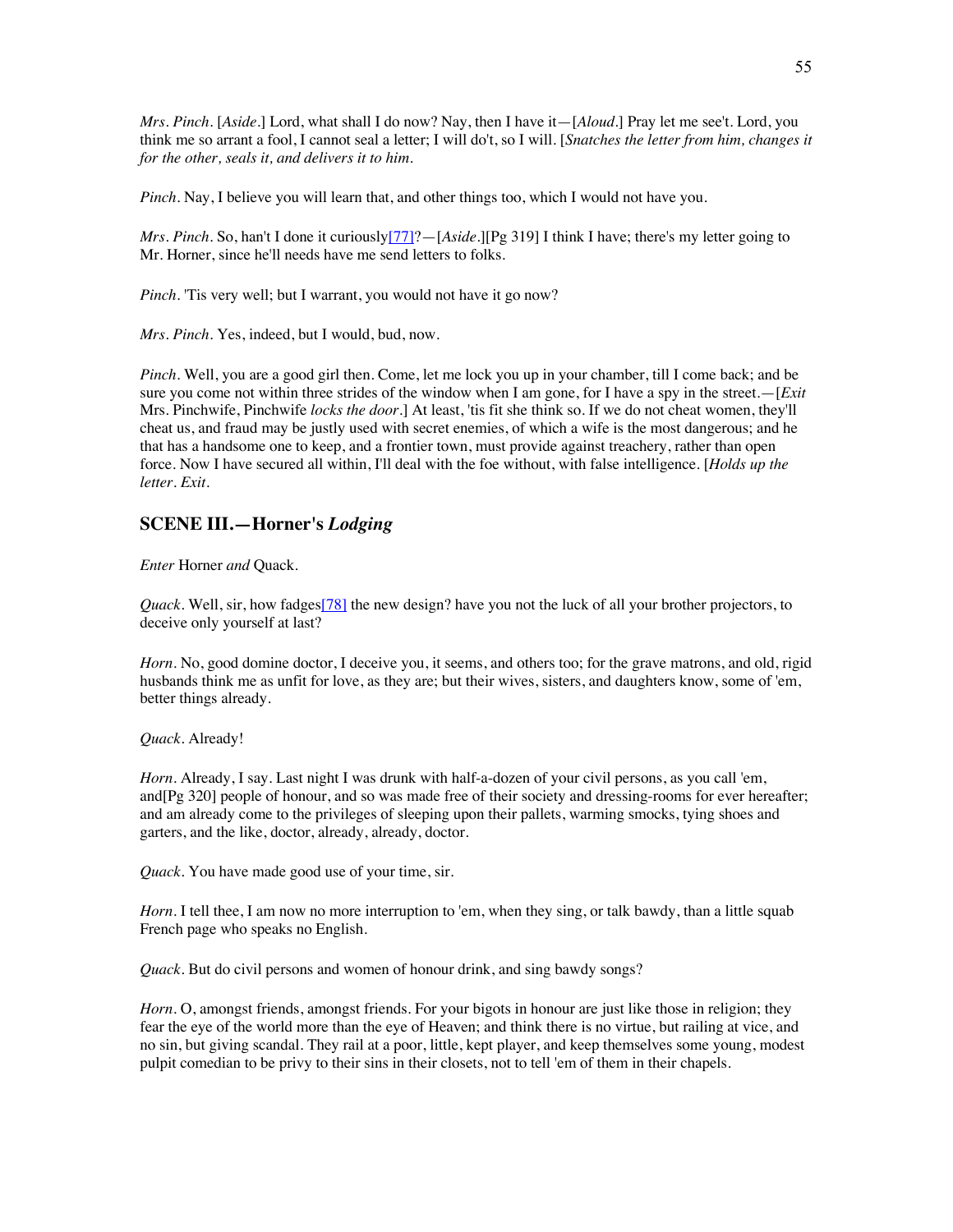*Mrs. Pinch.* [*Aside.*] Lord, what shall I do now? Nay, then I have it—[*Aloud.*] Pray let me see't. Lord, you think me so arrant a fool, I cannot seal a letter; I will do't, so I will. [*Snatches the letter from him, changes it for the other, seals it, and delivers it to him.*

*Pinch.* Nay, I believe you will learn that, and other things too, which I would not have you.

*Mrs. Pinch.* So, han't I done it curiously[77]?—[*Aside.*][Pg 319] I think I have; there's my letter going to Mr. Horner, since he'll needs have me send letters to folks.

*Pinch*. Tis very well; but I warrant, you would not have it go now?

*Mrs. Pinch.* Yes, indeed, but I would, bud, now.

*Pinch*. Well, you are a good girl then. Come, let me lock you up in your chamber, till I come back; and be sure you come not within three strides of the window when I am gone, for I have a spy in the street.—[*Exit* Mrs. Pinchwife, Pinchwife *locks the door.*] At least, 'tis fit she think so. If we do not cheat women, they'll cheat us, and fraud may be justly used with secret enemies, of which a wife is the most dangerous; and he that has a handsome one to keep, and a frontier town, must provide against treachery, rather than open force. Now I have secured all within, I'll deal with the foe without, with false intelligence. [*Holds up the letter. Exit.*

### **SCENE III.—Horner's** *Lodging*

*Enter* Horner *and* Quack.

*Quack.* Well, sir, how fadges[78] the new design? have you not the luck of all your brother projectors, to deceive only yourself at last?

*Horn*. No, good domine doctor, I deceive you, it seems, and others too; for the grave matrons, and old, rigid husbands think me as unfit for love, as they are; but their wives, sisters, and daughters know, some of 'em, better things already.

*Quack.* Already!

*Horn.* Already, I say. Last night I was drunk with half-a-dozen of your civil persons, as you call 'em, and[Pg 320] people of honour, and so was made free of their society and dressing-rooms for ever hereafter; and am already come to the privileges of sleeping upon their pallets, warming smocks, tying shoes and garters, and the like, doctor, already, already, doctor.

*Quack.* You have made good use of your time, sir.

*Horn*. I tell thee, I am now no more interruption to 'em, when they sing, or talk bawdy, than a little squab French page who speaks no English.

*Quack.* But do civil persons and women of honour drink, and sing bawdy songs?

*Horn.* O, amongst friends, amongst friends. For your bigots in honour are just like those in religion; they fear the eye of the world more than the eye of Heaven; and think there is no virtue, but railing at vice, and no sin, but giving scandal. They rail at a poor, little, kept player, and keep themselves some young, modest pulpit comedian to be privy to their sins in their closets, not to tell 'em of them in their chapels.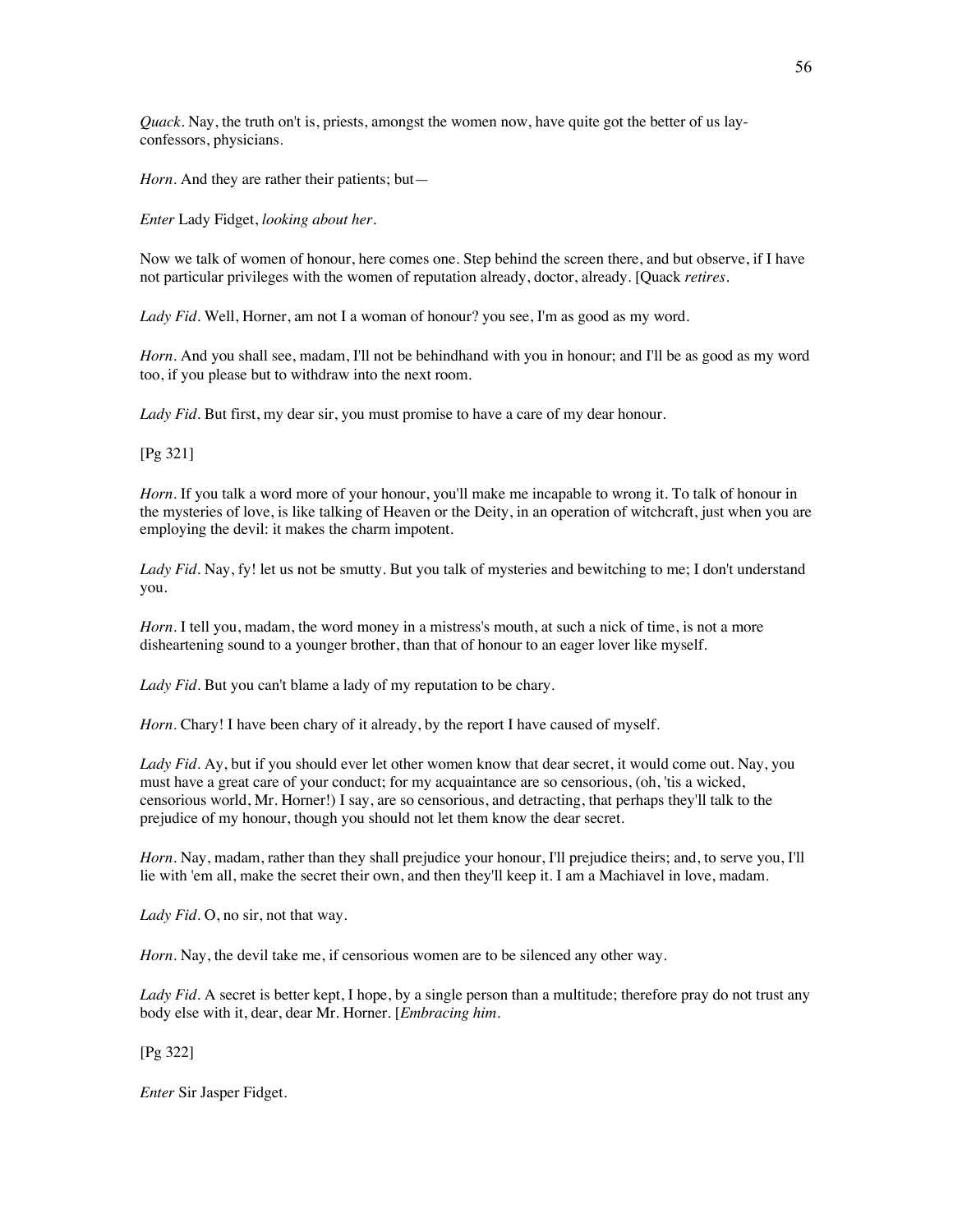*Quack.* Nay, the truth on't is, priests, amongst the women now, have quite got the better of us layconfessors, physicians.

*Horn.* And they are rather their patients; but—

*Enter* Lady Fidget, *looking about her.*

Now we talk of women of honour, here comes one. Step behind the screen there, and but observe, if I have not particular privileges with the women of reputation already, doctor, already. [Quack *retires.*

Lady Fid. Well, Horner, am not I a woman of honour? you see, I'm as good as my word.

*Horn*. And you shall see, madam, I'll not be behindhand with you in honour; and I'll be as good as my word too, if you please but to withdraw into the next room.

*Lady Fid.* But first, my dear sir, you must promise to have a care of my dear honour.

#### [Pg 321]

*Horn*. If you talk a word more of your honour, you'll make me incapable to wrong it. To talk of honour in the mysteries of love, is like talking of Heaven or the Deity, in an operation of witchcraft, just when you are employing the devil: it makes the charm impotent.

Lady Fid. Nay, fy! let us not be smutty. But you talk of mysteries and bewitching to me; I don't understand you.

*Horn*. I tell you, madam, the word money in a mistress's mouth, at such a nick of time, is not a more disheartening sound to a younger brother, than that of honour to an eager lover like myself.

*Lady Fid.* But you can't blame a lady of my reputation to be chary.

*Horn.* Chary! I have been chary of it already, by the report I have caused of myself.

Lady Fid. Ay, but if you should ever let other women know that dear secret, it would come out. Nay, you must have a great care of your conduct; for my acquaintance are so censorious, (oh, 'tis a wicked, censorious world, Mr. Horner!) I say, are so censorious, and detracting, that perhaps they'll talk to the prejudice of my honour, though you should not let them know the dear secret.

*Horn.* Nay, madam, rather than they shall prejudice your honour, I'll prejudice theirs; and, to serve you, I'll lie with 'em all, make the secret their own, and then they'll keep it. I am a Machiavel in love, madam.

*Lady Fid.* O, no sir, not that way.

*Horn.* Nay, the devil take me, if censorious women are to be silenced any other way.

*Lady Fid.* A secret is better kept, I hope, by a single person than a multitude; therefore pray do not trust any body else with it, dear, dear Mr. Horner. [*Embracing him.*

[Pg 322]

*Enter* Sir Jasper Fidget.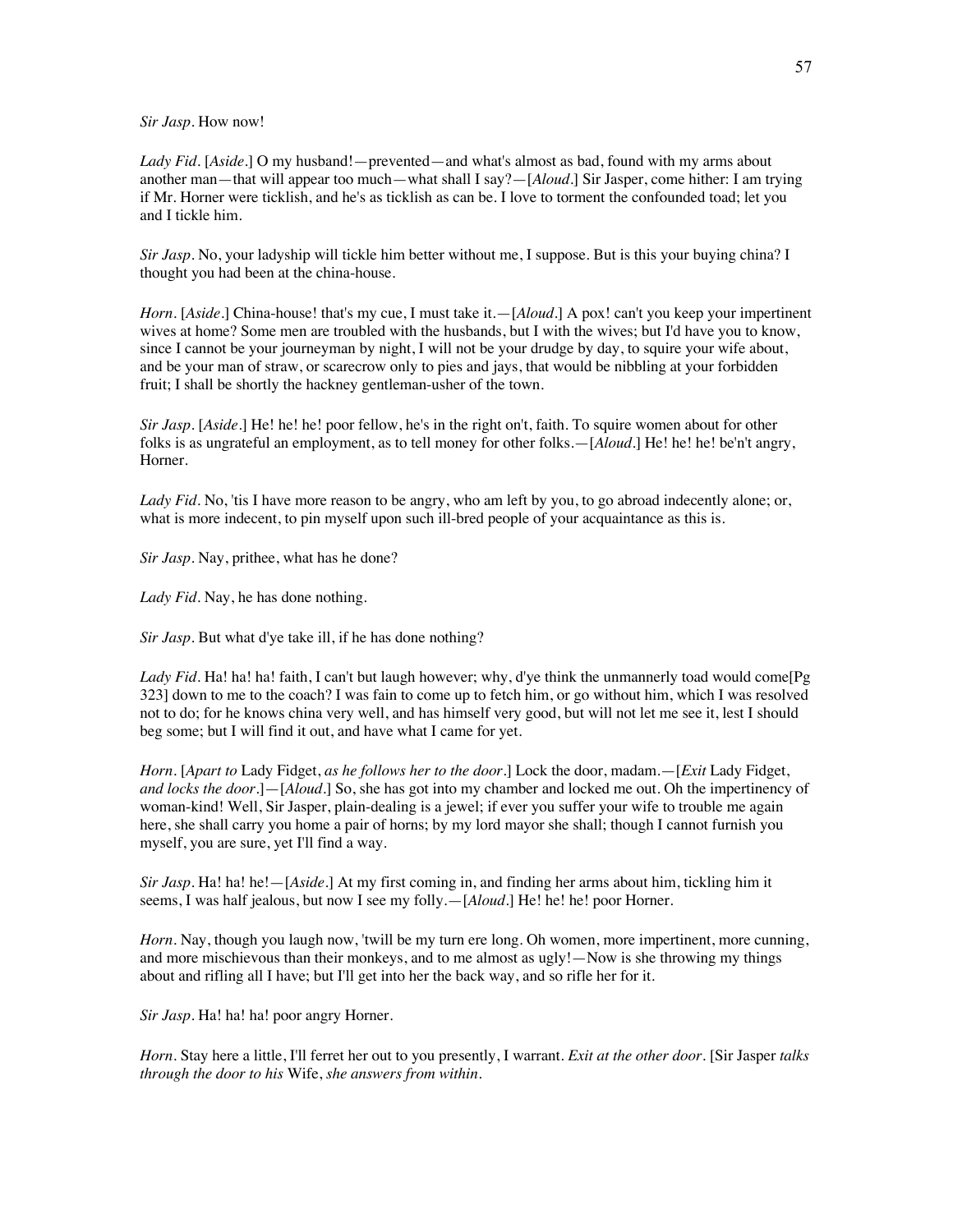#### *Sir Jasp.* How now!

*Lady Fid.* [*Aside.*] O my husband!—prevented—and what's almost as bad, found with my arms about another man—that will appear too much—what shall I say?—[*Aloud.*] Sir Jasper, come hither: I am trying if Mr. Horner were ticklish, and he's as ticklish as can be. I love to torment the confounded toad; let you and I tickle him.

*Sir Jasp.* No, your ladyship will tickle him better without me, I suppose. But is this your buying china? I thought you had been at the china-house.

*Horn.* [*Aside.*] China-house! that's my cue, I must take it.—[*Aloud.*] A pox! can't you keep your impertinent wives at home? Some men are troubled with the husbands, but I with the wives; but I'd have you to know, since I cannot be your journeyman by night, I will not be your drudge by day, to squire your wife about, and be your man of straw, or scarecrow only to pies and jays, that would be nibbling at your forbidden fruit; I shall be shortly the hackney gentleman-usher of the town.

*Sir Jasp.* [*Aside.*] He! he! he! poor fellow, he's in the right on't, faith. To squire women about for other folks is as ungrateful an employment, as to tell money for other folks.—[*Aloud.*] He! he! he! be'n't angry, Horner.

Lady Fid. No, 'tis I have more reason to be angry, who am left by you, to go abroad indecently alone; or, what is more indecent, to pin myself upon such ill-bred people of your acquaintance as this is.

*Sir Jasp.* Nay, prithee, what has he done?

*Lady Fid.* Nay, he has done nothing.

*Sir Jasp.* But what d'ye take ill, if he has done nothing?

Lady Fid. Ha! ha! ha! faith, I can't but laugh however; why, d'ye think the unmannerly toad would come[Pg] 323] down to me to the coach? I was fain to come up to fetch him, or go without him, which I was resolved not to do; for he knows china very well, and has himself very good, but will not let me see it, lest I should beg some; but I will find it out, and have what I came for yet.

*Horn.* [*Apart to* Lady Fidget, *as he follows her to the door.*] Lock the door, madam.—[*Exit* Lady Fidget, *and locks the door.*]—[*Aloud.*] So, she has got into my chamber and locked me out. Oh the impertinency of woman-kind! Well, Sir Jasper, plain-dealing is a jewel; if ever you suffer your wife to trouble me again here, she shall carry you home a pair of horns; by my lord mayor she shall; though I cannot furnish you myself, you are sure, yet I'll find a way.

*Sir Jasp.* Ha! ha! he!—[*Aside.*] At my first coming in, and finding her arms about him, tickling him it seems, I was half jealous, but now I see my folly.—[*Aloud.*] He! he! he! poor Horner.

*Horn*. Nay, though you laugh now, 'twill be my turn ere long. Oh women, more impertinent, more cunning, and more mischievous than their monkeys, and to me almost as ugly!—Now is she throwing my things about and rifling all I have; but I'll get into her the back way, and so rifle her for it.

*Sir Jasp.* Ha! ha! ha! poor angry Horner.

*Horn.* Stay here a little, I'll ferret her out to you presently, I warrant. *Exit at the other door.* [Sir Jasper *talks through the door to his* Wife, *she answers from within.*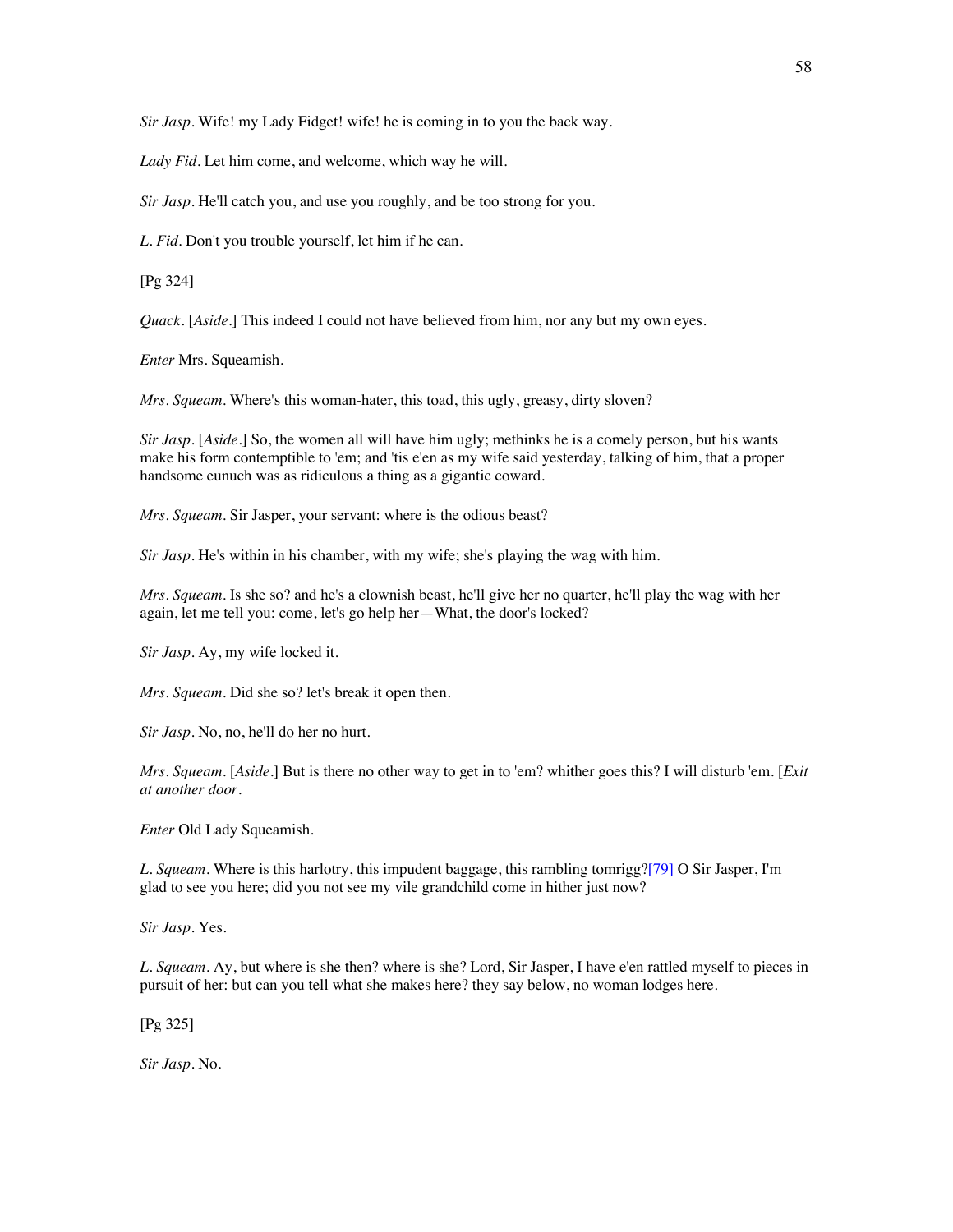*Sir Jasp.* Wife! my Lady Fidget! wife! he is coming in to you the back way.

*Lady Fid.* Let him come, and welcome, which way he will.

*Sir Jasp.* He'll catch you, and use you roughly, and be too strong for you.

*L. Fid.* Don't you trouble yourself, let him if he can.

[Pg 324]

*Quack.* [*Aside.*] This indeed I could not have believed from him, nor any but my own eyes.

*Enter* Mrs. Squeamish.

*Mrs. Squeam.* Where's this woman-hater, this toad, this ugly, greasy, dirty sloven?

*Sir Jasp.* [*Aside.*] So, the women all will have him ugly; methinks he is a comely person, but his wants make his form contemptible to 'em; and 'tis e'en as my wife said yesterday, talking of him, that a proper handsome eunuch was as ridiculous a thing as a gigantic coward.

*Mrs. Squeam.* Sir Jasper, your servant: where is the odious beast?

*Sir Jasp.* He's within in his chamber, with my wife; she's playing the wag with him.

*Mrs. Squeam.* Is she so? and he's a clownish beast, he'll give her no quarter, he'll play the wag with her again, let me tell you: come, let's go help her—What, the door's locked?

*Sir Jasp.* Ay, my wife locked it.

*Mrs. Squeam.* Did she so? let's break it open then.

*Sir Jasp.* No, no, he'll do her no hurt.

*Mrs. Squeam.* [*Aside.*] But is there no other way to get in to 'em? whither goes this? I will disturb 'em. [*Exit at another door.*

*Enter* Old Lady Squeamish.

*L. Squeam.* Where is this harlotry, this impudent baggage, this rambling tomrigg?[79] O Sir Jasper, I'm glad to see you here; did you not see my vile grandchild come in hither just now?

*Sir Jasp.* Yes.

*L. Squeam.* Ay, but where is she then? where is she? Lord, Sir Jasper, I have e'en rattled myself to pieces in pursuit of her: but can you tell what she makes here? they say below, no woman lodges here.

[Pg 325]

*Sir Jasp.* No.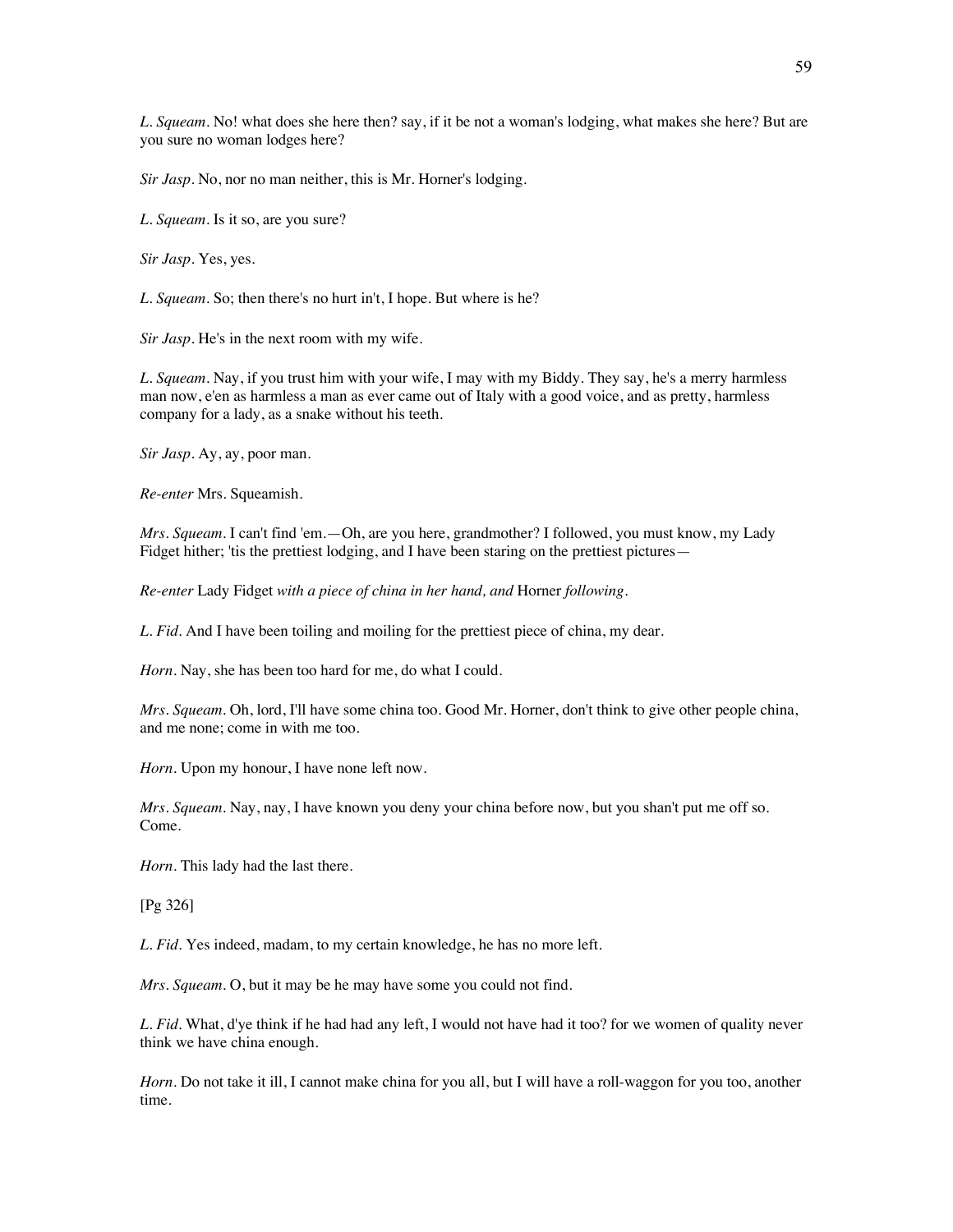*L. Squeam.* No! what does she here then? say, if it be not a woman's lodging, what makes she here? But are you sure no woman lodges here?

*Sir Jasp.* No, nor no man neither, this is Mr. Horner's lodging.

*L. Squeam.* Is it so, are you sure?

*Sir Jasp.* Yes, yes.

*L. Squeam.* So; then there's no hurt in't, I hope. But where is he?

*Sir Jasp.* He's in the next room with my wife.

*L. Squeam.* Nay, if you trust him with your wife, I may with my Biddy. They say, he's a merry harmless man now, e'en as harmless a man as ever came out of Italy with a good voice, and as pretty, harmless company for a lady, as a snake without his teeth.

*Sir Jasp.* Ay, ay, poor man.

*Re-enter* Mrs. Squeamish.

*Mrs. Squeam.* I can't find 'em.—Oh, are you here, grandmother? I followed, you must know, my Lady Fidget hither; 'tis the prettiest lodging, and I have been staring on the prettiest pictures—

*Re-enter* Lady Fidget *with a piece of china in her hand, and* Horner *following.*

*L. Fid.* And I have been toiling and moiling for the prettiest piece of china, my dear.

*Horn*. Nay, she has been too hard for me, do what I could.

*Mrs. Squeam.* Oh, lord, I'll have some china too. Good Mr. Horner, don't think to give other people china, and me none; come in with me too.

*Horn.* Upon my honour, I have none left now.

*Mrs. Squeam.* Nay, nay, I have known you deny your china before now, but you shan't put me off so. Come.

*Horn.* This lady had the last there.

[Pg 326]

*L. Fid.* Yes indeed, madam, to my certain knowledge, he has no more left.

*Mrs. Squeam.* O, but it may be he may have some you could not find.

*L. Fid.* What, d'ye think if he had had any left, I would not have had it too? for we women of quality never think we have china enough.

*Horn.* Do not take it ill, I cannot make china for you all, but I will have a roll-waggon for you too, another time.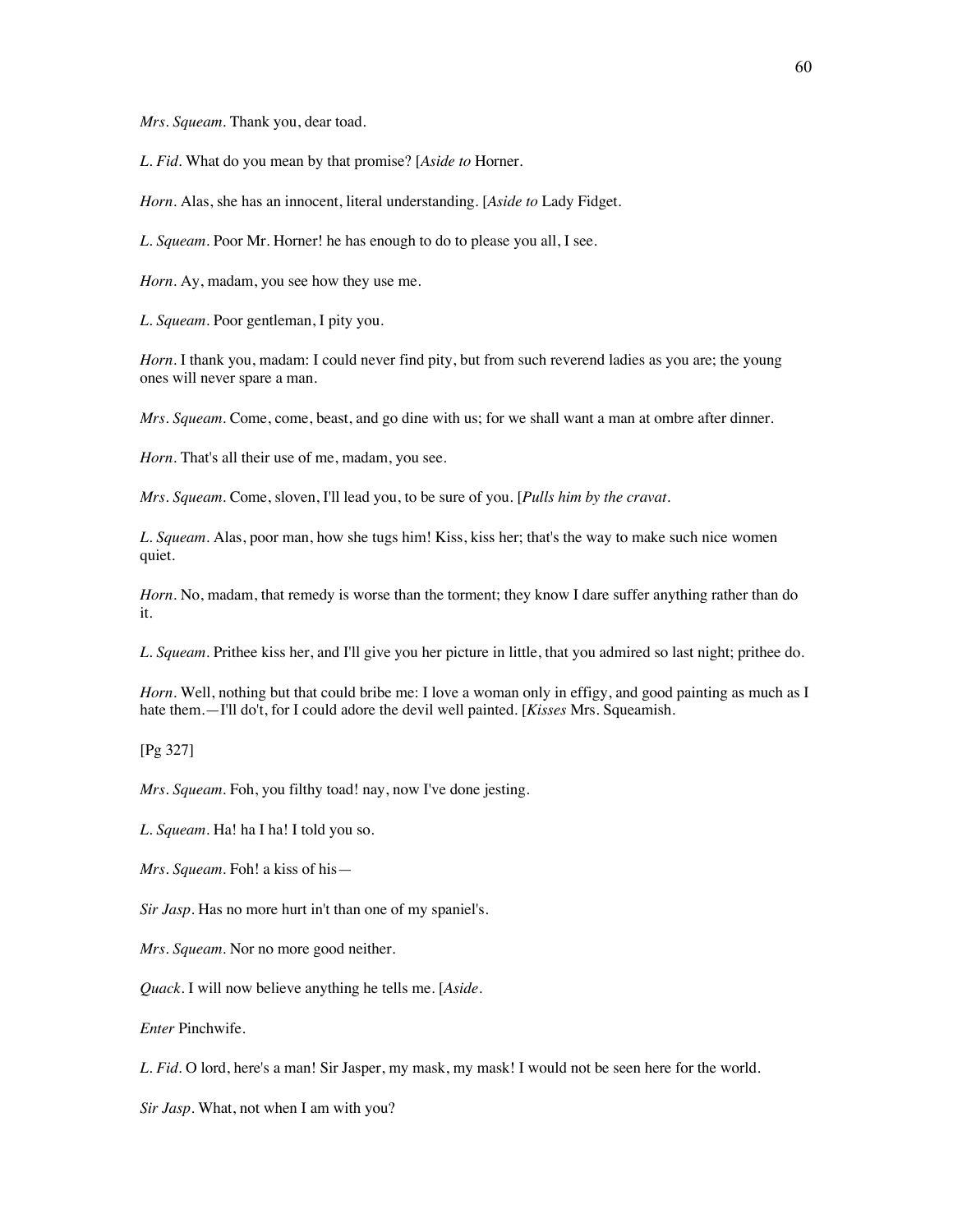*Mrs. Squeam.* Thank you, dear toad.

*L. Fid.* What do you mean by that promise? [*Aside to* Horner.

*Horn.* Alas, she has an innocent, literal understanding. [*Aside to* Lady Fidget.

*L. Squeam.* Poor Mr. Horner! he has enough to do to please you all, I see.

*Horn.* Ay, madam, you see how they use me.

*L. Squeam.* Poor gentleman, I pity you.

*Horn*. I thank you, madam: I could never find pity, but from such reverend ladies as you are; the young ones will never spare a man.

*Mrs. Squeam.* Come, come, beast, and go dine with us; for we shall want a man at ombre after dinner.

*Horn.* That's all their use of me, madam, you see.

*Mrs. Squeam.* Come, sloven, I'll lead you, to be sure of you. [*Pulls him by the cravat.*

*L. Squeam.* Alas, poor man, how she tugs him! Kiss, kiss her; that's the way to make such nice women quiet.

*Horn*. No, madam, that remedy is worse than the torment; they know I dare suffer anything rather than do it.

*L. Squeam.* Prithee kiss her, and I'll give you her picture in little, that you admired so last night; prithee do.

*Horn*. Well, nothing but that could bribe me: I love a woman only in effigy, and good painting as much as I hate them.—I'll do't, for I could adore the devil well painted. [*Kisses* Mrs. Squeamish.

[Pg 327]

*Mrs. Squeam.* Foh, you filthy toad! nay, now I've done jesting.

*L. Squeam.* Ha! ha I ha! I told you so.

*Mrs. Squeam.* Foh! a kiss of his—

*Sir Jasp.* Has no more hurt in't than one of my spaniel's.

*Mrs. Squeam.* Nor no more good neither.

*Quack.* I will now believe anything he tells me. [*Aside.*

*Enter* Pinchwife.

*L. Fid.* O lord, here's a man! Sir Jasper, my mask, my mask! I would not be seen here for the world.

*Sir Jasp.* What, not when I am with you?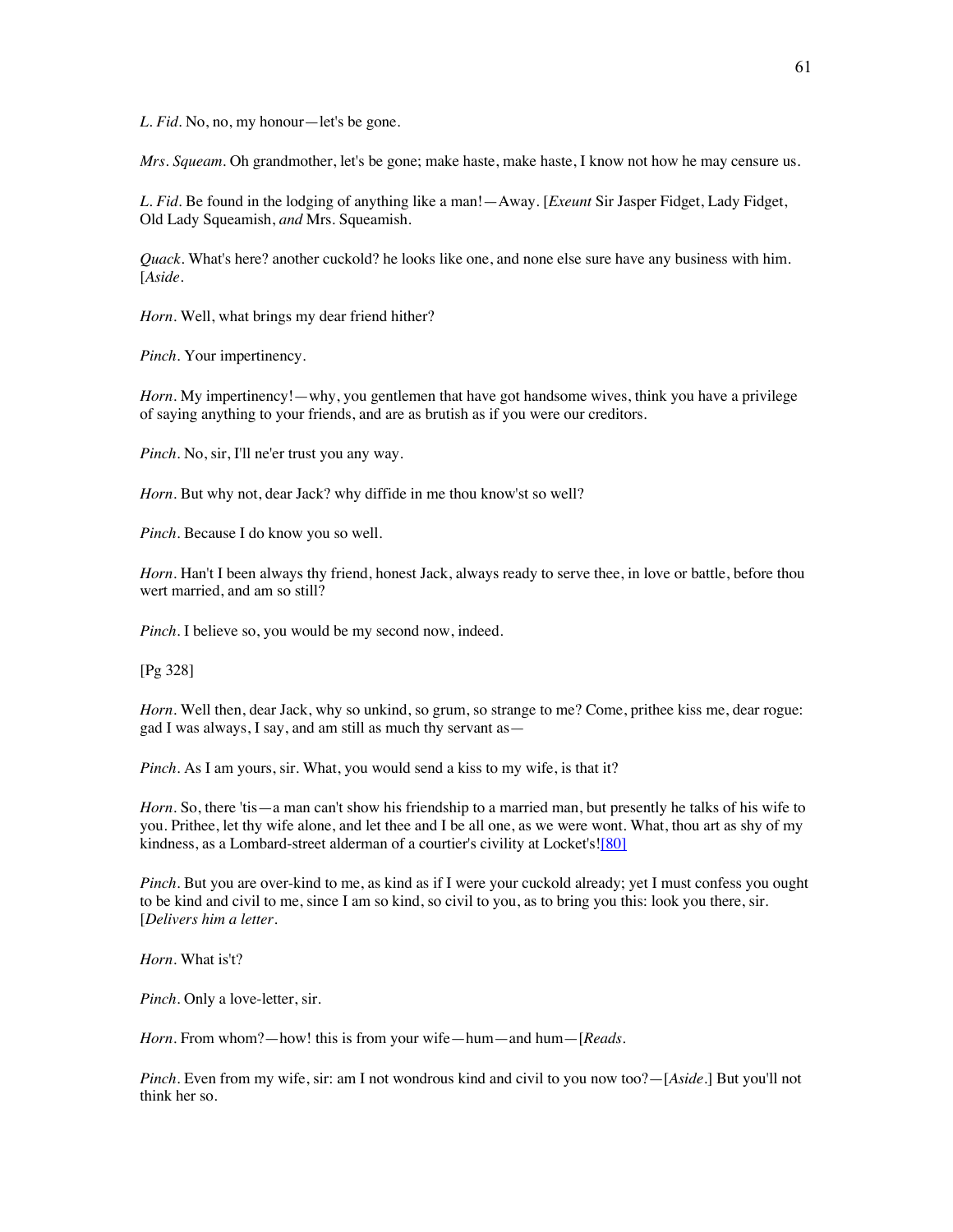*L. Fid.* No, no, my honour—let's be gone.

*Mrs. Squeam.* Oh grandmother, let's be gone; make haste, make haste, I know not how he may censure us.

*L. Fid.* Be found in the lodging of anything like a man!—Away. [*Exeunt* Sir Jasper Fidget, Lady Fidget, Old Lady Squeamish, *and* Mrs. Squeamish.

*Quack.* What's here? another cuckold? he looks like one, and none else sure have any business with him. [*Aside.*

*Horn.* Well, what brings my dear friend hither?

*Pinch.* Your impertinency.

*Horn*. My impertinency!—why, you gentlemen that have got handsome wives, think you have a privilege of saying anything to your friends, and are as brutish as if you were our creditors.

*Pinch.* No, sir, I'll ne'er trust you any way.

*Horn.* But why not, dear Jack? why diffide in me thou know'st so well?

*Pinch.* Because I do know you so well.

*Horn.* Han't I been always thy friend, honest Jack, always ready to serve thee, in love or battle, before thou wert married, and am so still?

*Pinch.* I believe so, you would be my second now, indeed.

[Pg 328]

*Horn*. Well then, dear Jack, why so unkind, so grum, so strange to me? Come, prithee kiss me, dear rogue: gad I was always, I say, and am still as much thy servant as—

*Pinch.* As I am yours, sir. What, you would send a kiss to my wife, is that it?

*Horn*. So, there 'tis—a man can't show his friendship to a married man, but presently he talks of his wife to you. Prithee, let thy wife alone, and let thee and I be all one, as we were wont. What, thou art as shy of my kindness, as a Lombard-street alderman of a courtier's civility at Locket's![80]

*Pinch.* But you are over-kind to me, as kind as if I were your cuckold already; yet I must confess you ought to be kind and civil to me, since I am so kind, so civil to you, as to bring you this: look you there, sir. [*Delivers him a letter.*

*Horn.* What is't?

*Pinch.* Only a love-letter, sir.

*Horn.* From whom?—how! this is from your wife—hum—and hum—[*Reads.*

*Pinch.* Even from my wife, sir: am I not wondrous kind and civil to you now too?—[*Aside.*] But you'll not think her so.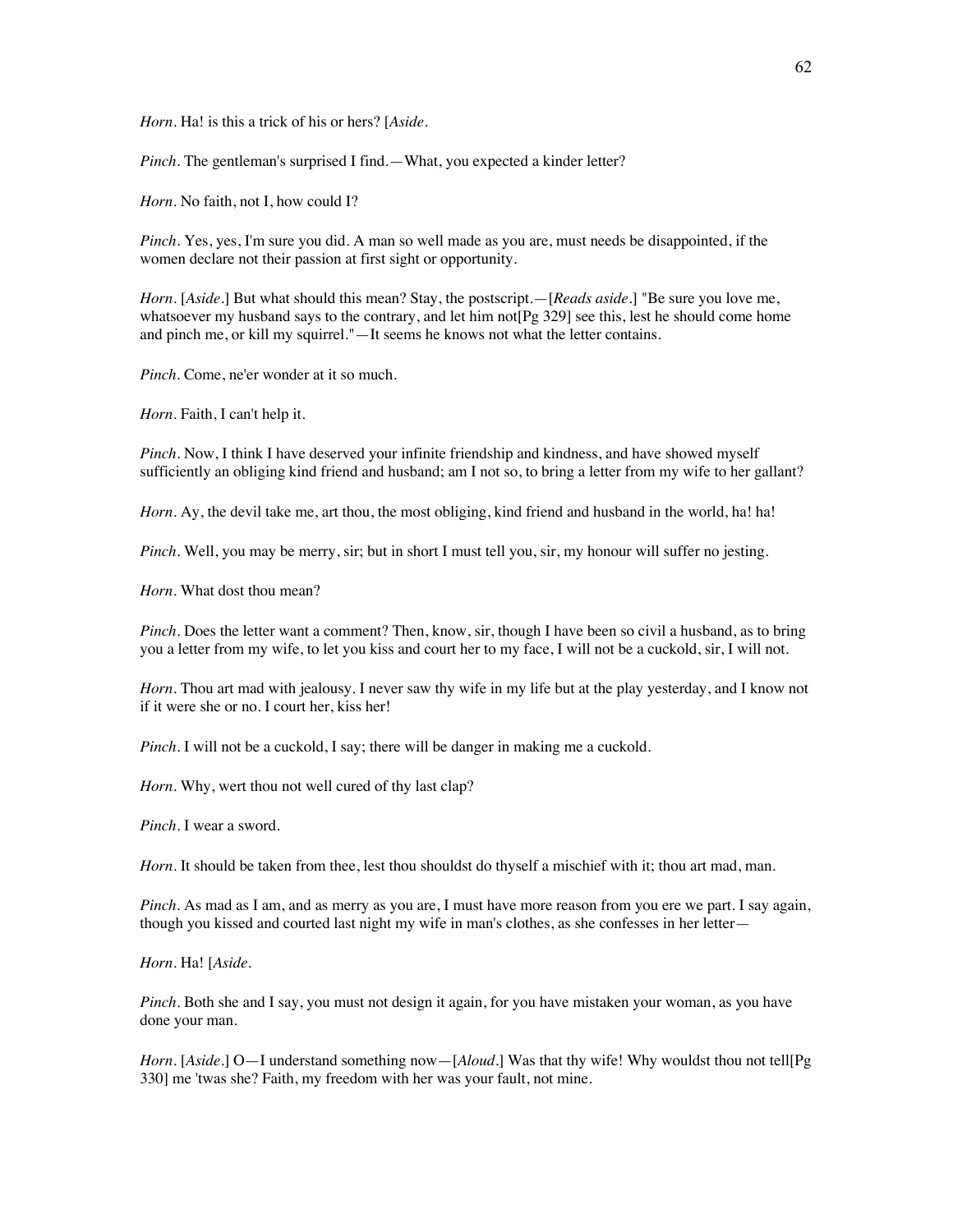*Horn.* Ha! is this a trick of his or hers? [*Aside.*

*Pinch.* The gentleman's surprised I find.—What, you expected a kinder letter?

*Horn*. No faith, not I, how could I?

*Pinch*. Yes, yes, I'm sure you did. A man so well made as you are, must needs be disappointed, if the women declare not their passion at first sight or opportunity.

*Horn.* [*Aside.*] But what should this mean? Stay, the postscript.—[*Reads aside.*] "Be sure you love me, whatsoever my husband says to the contrary, and let him not [Pg 329] see this, lest he should come home and pinch me, or kill my squirrel."—It seems he knows not what the letter contains.

*Pinch*. Come, ne'er wonder at it so much.

*Horn.* Faith, I can't help it.

*Pinch.* Now, I think I have deserved your infinite friendship and kindness, and have showed myself sufficiently an obliging kind friend and husband; am I not so, to bring a letter from my wife to her gallant?

*Horn*. Ay, the devil take me, art thou, the most obliging, kind friend and husband in the world, ha! ha!

*Pinch*. Well, you may be merry, sir; but in short I must tell you, sir, my honour will suffer no jesting.

*Horn.* What dost thou mean?

*Pinch*. Does the letter want a comment? Then, know, sir, though I have been so civil a husband, as to bring you a letter from my wife, to let you kiss and court her to my face, I will not be a cuckold, sir, I will not.

*Horn.* Thou art mad with jealousy. I never saw thy wife in my life but at the play yesterday, and I know not if it were she or no. I court her, kiss her!

*Pinch*. I will not be a cuckold, I say; there will be danger in making me a cuckold.

*Horn.* Why, wert thou not well cured of thy last clap?

*Pinch.* I wear a sword.

*Horn*. It should be taken from thee, lest thou shouldst do thyself a mischief with it; thou art mad, man.

*Pinch*. As mad as I am, and as merry as you are, I must have more reason from you ere we part. I say again, though you kissed and courted last night my wife in man's clothes, as she confesses in her letter—

*Horn.* Ha! [*Aside.*

*Pinch.* Both she and I say, you must not design it again, for you have mistaken your woman, as you have done your man.

*Horn.* [*Aside.*] O—I understand something now—[*Aloud.*] Was that thy wife! Why wouldst thou not tell[Pg 330] me 'twas she? Faith, my freedom with her was your fault, not mine.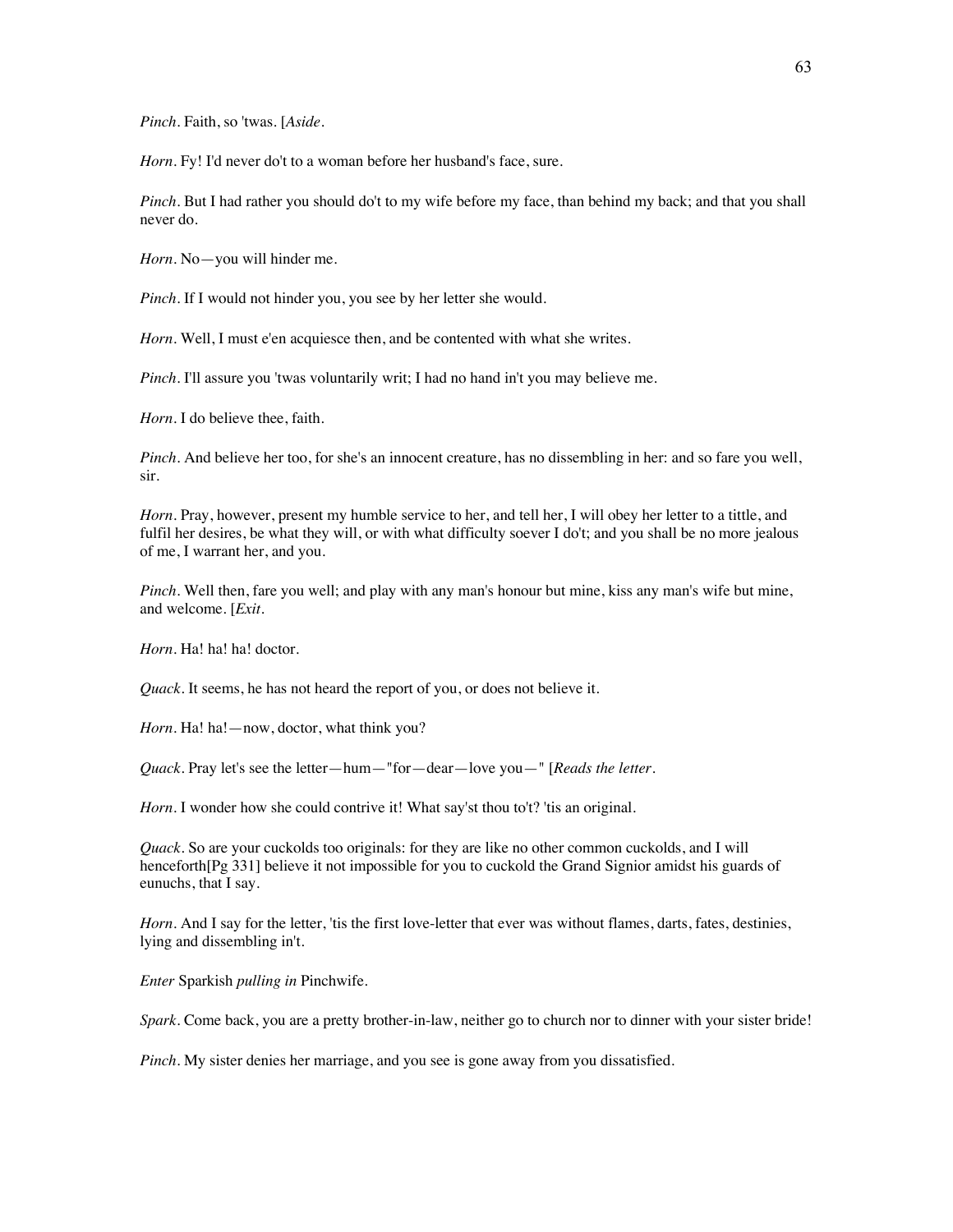*Pinch.* Faith, so 'twas. [*Aside.*

*Horn.* Fy! I'd never do't to a woman before her husband's face, sure.

*Pinch.* But I had rather you should do't to my wife before my face, than behind my back; and that you shall never do.

*Horn.* No—you will hinder me.

*Pinch.* If I would not hinder you, you see by her letter she would.

*Horn.* Well, I must e'en acquiesce then, and be contented with what she writes.

*Pinch*. I'll assure you 'twas voluntarily writ; I had no hand in't you may believe me.

*Horn.* I do believe thee, faith.

*Pinch*. And believe her too, for she's an innocent creature, has no dissembling in her: and so fare you well, sir.

*Horn*. Pray, however, present my humble service to her, and tell her, I will obey her letter to a tittle, and fulfil her desires, be what they will, or with what difficulty soever I do't; and you shall be no more jealous of me, I warrant her, and you.

*Pinch.* Well then, fare you well; and play with any man's honour but mine, kiss any man's wife but mine, and welcome. [*Exit.*

Horn. Ha! ha! ha! doctor.

*Quack.* It seems, he has not heard the report of you, or does not believe it.

Horn. Ha! ha! — now, doctor, what think you?

*Quack.* Pray let's see the letter—hum—"for—dear—love you—" [*Reads the letter.*

*Horn*. I wonder how she could contrive it! What say'st thou to't? 'tis an original.

*Quack.* So are your cuckolds too originals: for they are like no other common cuckolds, and I will henceforth[Pg 331] believe it not impossible for you to cuckold the Grand Signior amidst his guards of eunuchs, that I say.

*Horn*. And I say for the letter, 'tis the first love-letter that ever was without flames, darts, fates, destinies, lying and dissembling in't.

*Enter* Sparkish *pulling in* Pinchwife.

*Spark.* Come back, you are a pretty brother-in-law, neither go to church nor to dinner with your sister bride!

*Pinch.* My sister denies her marriage, and you see is gone away from you dissatisfied.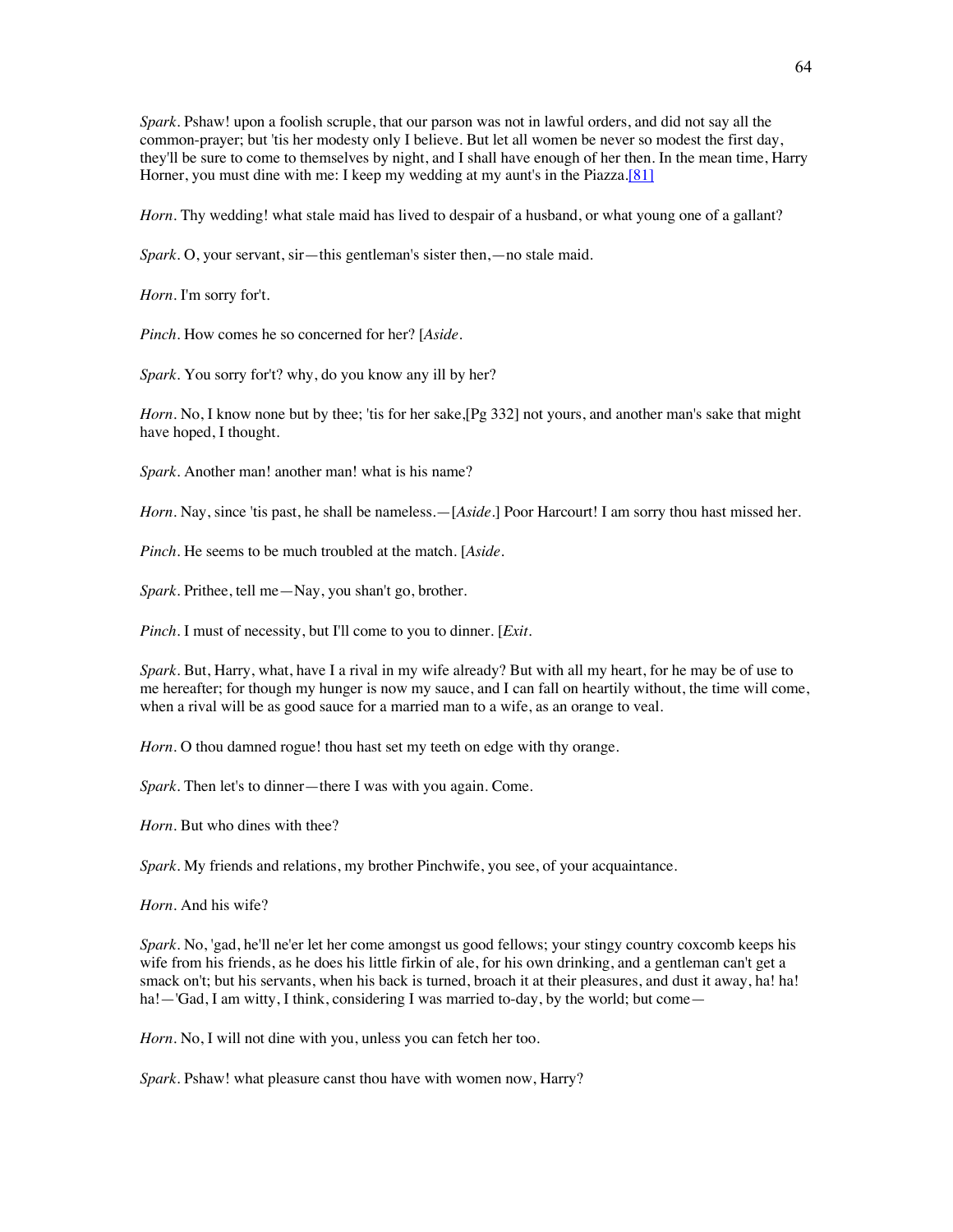*Spark.* Pshaw! upon a foolish scruple, that our parson was not in lawful orders, and did not say all the common-prayer; but 'tis her modesty only I believe. But let all women be never so modest the first day, they'll be sure to come to themselves by night, and I shall have enough of her then. In the mean time, Harry Horner, you must dine with me: I keep my wedding at my aunt's in the Piazza.[81]

*Horn.* Thy wedding! what stale maid has lived to despair of a husband, or what young one of a gallant?

*Spark.* O, your servant, sir—this gentleman's sister then,—no stale maid.

*Horn.* I'm sorry for't.

*Pinch.* How comes he so concerned for her? [*Aside.*

*Spark.* You sorry for't? why, do you know any ill by her?

*Horn*. No, I know none but by thee; 'tis for her sake,  $[Pg 332]$  not yours, and another man's sake that might have hoped, I thought.

*Spark.* Another man! another man! what is his name?

*Horn.* Nay, since 'tis past, he shall be nameless.—[*Aside.*] Poor Harcourt! I am sorry thou hast missed her.

*Pinch.* He seems to be much troubled at the match. [*Aside.*

*Spark.* Prithee, tell me—Nay, you shan't go, brother.

*Pinch.* I must of necessity, but I'll come to you to dinner. [*Exit.*

*Spark.* But, Harry, what, have I a rival in my wife already? But with all my heart, for he may be of use to me hereafter; for though my hunger is now my sauce, and I can fall on heartily without, the time will come, when a rival will be as good sauce for a married man to a wife, as an orange to veal.

*Horn*. O thou damned rogue! thou hast set my teeth on edge with thy orange.

*Spark.* Then let's to dinner—there I was with you again. Come.

*Horn.* But who dines with thee?

*Spark.* My friends and relations, my brother Pinchwife, you see, of your acquaintance.

*Horn.* And his wife?

*Spark.* No, 'gad, he'll ne'er let her come amongst us good fellows; your stingy country coxcomb keeps his wife from his friends, as he does his little firkin of ale, for his own drinking, and a gentleman can't get a smack on't; but his servants, when his back is turned, broach it at their pleasures, and dust it away, ha! ha! ha!—'Gad, I am witty, I think, considering I was married to-day, by the world; but come—

*Horn.* No, I will not dine with you, unless you can fetch her too.

*Spark.* Pshaw! what pleasure canst thou have with women now, Harry?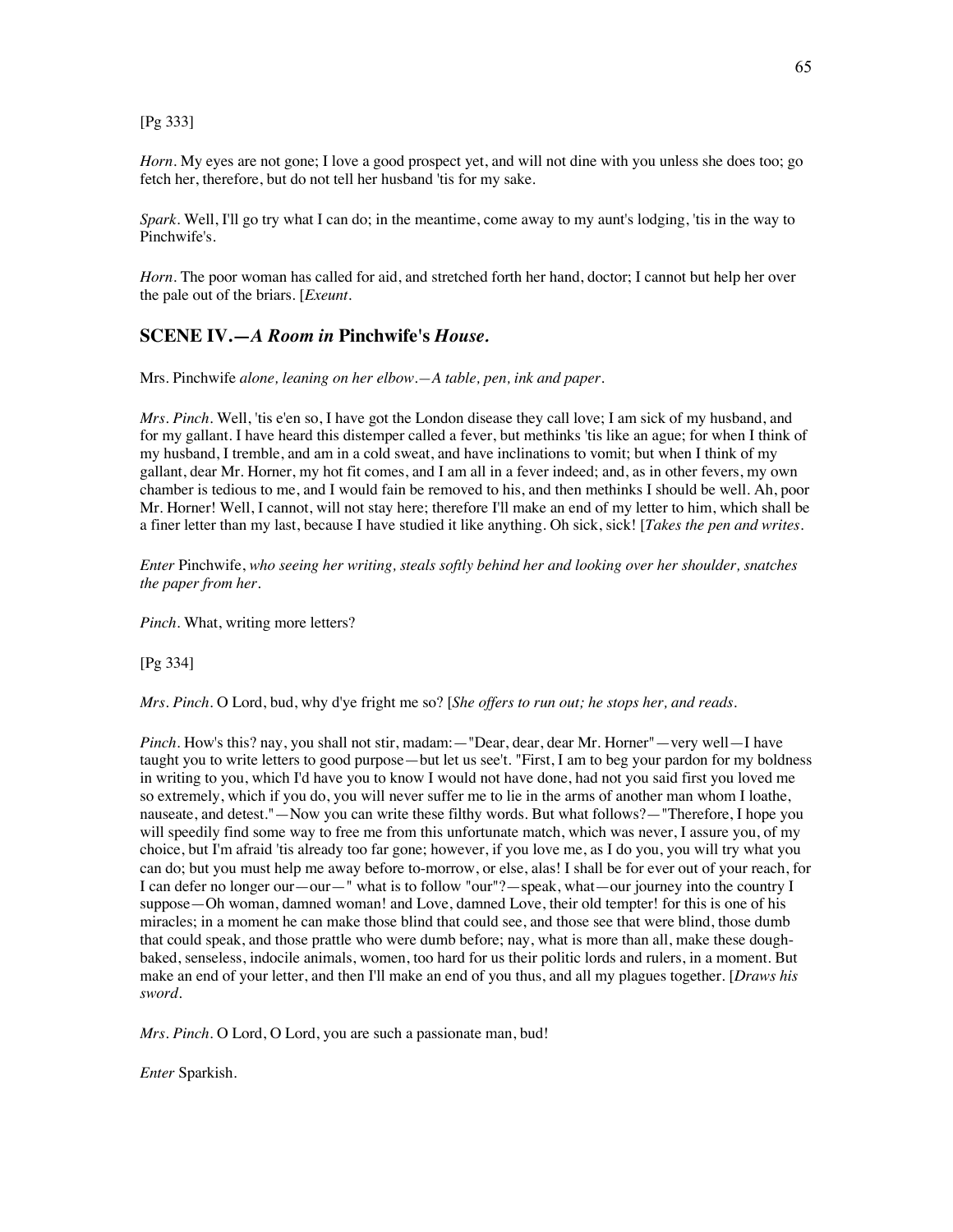[Pg 333]

*Horn*. My eyes are not gone; I love a good prospect yet, and will not dine with you unless she does too; go fetch her, therefore, but do not tell her husband 'tis for my sake.

*Spark.* Well, I'll go try what I can do; in the meantime, come away to my aunt's lodging, 'tis in the way to Pinchwife's.

*Horn.* The poor woman has called for aid, and stretched forth her hand, doctor; I cannot but help her over the pale out of the briars. [*Exeunt.*

### **SCENE IV.—***A Room in* **Pinchwife's** *House.*

Mrs. Pinchwife *alone, leaning on her elbow.—A table, pen, ink and paper.*

*Mrs. Pinch.* Well, 'tis e'en so, I have got the London disease they call love; I am sick of my husband, and for my gallant. I have heard this distemper called a fever, but methinks 'tis like an ague; for when I think of my husband, I tremble, and am in a cold sweat, and have inclinations to vomit; but when I think of my gallant, dear Mr. Horner, my hot fit comes, and I am all in a fever indeed; and, as in other fevers, my own chamber is tedious to me, and I would fain be removed to his, and then methinks I should be well. Ah, poor Mr. Horner! Well, I cannot, will not stay here; therefore I'll make an end of my letter to him, which shall be a finer letter than my last, because I have studied it like anything. Oh sick, sick! [*Takes the pen and writes.*

*Enter* Pinchwife, *who seeing her writing, steals softly behind her and looking over her shoulder, snatches the paper from her.*

*Pinch.* What, writing more letters?

[Pg 334]

*Mrs. Pinch.* O Lord, bud, why d'ye fright me so? [*She offers to run out; he stops her, and reads.*

*Pinch.* How's this? nay, you shall not stir, madam:—"Dear, dear, dear Mr. Horner"—very well—I have taught you to write letters to good purpose—but let us see't. "First, I am to beg your pardon for my boldness in writing to you, which I'd have you to know I would not have done, had not you said first you loved me so extremely, which if you do, you will never suffer me to lie in the arms of another man whom I loathe, nauseate, and detest."—Now you can write these filthy words. But what follows?—"Therefore, I hope you will speedily find some way to free me from this unfortunate match, which was never, I assure you, of my choice, but I'm afraid 'tis already too far gone; however, if you love me, as I do you, you will try what you can do; but you must help me away before to-morrow, or else, alas! I shall be for ever out of your reach, for I can defer no longer our—our—" what is to follow "our"?—speak, what—our journey into the country I suppose—Oh woman, damned woman! and Love, damned Love, their old tempter! for this is one of his miracles; in a moment he can make those blind that could see, and those see that were blind, those dumb that could speak, and those prattle who were dumb before; nay, what is more than all, make these doughbaked, senseless, indocile animals, women, too hard for us their politic lords and rulers, in a moment. But make an end of your letter, and then I'll make an end of you thus, and all my plagues together. [*Draws his sword.*

*Mrs. Pinch.* O Lord, O Lord, you are such a passionate man, bud!

*Enter* Sparkish.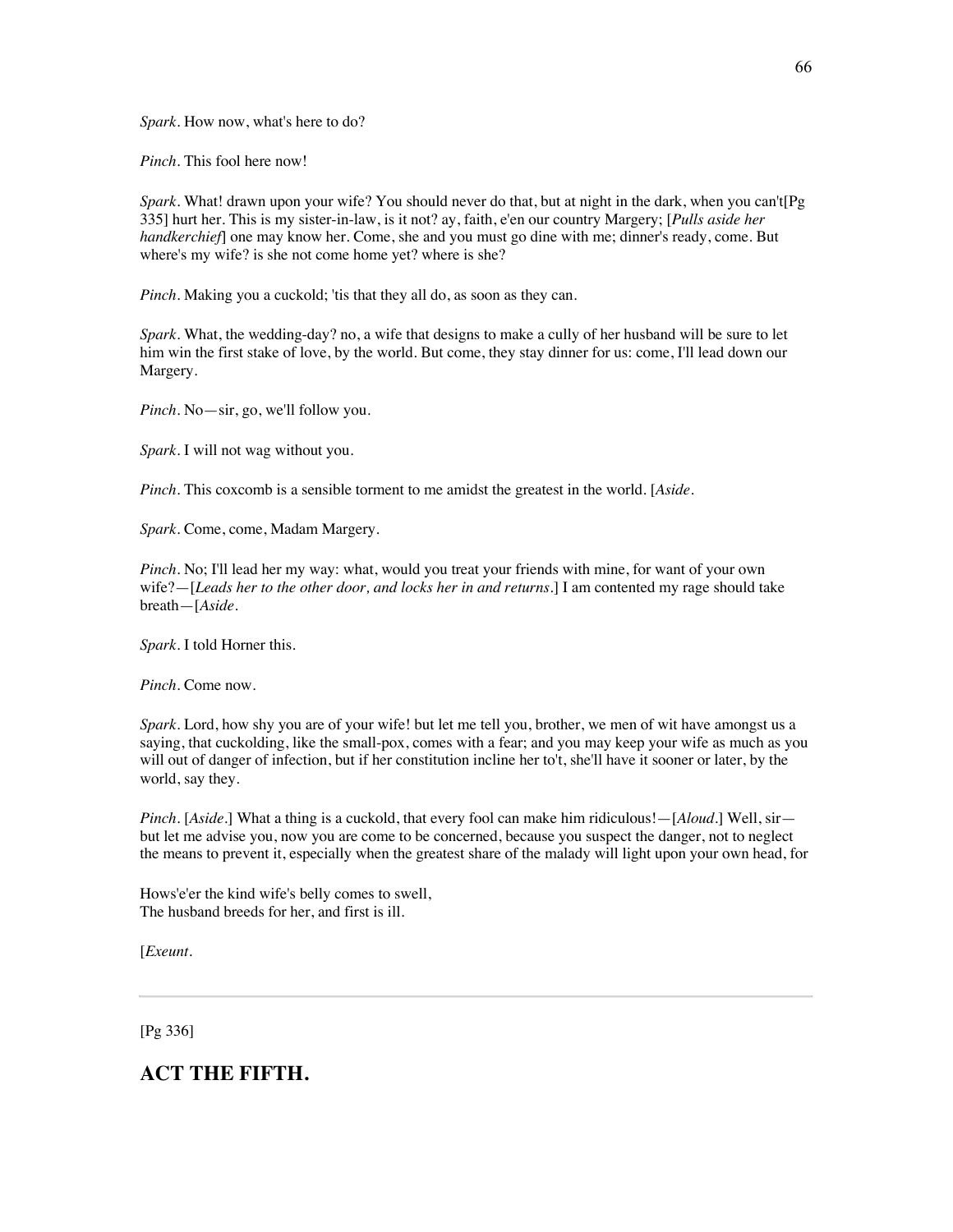*Spark.* How now, what's here to do?

*Pinch.* This fool here now!

*Spark.* What! drawn upon your wife? You should never do that, but at night in the dark, when you can't[Pg 335] hurt her. This is my sister-in-law, is it not? ay, faith, e'en our country Margery; [*Pulls aside her handkerchief*] one may know her. Come, she and you must go dine with me; dinner's ready, come. But where's my wife? is she not come home yet? where is she?

*Pinch*. Making you a cuckold; 'tis that they all do, as soon as they can.

*Spark.* What, the wedding-day? no, a wife that designs to make a cully of her husband will be sure to let him win the first stake of love, by the world. But come, they stay dinner for us: come, I'll lead down our Margery.

*Pinch.* No—sir, go, we'll follow you.

*Spark.* I will not wag without you.

*Pinch.* This coxcomb is a sensible torment to me amidst the greatest in the world. [*Aside.*

*Spark.* Come, come, Madam Margery.

*Pinch*. No; I'll lead her my way: what, would you treat your friends with mine, for want of your own wife?—[*Leads her to the other door, and locks her in and returns.*] I am contented my rage should take breath—[*Aside.*

*Spark.* I told Horner this.

*Pinch.* Come now.

*Spark.* Lord, how shy you are of your wife! but let me tell you, brother, we men of wit have amongst us a saying, that cuckolding, like the small-pox, comes with a fear; and you may keep your wife as much as you will out of danger of infection, but if her constitution incline her to't, she'll have it sooner or later, by the world, say they.

*Pinch.* [*Aside.*] What a thing is a cuckold, that every fool can make him ridiculous!—[*Aloud.*] Well, sir but let me advise you, now you are come to be concerned, because you suspect the danger, not to neglect the means to prevent it, especially when the greatest share of the malady will light upon your own head, for

Hows'e'er the kind wife's belly comes to swell, The husband breeds for her, and first is ill.

[*Exeunt.*

[Pg 336]

# **ACT THE FIFTH.**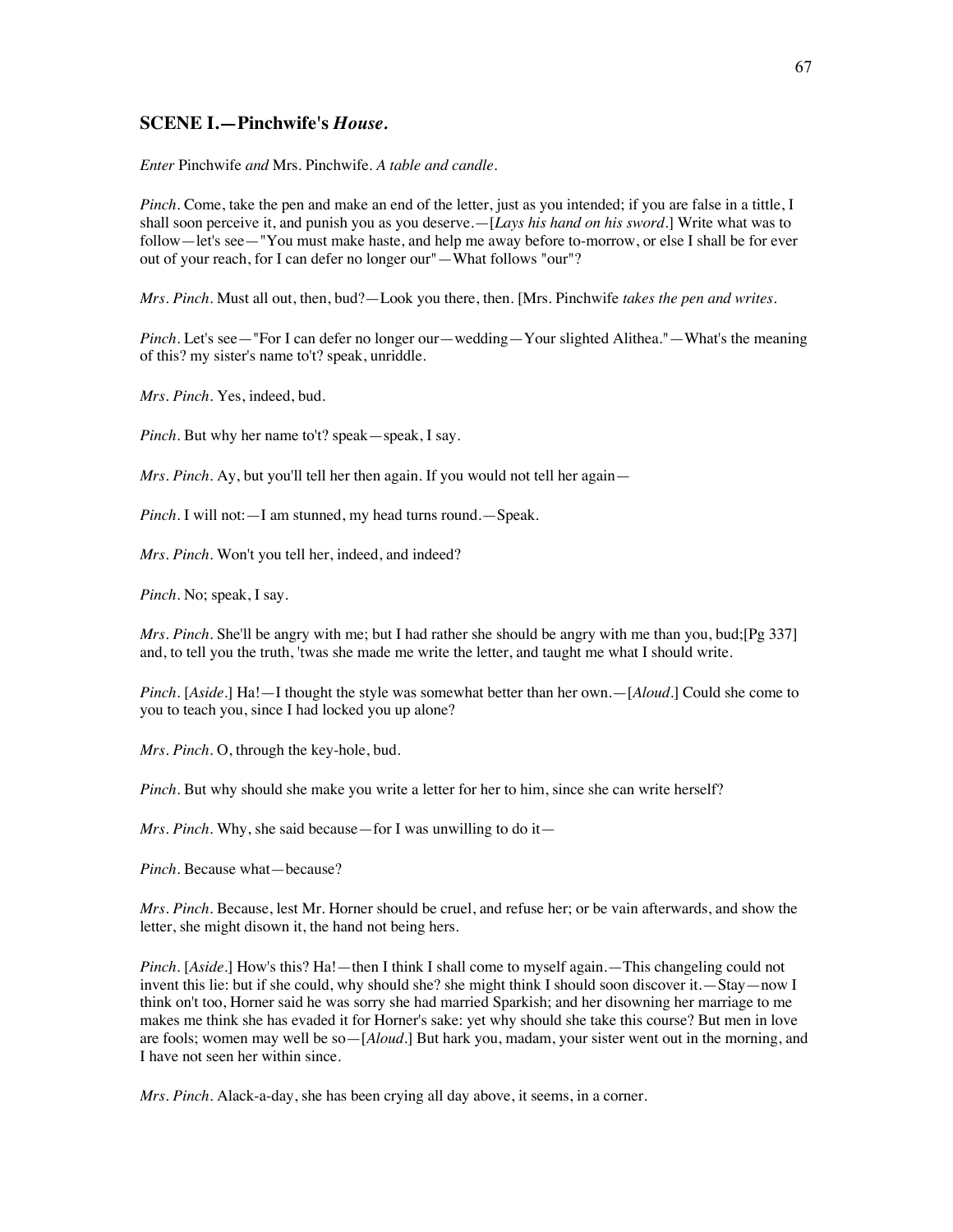# **SCENE I.—Pinchwife's** *House.*

*Enter* Pinchwife *and* Mrs. Pinchwife. *A table and candle.*

*Pinch*. Come, take the pen and make an end of the letter, just as you intended; if you are false in a tittle, I shall soon perceive it, and punish you as you deserve.—[*Lays his hand on his sword.*] Write what was to follow—let's see—"You must make haste, and help me away before to-morrow, or else I shall be for ever out of your reach, for I can defer no longer our"—What follows "our"?

*Mrs. Pinch.* Must all out, then, bud?—Look you there, then. [Mrs. Pinchwife *takes the pen and writes.*

*Pinch.* Let's see—"For I can defer no longer our—wedding—Your slighted Alithea."—What's the meaning of this? my sister's name to't? speak, unriddle.

*Mrs. Pinch.* Yes, indeed, bud.

*Pinch.* But why her name to't? speak—speak, I say.

*Mrs. Pinch.* Ay, but you'll tell her then again. If you would not tell her again—

*Pinch*. I will not: —I am stunned, my head turns round. — Speak.

*Mrs. Pinch.* Won't you tell her, indeed, and indeed?

*Pinch.* No; speak, I say.

*Mrs. Pinch.* She'll be angry with me; but I had rather she should be angry with me than you, bud;[Pg 337] and, to tell you the truth, 'twas she made me write the letter, and taught me what I should write.

*Pinch.* [*Aside.*] Ha!—I thought the style was somewhat better than her own.—[*Aloud.*] Could she come to you to teach you, since I had locked you up alone?

*Mrs. Pinch.* O, through the key-hole, bud.

*Pinch.* But why should she make you write a letter for her to him, since she can write herself?

*Mrs. Pinch.* Why, she said because—for I was unwilling to do it—

*Pinch.* Because what—because?

*Mrs. Pinch.* Because, lest Mr. Horner should be cruel, and refuse her; or be vain afterwards, and show the letter, she might disown it, the hand not being hers.

*Pinch.* [*Aside.*] How's this? Ha!—then I think I shall come to myself again.—This changeling could not invent this lie: but if she could, why should she? she might think I should soon discover it.—Stay—now I think on't too, Horner said he was sorry she had married Sparkish; and her disowning her marriage to me makes me think she has evaded it for Horner's sake: yet why should she take this course? But men in love are fools; women may well be so—[*Aloud.*] But hark you, madam, your sister went out in the morning, and I have not seen her within since.

*Mrs. Pinch.* Alack-a-day, she has been crying all day above, it seems, in a corner.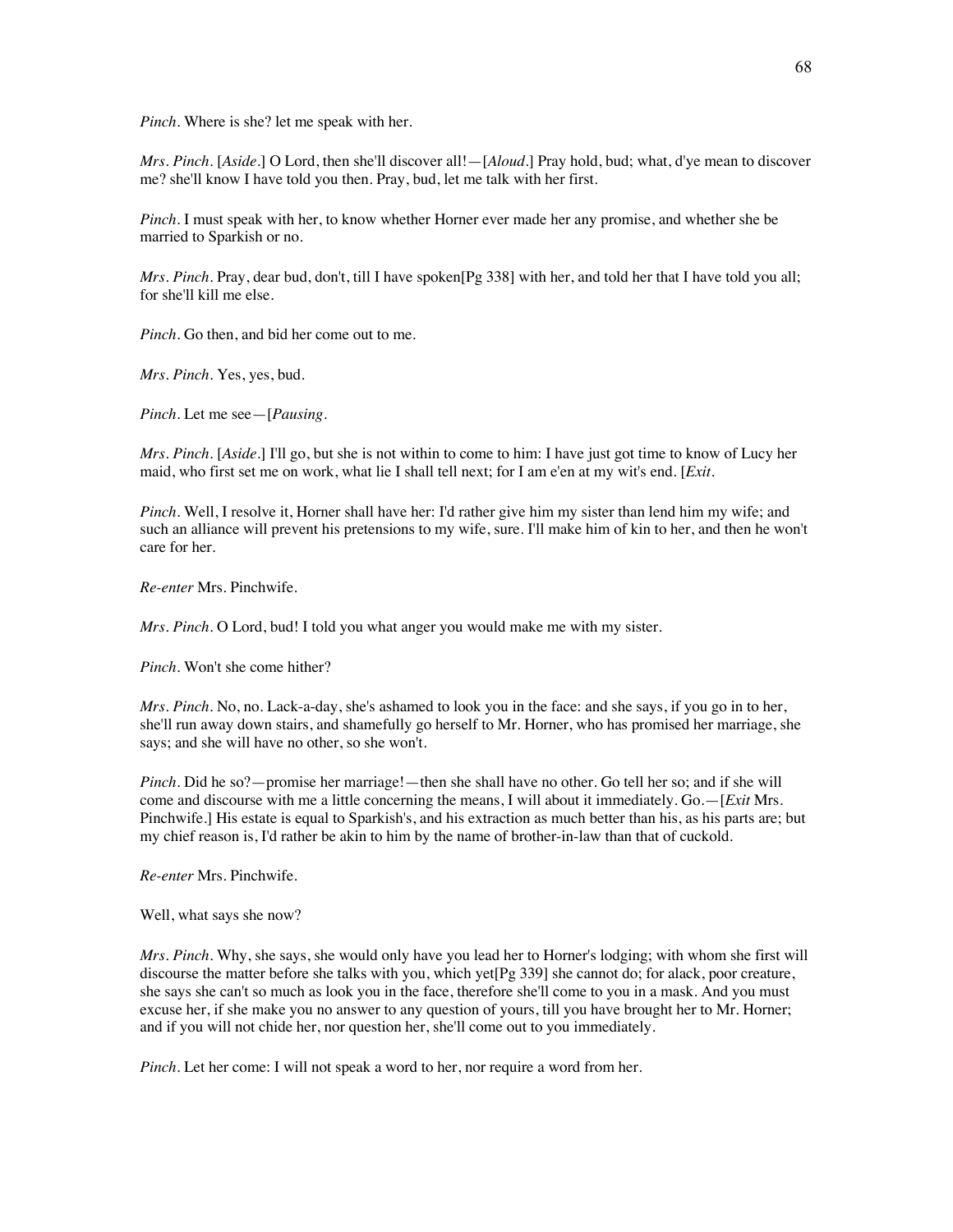*Pinch.* Where is she? let me speak with her.

*Mrs. Pinch.* [*Aside.*] O Lord, then she'll discover all!—[*Aloud.*] Pray hold, bud; what, d'ye mean to discover me? she'll know I have told you then. Pray, bud, let me talk with her first.

*Pinch.* I must speak with her, to know whether Horner ever made her any promise, and whether she be married to Sparkish or no.

*Mrs. Pinch.* Pray, dear bud, don't, till I have spoken[Pg 338] with her, and told her that I have told you all; for she'll kill me else.

*Pinch.* Go then, and bid her come out to me.

*Mrs. Pinch.* Yes, yes, bud.

*Pinch.* Let me see—[*Pausing.*

*Mrs. Pinch.* [*Aside.*] I'll go, but she is not within to come to him: I have just got time to know of Lucy her maid, who first set me on work, what lie I shall tell next; for I am e'en at my wit's end. [*Exit.*

*Pinch.* Well, I resolve it, Horner shall have her: I'd rather give him my sister than lend him my wife; and such an alliance will prevent his pretensions to my wife, sure. I'll make him of kin to her, and then he won't care for her.

*Re-enter* Mrs. Pinchwife.

*Mrs. Pinch.* O Lord, bud! I told you what anger you would make me with my sister.

*Pinch.* Won't she come hither?

*Mrs. Pinch.* No, no. Lack-a-day, she's ashamed to look you in the face: and she says, if you go in to her, she'll run away down stairs, and shamefully go herself to Mr. Horner, who has promised her marriage, she says; and she will have no other, so she won't.

*Pinch*. Did he so?—promise her marriage!—then she shall have no other. Go tell her so; and if she will come and discourse with me a little concerning the means, I will about it immediately. Go.—[*Exit* Mrs. Pinchwife.] His estate is equal to Sparkish's, and his extraction as much better than his, as his parts are; but my chief reason is, I'd rather be akin to him by the name of brother-in-law than that of cuckold.

*Re-enter* Mrs. Pinchwife.

Well, what says she now?

*Mrs. Pinch.* Why, she says, she would only have you lead her to Horner's lodging; with whom she first will discourse the matter before she talks with you, which yet[Pg 339] she cannot do; for alack, poor creature, she says she can't so much as look you in the face, therefore she'll come to you in a mask. And you must excuse her, if she make you no answer to any question of yours, till you have brought her to Mr. Horner; and if you will not chide her, nor question her, she'll come out to you immediately.

*Pinch*. Let her come: I will not speak a word to her, nor require a word from her.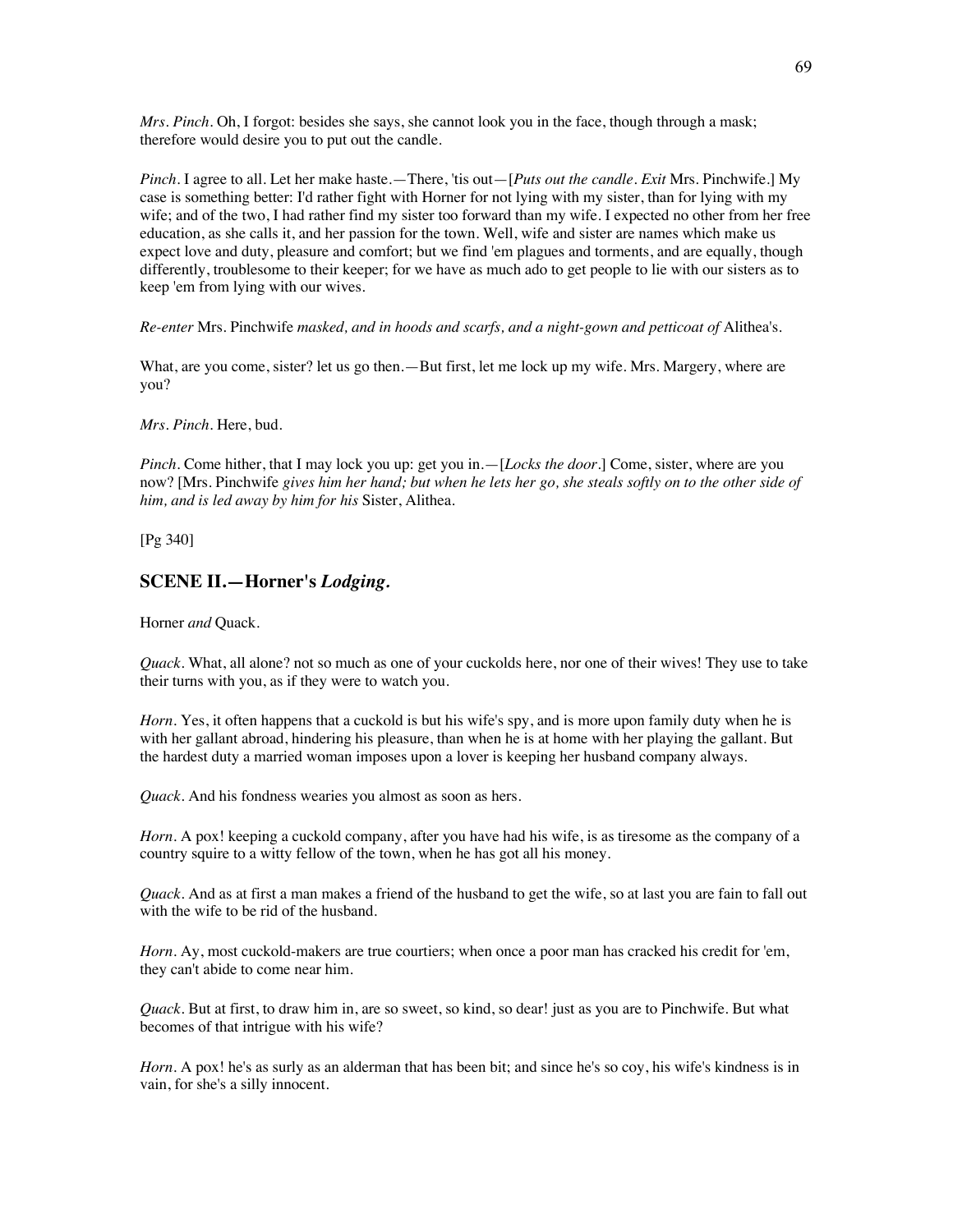*Mrs. Pinch.* Oh, I forgot: besides she says, she cannot look you in the face, though through a mask; therefore would desire you to put out the candle.

*Pinch.* I agree to all. Let her make haste.—There, 'tis out—[*Puts out the candle. Exit* Mrs. Pinchwife.] My case is something better: I'd rather fight with Horner for not lying with my sister, than for lying with my wife; and of the two, I had rather find my sister too forward than my wife. I expected no other from her free education, as she calls it, and her passion for the town. Well, wife and sister are names which make us expect love and duty, pleasure and comfort; but we find 'em plagues and torments, and are equally, though differently, troublesome to their keeper; for we have as much ado to get people to lie with our sisters as to keep 'em from lying with our wives.

*Re-enter* Mrs. Pinchwife *masked, and in hoods and scarfs, and a night-gown and petticoat of* Alithea's.

What, are you come, sister? let us go then.—But first, let me lock up my wife. Mrs. Margery, where are you?

*Mrs. Pinch.* Here, bud.

*Pinch.* Come hither, that I may lock you up: get you in.—[*Locks the door.*] Come, sister, where are you now? [Mrs. Pinchwife *gives him her hand; but when he lets her go, she steals softly on to the other side of him, and is led away by him for his* Sister, Alithea.

[Pg 340]

# **SCENE II.—Horner's** *Lodging.*

Horner *and* Quack.

*Quack.* What, all alone? not so much as one of your cuckolds here, nor one of their wives! They use to take their turns with you, as if they were to watch you.

*Horn*. Yes, it often happens that a cuckold is but his wife's spy, and is more upon family duty when he is with her gallant abroad, hindering his pleasure, than when he is at home with her playing the gallant. But the hardest duty a married woman imposes upon a lover is keeping her husband company always.

*Quack.* And his fondness wearies you almost as soon as hers.

*Horn.* A pox! keeping a cuckold company, after you have had his wife, is as tiresome as the company of a country squire to a witty fellow of the town, when he has got all his money.

*Quack.* And as at first a man makes a friend of the husband to get the wife, so at last you are fain to fall out with the wife to be rid of the husband.

*Horn*. Ay, most cuckold-makers are true courtiers; when once a poor man has cracked his credit for 'em, they can't abide to come near him.

*Quack.* But at first, to draw him in, are so sweet, so kind, so dear! just as you are to Pinchwife. But what becomes of that intrigue with his wife?

*Horn*. A pox! he's as surly as an alderman that has been bit; and since he's so coy, his wife's kindness is in vain, for she's a silly innocent.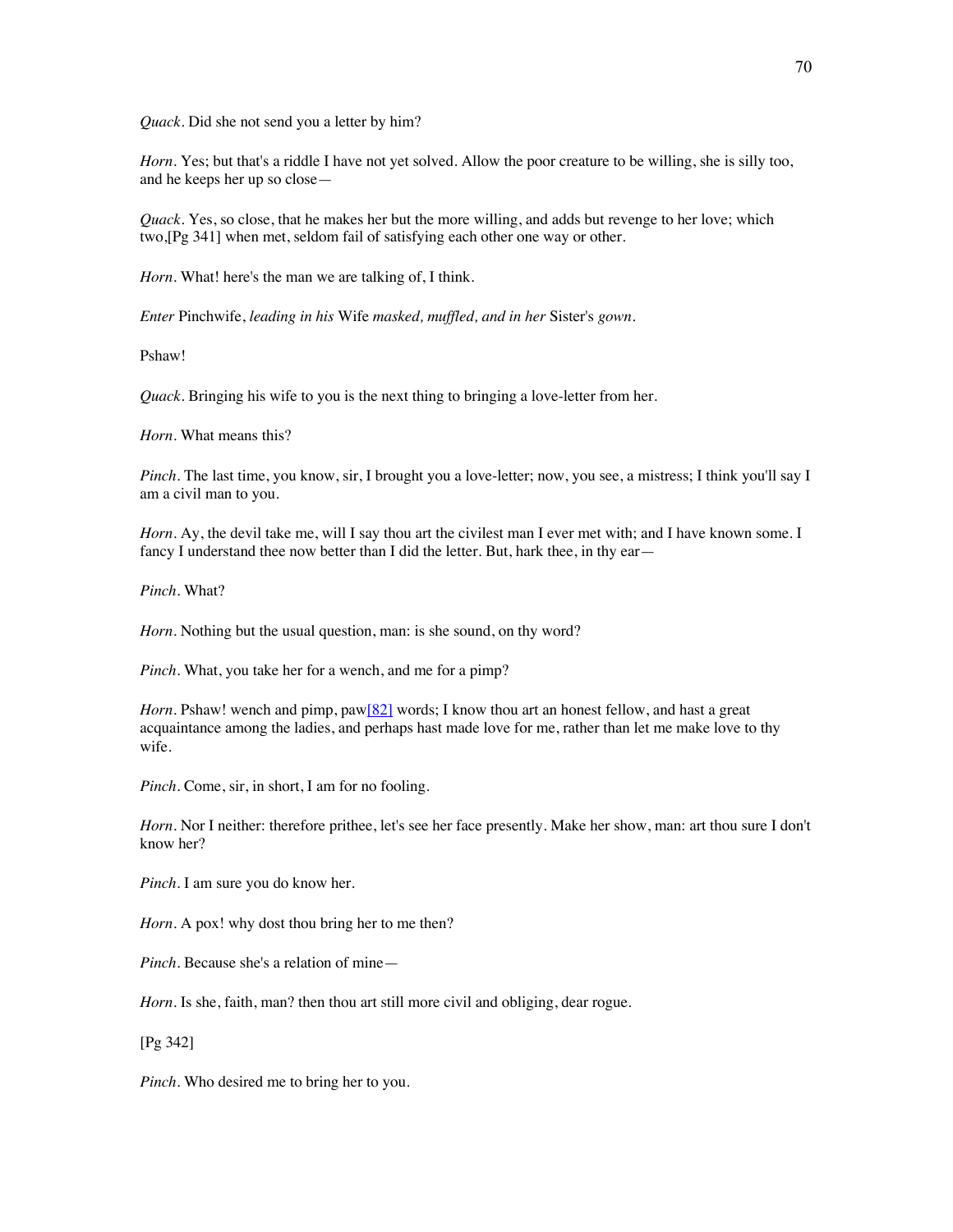*Quack.* Did she not send you a letter by him?

*Horn.* Yes; but that's a riddle I have not yet solved. Allow the poor creature to be willing, she is silly too, and he keeps her up so close—

*Quack.* Yes, so close, that he makes her but the more willing, and adds but revenge to her love; which two,[Pg 341] when met, seldom fail of satisfying each other one way or other.

*Horn.* What! here's the man we are talking of, I think.

*Enter* Pinchwife, *leading in his* Wife *masked, muffled, and in her* Sister's *gown.*

Pshaw!

*Quack.* Bringing his wife to you is the next thing to bringing a love-letter from her.

*Horn.* What means this?

*Pinch.* The last time, you know, sir, I brought you a love-letter; now, you see, a mistress; I think you'll say I am a civil man to you.

*Horn*. Ay, the devil take me, will I say thou art the civilest man I ever met with; and I have known some. I fancy I understand thee now better than I did the letter. But, hark thee, in thy ear—

*Pinch.* What?

*Horn.* Nothing but the usual question, man: is she sound, on thy word?

*Pinch.* What, you take her for a wench, and me for a pimp?

*Horn*. Pshaw! wench and pimp, paw[82] words; I know thou art an honest fellow, and hast a great acquaintance among the ladies, and perhaps hast made love for me, rather than let me make love to thy wife.

*Pinch.* Come, sir, in short, I am for no fooling.

*Horn*. Nor I neither: therefore prithee, let's see her face presently. Make her show, man: art thou sure I don't know her?

*Pinch.* I am sure you do know her.

*Horn*. A pox! why dost thou bring her to me then?

*Pinch.* Because she's a relation of mine—

*Horn.* Is she, faith, man? then thou art still more civil and obliging, dear rogue.

[Pg 342]

*Pinch.* Who desired me to bring her to you.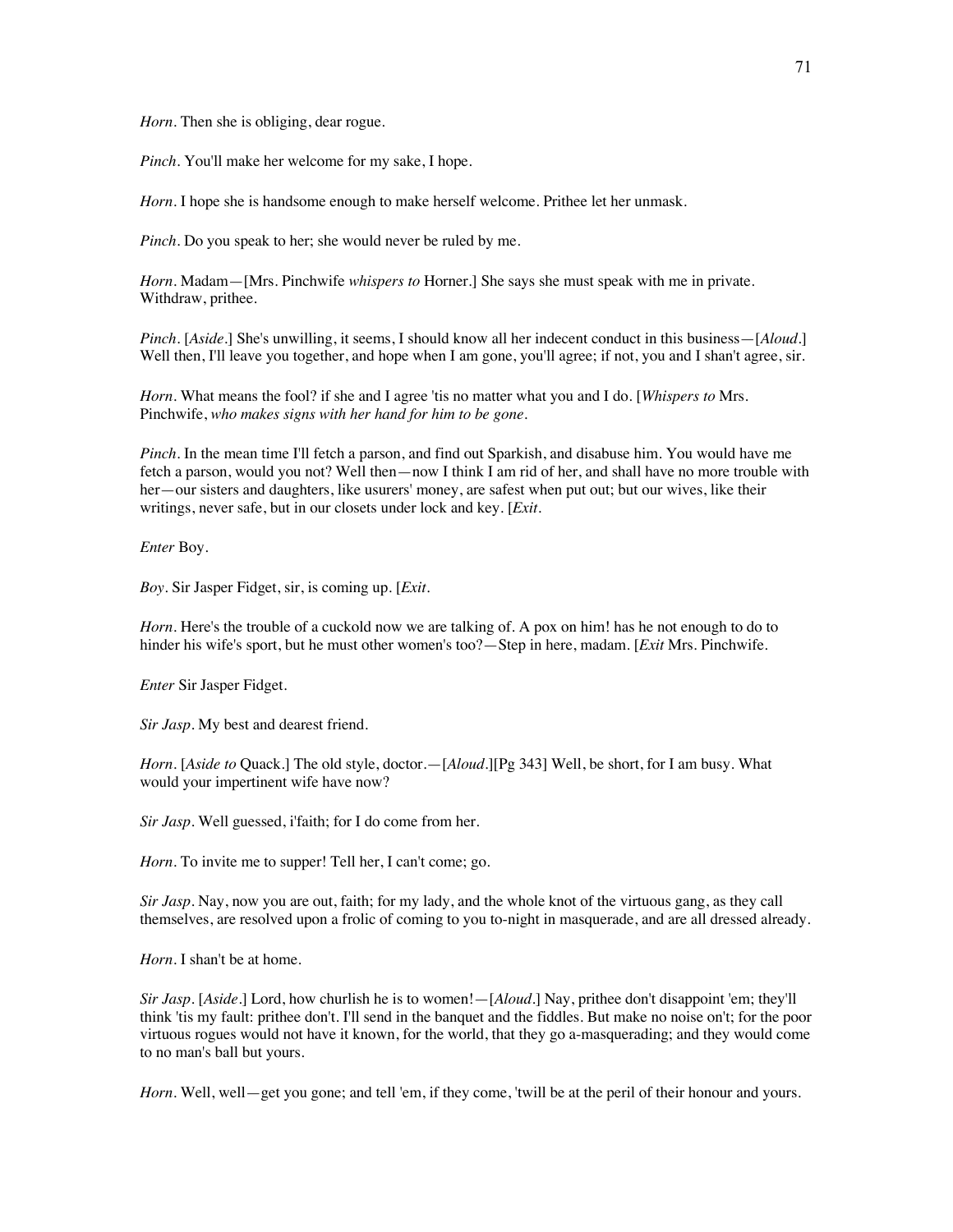*Horn.* Then she is obliging, dear rogue.

*Pinch.* You'll make her welcome for my sake, I hope.

*Horn.* I hope she is handsome enough to make herself welcome. Prithee let her unmask.

*Pinch.* Do you speak to her; she would never be ruled by me.

*Horn.* Madam—[Mrs. Pinchwife *whispers to* Horner.] She says she must speak with me in private. Withdraw, prithee.

*Pinch.* [*Aside.*] She's unwilling, it seems, I should know all her indecent conduct in this business—[*Aloud.*] Well then, I'll leave you together, and hope when I am gone, you'll agree; if not, you and I shan't agree, sir.

*Horn.* What means the fool? if she and I agree 'tis no matter what you and I do. [*Whispers to* Mrs. Pinchwife, *who makes signs with her hand for him to be gone.*

*Pinch.* In the mean time I'll fetch a parson, and find out Sparkish, and disabuse him. You would have me fetch a parson, would you not? Well then—now I think I am rid of her, and shall have no more trouble with her—our sisters and daughters, like usurers' money, are safest when put out; but our wives, like their writings, never safe, but in our closets under lock and key. [*Exit.*

*Enter* Boy.

*Boy.* Sir Jasper Fidget, sir, is coming up. [*Exit.*

*Horn*. Here's the trouble of a cuckold now we are talking of. A pox on him! has he not enough to do to hinder his wife's sport, but he must other women's too?—Step in here, madam. [*Exit* Mrs. Pinchwife.

*Enter* Sir Jasper Fidget.

*Sir Jasp.* My best and dearest friend.

*Horn.* [*Aside to* Quack.] The old style, doctor.—[*Aloud.*][Pg 343] Well, be short, for I am busy. What would your impertinent wife have now?

*Sir Jasp.* Well guessed, i'faith; for I do come from her.

*Horn*. To invite me to supper! Tell her, I can't come; go.

*Sir Jasp.* Nay, now you are out, faith; for my lady, and the whole knot of the virtuous gang, as they call themselves, are resolved upon a frolic of coming to you to-night in masquerade, and are all dressed already.

*Horn.* I shan't be at home.

*Sir Jasp.* [*Aside.*] Lord, how churlish he is to women!—[*Aloud.*] Nay, prithee don't disappoint 'em; they'll think 'tis my fault: prithee don't. I'll send in the banquet and the fiddles. But make no noise on't; for the poor virtuous rogues would not have it known, for the world, that they go a-masquerading; and they would come to no man's ball but yours.

*Horn*. Well, well—get you gone; and tell 'em, if they come, 'twill be at the peril of their honour and yours.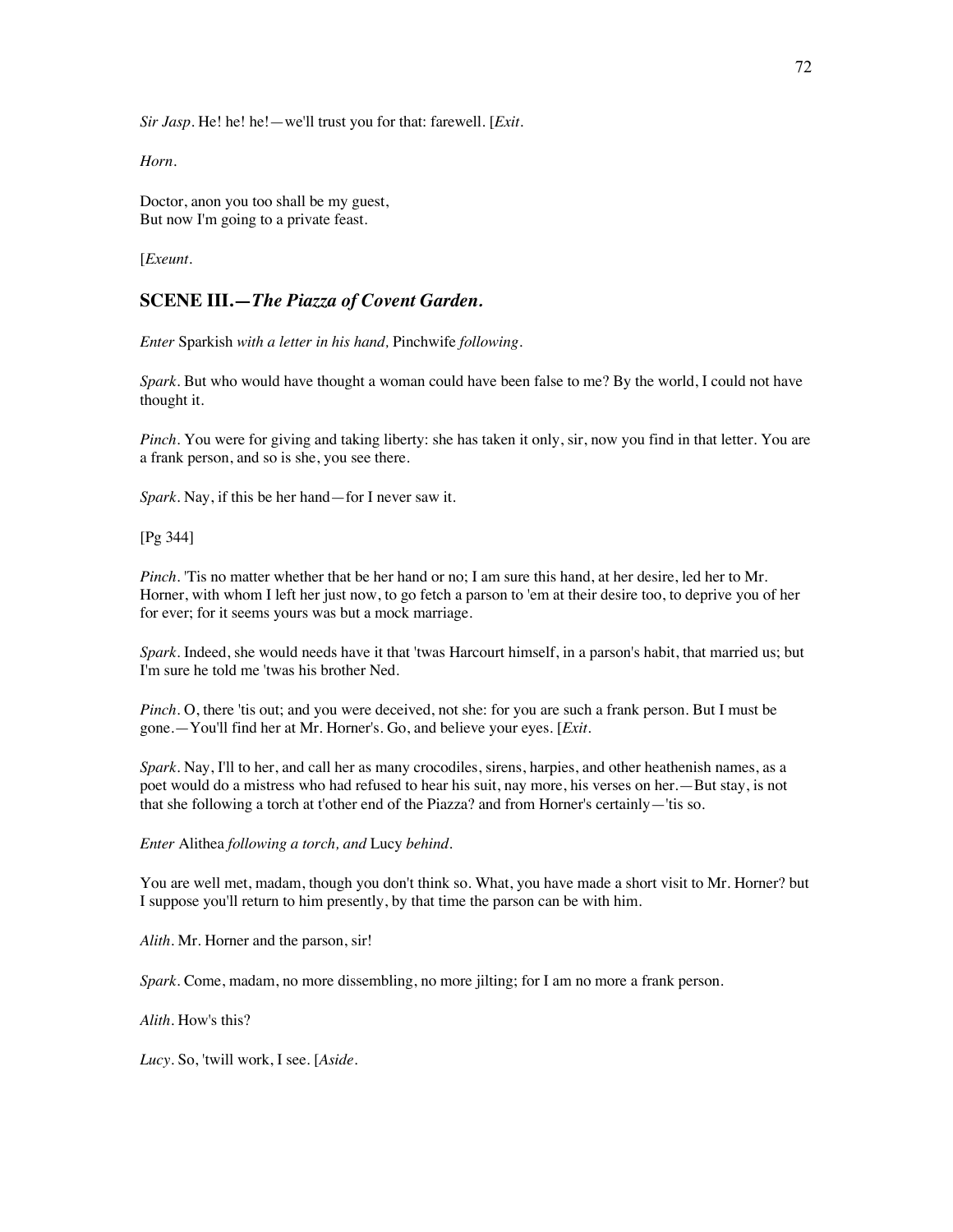*Sir Jasp.* He! he! he!—we'll trust you for that: farewell. [*Exit.*

*Horn.*

Doctor, anon you too shall be my guest, But now I'm going to a private feast.

[*Exeunt.*

# **SCENE III.—***The Piazza of Covent Garden.*

*Enter* Sparkish *with a letter in his hand,* Pinchwife *following.*

*Spark.* But who would have thought a woman could have been false to me? By the world, I could not have thought it.

*Pinch*. You were for giving and taking liberty: she has taken it only, sir, now you find in that letter. You are a frank person, and so is she, you see there.

*Spark.* Nay, if this be her hand—for I never saw it.

[Pg 344]

*Pinch*. Tis no matter whether that be her hand or no; I am sure this hand, at her desire, led her to Mr. Horner, with whom I left her just now, to go fetch a parson to 'em at their desire too, to deprive you of her for ever; for it seems yours was but a mock marriage.

*Spark.* Indeed, she would needs have it that 'twas Harcourt himself, in a parson's habit, that married us; but I'm sure he told me 'twas his brother Ned.

*Pinch*. O, there 'tis out; and you were deceived, not she: for you are such a frank person. But I must be gone.—You'll find her at Mr. Horner's. Go, and believe your eyes. [*Exit.*

*Spark.* Nay, I'll to her, and call her as many crocodiles, sirens, harpies, and other heathenish names, as a poet would do a mistress who had refused to hear his suit, nay more, his verses on her.—But stay, is not that she following a torch at t'other end of the Piazza? and from Horner's certainly—'tis so.

*Enter* Alithea *following a torch, and* Lucy *behind.*

You are well met, madam, though you don't think so. What, you have made a short visit to Mr. Horner? but I suppose you'll return to him presently, by that time the parson can be with him.

*Alith.* Mr. Horner and the parson, sir!

*Spark.* Come, madam, no more dissembling, no more jilting; for I am no more a frank person.

*Alith.* How's this?

*Lucy.* So, 'twill work, I see. [*Aside.*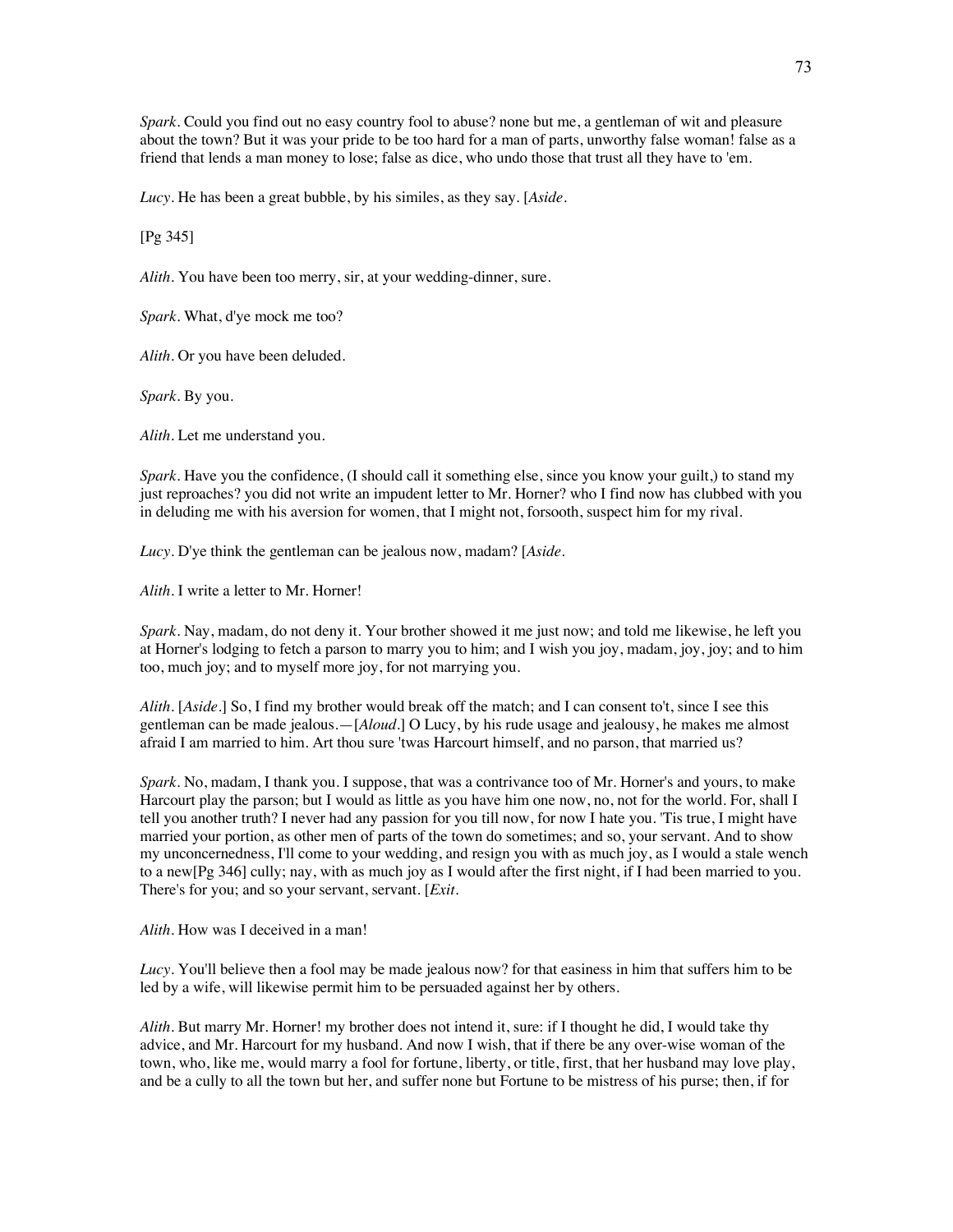*Spark.* Could you find out no easy country fool to abuse? none but me, a gentleman of wit and pleasure about the town? But it was your pride to be too hard for a man of parts, unworthy false woman! false as a friend that lends a man money to lose; false as dice, who undo those that trust all they have to 'em.

*Lucy.* He has been a great bubble, by his similes, as they say. [*Aside.*

[Pg 345]

*Alith.* You have been too merry, sir, at your wedding-dinner, sure.

*Spark.* What, d'ye mock me too?

*Alith.* Or you have been deluded.

*Spark.* By you.

*Alith.* Let me understand you.

*Spark.* Have you the confidence, (I should call it something else, since you know your guilt,) to stand my just reproaches? you did not write an impudent letter to Mr. Horner? who I find now has clubbed with you in deluding me with his aversion for women, that I might not, forsooth, suspect him for my rival.

*Lucy.* D'ye think the gentleman can be jealous now, madam? [*Aside.*

*Alith.* I write a letter to Mr. Horner!

*Spark.* Nay, madam, do not deny it. Your brother showed it me just now; and told me likewise, he left you at Horner's lodging to fetch a parson to marry you to him; and I wish you joy, madam, joy, joy; and to him too, much joy; and to myself more joy, for not marrying you.

*Alith.* [*Aside.*] So, I find my brother would break off the match; and I can consent to't, since I see this gentleman can be made jealous.—[*Aloud.*] O Lucy, by his rude usage and jealousy, he makes me almost afraid I am married to him. Art thou sure 'twas Harcourt himself, and no parson, that married us?

*Spark.* No, madam, I thank you. I suppose, that was a contrivance too of Mr. Horner's and yours, to make Harcourt play the parson; but I would as little as you have him one now, no, not for the world. For, shall I tell you another truth? I never had any passion for you till now, for now I hate you. 'Tis true, I might have married your portion, as other men of parts of the town do sometimes; and so, your servant. And to show my unconcernedness, I'll come to your wedding, and resign you with as much joy, as I would a stale wench to a new[Pg 346] cully; nay, with as much joy as I would after the first night, if I had been married to you. There's for you; and so your servant, servant. [*Exit.*

*Alith.* How was I deceived in a man!

*Lucy.* You'll believe then a fool may be made jealous now? for that easiness in him that suffers him to be led by a wife, will likewise permit him to be persuaded against her by others.

*Alith.* But marry Mr. Horner! my brother does not intend it, sure: if I thought he did, I would take thy advice, and Mr. Harcourt for my husband. And now I wish, that if there be any over-wise woman of the town, who, like me, would marry a fool for fortune, liberty, or title, first, that her husband may love play, and be a cully to all the town but her, and suffer none but Fortune to be mistress of his purse; then, if for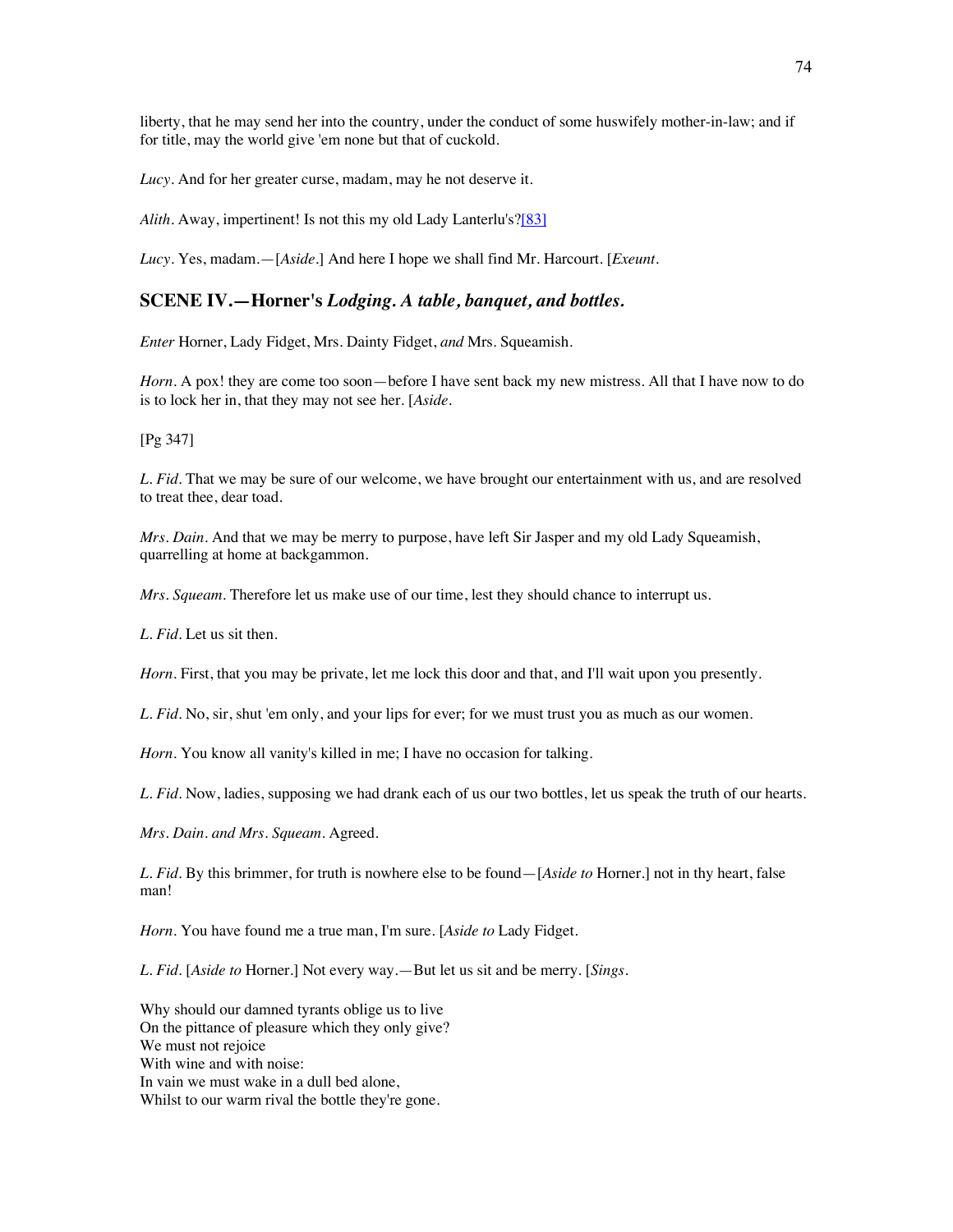liberty, that he may send her into the country, under the conduct of some huswifely mother-in-law; and if for title, may the world give 'em none but that of cuckold.

*Lucy.* And for her greater curse, madam, may he not deserve it.

Alith. Away, impertinent! Is not this my old Lady Lanterlu's?<sup>[83]</sup>

*Lucy.* Yes, madam.—[*Aside.*] And here I hope we shall find Mr. Harcourt. [*Exeunt.*

## **SCENE IV.—Horner's** *Lodging. A table, banquet, and bottles.*

*Enter* Horner, Lady Fidget, Mrs. Dainty Fidget, *and* Mrs. Squeamish.

*Horn*. A pox! they are come too soon—before I have sent back my new mistress. All that I have now to do is to lock her in, that they may not see her. [*Aside.*

[Pg 347]

*L. Fid.* That we may be sure of our welcome, we have brought our entertainment with us, and are resolved to treat thee, dear toad.

*Mrs. Dain.* And that we may be merry to purpose, have left Sir Jasper and my old Lady Squeamish, quarrelling at home at backgammon.

*Mrs. Squeam.* Therefore let us make use of our time, lest they should chance to interrupt us.

*L. Fid.* Let us sit then.

*Horn*. First, that you may be private, let me lock this door and that, and I'll wait upon you presently.

*L. Fid.* No, sir, shut 'em only, and your lips for ever; for we must trust you as much as our women.

*Horn.* You know all vanity's killed in me; I have no occasion for talking.

*L. Fid.* Now, ladies, supposing we had drank each of us our two bottles, let us speak the truth of our hearts.

*Mrs. Dain. and Mrs. Squeam.* Agreed.

*L. Fid.* By this brimmer, for truth is nowhere else to be found—[*Aside to* Horner.] not in thy heart, false man!

*Horn.* You have found me a true man, I'm sure. [*Aside to* Lady Fidget.

*L. Fid.* [*Aside to* Horner.] Not every way.—But let us sit and be merry. [*Sings.*

Why should our damned tyrants oblige us to live On the pittance of pleasure which they only give? We must not rejoice With wine and with noise: In vain we must wake in a dull bed alone, Whilst to our warm rival the bottle they're gone.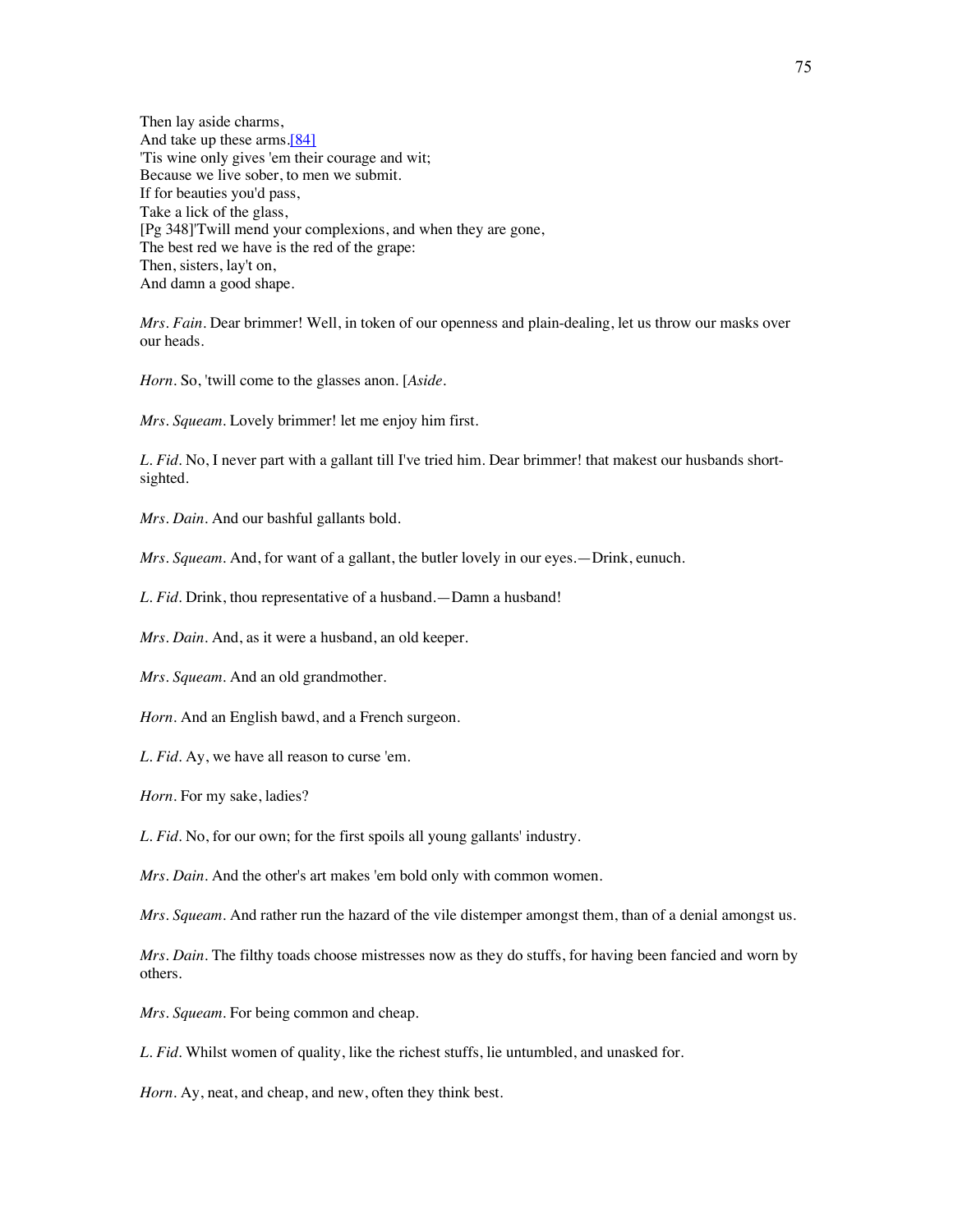Then lay aside charms, And take up these arms.[84] 'Tis wine only gives 'em their courage and wit; Because we live sober, to men we submit. If for beauties you'd pass, Take a lick of the glass, [Pg 348]'Twill mend your complexions, and when they are gone, The best red we have is the red of the grape: Then, sisters, lay't on, And damn a good shape.

*Mrs. Fain.* Dear brimmer! Well, in token of our openness and plain-dealing, let us throw our masks over our heads.

*Horn.* So, 'twill come to the glasses anon. [*Aside.*

*Mrs. Squeam.* Lovely brimmer! let me enjoy him first.

*L. Fid.* No, I never part with a gallant till I've tried him. Dear brimmer! that makest our husbands shortsighted.

*Mrs. Dain.* And our bashful gallants bold.

*Mrs. Squeam.* And, for want of a gallant, the butler lovely in our eyes.—Drink, eunuch.

*L. Fid.* Drink, thou representative of a husband.—Damn a husband!

*Mrs. Dain.* And, as it were a husband, an old keeper.

*Mrs. Squeam.* And an old grandmother.

*Horn.* And an English bawd, and a French surgeon.

*L. Fid.* Ay, we have all reason to curse 'em.

*Horn.* For my sake, ladies?

*L. Fid.* No, for our own; for the first spoils all young gallants' industry.

*Mrs. Dain.* And the other's art makes 'em bold only with common women.

*Mrs. Squeam.* And rather run the hazard of the vile distemper amongst them, than of a denial amongst us.

*Mrs. Dain.* The filthy toads choose mistresses now as they do stuffs, for having been fancied and worn by others.

*Mrs. Squeam.* For being common and cheap.

*L. Fid.* Whilst women of quality, like the richest stuffs, lie untumbled, and unasked for.

*Horn.* Ay, neat, and cheap, and new, often they think best.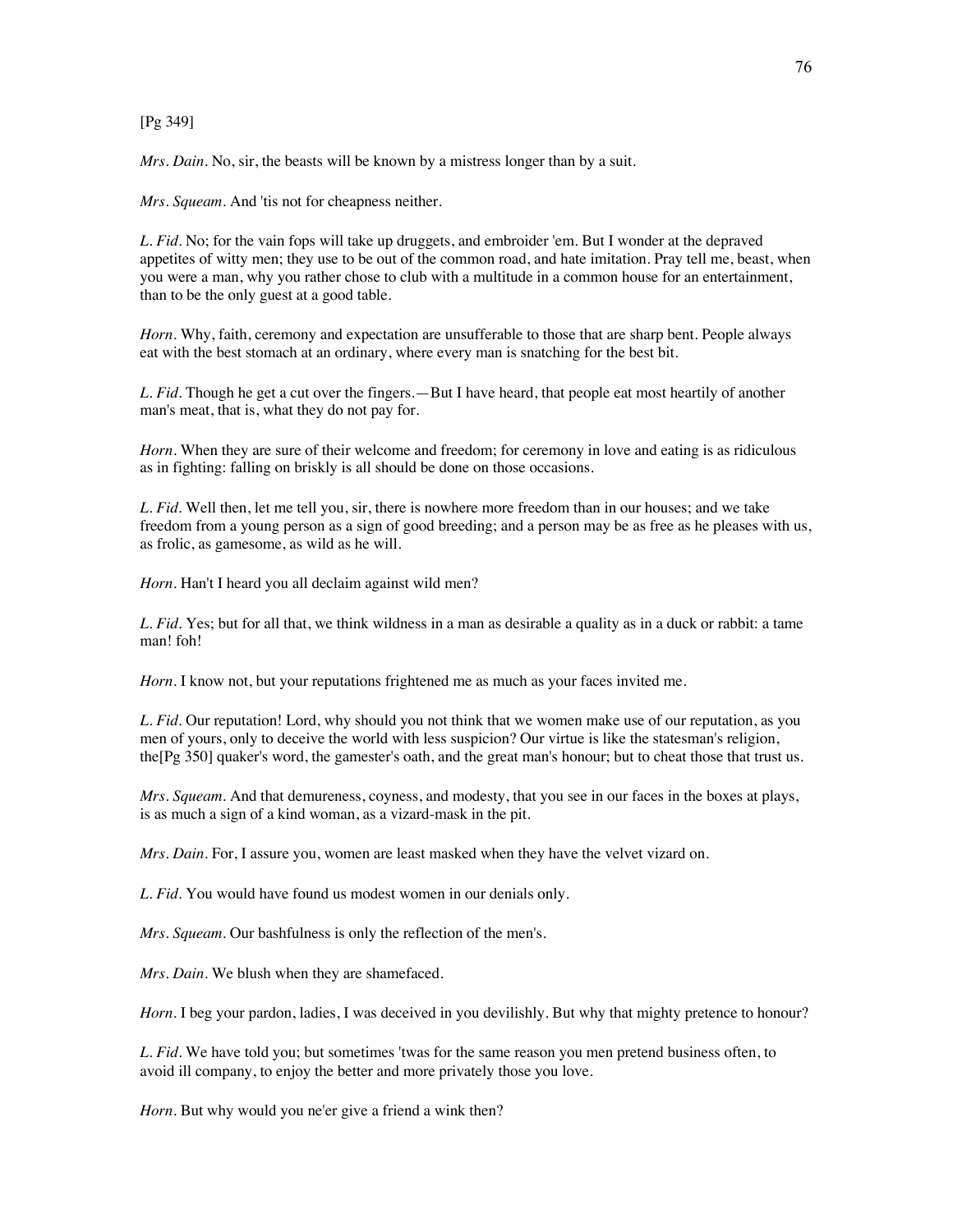[Pg 349]

*Mrs. Dain.* No, sir, the beasts will be known by a mistress longer than by a suit.

*Mrs. Squeam.* And 'tis not for cheapness neither.

*L. Fid.* No; for the vain fops will take up druggets, and embroider 'em. But I wonder at the depraved appetites of witty men; they use to be out of the common road, and hate imitation. Pray tell me, beast, when you were a man, why you rather chose to club with a multitude in a common house for an entertainment, than to be the only guest at a good table.

*Horn.* Why, faith, ceremony and expectation are unsufferable to those that are sharp bent. People always eat with the best stomach at an ordinary, where every man is snatching for the best bit.

*L. Fid.* Though he get a cut over the fingers.—But I have heard, that people eat most heartily of another man's meat, that is, what they do not pay for.

*Horn*. When they are sure of their welcome and freedom; for ceremony in love and eating is as ridiculous as in fighting: falling on briskly is all should be done on those occasions.

*L. Fid.* Well then, let me tell you, sir, there is nowhere more freedom than in our houses; and we take freedom from a young person as a sign of good breeding; and a person may be as free as he pleases with us, as frolic, as gamesome, as wild as he will.

*Horn.* Han't I heard you all declaim against wild men?

*L. Fid.* Yes; but for all that, we think wildness in a man as desirable a quality as in a duck or rabbit: a tame man! foh!

*Horn*. I know not, but your reputations frightened me as much as your faces invited me.

*L. Fid.* Our reputation! Lord, why should you not think that we women make use of our reputation, as you men of yours, only to deceive the world with less suspicion? Our virtue is like the statesman's religion, the[Pg 350] quaker's word, the gamester's oath, and the great man's honour; but to cheat those that trust us.

*Mrs. Squeam.* And that demureness, coyness, and modesty, that you see in our faces in the boxes at plays, is as much a sign of a kind woman, as a vizard-mask in the pit.

*Mrs. Dain.* For, I assure you, women are least masked when they have the velvet vizard on.

*L. Fid.* You would have found us modest women in our denials only.

*Mrs. Squeam.* Our bashfulness is only the reflection of the men's.

*Mrs. Dain.* We blush when they are shamefaced.

*Horn*. I beg your pardon, ladies, I was deceived in you devilishly. But why that mighty pretence to honour?

*L. Fid.* We have told you; but sometimes 'twas for the same reason you men pretend business often, to avoid ill company, to enjoy the better and more privately those you love.

*Horn.* But why would you ne'er give a friend a wink then?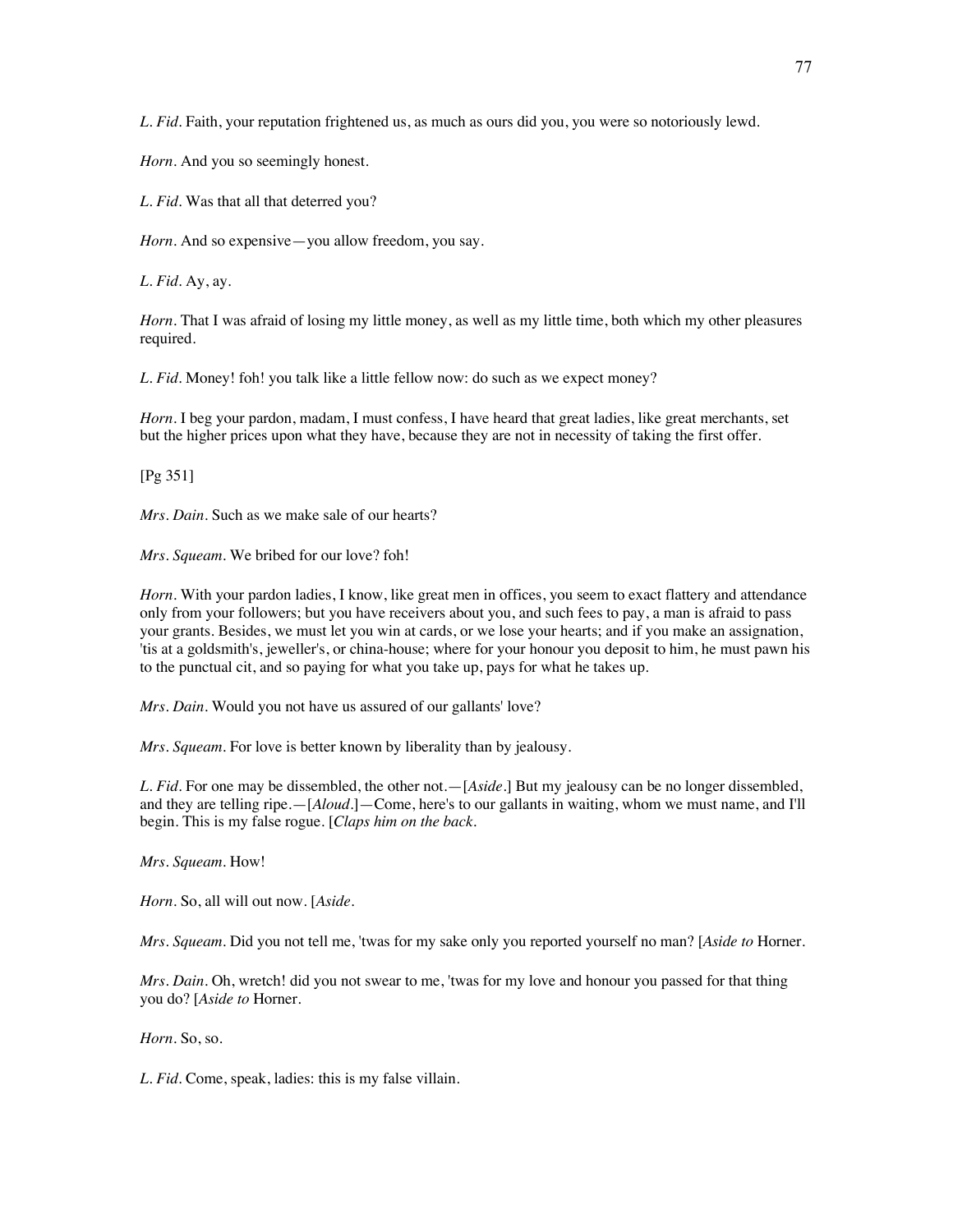*L. Fid.* Faith, your reputation frightened us, as much as ours did you, you were so notoriously lewd.

*Horn.* And you so seemingly honest.

*L. Fid.* Was that all that deterred you?

*Horn.* And so expensive—you allow freedom, you say.

*L. Fid.* Ay, ay.

*Horn*. That I was afraid of losing my little money, as well as my little time, both which my other pleasures required.

*L. Fid.* Money! foh! you talk like a little fellow now: do such as we expect money?

*Horn*. I beg your pardon, madam, I must confess, I have heard that great ladies, like great merchants, set but the higher prices upon what they have, because they are not in necessity of taking the first offer.

[Pg 351]

*Mrs. Dain.* Such as we make sale of our hearts?

*Mrs. Squeam.* We bribed for our love? foh!

*Horn*. With your pardon ladies, I know, like great men in offices, you seem to exact flattery and attendance only from your followers; but you have receivers about you, and such fees to pay, a man is afraid to pass your grants. Besides, we must let you win at cards, or we lose your hearts; and if you make an assignation, 'tis at a goldsmith's, jeweller's, or china-house; where for your honour you deposit to him, he must pawn his to the punctual cit, and so paying for what you take up, pays for what he takes up.

*Mrs. Dain.* Would you not have us assured of our gallants' love?

*Mrs. Squeam.* For love is better known by liberality than by jealousy.

*L. Fid.* For one may be dissembled, the other not.—[*Aside.*] But my jealousy can be no longer dissembled, and they are telling ripe.—[*Aloud.*]—Come, here's to our gallants in waiting, whom we must name, and I'll begin. This is my false rogue. [*Claps him on the back.*

*Mrs. Squeam.* How!

*Horn.* So, all will out now. [*Aside.*

*Mrs. Squeam.* Did you not tell me, 'twas for my sake only you reported yourself no man? [*Aside to* Horner.

*Mrs. Dain.* Oh, wretch! did you not swear to me, 'twas for my love and honour you passed for that thing you do? [*Aside to* Horner.

*Horn.* So, so.

*L. Fid.* Come, speak, ladies: this is my false villain.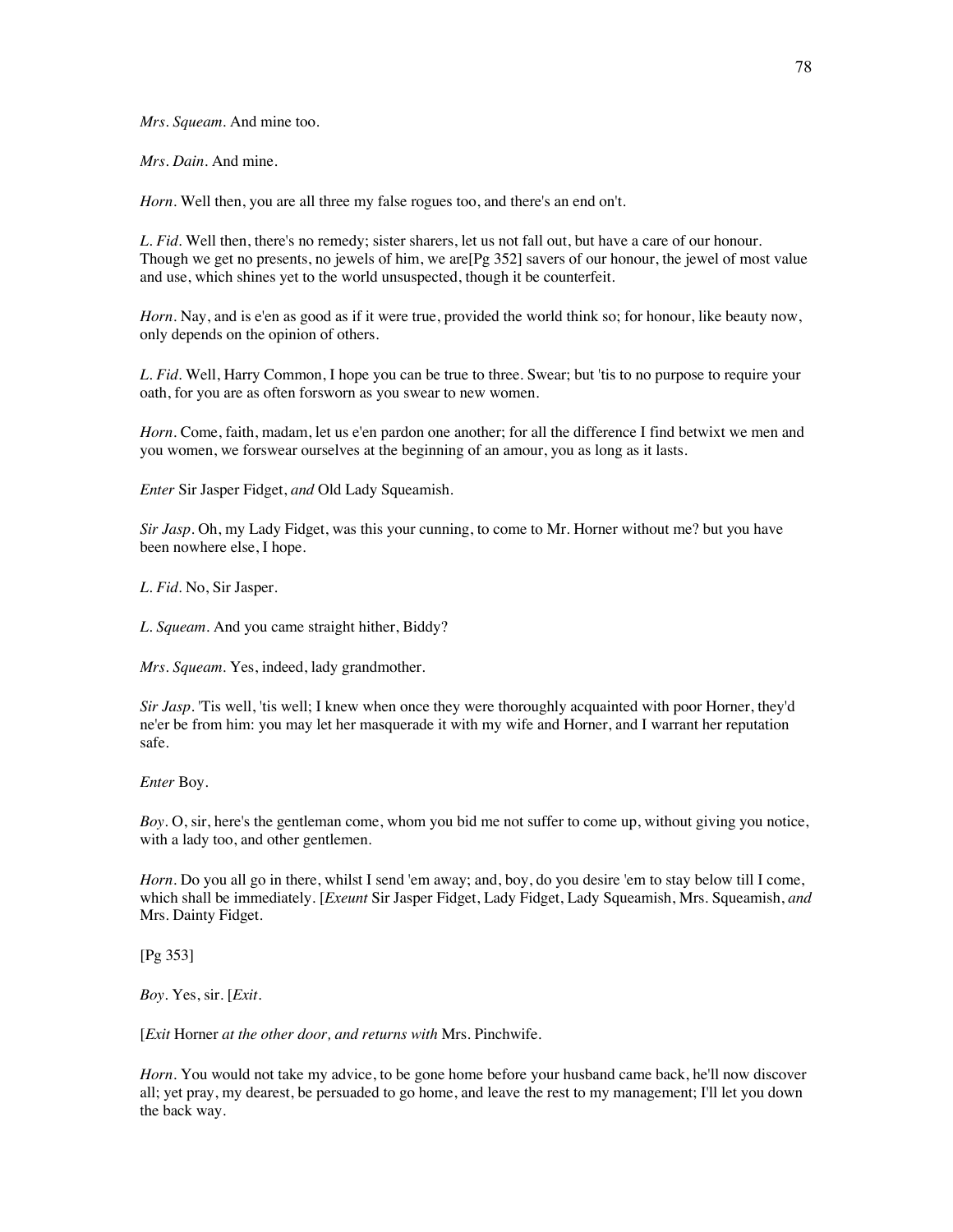*Mrs. Squeam.* And mine too.

*Mrs. Dain.* And mine.

*Horn*. Well then, you are all three my false rogues too, and there's an end on't.

*L. Fid.* Well then, there's no remedy; sister sharers, let us not fall out, but have a care of our honour. Though we get no presents, no jewels of him, we are[Pg 352] savers of our honour, the jewel of most value and use, which shines yet to the world unsuspected, though it be counterfeit.

*Horn*. Nay, and is e'en as good as if it were true, provided the world think so; for honour, like beauty now, only depends on the opinion of others.

*L. Fid.* Well, Harry Common, I hope you can be true to three. Swear; but 'tis to no purpose to require your oath, for you are as often forsworn as you swear to new women.

*Horn.* Come, faith, madam, let us e'en pardon one another; for all the difference I find betwixt we men and you women, we forswear ourselves at the beginning of an amour, you as long as it lasts.

*Enter* Sir Jasper Fidget, *and* Old Lady Squeamish.

*Sir Jasp.* Oh, my Lady Fidget, was this your cunning, to come to Mr. Horner without me? but you have been nowhere else, I hope.

*L. Fid.* No, Sir Jasper.

*L. Squeam.* And you came straight hither, Biddy?

*Mrs. Squeam.* Yes, indeed, lady grandmother.

*Sir Jasp.* 'Tis well, 'tis well; I knew when once they were thoroughly acquainted with poor Horner, they'd ne'er be from him: you may let her masquerade it with my wife and Horner, and I warrant her reputation safe.

*Enter* Boy.

*Boy.* O, sir, here's the gentleman come, whom you bid me not suffer to come up, without giving you notice, with a lady too, and other gentlemen.

*Horn*. Do you all go in there, whilst I send 'em away; and, boy, do you desire 'em to stay below till I come, which shall be immediately. [*Exeunt* Sir Jasper Fidget, Lady Fidget, Lady Squeamish, Mrs. Squeamish, *and* Mrs. Dainty Fidget.

[Pg 353]

*Boy.* Yes, sir. [*Exit.*

[*Exit* Horner *at the other door, and returns with* Mrs. Pinchwife.

*Horn*. You would not take my advice, to be gone home before your husband came back, he'll now discover all; yet pray, my dearest, be persuaded to go home, and leave the rest to my management; I'll let you down the back way.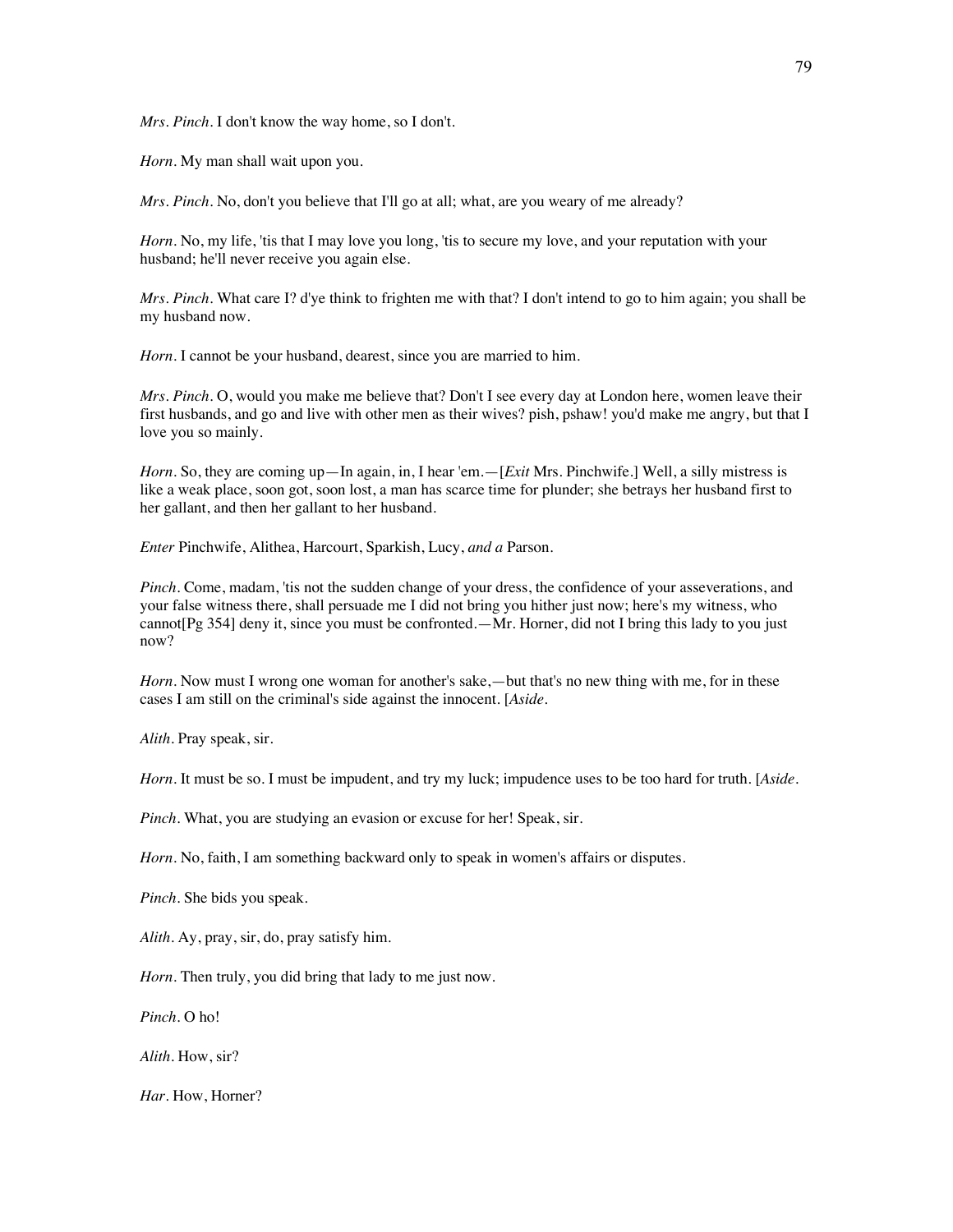*Mrs. Pinch.* I don't know the way home, so I don't.

*Horn.* My man shall wait upon you.

*Mrs. Pinch.* No, don't you believe that I'll go at all; what, are you weary of me already?

*Horn*. No, my life, 'tis that I may love you long, 'tis to secure my love, and your reputation with your husband; he'll never receive you again else.

*Mrs. Pinch.* What care I? d'ye think to frighten me with that? I don't intend to go to him again; you shall be my husband now.

*Horn.* I cannot be your husband, dearest, since you are married to him.

*Mrs. Pinch.* O, would you make me believe that? Don't I see every day at London here, women leave their first husbands, and go and live with other men as their wives? pish, pshaw! you'd make me angry, but that I love you so mainly.

*Horn.* So, they are coming up—In again, in, I hear 'em.—[*Exit* Mrs. Pinchwife.] Well, a silly mistress is like a weak place, soon got, soon lost, a man has scarce time for plunder; she betrays her husband first to her gallant, and then her gallant to her husband.

*Enter* Pinchwife, Alithea, Harcourt, Sparkish, Lucy, *and a* Parson.

*Pinch.* Come, madam, 'tis not the sudden change of your dress, the confidence of your asseverations, and your false witness there, shall persuade me I did not bring you hither just now; here's my witness, who cannot[Pg 354] deny it, since you must be confronted.—Mr. Horner, did not I bring this lady to you just now?

*Horn*. Now must I wrong one woman for another's sake,—but that's no new thing with me, for in these cases I am still on the criminal's side against the innocent. [*Aside.*

*Alith.* Pray speak, sir.

*Horn.* It must be so. I must be impudent, and try my luck; impudence uses to be too hard for truth. [*Aside.*

*Pinch.* What, you are studying an evasion or excuse for her! Speak, sir.

*Horn.* No, faith, I am something backward only to speak in women's affairs or disputes.

*Pinch.* She bids you speak.

*Alith.* Ay, pray, sir, do, pray satisfy him.

*Horn.* Then truly, you did bring that lady to me just now.

*Pinch.* O ho!

*Alith.* How, sir?

*Har.* How, Horner?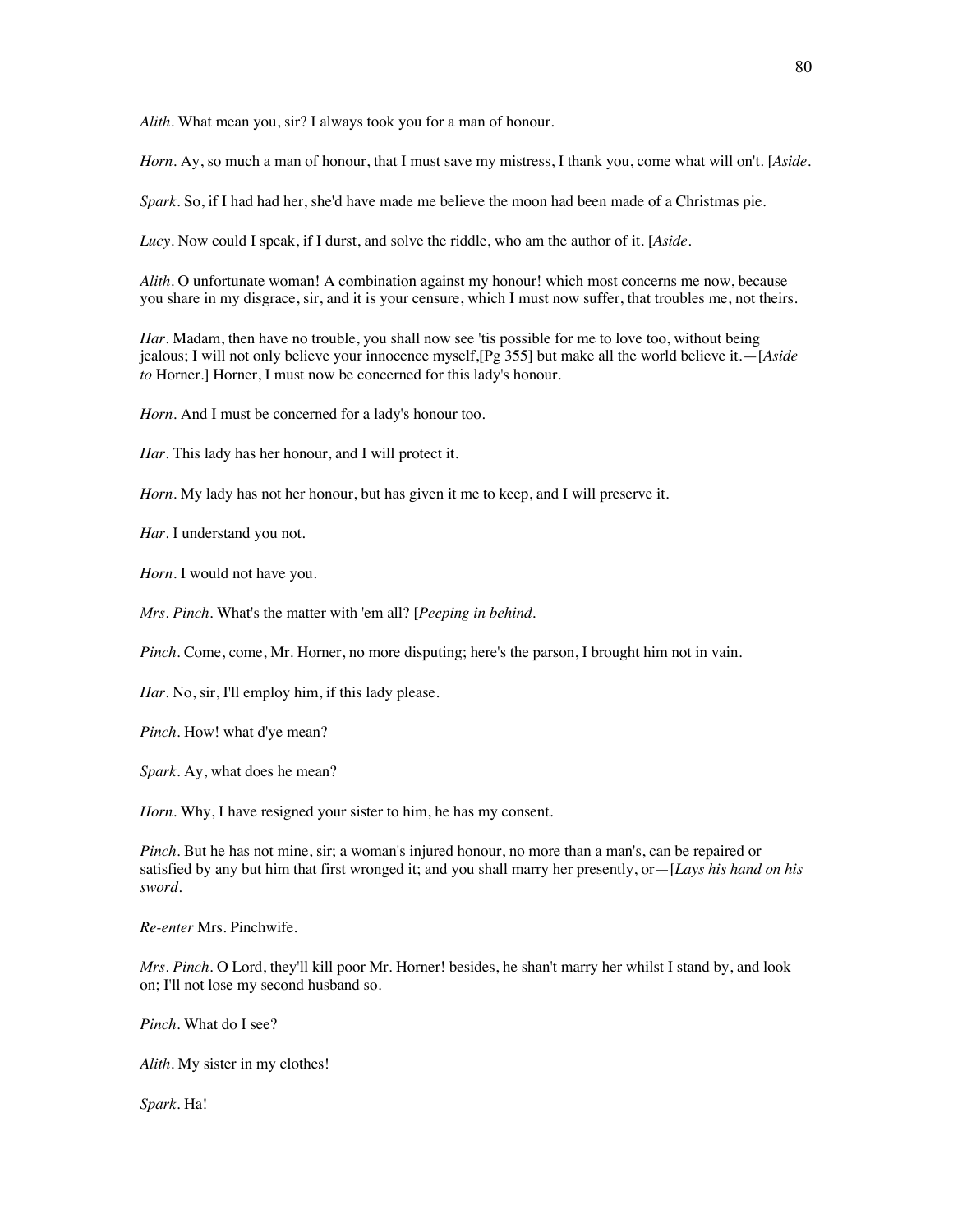*Alith.* What mean you, sir? I always took you for a man of honour.

*Horn.* Ay, so much a man of honour, that I must save my mistress, I thank you, come what will on't. [*Aside.*

*Spark.* So, if I had had her, she'd have made me believe the moon had been made of a Christmas pie.

*Lucy.* Now could I speak, if I durst, and solve the riddle, who am the author of it. [*Aside.*

*Alith.* O unfortunate woman! A combination against my honour! which most concerns me now, because you share in my disgrace, sir, and it is your censure, which I must now suffer, that troubles me, not theirs.

*Har.* Madam, then have no trouble, you shall now see 'tis possible for me to love too, without being jealous; I will not only believe your innocence myself,[Pg 355] but make all the world believe it.—[*Aside to* Horner.] Horner, I must now be concerned for this lady's honour.

*Horn.* And I must be concerned for a lady's honour too.

*Har.* This lady has her honour, and I will protect it.

*Horn.* My lady has not her honour, but has given it me to keep, and I will preserve it.

*Har.* I understand you not.

*Horn.* I would not have you.

*Mrs. Pinch.* What's the matter with 'em all? [*Peeping in behind.*

*Pinch*. Come, come, Mr. Horner, no more disputing; here's the parson, I brought him not in vain.

*Har.* No, sir, I'll employ him, if this lady please.

*Pinch.* How! what d'ye mean?

*Spark.* Ay, what does he mean?

*Horn.* Why, I have resigned your sister to him, he has my consent.

*Pinch.* But he has not mine, sir; a woman's injured honour, no more than a man's, can be repaired or satisfied by any but him that first wronged it; and you shall marry her presently, or—[*Lays his hand on his sword.*

*Re-enter* Mrs. Pinchwife.

*Mrs. Pinch.* O Lord, they'll kill poor Mr. Horner! besides, he shan't marry her whilst I stand by, and look on; I'll not lose my second husband so.

*Pinch.* What do I see?

*Alith.* My sister in my clothes!

*Spark.* Ha!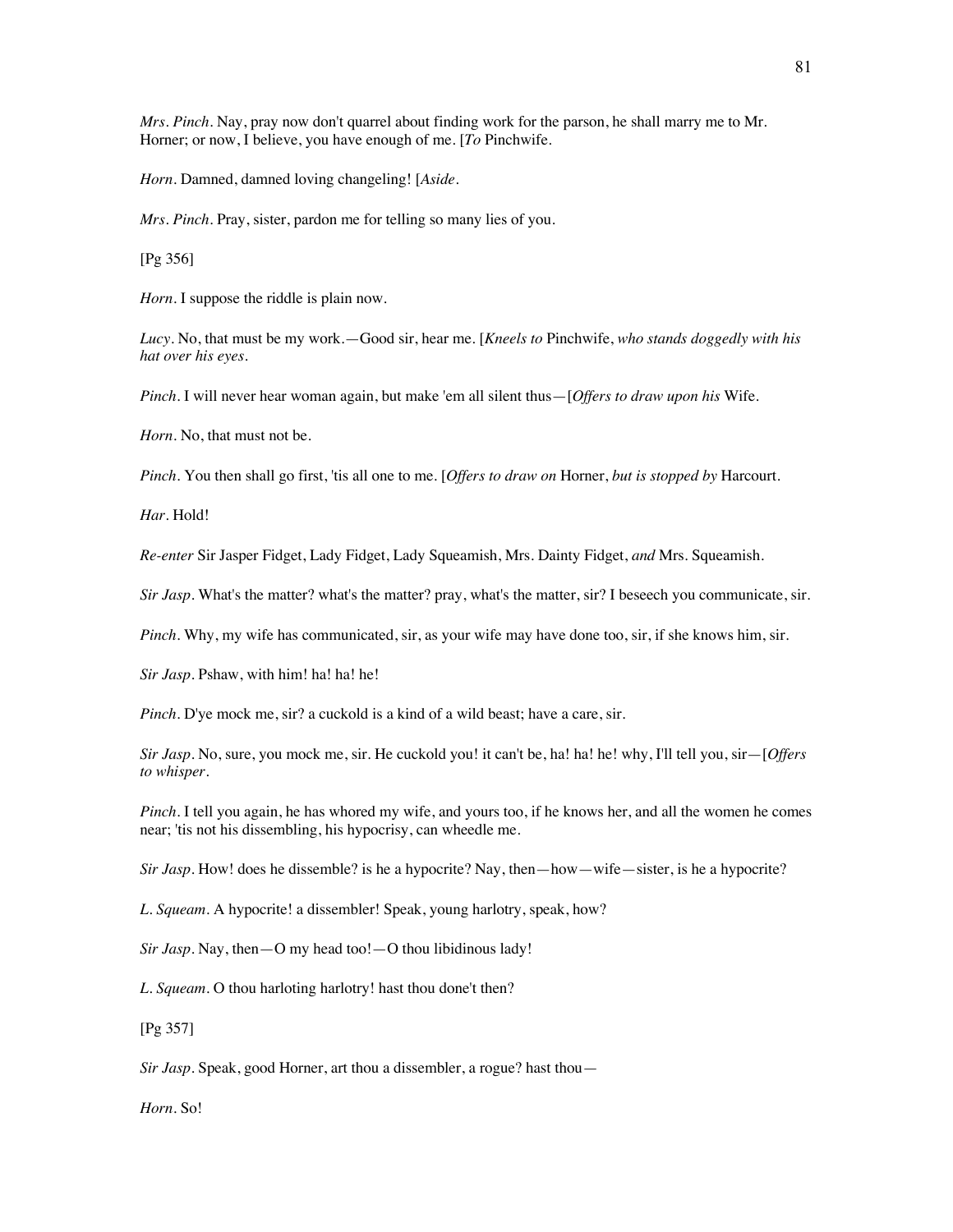*Mrs. Pinch.* Nay, pray now don't quarrel about finding work for the parson, he shall marry me to Mr. Horner; or now, I believe, you have enough of me. [*To* Pinchwife.

*Horn.* Damned, damned loving changeling! [*Aside.*

*Mrs. Pinch.* Pray, sister, pardon me for telling so many lies of you.

[Pg 356]

*Horn.* I suppose the riddle is plain now.

*Lucy.* No, that must be my work.—Good sir, hear me. [*Kneels to* Pinchwife, *who stands doggedly with his hat over his eyes.*

*Pinch.* I will never hear woman again, but make 'em all silent thus—[*Offers to draw upon his* Wife.

*Horn.* No, that must not be.

*Pinch.* You then shall go first, 'tis all one to me. [*Offers to draw on* Horner, *but is stopped by* Harcourt.

*Har.* Hold!

*Re-enter* Sir Jasper Fidget, Lady Fidget, Lady Squeamish, Mrs. Dainty Fidget, *and* Mrs. Squeamish.

*Sir Jasp.* What's the matter? what's the matter? pray, what's the matter, sir? I beseech you communicate, sir.

*Pinch*. Why, my wife has communicated, sir, as your wife may have done too, sir, if she knows him, sir.

*Sir Jasp.* Pshaw, with him! ha! ha! he!

*Pinch*. D'ye mock me, sir? a cuckold is a kind of a wild beast; have a care, sir.

*Sir Jasp.* No, sure, you mock me, sir. He cuckold you! it can't be, ha! ha! he! why, I'll tell you, sir—[*Offers to whisper.*

*Pinch*. I tell you again, he has whored my wife, and yours too, if he knows her, and all the women he comes near; 'tis not his dissembling, his hypocrisy, can wheedle me.

*Sir Jasp.* How! does he dissemble? is he a hypocrite? Nay, then—how—wife—sister, is he a hypocrite?

*L. Squeam.* A hypocrite! a dissembler! Speak, young harlotry, speak, how?

*Sir Jasp.* Nay, then—O my head too!—O thou libidinous lady!

*L. Squeam.* O thou harloting harlotry! hast thou done't then?

[Pg 357]

*Sir Jasp.* Speak, good Horner, art thou a dissembler, a rogue? hast thou—

*Horn.* So!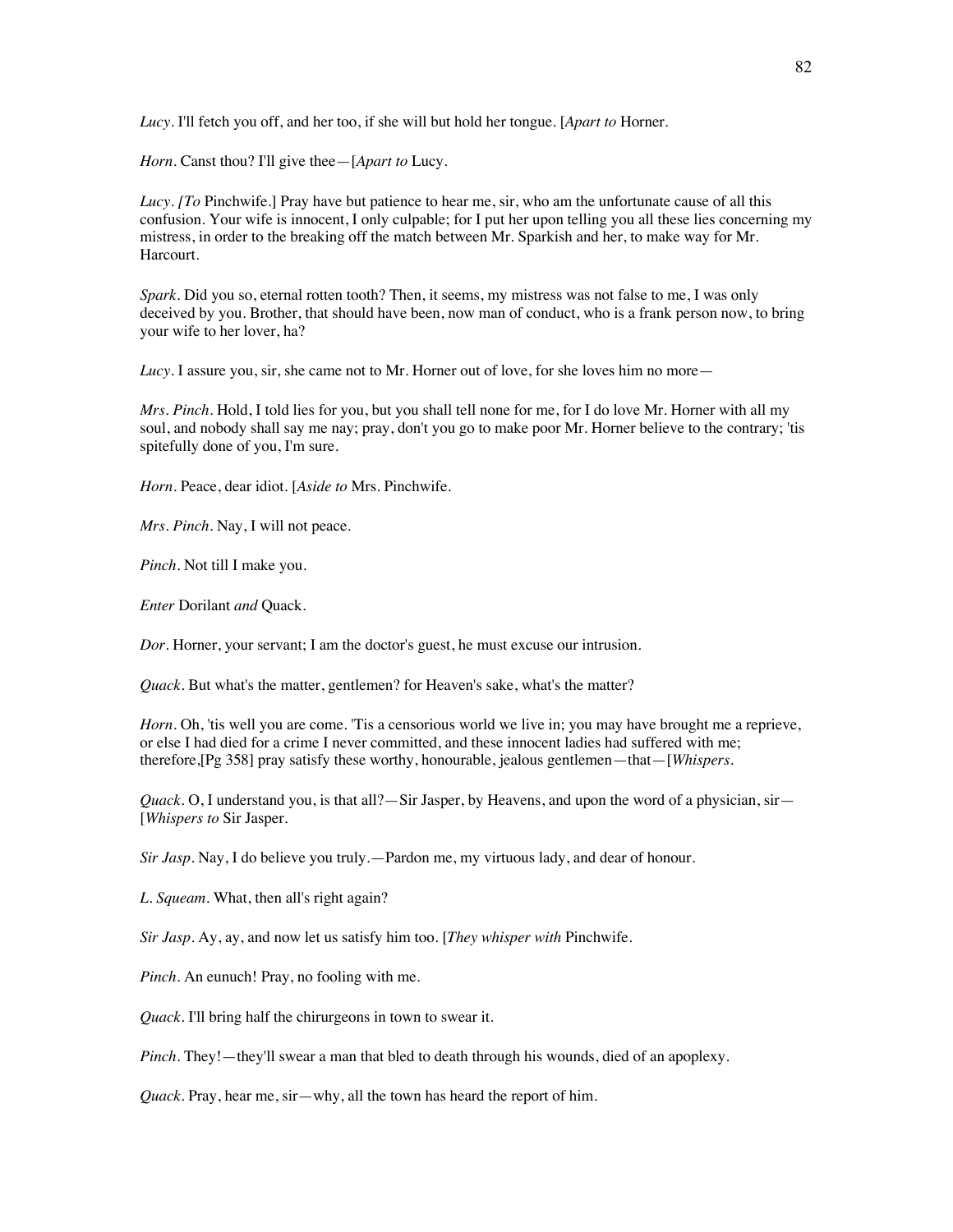*Lucy.* I'll fetch you off, and her too, if she will but hold her tongue. [*Apart to* Horner.

*Horn.* Canst thou? I'll give thee—[*Apart to* Lucy.

*Lucy. [To* Pinchwife.] Pray have but patience to hear me, sir, who am the unfortunate cause of all this confusion. Your wife is innocent, I only culpable; for I put her upon telling you all these lies concerning my mistress, in order to the breaking off the match between Mr. Sparkish and her, to make way for Mr. Harcourt.

*Spark.* Did you so, eternal rotten tooth? Then, it seems, my mistress was not false to me, I was only deceived by you. Brother, that should have been, now man of conduct, who is a frank person now, to bring your wife to her lover, ha?

*Lucy.* I assure you, sir, she came not to Mr. Horner out of love, for she loves him no more—

*Mrs. Pinch.* Hold, I told lies for you, but you shall tell none for me, for I do love Mr. Horner with all my soul, and nobody shall say me nay; pray, don't you go to make poor Mr. Horner believe to the contrary; 'tis spitefully done of you, I'm sure.

*Horn.* Peace, dear idiot. [*Aside to* Mrs. Pinchwife.

*Mrs. Pinch.* Nay, I will not peace.

*Pinch.* Not till I make you.

*Enter* Dorilant *and* Quack.

*Dor.* Horner, your servant; I am the doctor's guest, he must excuse our intrusion.

*Quack.* But what's the matter, gentlemen? for Heaven's sake, what's the matter?

*Horn*. Oh, 'tis well you are come. 'Tis a censorious world we live in; you may have brought me a reprieve, or else I had died for a crime I never committed, and these innocent ladies had suffered with me; therefore,[Pg 358] pray satisfy these worthy, honourable, jealous gentlemen—that—[*Whispers.*

*Quack.* O, I understand you, is that all?—Sir Jasper, by Heavens, and upon the word of a physician,  $\sin$ — [*Whispers to* Sir Jasper.

*Sir Jasp.* Nay, I do believe you truly.—Pardon me, my virtuous lady, and dear of honour.

*L. Squeam.* What, then all's right again?

*Sir Jasp.* Ay, ay, and now let us satisfy him too. [*They whisper with* Pinchwife.

*Pinch*. An eunuch! Pray, no fooling with me.

*Quack.* I'll bring half the chirurgeons in town to swear it.

*Pinch*. They!—they'll swear a man that bled to death through his wounds, died of an apoplexy.

*Quack.* Pray, hear me, sir—why, all the town has heard the report of him.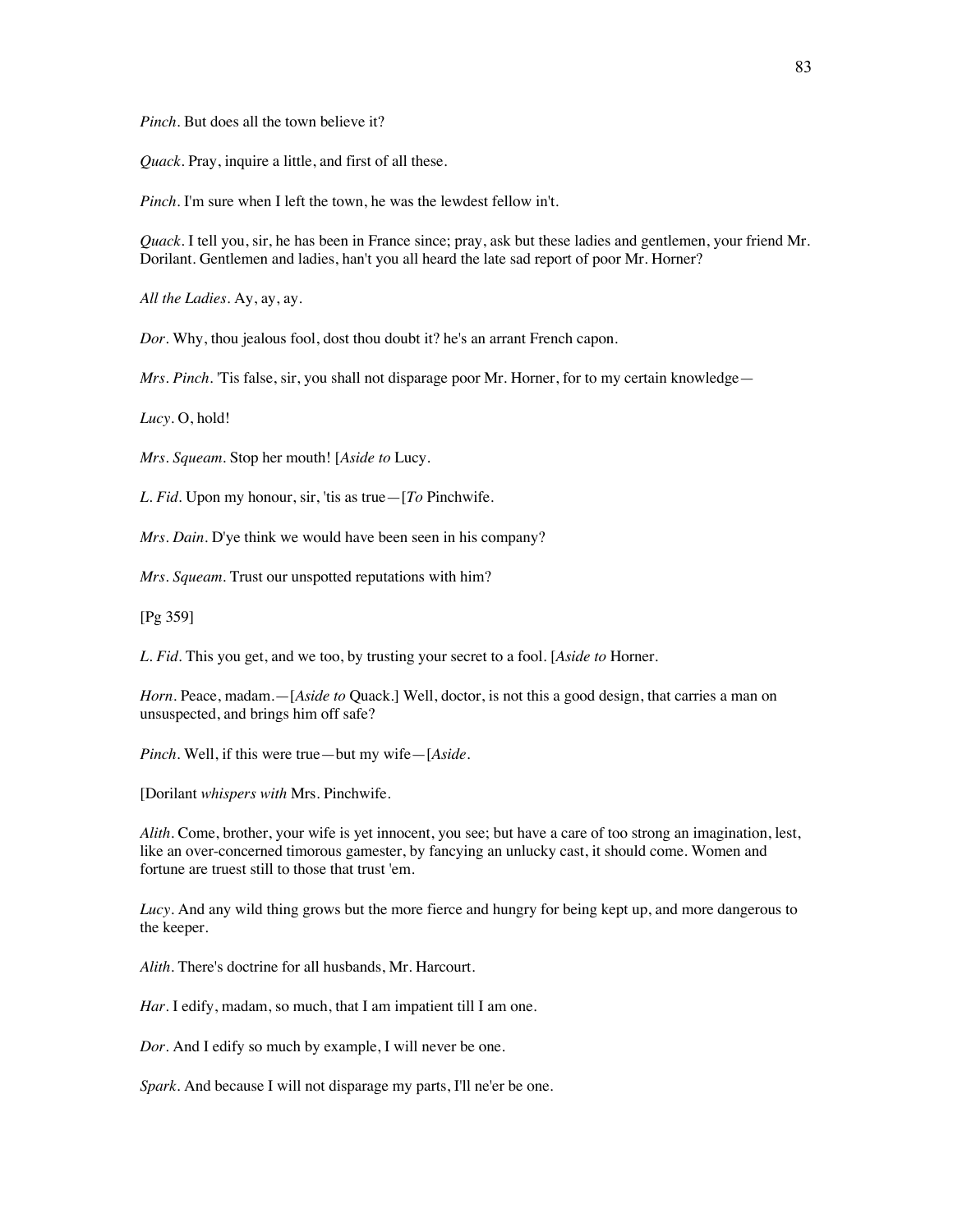*Pinch.* But does all the town believe it?

*Quack.* Pray, inquire a little, and first of all these.

*Pinch.* I'm sure when I left the town, he was the lewdest fellow in't.

*Quack.* I tell you, sir, he has been in France since; pray, ask but these ladies and gentlemen, your friend Mr. Dorilant. Gentlemen and ladies, han't you all heard the late sad report of poor Mr. Horner?

*All the Ladies.* Ay, ay, ay.

*Dor.* Why, thou jealous fool, dost thou doubt it? he's an arrant French capon.

*Mrs. Pinch.* 'Tis false, sir, you shall not disparage poor Mr. Horner, for to my certain knowledge—

*Lucy.* O, hold!

*Mrs. Squeam.* Stop her mouth! [*Aside to* Lucy.

*L. Fid.* Upon my honour, sir, 'tis as true—[*To* Pinchwife.

*Mrs. Dain.* D'ye think we would have been seen in his company?

*Mrs. Squeam.* Trust our unspotted reputations with him?

[Pg 359]

*L. Fid.* This you get, and we too, by trusting your secret to a fool. [*Aside to* Horner.

*Horn.* Peace, madam.—[*Aside to* Quack.] Well, doctor, is not this a good design, that carries a man on unsuspected, and brings him off safe?

*Pinch.* Well, if this were true—but my wife—[*Aside.*

[Dorilant *whispers with* Mrs. Pinchwife.

*Alith.* Come, brother, your wife is yet innocent, you see; but have a care of too strong an imagination, lest, like an over-concerned timorous gamester, by fancying an unlucky cast, it should come. Women and fortune are truest still to those that trust 'em.

*Lucy.* And any wild thing grows but the more fierce and hungry for being kept up, and more dangerous to the keeper.

*Alith.* There's doctrine for all husbands, Mr. Harcourt.

*Har.* I edify, madam, so much, that I am impatient till I am one.

*Dor.* And I edify so much by example, I will never be one.

*Spark.* And because I will not disparage my parts, I'll ne'er be one.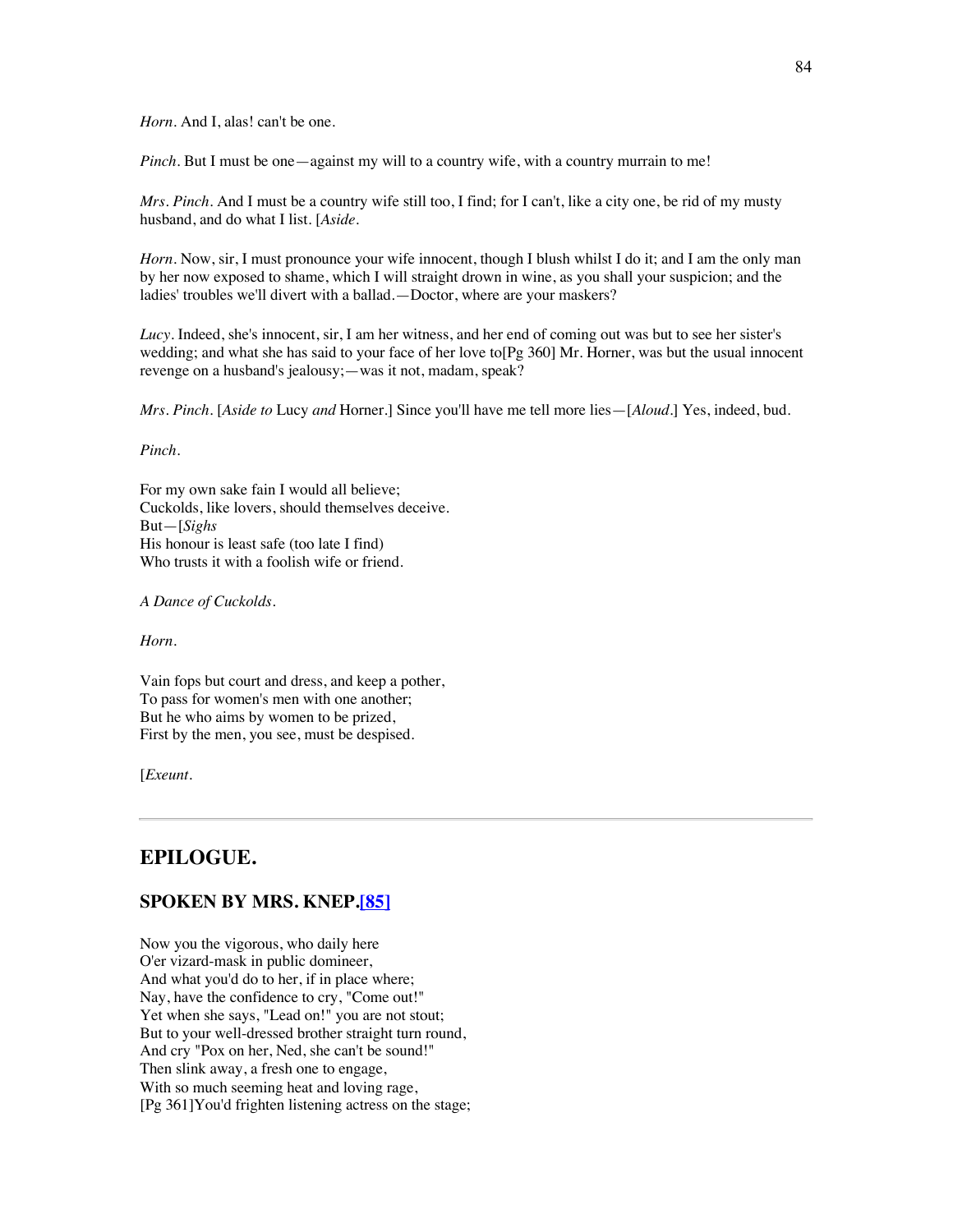Horn. And I, alas! can't be one.

*Pinch*. But I must be one—against my will to a country wife, with a country murrain to me!

*Mrs. Pinch.* And I must be a country wife still too, I find; for I can't, like a city one, be rid of my musty husband, and do what I list. [*Aside.*

*Horn*. Now, sir, I must pronounce your wife innocent, though I blush whilst I do it; and I am the only man by her now exposed to shame, which I will straight drown in wine, as you shall your suspicion; and the ladies' troubles we'll divert with a ballad.—Doctor, where are your maskers?

*Lucy.* Indeed, she's innocent, sir, I am her witness, and her end of coming out was but to see her sister's wedding; and what she has said to your face of her love to  $[Pg 360]$  Mr. Horner, was but the usual innocent revenge on a husband's jealousy;—was it not, madam, speak?

*Mrs. Pinch.* [*Aside to* Lucy *and* Horner.] Since you'll have me tell more lies—[*Aloud.*] Yes, indeed, bud.

*Pinch.*

For my own sake fain I would all believe; Cuckolds, like lovers, should themselves deceive. But—[*Sighs* His honour is least safe (too late I find) Who trusts it with a foolish wife or friend.

*A Dance of Cuckolds.*

*Horn.*

Vain fops but court and dress, and keep a pother, To pass for women's men with one another; But he who aims by women to be prized, First by the men, you see, must be despised.

[*Exeunt.*

## **EPILOGUE.**

## **SPOKEN BY MRS. KNEP.[85]**

Now you the vigorous, who daily here O'er vizard-mask in public domineer, And what you'd do to her, if in place where; Nay, have the confidence to cry, "Come out!" Yet when she says, "Lead on!" you are not stout; But to your well-dressed brother straight turn round, And cry "Pox on her, Ned, she can't be sound!" Then slink away, a fresh one to engage, With so much seeming heat and loving rage, [Pg 361]You'd frighten listening actress on the stage;